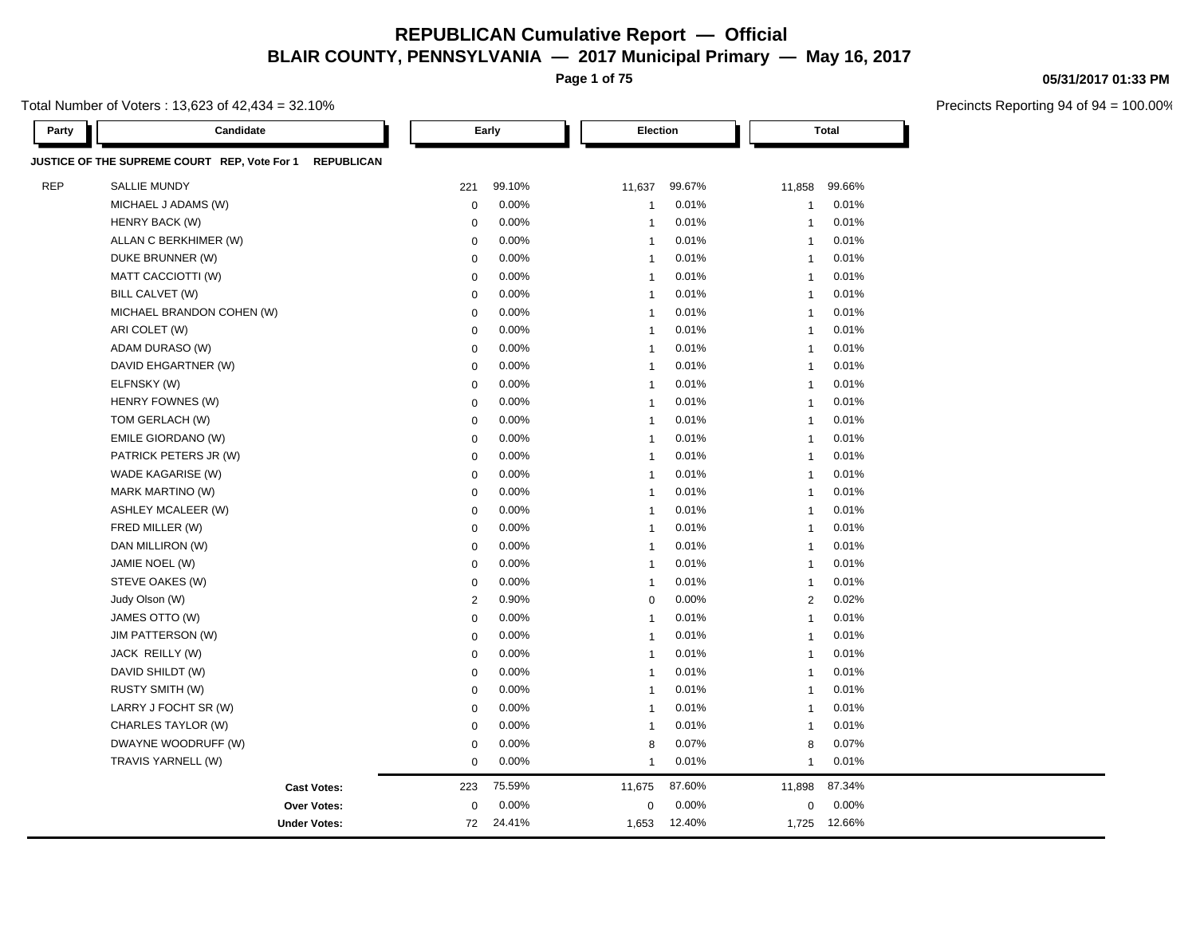**Page 1 of 75**

Total Number of Voters : 13,623 of 42,434 = 32.10%

| Party      | Candidate                                                         | Early       |        |                         | Election |                | <b>Total</b> |  |
|------------|-------------------------------------------------------------------|-------------|--------|-------------------------|----------|----------------|--------------|--|
|            | JUSTICE OF THE SUPREME COURT REP, Vote For 1<br><b>REPUBLICAN</b> |             |        |                         |          |                |              |  |
| <b>REP</b> | <b>SALLIE MUNDY</b>                                               | 221         | 99.10% | 11,637                  | 99.67%   | 11,858         | 99.66%       |  |
|            | MICHAEL J ADAMS (W)                                               | $\mathbf 0$ | 0.00%  | $\mathbf{1}$            | 0.01%    | $\mathbf{1}$   | 0.01%        |  |
|            | HENRY BACK (W)                                                    | $\mathbf 0$ | 0.00%  | $\overline{1}$          | 0.01%    | $\overline{1}$ | 0.01%        |  |
|            | ALLAN C BERKHIMER (W)                                             | $\mathbf 0$ | 0.00%  | $\overline{1}$          | 0.01%    | $\overline{1}$ | 0.01%        |  |
|            | DUKE BRUNNER (W)                                                  | $\mathbf 0$ | 0.00%  | $\overline{1}$          | 0.01%    | $\overline{1}$ | 0.01%        |  |
|            | MATT CACCIOTTI (W)                                                | $\mathbf 0$ | 0.00%  | $\overline{1}$          | 0.01%    | $\overline{1}$ | 0.01%        |  |
|            | BILL CALVET (W)                                                   | $\mathbf 0$ | 0.00%  | $\overline{1}$          | 0.01%    | $\overline{1}$ | 0.01%        |  |
|            | MICHAEL BRANDON COHEN (W)                                         | $\mathbf 0$ | 0.00%  | $\overline{1}$          | 0.01%    | $\overline{1}$ | 0.01%        |  |
|            | ARI COLET (W)                                                     | $\mathbf 0$ | 0.00%  | $\overline{\mathbf{1}}$ | 0.01%    | $\overline{1}$ | 0.01%        |  |
|            | ADAM DURASO (W)                                                   | $\mathbf 0$ | 0.00%  | $\overline{1}$          | 0.01%    | $\overline{1}$ | 0.01%        |  |
|            | DAVID EHGARTNER (W)                                               | $\mathbf 0$ | 0.00%  | $\overline{1}$          | 0.01%    | $\overline{1}$ | 0.01%        |  |
|            | ELFNSKY (W)                                                       | $\mathbf 0$ | 0.00%  | $\overline{1}$          | 0.01%    | $\overline{1}$ | 0.01%        |  |
|            | HENRY FOWNES (W)                                                  | $\mathbf 0$ | 0.00%  | $\overline{1}$          | 0.01%    | $\overline{1}$ | 0.01%        |  |
|            | TOM GERLACH (W)                                                   | $\mathbf 0$ | 0.00%  | $\overline{1}$          | 0.01%    | $\overline{1}$ | 0.01%        |  |
|            | EMILE GIORDANO (W)                                                | $\Omega$    | 0.00%  | $\overline{1}$          | 0.01%    | $\mathbf{1}$   | 0.01%        |  |
|            | PATRICK PETERS JR (W)                                             | $\mathbf 0$ | 0.00%  | $\overline{1}$          | 0.01%    | $\overline{1}$ | 0.01%        |  |
|            | WADE KAGARISE (W)                                                 | $\mathbf 0$ | 0.00%  | $\overline{1}$          | 0.01%    | $\overline{1}$ | 0.01%        |  |
|            | MARK MARTINO (W)                                                  | $\mathbf 0$ | 0.00%  | $\overline{1}$          | 0.01%    | $\overline{1}$ | 0.01%        |  |
|            | ASHLEY MCALEER (W)                                                | $\mathbf 0$ | 0.00%  | $\overline{1}$          | 0.01%    | $\overline{1}$ | 0.01%        |  |
|            | FRED MILLER (W)                                                   | 0           | 0.00%  | $\overline{1}$          | 0.01%    | $\overline{1}$ | 0.01%        |  |
|            | DAN MILLIRON (W)                                                  | $\mathbf 0$ | 0.00%  | $\overline{1}$          | 0.01%    | $\overline{1}$ | 0.01%        |  |
|            | JAMIE NOEL (W)                                                    | $\mathbf 0$ | 0.00%  | $\overline{\mathbf{1}}$ | 0.01%    | $\overline{1}$ | 0.01%        |  |
|            | STEVE OAKES (W)                                                   | $\mathbf 0$ | 0.00%  | $\overline{1}$          | 0.01%    | $\overline{1}$ | 0.01%        |  |
|            | Judy Olson (W)                                                    | $\sqrt{2}$  | 0.90%  | $\mathbf 0$             | 0.00%    | 2              | 0.02%        |  |
|            | JAMES OTTO (W)                                                    | $\mathbf 0$ | 0.00%  | $\overline{1}$          | 0.01%    | $\overline{1}$ | 0.01%        |  |
|            | JIM PATTERSON (W)                                                 | $\mathbf 0$ | 0.00%  | $\overline{1}$          | 0.01%    | $\overline{1}$ | 0.01%        |  |
|            | JACK REILLY (W)                                                   | $\mathbf 0$ | 0.00%  | $\overline{1}$          | 0.01%    | $\mathbf{1}$   | 0.01%        |  |
|            | DAVID SHILDT (W)                                                  | 0           | 0.00%  | $\overline{1}$          | 0.01%    | $\overline{1}$ | 0.01%        |  |
|            | <b>RUSTY SMITH (W)</b>                                            | $\mathbf 0$ | 0.00%  | $\overline{1}$          | 0.01%    | $\overline{1}$ | 0.01%        |  |
|            | LARRY J FOCHT SR (W)                                              | $\mathbf 0$ | 0.00%  | $\overline{1}$          | 0.01%    | $\mathbf{1}$   | 0.01%        |  |
|            | CHARLES TAYLOR (W)                                                | $\mathbf 0$ | 0.00%  | $\overline{1}$          | 0.01%    | $\overline{1}$ | 0.01%        |  |
|            | DWAYNE WOODRUFF (W)                                               | $\mathbf 0$ | 0.00%  | 8                       | 0.07%    | 8              | 0.07%        |  |
|            | TRAVIS YARNELL (W)                                                | $\mathbf 0$ | 0.00%  | $\overline{1}$          | 0.01%    | $\overline{1}$ | 0.01%        |  |
|            | <b>Cast Votes:</b>                                                | 223         | 75.59% | 11,675                  | 87.60%   | 11,898         | 87.34%       |  |
|            | Over Votes:                                                       | $\mathbf 0$ | 0.00%  | $\mathbf 0$             | 0.00%    | $\mathbf 0$    | 0.00%        |  |
|            | <b>Under Votes:</b>                                               | 72          | 24.41% | 1,653                   | 12.40%   | 1,725          | 12.66%       |  |

#### **05/31/2017 01:33 PM**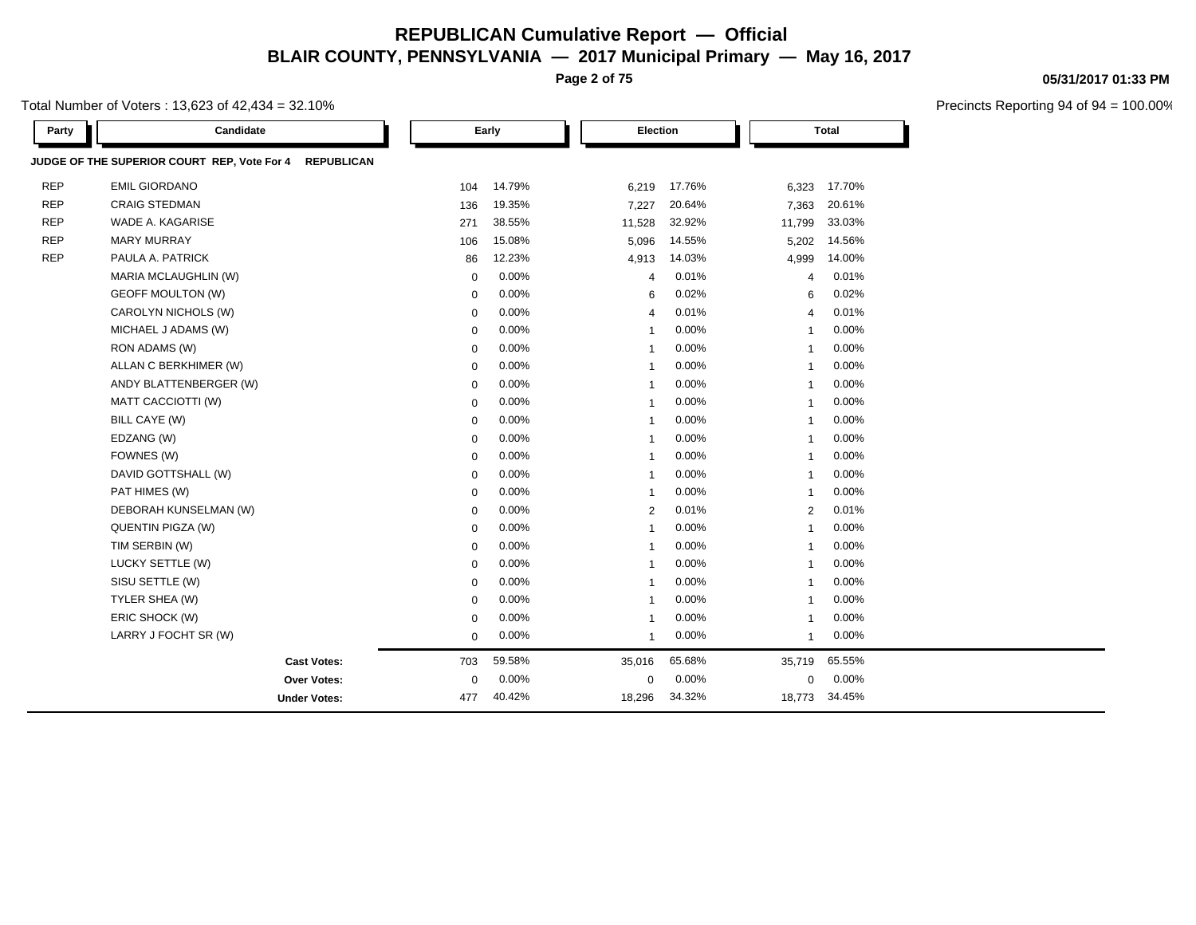**Page 2 of 75**

Total Number of Voters : 13,623 of 42,434 = 32.10%

| Party      | Candidate                                                        |             | Early  |                         | Election |                | <b>Total</b> |  |
|------------|------------------------------------------------------------------|-------------|--------|-------------------------|----------|----------------|--------------|--|
|            | JUDGE OF THE SUPERIOR COURT REP, Vote For 4<br><b>REPUBLICAN</b> |             |        |                         |          |                |              |  |
| <b>REP</b> | <b>EMIL GIORDANO</b>                                             | 104         | 14.79% | 6,219                   | 17.76%   | 6,323          | 17.70%       |  |
| <b>REP</b> | <b>CRAIG STEDMAN</b>                                             | 136         | 19.35% | 7,227                   | 20.64%   | 7,363          | 20.61%       |  |
| <b>REP</b> | WADE A. KAGARISE                                                 | 271         | 38.55% | 11,528                  | 32.92%   | 11,799         | 33.03%       |  |
| <b>REP</b> | <b>MARY MURRAY</b>                                               | 106         | 15.08% | 5,096                   | 14.55%   | 5,202          | 14.56%       |  |
| <b>REP</b> | PAULA A. PATRICK                                                 | 86          | 12.23% | 4,913                   | 14.03%   | 4,999          | 14.00%       |  |
|            | MARIA MCLAUGHLIN (W)                                             | $\mathbf 0$ | 0.00%  | $\overline{4}$          | 0.01%    | $\overline{4}$ | 0.01%        |  |
|            | <b>GEOFF MOULTON (W)</b>                                         | 0           | 0.00%  | 6                       | 0.02%    | 6              | 0.02%        |  |
|            | CAROLYN NICHOLS (W)                                              | 0           | 0.00%  | $\overline{4}$          | 0.01%    | $\overline{4}$ | 0.01%        |  |
|            | MICHAEL J ADAMS (W)                                              | 0           | 0.00%  | $\overline{1}$          | 0.00%    | $\overline{1}$ | 0.00%        |  |
|            | RON ADAMS (W)                                                    | $\mathbf 0$ | 0.00%  | $\overline{1}$          | 0.00%    | $\overline{1}$ | 0.00%        |  |
|            | ALLAN C BERKHIMER (W)                                            | 0           | 0.00%  | $\overline{\mathbf{1}}$ | 0.00%    | $\overline{1}$ | 0.00%        |  |
|            | ANDY BLATTENBERGER (W)                                           | 0           | 0.00%  | $\overline{\mathbf{1}}$ | 0.00%    | $\mathbf{1}$   | 0.00%        |  |
|            | MATT CACCIOTTI (W)                                               | $\mathbf 0$ | 0.00%  | $\overline{1}$          | 0.00%    | $\overline{1}$ | 0.00%        |  |
|            | BILL CAYE (W)                                                    | $\mathbf 0$ | 0.00%  | $\overline{1}$          | 0.00%    | 1              | 0.00%        |  |
|            | EDZANG (W)                                                       | 0           | 0.00%  | $\overline{\mathbf{1}}$ | 0.00%    | $\overline{1}$ | 0.00%        |  |
|            | FOWNES (W)                                                       | 0           | 0.00%  | $\overline{1}$          | 0.00%    | $\overline{1}$ | 0.00%        |  |
|            | DAVID GOTTSHALL (W)                                              | $\mathbf 0$ | 0.00%  | $\overline{1}$          | 0.00%    | $\overline{1}$ | 0.00%        |  |
|            | PAT HIMES (W)                                                    | $\mathbf 0$ | 0.00%  | $\overline{1}$          | 0.00%    | $\overline{1}$ | 0.00%        |  |
|            | DEBORAH KUNSELMAN (W)                                            | 0           | 0.00%  | $\overline{2}$          | 0.01%    | 2              | 0.01%        |  |
|            | QUENTIN PIGZA (W)                                                | $\mathbf 0$ | 0.00%  | $\overline{1}$          | 0.00%    | $\overline{1}$ | 0.00%        |  |
|            | TIM SERBIN (W)                                                   | $\mathbf 0$ | 0.00%  | $\overline{1}$          | 0.00%    | $\overline{1}$ | 0.00%        |  |
|            | LUCKY SETTLE (W)                                                 | $\mathbf 0$ | 0.00%  | $\overline{\mathbf{1}}$ | 0.00%    | 1              | 0.00%        |  |
|            | SISU SETTLE (W)                                                  | 0           | 0.00%  | $\overline{1}$          | 0.00%    | $\overline{1}$ | 0.00%        |  |
|            | TYLER SHEA (W)                                                   | $\mathbf 0$ | 0.00%  | $\overline{\mathbf{1}}$ | 0.00%    | 1              | 0.00%        |  |
|            | ERIC SHOCK (W)                                                   | $\mathbf 0$ | 0.00%  | $\overline{\mathbf{1}}$ | 0.00%    | $\overline{1}$ | 0.00%        |  |
|            | LARRY J FOCHT SR (W)                                             | $\mathbf 0$ | 0.00%  | $\overline{\mathbf{1}}$ | 0.00%    | $\mathbf{1}$   | 0.00%        |  |
|            | <b>Cast Votes:</b>                                               | 703         | 59.58% | 35,016                  | 65.68%   | 35,719         | 65.55%       |  |
|            | <b>Over Votes:</b>                                               | $\mathbf 0$ | 0.00%  | $\mathbf 0$             | 0.00%    | 0              | 0.00%        |  |
|            | <b>Under Votes:</b>                                              | 477         | 40.42% | 18,296                  | 34.32%   | 18,773         | 34.45%       |  |

**05/31/2017 01:33 PM**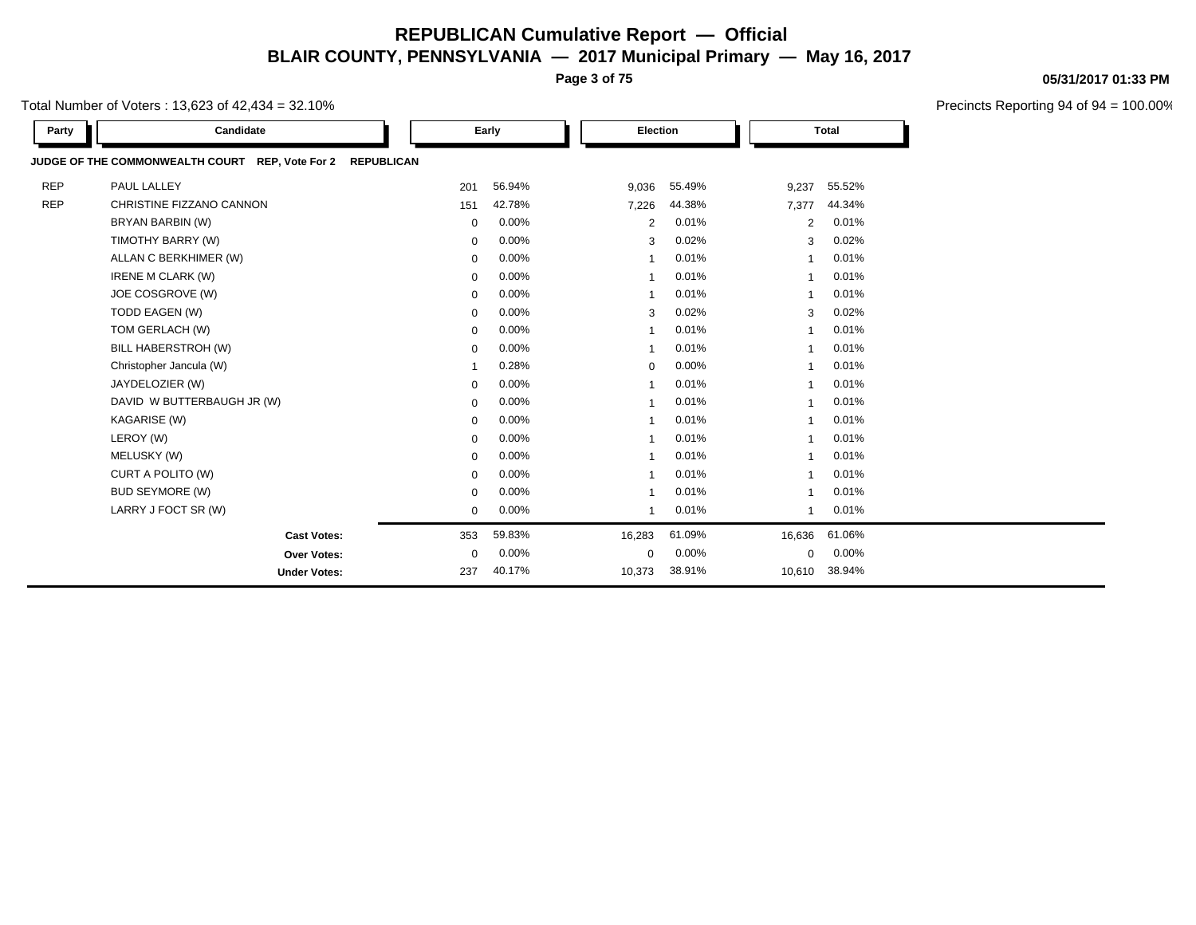**Page 3 of 75**

Total Number of Voters : 13,623 of 42,434 = 32.10%

| Party      | Candidate                                                            |                | Early    |                         | Election<br><b>Total</b> |                |        |  |
|------------|----------------------------------------------------------------------|----------------|----------|-------------------------|--------------------------|----------------|--------|--|
|            | JUDGE OF THE COMMONWEALTH COURT REP, Vote For 2<br><b>REPUBLICAN</b> |                |          |                         |                          |                |        |  |
| <b>REP</b> | PAUL LALLEY                                                          | 201            | 56.94%   | 9,036                   | 55.49%                   | 9,237          | 55.52% |  |
| <b>REP</b> | CHRISTINE FIZZANO CANNON                                             | 151            | 42.78%   | 7,226                   | 44.38%                   | 7,377          | 44.34% |  |
|            | BRYAN BARBIN (W)                                                     | $\mathbf 0$    | 0.00%    | 2                       | 0.01%                    | 2              | 0.01%  |  |
|            | TIMOTHY BARRY (W)                                                    | $\mathbf 0$    | 0.00%    | 3                       | 0.02%                    | 3              | 0.02%  |  |
|            | ALLAN C BERKHIMER (W)                                                | $\mathbf 0$    | 0.00%    | -1                      | 0.01%                    | -1             | 0.01%  |  |
|            | IRENE M CLARK (W)                                                    | $\mathbf 0$    | 0.00%    |                         | 0.01%                    |                | 0.01%  |  |
|            | JOE COSGROVE (W)                                                     | $\mathbf 0$    | 0.00%    | $\overline{\mathbf{1}}$ | 0.01%                    | $\overline{1}$ | 0.01%  |  |
|            | TODD EAGEN (W)                                                       | 0              | 0.00%    | 3                       | 0.02%                    | 3              | 0.02%  |  |
|            | TOM GERLACH (W)                                                      | $\mathbf 0$    | 0.00%    | $\overline{\mathbf{1}}$ | 0.01%                    | 1              | 0.01%  |  |
|            | BILL HABERSTROH (W)                                                  | $\mathbf 0$    | 0.00%    | $\overline{\mathbf{1}}$ | 0.01%                    | $\overline{1}$ | 0.01%  |  |
|            | Christopher Jancula (W)                                              | $\overline{1}$ | 0.28%    | $\mathbf 0$             | 0.00%                    | $\overline{1}$ | 0.01%  |  |
|            | JAYDELOZIER (W)                                                      | 0              | 0.00%    | -1                      | 0.01%                    | -1             | 0.01%  |  |
|            | DAVID W BUTTERBAUGH JR (W)                                           | $\mathbf 0$    | 0.00%    |                         | 0.01%                    |                | 0.01%  |  |
|            | KAGARISE (W)                                                         | $\mathbf 0$    | 0.00%    |                         | 0.01%                    |                | 0.01%  |  |
|            | LEROY (W)                                                            | $\mathbf 0$    | 0.00%    | $\overline{\mathbf{1}}$ | 0.01%                    | $\overline{ }$ | 0.01%  |  |
|            | MELUSKY (W)                                                          | $\Omega$       | 0.00%    |                         | 0.01%                    |                | 0.01%  |  |
|            | CURT A POLITO (W)                                                    | $\mathbf 0$    | 0.00%    | $\overline{\mathbf{1}}$ | 0.01%                    | $\overline{1}$ | 0.01%  |  |
|            | <b>BUD SEYMORE (W)</b>                                               | $\mathbf 0$    | 0.00%    | $\overline{\mathbf{1}}$ | 0.01%                    |                | 0.01%  |  |
|            | LARRY J FOCT SR (W)                                                  | $\mathbf 0$    | 0.00%    | $\overline{\mathbf{1}}$ | 0.01%                    | $\overline{1}$ | 0.01%  |  |
|            | <b>Cast Votes:</b>                                                   | 353            | 59.83%   | 16,283                  | 61.09%                   | 16,636         | 61.06% |  |
|            | Over Votes:                                                          | $\mathbf 0$    | $0.00\%$ | $\mathbf 0$             | 0.00%                    | $\mathbf 0$    | 0.00%  |  |
|            | <b>Under Votes:</b>                                                  | 237            | 40.17%   | 10,373                  | 38.91%                   | 10,610         | 38.94% |  |

#### **05/31/2017 01:33 PM**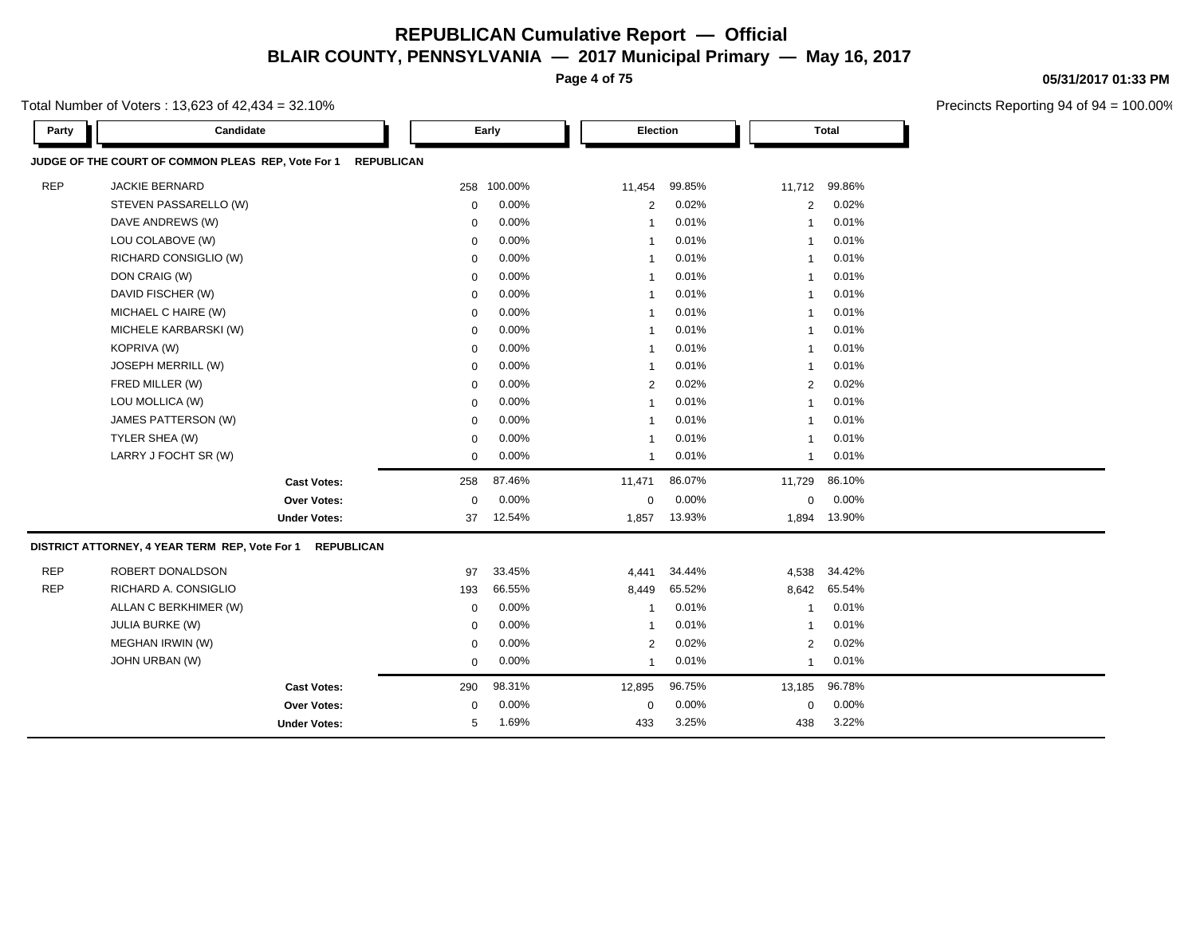**Page 4 of 75**

Total Number of Voters : 13,623 of 42,434 = 32.10%

**Party Candidate Early Election Total JUDGE OF THE COURT OF COMMON PLEAS REP, Vote For 1 REPUBLICAN** REP JACKIE BERNARD 258 100.00% 11,454 99.85% 11,712 99.86% STEVEN PASSARELLO (W)  $0.00\%$   $0.00\%$   $2.002\%$   $2.002\%$ DAVE ANDREWS (W) 0 0.00% 1 0.01% 1 0.01% LOU COLABOVE (W) 0 0.00% 1 0.01% 1 0.01% RICHARD CONSIGLIO (W) 0 0.00% 1 0.01% 1 0.01% DON CRAIG (W) 0 0.00% 1 0.01% 1 0.01% DAVID FISCHER (W) 0 0.00% 1 0.01% 1 0.01% MICHAEL C HAIRE (W) 0 0.00% 1 0.01% 1 0.01% MICHELE KARBARSKI (W) 0 0.00% 1 0.01% 1 0.01% KOPRIVA (W) 0 0.00% 1 0.01% 1 0.01% JOSEPH MERRILL (W) 0 0.00% 1 0.01% 1 0.01% FRED MILLER (W) 0 0.00% 2 0.02% 2 0.02% LOU MOLLICA (W) 0 0.00% 1 0.01% 1 0.01% JAMES PATTERSON (W) 0 0.00% 1 0.01% 1 0.01% TYLER SHEA (W) 0 0.00% 1 0.01% 1 0.01% LARRY J FOCHT SR (W) 0 0.00% 1 0.01% 1 0.01% **Cast Votes:** 258 87.46% 11,471 86.07% 11,729 86.10% **Over Votes:** 0 0.00% Under Votes: 37 12.54% 0.00% 0 1,857 13.93% 1,857 13.93% 1,894 13.90% 0.00% 0 0.00% **DISTRICT ATTORNEY, 4 YEAR TERM REP, Vote For 1 REPUBLICAN** REP ROBERT DONALDSON 87 33.45% 4,441 34.44% 4,538 34.42% REP RICHARD A. CONSIGLIO 193 66.55% 8,449 65.52% 8,642 65.54% ALLAN C BERKHIMER (W) 0 0.00% 1 0.01% 1 0.01% JULIA BURKE (W) 0 0.00% 1 0.01% 1 0.01% MEGHAN IRWIN (W) 0 0.00% 2 0.02% 2 0.02% JOHN URBAN (W) 0 0.00% 1 0.01% 1 0.01% **Cast Votes:** 290 98.31% 12,895 96.75% 13,185 96.78% **Over Votes:** 0 **Under Votes:** 5 1.69% 0.00% 0 433 3.25% 433 3.25% 438 3.22% 0.00% 0 0.00% 3.25% 3.22%

#### **05/31/2017 01:33 PM**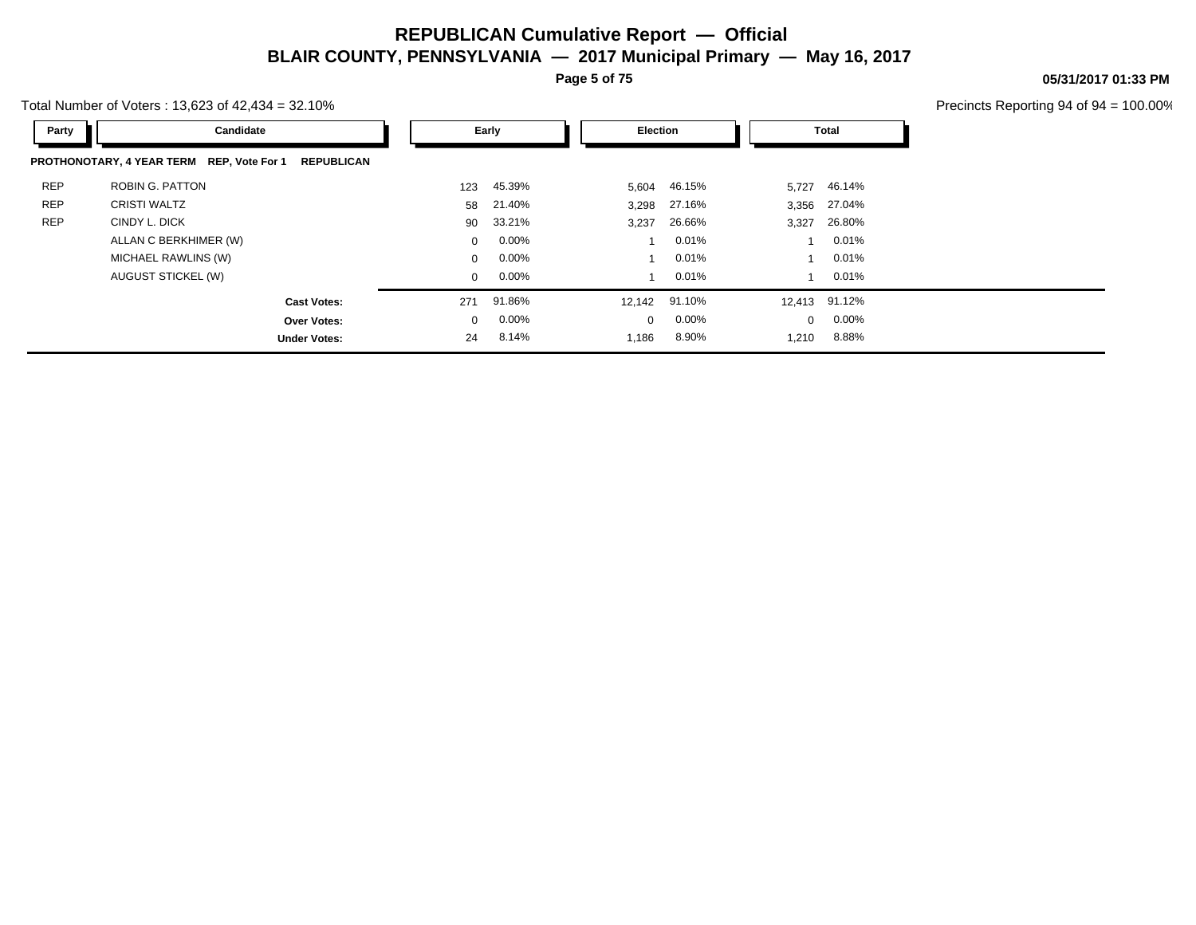**Page 5 of 75**

Total Number of Voters : 13,623 of 42,434 = 32.10%

| 05/31/2017 01:33 PM |  |
|---------------------|--|
|                     |  |

| Party      | Candidate                                                      |              | Early    | Election    |          | Total        |               |
|------------|----------------------------------------------------------------|--------------|----------|-------------|----------|--------------|---------------|
|            | PROTHONOTARY, 4 YEAR TERM REP, Vote For 1<br><b>REPUBLICAN</b> |              |          |             |          |              |               |
| <b>REP</b> | ROBIN G. PATTON                                                | 123          | 45.39%   | 5,604       | 46.15%   | 5,727        | 46.14%        |
| <b>REP</b> | <b>CRISTI WALTZ</b>                                            | 58           | 21.40%   | 3,298       | 27.16%   |              | 3,356 27.04%  |
| <b>REP</b> | CINDY L. DICK                                                  | 90           | 33.21%   | 3,237       | 26.66%   | 3,327        | 26.80%        |
|            | ALLAN C BERKHIMER (W)                                          | $\mathbf{0}$ | $0.00\%$ |             | 0.01%    |              | $0.01\%$      |
|            | MICHAEL RAWLINS (W)                                            | $\mathbf{0}$ | $0.00\%$ |             | 0.01%    |              | $0.01\%$      |
|            | AUGUST STICKEL (W)                                             | $\mathbf{0}$ | $0.00\%$ |             | 0.01%    | $\mathbf 1$  | 0.01%         |
|            | <b>Cast Votes:</b>                                             | 271          | 91.86%   | 12,142      | 91.10%   |              | 12,413 91.12% |
|            | Over Votes:                                                    | $\mathbf{0}$ | $0.00\%$ | $\mathbf 0$ | $0.00\%$ | $\mathbf{0}$ | $0.00\%$      |
|            | <b>Under Votes:</b>                                            | 24           | 8.14%    | 1,186       | 8.90%    | 1,210        | 8.88%         |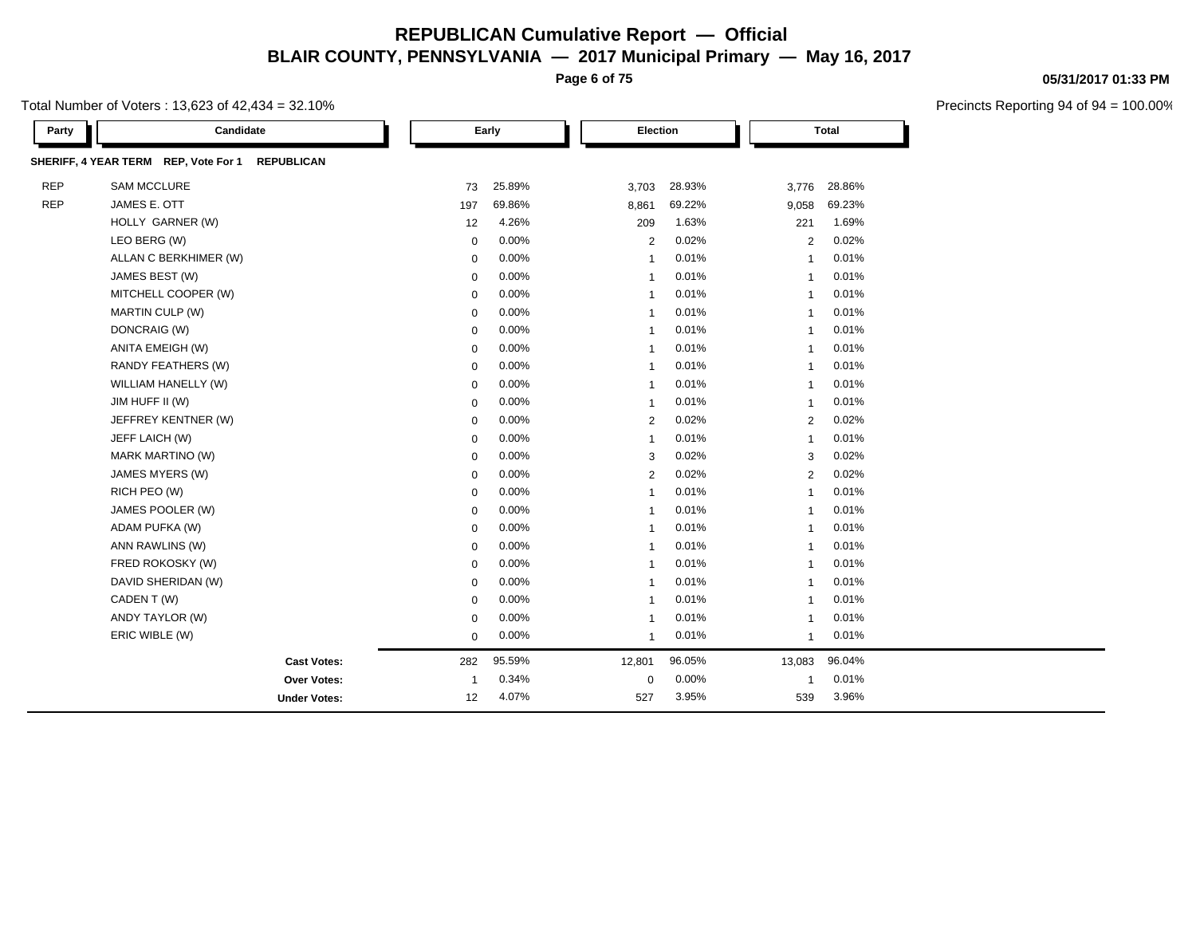**Page 6 of 75**

Total Number of Voters : 13,623 of 42,434 = 32.10%

| Party      | Candidate                                                 |              | Early  |                         | Election |                | <b>Total</b> |  |
|------------|-----------------------------------------------------------|--------------|--------|-------------------------|----------|----------------|--------------|--|
|            | SHERIFF, 4 YEAR TERM REP, Vote For 1<br><b>REPUBLICAN</b> |              |        |                         |          |                |              |  |
| <b>REP</b> | <b>SAM MCCLURE</b>                                        | 73           | 25.89% | 3,703                   | 28.93%   | 3,776          | 28.86%       |  |
| <b>REP</b> | JAMES E. OTT                                              | 197          | 69.86% | 8,861                   | 69.22%   | 9,058          | 69.23%       |  |
|            | HOLLY GARNER (W)                                          | 12           | 4.26%  | 209                     | 1.63%    | 221            | 1.69%        |  |
|            | LEO BERG (W)                                              | $\mathbf 0$  | 0.00%  | 2                       | 0.02%    | 2              | 0.02%        |  |
|            | ALLAN C BERKHIMER (W)                                     | 0            | 0.00%  | $\overline{1}$          | 0.01%    | $\overline{1}$ | 0.01%        |  |
|            | JAMES BEST (W)                                            | $\mathbf 0$  | 0.00%  | $\overline{1}$          | 0.01%    | $\overline{1}$ | 0.01%        |  |
|            | MITCHELL COOPER (W)                                       | $\mathbf 0$  | 0.00%  | $\overline{1}$          | 0.01%    | $\overline{1}$ | 0.01%        |  |
|            | MARTIN CULP (W)                                           | 0            | 0.00%  | -1                      | 0.01%    | $\overline{1}$ | 0.01%        |  |
|            | DONCRAIG (W)                                              | $\mathbf 0$  | 0.00%  | $\overline{1}$          | 0.01%    | $\overline{1}$ | 0.01%        |  |
|            | ANITA EMEIGH (W)                                          | $\mathbf 0$  | 0.00%  | $\overline{1}$          | 0.01%    | $\overline{1}$ | 0.01%        |  |
|            | RANDY FEATHERS (W)                                        | $\mathbf 0$  | 0.00%  | $\overline{\mathbf{1}}$ | 0.01%    | $\overline{1}$ | 0.01%        |  |
|            | WILLIAM HANELLY (W)                                       | $\mathbf 0$  | 0.00%  | $\overline{1}$          | 0.01%    | $\overline{1}$ | 0.01%        |  |
|            | JIM HUFF II (W)                                           | $\mathbf 0$  | 0.00%  | $\overline{\mathbf{1}}$ | 0.01%    | $\overline{1}$ | 0.01%        |  |
|            | JEFFREY KENTNER (W)                                       | $\mathbf 0$  | 0.00%  | 2                       | 0.02%    | 2              | 0.02%        |  |
|            | JEFF LAICH (W)                                            | $\mathbf 0$  | 0.00%  | $\overline{1}$          | 0.01%    | $\overline{1}$ | 0.01%        |  |
|            | MARK MARTINO (W)                                          | 0            | 0.00%  | 3                       | 0.02%    | 3              | 0.02%        |  |
|            | JAMES MYERS (W)                                           | $\mathbf 0$  | 0.00%  | $\overline{2}$          | 0.02%    | $\overline{2}$ | 0.02%        |  |
|            | RICH PEO (W)                                              | $\mathbf 0$  | 0.00%  | $\overline{1}$          | 0.01%    | $\overline{1}$ | 0.01%        |  |
|            | JAMES POOLER (W)                                          | $\mathbf 0$  | 0.00%  | $\overline{\mathbf{1}}$ | 0.01%    | $\overline{1}$ | 0.01%        |  |
|            | ADAM PUFKA (W)                                            | $\mathbf 0$  | 0.00%  | $\overline{1}$          | 0.01%    | $\overline{1}$ | 0.01%        |  |
|            | ANN RAWLINS (W)                                           | $\mathbf 0$  | 0.00%  | $\overline{\mathbf{1}}$ | 0.01%    | $\overline{1}$ | 0.01%        |  |
|            | FRED ROKOSKY (W)                                          | $\mathbf 0$  | 0.00%  | $\overline{1}$          | 0.01%    | $\overline{1}$ | 0.01%        |  |
|            | DAVID SHERIDAN (W)                                        | $\mathbf 0$  | 0.00%  | $\overline{1}$          | 0.01%    | $\mathbf{1}$   | 0.01%        |  |
|            | CADEN T (W)                                               | $\mathbf 0$  | 0.00%  | -1                      | 0.01%    | $\overline{1}$ | 0.01%        |  |
|            | ANDY TAYLOR (W)                                           | $\mathbf 0$  | 0.00%  | $\overline{1}$          | 0.01%    | $\overline{1}$ | 0.01%        |  |
|            | ERIC WIBLE (W)                                            | $\mathbf 0$  | 0.00%  | $\overline{1}$          | 0.01%    | $\overline{1}$ | 0.01%        |  |
|            | <b>Cast Votes:</b>                                        | 282          | 95.59% | 12,801                  | 96.05%   | 13,083         | 96.04%       |  |
|            | Over Votes:                                               | $\mathbf{1}$ | 0.34%  | 0                       | 0.00%    | $\mathbf{1}$   | 0.01%        |  |
|            | <b>Under Votes:</b>                                       | 12           | 4.07%  | 527                     | 3.95%    | 539            | 3.96%        |  |

#### **05/31/2017 01:33 PM**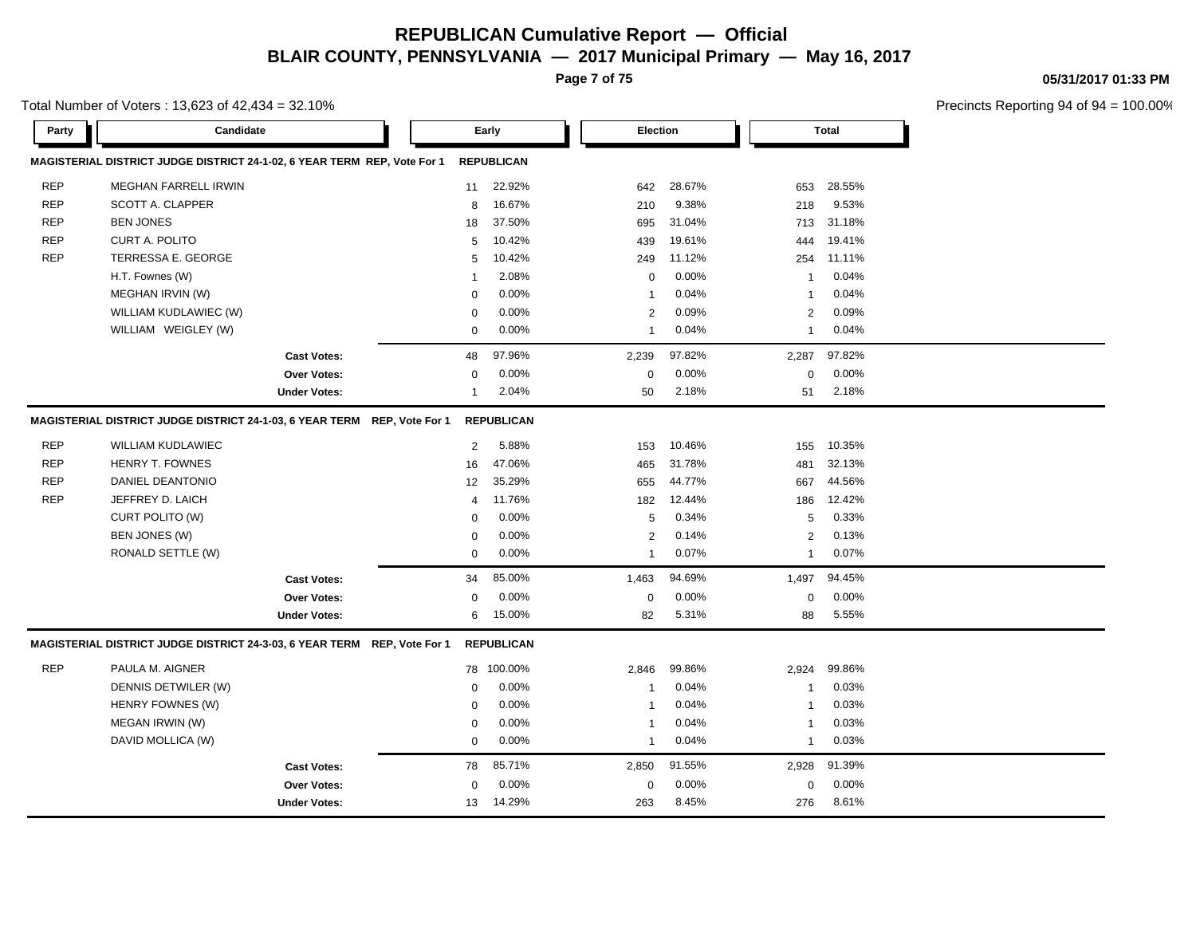**Page 7 of 75**

Total Number of Voters : 13,623 of 42,434 = 32.10%

**05/31/2017 01:33 PM**

| Party      | Candidate                                                                |                     |              | Early             | Election       |        |                         | Total  |  |
|------------|--------------------------------------------------------------------------|---------------------|--------------|-------------------|----------------|--------|-------------------------|--------|--|
|            | MAGISTERIAL DISTRICT JUDGE DISTRICT 24-1-02, 6 YEAR TERM REP, Vote For 1 |                     |              | <b>REPUBLICAN</b> |                |        |                         |        |  |
| <b>REP</b> | <b>MEGHAN FARRELL IRWIN</b>                                              |                     | 11           | 22.92%            | 642            | 28.67% | 653                     | 28.55% |  |
| <b>REP</b> | SCOTT A. CLAPPER                                                         |                     | 8            | 16.67%            | 210            | 9.38%  | 218                     | 9.53%  |  |
| <b>REP</b> | <b>BEN JONES</b>                                                         |                     | 18           | 37.50%            | 695            | 31.04% | 713                     | 31.18% |  |
| <b>REP</b> | CURT A. POLITO                                                           |                     | 5            | 10.42%            | 439            | 19.61% | 444                     | 19.41% |  |
| <b>REP</b> | TERRESSA E. GEORGE                                                       |                     | 5            | 10.42%            | 249            | 11.12% | 254                     | 11.11% |  |
|            | H.T. Fownes (W)                                                          |                     | 1            | 2.08%             | $\mathbf 0$    | 0.00%  | -1                      | 0.04%  |  |
|            | MEGHAN IRVIN (W)                                                         |                     | $\mathbf 0$  | 0.00%             | 1              | 0.04%  | $\overline{\mathbf{1}}$ | 0.04%  |  |
|            | WILLIAM KUDLAWIEC (W)                                                    |                     | 0            | 0.00%             | $\overline{2}$ | 0.09%  | 2                       | 0.09%  |  |
|            | WILLIAM WEIGLEY (W)                                                      |                     | $\mathbf 0$  | 0.00%             | 1              | 0.04%  | $\mathbf{1}$            | 0.04%  |  |
|            |                                                                          | <b>Cast Votes:</b>  | 48           | 97.96%            | 2,239          | 97.82% | 2,287                   | 97.82% |  |
|            |                                                                          | Over Votes:         | 0            | 0.00%             | $\mathbf 0$    | 0.00%  | $\mathsf 0$             | 0.00%  |  |
|            |                                                                          | <b>Under Votes:</b> | $\mathbf{1}$ | 2.04%             | 50             | 2.18%  | 51                      | 2.18%  |  |
|            | MAGISTERIAL DISTRICT JUDGE DISTRICT 24-1-03, 6 YEAR TERM REP, Vote For 1 |                     |              | <b>REPUBLICAN</b> |                |        |                         |        |  |
| <b>REP</b> | <b>WILLIAM KUDLAWIEC</b>                                                 |                     | 2            | 5.88%             | 153            | 10.46% | 155                     | 10.35% |  |
| <b>REP</b> | HENRY T. FOWNES                                                          |                     | 16           | 47.06%            | 465            | 31.78% | 481                     | 32.13% |  |
| <b>REP</b> | DANIEL DEANTONIO                                                         |                     | 12           | 35.29%            | 655            | 44.77% | 667                     | 44.56% |  |
| <b>REP</b> | JEFFREY D. LAICH                                                         |                     | 4            | 11.76%            | 182            | 12.44% | 186                     | 12.42% |  |
|            | CURT POLITO (W)                                                          |                     | $\Omega$     | 0.00%             | 5              | 0.34%  | 5                       | 0.33%  |  |
|            | BEN JONES (W)                                                            |                     | 0            | 0.00%             | 2              | 0.14%  | 2                       | 0.13%  |  |
|            | RONALD SETTLE (W)                                                        |                     | $\mathbf 0$  | 0.00%             | $\mathbf{1}$   | 0.07%  | $\mathbf{1}$            | 0.07%  |  |
|            |                                                                          | <b>Cast Votes:</b>  | 34           | 85.00%            | 1,463          | 94.69% | 1,497                   | 94.45% |  |
|            |                                                                          | <b>Over Votes:</b>  | 0            | 0.00%             | $\mathbf 0$    | 0.00%  | 0                       | 0.00%  |  |
|            |                                                                          | <b>Under Votes:</b> | 6            | 15.00%            | 82             | 5.31%  | 88                      | 5.55%  |  |
|            | MAGISTERIAL DISTRICT JUDGE DISTRICT 24-3-03, 6 YEAR TERM REP, Vote For 1 |                     |              | <b>REPUBLICAN</b> |                |        |                         |        |  |
| <b>REP</b> | PAULA M. AIGNER                                                          |                     |              | 78 100.00%        | 2,846          | 99.86% | 2,924                   | 99.86% |  |
|            | DENNIS DETWILER (W)                                                      |                     | $\mathbf 0$  | 0.00%             | $\mathbf{1}$   | 0.04%  | $\mathbf{1}$            | 0.03%  |  |
|            | HENRY FOWNES (W)                                                         |                     | $\mathbf 0$  | 0.00%             | 1              | 0.04%  | $\overline{1}$          | 0.03%  |  |
|            | MEGAN IRWIN (W)                                                          |                     | $\Omega$     | 0.00%             | 1              | 0.04%  | $\overline{1}$          | 0.03%  |  |
|            | DAVID MOLLICA (W)                                                        |                     | $\mathbf 0$  | 0.00%             | $\mathbf{1}$   | 0.04%  | $\mathbf{1}$            | 0.03%  |  |
|            |                                                                          | <b>Cast Votes:</b>  | 78           | 85.71%            | 2,850          | 91.55% | 2,928                   | 91.39% |  |
|            |                                                                          | <b>Over Votes:</b>  | $\Omega$     | 0.00%             | $\mathbf 0$    | 0.00%  | 0                       | 0.00%  |  |
|            |                                                                          | <b>Under Votes:</b> | 13           | 14.29%            | 263            | 8.45%  | 276                     | 8.61%  |  |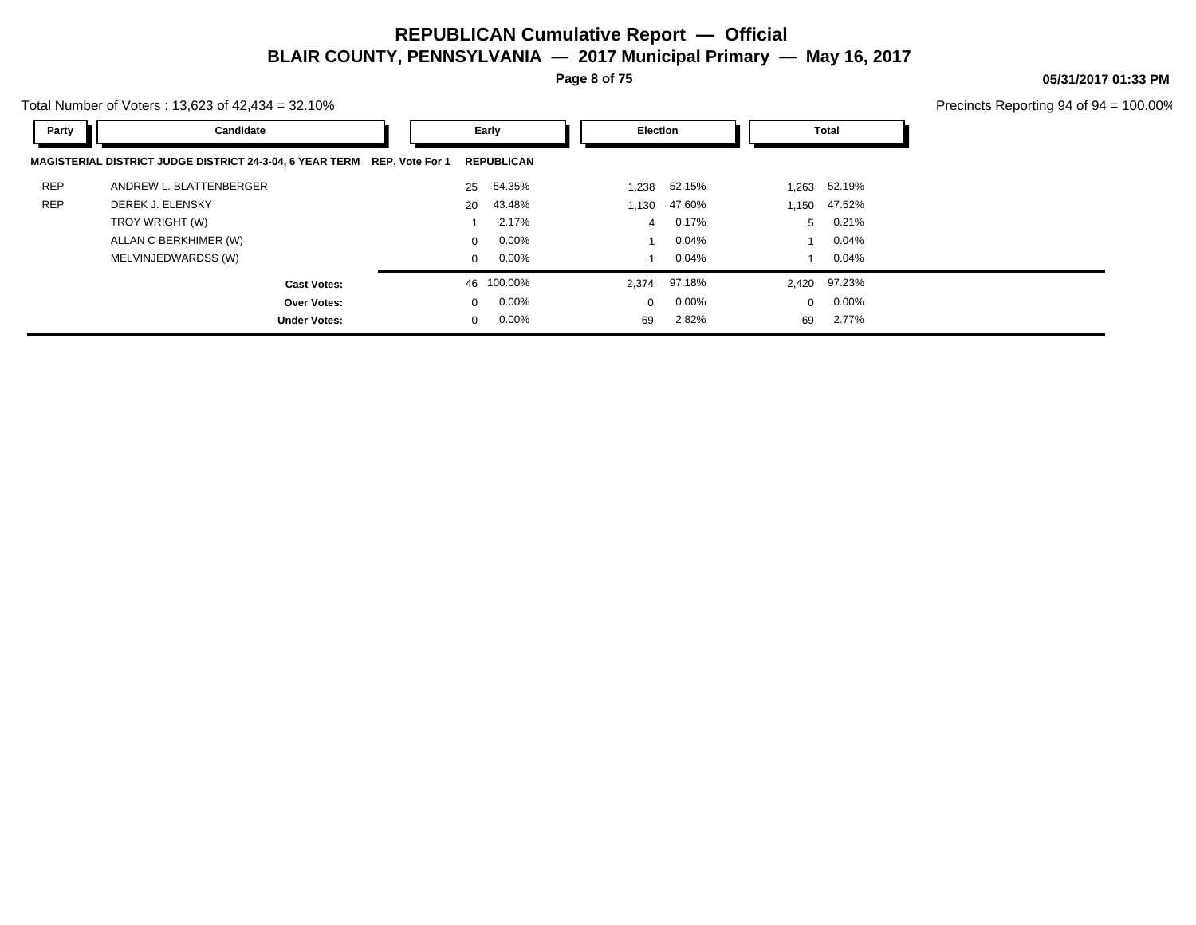**Page 8 of 75**

**05/31/2017 01:33 PM**

Total Number of Voters : 13,623 of 42,434 = 32.10%

| Party      | Candidate                                                                | Early        |                   | Election |          | Total        |              |
|------------|--------------------------------------------------------------------------|--------------|-------------------|----------|----------|--------------|--------------|
|            | MAGISTERIAL DISTRICT JUDGE DISTRICT 24-3-04, 6 YEAR TERM REP, Vote For 1 |              | <b>REPUBLICAN</b> |          |          |              |              |
| <b>REP</b> | ANDREW L. BLATTENBERGER                                                  | 25           | 54.35%            | 1,238    | 52.15%   | 1,263        | 52.19%       |
| <b>REP</b> | DEREK J. ELENSKY                                                         | 20           | 43.48%            | 1,130    | 47.60%   | 1,150        | 47.52%       |
|            | TROY WRIGHT (W)                                                          |              | 2.17%             | 4        | 0.17%    | 5            | 0.21%        |
|            | ALLAN C BERKHIMER (W)                                                    | $\Omega$     | $0.00\%$          |          | 0.04%    |              | $0.04\%$     |
|            | MELVINJEDWARDSS (W)                                                      | $\mathbf{0}$ | $0.00\%$          |          | 0.04%    |              | $0.04\%$     |
|            | <b>Cast Votes:</b>                                                       |              | 46 100.00%        | 2,374    | 97.18%   |              | 2,420 97.23% |
|            | Over Votes:                                                              | $\Omega$     | $0.00\%$          | $\Omega$ | $0.00\%$ | $\mathbf{0}$ | $0.00\%$     |
|            | <b>Under Votes:</b>                                                      | $\mathbf{0}$ | $0.00\%$          | 69       | 2.82%    | 69           | 2.77%        |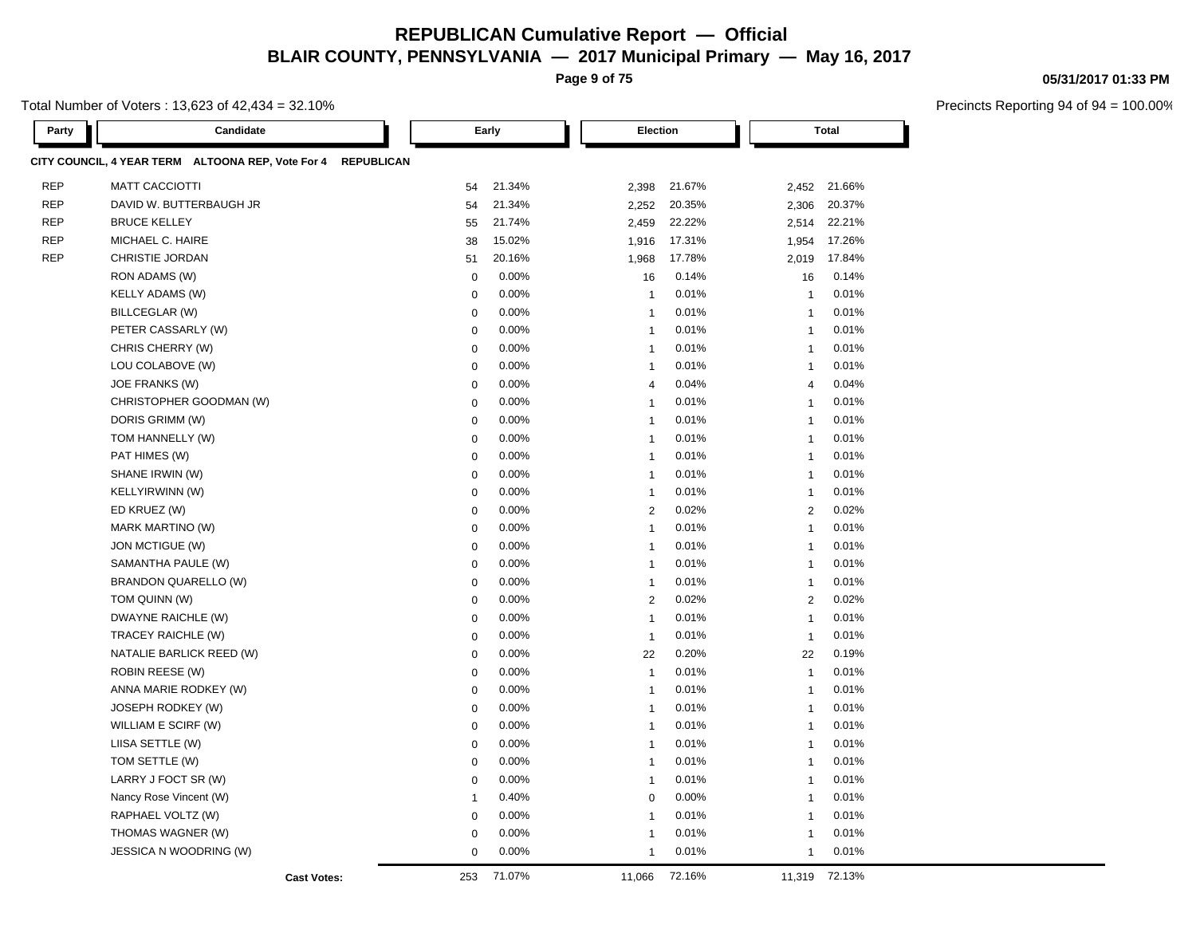**Page 9 of 75**

Total Number of Voters : 13,623 of 42,434 = 32.10%

| Party      | Candidate                                                              | Early        |        | Election       | <b>Total</b> |                |              |  |
|------------|------------------------------------------------------------------------|--------------|--------|----------------|--------------|----------------|--------------|--|
|            | CITY COUNCIL, 4 YEAR TERM ALTOONA REP, Vote For 4<br><b>REPUBLICAN</b> |              |        |                |              |                |              |  |
| <b>REP</b> | <b>MATT CACCIOTTI</b>                                                  | 54           | 21.34% | 2,398          | 21.67%       |                | 2,452 21.66% |  |
| <b>REP</b> | DAVID W. BUTTERBAUGH JR                                                | 54           | 21.34% | 2,252          | 20.35%       | 2,306          | 20.37%       |  |
| <b>REP</b> | <b>BRUCE KELLEY</b>                                                    | 55           | 21.74% | 2,459          | 22.22%       | 2,514          | 22.21%       |  |
| <b>REP</b> | MICHAEL C. HAIRE                                                       | 38           | 15.02% | 1,916          | 17.31%       | 1,954          | 17.26%       |  |
| <b>REP</b> | CHRISTIE JORDAN                                                        | 51           | 20.16% | 1,968          | 17.78%       | 2,019          | 17.84%       |  |
|            | RON ADAMS (W)                                                          | $\mathbf 0$  | 0.00%  | 16             | 0.14%        | 16             | 0.14%        |  |
|            | <b>KELLY ADAMS (W)</b>                                                 | $\mathbf 0$  | 0.00%  | $\mathbf{1}$   | 0.01%        | $\mathbf{1}$   | 0.01%        |  |
|            | BILLCEGLAR (W)                                                         | $\mathbf 0$  | 0.00%  | $\mathbf{1}$   | 0.01%        | $\mathbf{1}$   | 0.01%        |  |
|            | PETER CASSARLY (W)                                                     | $\mathbf 0$  | 0.00%  | $\mathbf{1}$   | 0.01%        | $\mathbf{1}$   | 0.01%        |  |
|            | CHRIS CHERRY (W)                                                       | $\mathbf 0$  | 0.00%  | $\mathbf{1}$   | 0.01%        | $\mathbf{1}$   | 0.01%        |  |
|            | LOU COLABOVE (W)                                                       | $\mathbf 0$  | 0.00%  | $\mathbf{1}$   | 0.01%        | $\mathbf{1}$   | 0.01%        |  |
|            | JOE FRANKS (W)                                                         | $\mathbf 0$  | 0.00%  | $\overline{4}$ | 0.04%        | $\overline{4}$ | 0.04%        |  |
|            | CHRISTOPHER GOODMAN (W)                                                | $\mathbf 0$  | 0.00%  | $\mathbf{1}$   | 0.01%        | $\mathbf{1}$   | 0.01%        |  |
|            | DORIS GRIMM (W)                                                        | $\mathbf 0$  | 0.00%  | $\overline{1}$ | 0.01%        | $\mathbf{1}$   | 0.01%        |  |
|            | TOM HANNELLY (W)                                                       | $\mathbf 0$  | 0.00%  | $\mathbf{1}$   | 0.01%        | $\mathbf{1}$   | 0.01%        |  |
|            | PAT HIMES (W)                                                          | $\mathbf 0$  | 0.00%  | $\mathbf{1}$   | 0.01%        | $\mathbf{1}$   | 0.01%        |  |
|            | SHANE IRWIN (W)                                                        | $\mathbf 0$  | 0.00%  | $\mathbf{1}$   | 0.01%        | $\mathbf{1}$   | 0.01%        |  |
|            | KELLYIRWINN (W)                                                        | $\mathbf 0$  | 0.00%  | $\mathbf{1}$   | 0.01%        | $\mathbf{1}$   | 0.01%        |  |
|            | ED KRUEZ (W)                                                           | $\mathbf 0$  | 0.00%  | $\overline{2}$ | 0.02%        | 2              | 0.02%        |  |
|            | MARK MARTINO (W)                                                       | $\mathbf 0$  | 0.00%  | $\mathbf{1}$   | 0.01%        | $\mathbf{1}$   | 0.01%        |  |
|            | JON MCTIGUE (W)                                                        | $\mathbf 0$  | 0.00%  | $\mathbf{1}$   | 0.01%        | $\mathbf{1}$   | 0.01%        |  |
|            | SAMANTHA PAULE (W)                                                     | $\mathbf 0$  | 0.00%  | $\mathbf{1}$   | 0.01%        | $\mathbf{1}$   | 0.01%        |  |
|            | BRANDON QUARELLO (W)                                                   | $\mathbf 0$  | 0.00%  | $\mathbf{1}$   | 0.01%        | $\mathbf{1}$   | 0.01%        |  |
|            | TOM QUINN (W)                                                          | $\mathbf 0$  | 0.00%  | $\overline{2}$ | 0.02%        | 2              | 0.02%        |  |
|            | DWAYNE RAICHLE (W)                                                     | $\mathbf 0$  | 0.00%  | $\mathbf{1}$   | 0.01%        | $\mathbf{1}$   | 0.01%        |  |
|            | TRACEY RAICHLE (W)                                                     | $\mathbf 0$  | 0.00%  | $\overline{1}$ | 0.01%        | $\mathbf{1}$   | 0.01%        |  |
|            | NATALIE BARLICK REED (W)                                               | $\mathbf 0$  | 0.00%  | 22             | 0.20%        | 22             | 0.19%        |  |
|            | <b>ROBIN REESE (W)</b>                                                 | $\mathbf 0$  | 0.00%  | $\mathbf{1}$   | 0.01%        | $\mathbf{1}$   | 0.01%        |  |
|            | ANNA MARIE RODKEY (W)                                                  | $\mathbf 0$  | 0.00%  | $\overline{1}$ | 0.01%        | $\mathbf{1}$   | 0.01%        |  |
|            | JOSEPH RODKEY (W)                                                      | $\mathbf 0$  | 0.00%  | $\mathbf{1}$   | 0.01%        | $\mathbf{1}$   | 0.01%        |  |
|            | WILLIAM E SCIRF (W)                                                    | $\mathbf 0$  | 0.00%  | $\mathbf{1}$   | 0.01%        | $\mathbf{1}$   | 0.01%        |  |
|            | LIISA SETTLE (W)                                                       | $\mathbf 0$  | 0.00%  | $\mathbf{1}$   | 0.01%        | $\mathbf{1}$   | 0.01%        |  |
|            | TOM SETTLE (W)                                                         | $\mathbf 0$  | 0.00%  | $\overline{1}$ | 0.01%        | $\mathbf{1}$   | 0.01%        |  |
|            | LARRY J FOCT SR (W)                                                    | $\mathbf 0$  | 0.00%  | $\overline{1}$ | 0.01%        | $\overline{1}$ | 0.01%        |  |
|            | Nancy Rose Vincent (W)                                                 | $\mathbf{1}$ | 0.40%  | $\mathbf 0$    | 0.00%        | $\mathbf{1}$   | 0.01%        |  |
|            | RAPHAEL VOLTZ (W)                                                      | $\mathbf 0$  | 0.00%  | $\mathbf{1}$   | 0.01%        | $\mathbf{1}$   | 0.01%        |  |
|            | THOMAS WAGNER (W)                                                      | $\mathbf 0$  | 0.00%  | $\mathbf{1}$   | 0.01%        | $\overline{1}$ | 0.01%        |  |
|            | JESSICA N WOODRING (W)                                                 | $\mathbf 0$  | 0.00%  | $\mathbf{1}$   | 0.01%        | $\mathbf{1}$   | 0.01%        |  |
|            | <b>Cast Votes:</b>                                                     | 253          | 71.07% | 11,066         | 72.16%       | 11,319         | 72.13%       |  |

#### **05/31/2017 01:33 PM**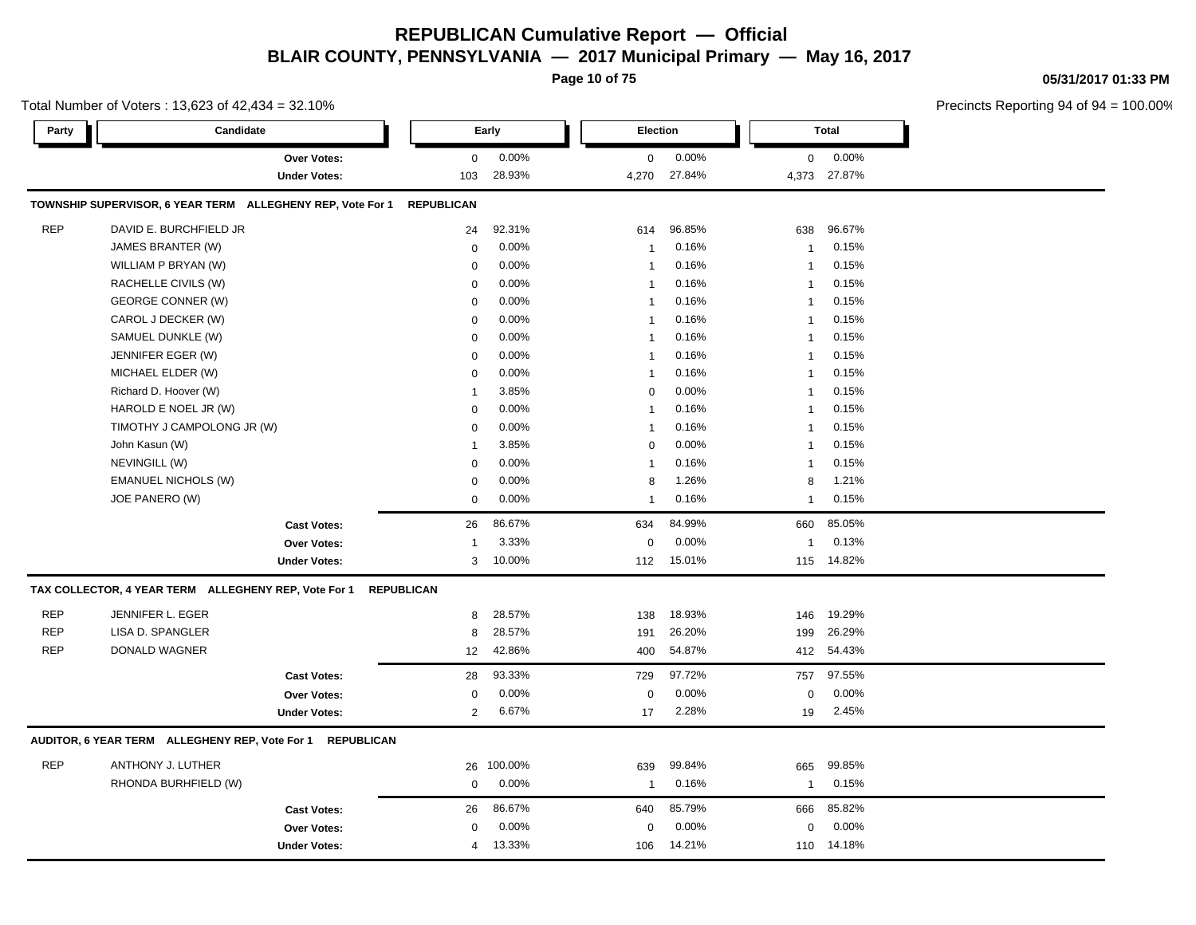**Page 10 of 75**

**05/31/2017 01:33 PM**

|            | Total Number of Voters: 13,623 of 42,434 = 32.10%          |                     |                   |         |                |                 |              |              | Precincts Reporting 94 of 94 |
|------------|------------------------------------------------------------|---------------------|-------------------|---------|----------------|-----------------|--------------|--------------|------------------------------|
| Party      | Candidate                                                  |                     |                   | Early   |                | <b>Election</b> |              | <b>Total</b> |                              |
|            | <b>Over Votes:</b>                                         |                     | 0                 | 0.00%   | $\mathbf 0$    | 0.00%           | $\mathbf 0$  | $0.00\%$     |                              |
|            |                                                            | <b>Under Votes:</b> | 103               | 28.93%  | 4,270          | 27.84%          |              | 4,373 27.87% |                              |
|            | TOWNSHIP SUPERVISOR, 6 YEAR TERM ALLEGHENY REP, Vote For 1 |                     | <b>REPUBLICAN</b> |         |                |                 |              |              |                              |
| <b>REP</b> | DAVID E. BURCHFIELD JR                                     |                     | 24                | 92.31%  | 614            | 96.85%          | 638          | 96.67%       |                              |
|            | JAMES BRANTER (W)                                          |                     | $\mathbf 0$       | 0.00%   | $\overline{1}$ | 0.16%           | -1           | 0.15%        |                              |
|            | WILLIAM P BRYAN (W)                                        |                     | $\mathbf 0$       | 0.00%   | $\overline{1}$ | 0.16%           | -1           | 0.15%        |                              |
|            | RACHELLE CIVILS (W)                                        |                     | $\mathbf 0$       | 0.00%   | $\overline{1}$ | 0.16%           | $\mathbf{1}$ | 0.15%        |                              |
|            | <b>GEORGE CONNER (W)</b>                                   |                     | $\mathbf 0$       | 0.00%   | $\overline{1}$ | 0.16%           | $\mathbf{1}$ | 0.15%        |                              |
|            | CAROL J DECKER (W)                                         |                     | $\mathbf 0$       | 0.00%   | $\mathbf{1}$   | 0.16%           | -1           | 0.15%        |                              |
|            | SAMUEL DUNKLE (W)                                          |                     | $\mathbf 0$       | 0.00%   | $\overline{1}$ | 0.16%           | -1           | 0.15%        |                              |
|            | JENNIFER EGER (W)                                          |                     | $\mathbf 0$       | 0.00%   | $\overline{1}$ | 0.16%           | -1           | 0.15%        |                              |
|            | MICHAEL ELDER (W)                                          |                     | $\mathbf 0$       | 0.00%   | $\mathbf{1}$   | 0.16%           | -1           | 0.15%        |                              |
|            | Richard D. Hoover (W)                                      |                     | $\mathbf{1}$      | 3.85%   | $\mathbf 0$    | 0.00%           | -1           | 0.15%        |                              |
|            | HAROLD E NOEL JR (W)                                       |                     | $\mathbf 0$       | 0.00%   | $\mathbf{1}$   | 0.16%           | -1           | 0.15%        |                              |
|            | TIMOTHY J CAMPOLONG JR (W)                                 |                     | $\mathbf 0$       | 0.00%   | $\mathbf{1}$   | 0.16%           | -1           | 0.15%        |                              |
|            | John Kasun (W)                                             |                     | $\mathbf{1}$      | 3.85%   | $\mathbf 0$    | 0.00%           | -1           | 0.15%        |                              |
|            | NEVINGILL (W)                                              |                     | $\mathbf 0$       | 0.00%   | $\mathbf{1}$   | 0.16%           | $\mathbf{1}$ | 0.15%        |                              |
|            | <b>EMANUEL NICHOLS (W)</b>                                 |                     | $\mathbf 0$       | 0.00%   | 8              | 1.26%           | 8            | 1.21%        |                              |
|            | JOE PANERO (W)                                             |                     | $\mathbf 0$       | 0.00%   | $\mathbf{1}$   | 0.16%           | $\mathbf{1}$ | 0.15%        |                              |
|            |                                                            | <b>Cast Votes:</b>  | 26                | 86.67%  | 634            | 84.99%          | 660          | 85.05%       |                              |
|            |                                                            | Over Votes:         | -1                | 3.33%   | $\mathbf 0$    | 0.00%           | -1           | 0.13%        |                              |
|            |                                                            | <b>Under Votes:</b> | 3                 | 10.00%  | 112            | 15.01%          | 115          | 14.82%       |                              |
|            | TAX COLLECTOR, 4 YEAR TERM ALLEGHENY REP, Vote For 1       |                     | <b>REPUBLICAN</b> |         |                |                 |              |              |                              |
| <b>REP</b> | JENNIFER L. EGER                                           |                     | 8                 | 28.57%  | 138            | 18.93%          | 146          | 19.29%       |                              |
| <b>REP</b> | LISA D. SPANGLER                                           |                     | 8                 | 28.57%  | 191            | 26.20%          | 199          | 26.29%       |                              |
| <b>REP</b> | DONALD WAGNER                                              |                     | 12                | 42.86%  | 400            | 54.87%          |              | 412 54.43%   |                              |
|            |                                                            | <b>Cast Votes:</b>  | 28                | 93.33%  | 729            | 97.72%          | 757          | 97.55%       |                              |
|            |                                                            | Over Votes:         | 0                 | 0.00%   | 0              | 0.00%           | 0            | 0.00%        |                              |
|            |                                                            | <b>Under Votes:</b> | $\overline{2}$    | 6.67%   | 17             | 2.28%           | 19           | 2.45%        |                              |
|            | AUDITOR, 6 YEAR TERM ALLEGHENY REP, Vote For 1             | <b>REPUBLICAN</b>   |                   |         |                |                 |              |              |                              |
| <b>REP</b> | ANTHONY J. LUTHER                                          |                     | 26                | 100.00% | 639            | 99.84%          | 665          | 99.85%       |                              |
|            | RHONDA BURHFIELD (W)                                       |                     | $\mathbf 0$       | 0.00%   | $\overline{1}$ | 0.16%           | $\mathbf{1}$ | 0.15%        |                              |
|            |                                                            | <b>Cast Votes:</b>  | 26                | 86.67%  | 640            | 85.79%          | 666          | 85.82%       |                              |
|            |                                                            | Over Votes:         | $\mathbf 0$       | 0.00%   | $\Omega$       | 0.00%           | $\Omega$     | 0.00%        |                              |
|            |                                                            | <b>Under Votes:</b> | 4                 | 13.33%  | 106            | 14.21%          | 110          | 14.18%       |                              |
|            |                                                            |                     |                   |         |                |                 |              |              |                              |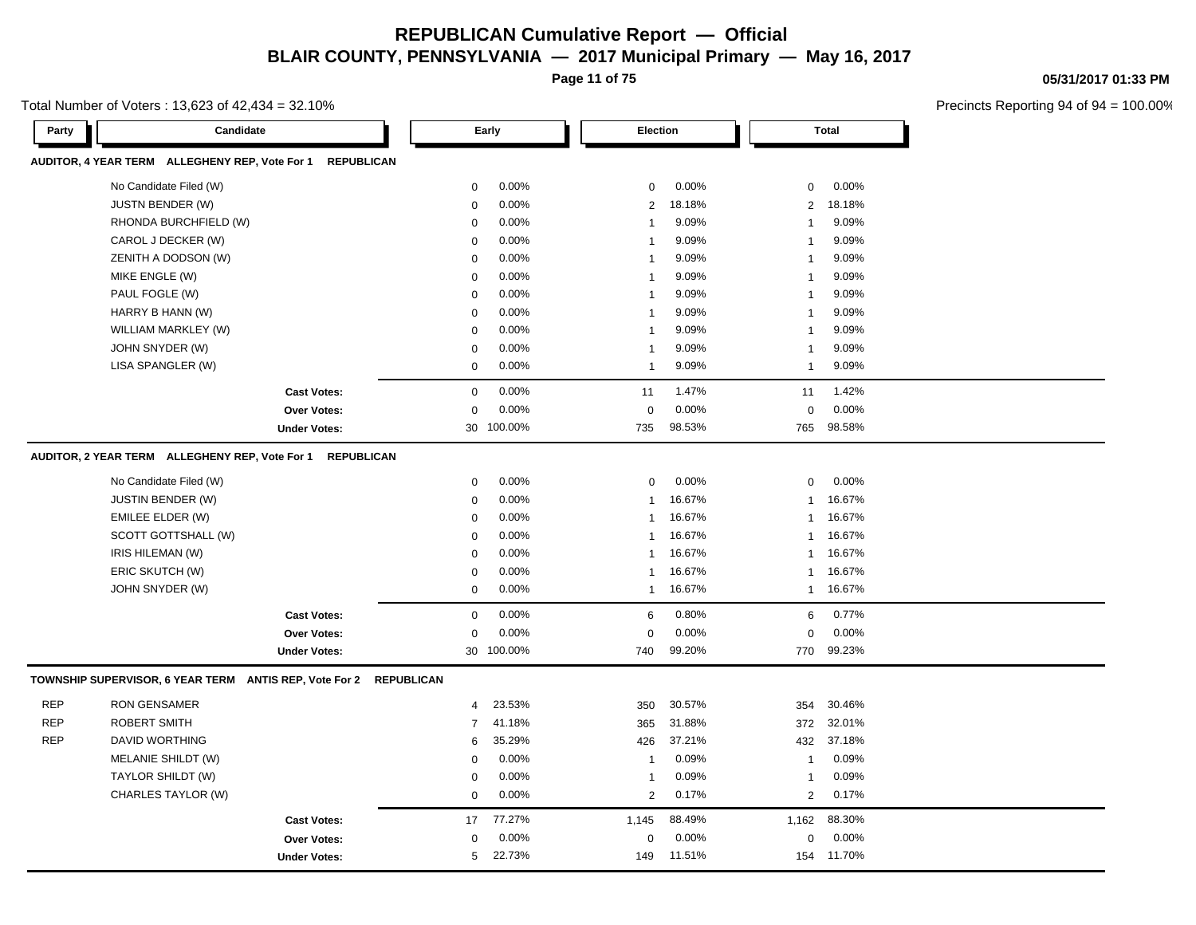**Page 11 of 75**

Total Number of Voters : 13,623 of 42,434 = 32.10%

**05/31/2017 01:33 PM**

| AUDITOR, 4 YEAR TERM ALLEGHENY REP, Vote For 1 REPUBLICAN<br>No Candidate Filed (W)<br>0.00%<br>0.00%<br>0.00%<br>$\mathbf 0$<br>0<br>0<br><b>JUSTN BENDER (W)</b><br>0.00%<br>18.18%<br>$\mathbf 0$<br>2<br>$\overline{2}$<br>18.18%<br>RHONDA BURCHFIELD (W)<br>0.00%<br>9.09%<br>9.09%<br>$\mathbf 0$<br>$\mathbf{1}$<br>-1 |
|--------------------------------------------------------------------------------------------------------------------------------------------------------------------------------------------------------------------------------------------------------------------------------------------------------------------------------|
|                                                                                                                                                                                                                                                                                                                                |
|                                                                                                                                                                                                                                                                                                                                |
|                                                                                                                                                                                                                                                                                                                                |
|                                                                                                                                                                                                                                                                                                                                |
| CAROL J DECKER (W)<br>0.00%<br>9.09%<br>9.09%<br>$\mathbf 0$<br>$\mathbf{1}$<br>$\overline{1}$                                                                                                                                                                                                                                 |
| ZENITH A DODSON (W)<br>$\mathbf 0$<br>0.00%<br>9.09%<br>9.09%<br>$\mathbf{1}$<br>1                                                                                                                                                                                                                                             |
| MIKE ENGLE (W)<br>0.00%<br>9.09%<br>9.09%<br>$\mathbf 0$<br>$\mathbf{1}$<br>-1                                                                                                                                                                                                                                                 |
| PAUL FOGLE (W)<br>0.00%<br>9.09%<br>9.09%<br>$\mathbf 0$<br>1                                                                                                                                                                                                                                                                  |
| 0.00%<br>9.09%<br>9.09%<br>HARRY B HANN (W)<br>0<br>$\mathbf{1}$<br>-1                                                                                                                                                                                                                                                         |
| WILLIAM MARKLEY (W)<br>0.00%<br>9.09%<br>9.09%<br>$\mathbf 0$<br>$\mathbf{1}$<br>-1                                                                                                                                                                                                                                            |
| JOHN SNYDER (W)<br>0.00%<br>9.09%<br>9.09%<br>$\mathbf 0$<br>$\mathbf{1}$<br>-1                                                                                                                                                                                                                                                |
| LISA SPANGLER (W)<br>0.00%<br>9.09%<br>9.09%<br>$\mathbf 0$<br>$\mathbf{1}$<br>$\mathbf{1}$                                                                                                                                                                                                                                    |
| 0.00%<br>1.47%<br>$\mathbf 0$<br>1.42%<br><b>Cast Votes:</b><br>11<br>11                                                                                                                                                                                                                                                       |
| 0.00%<br>0.00%<br>0.00%<br>$\mathbf 0$<br>$\mathbf 0$<br>$\Omega$<br><b>Over Votes:</b>                                                                                                                                                                                                                                        |
| 100.00%<br>98.53%<br>98.58%<br><b>Under Votes:</b><br>30<br>735<br>765                                                                                                                                                                                                                                                         |
| AUDITOR, 2 YEAR TERM ALLEGHENY REP, Vote For 1<br><b>REPUBLICAN</b>                                                                                                                                                                                                                                                            |
| No Candidate Filed (W)<br>0.00%<br>0<br>0.00%<br>0<br>0.00%<br>$\mathbf 0$                                                                                                                                                                                                                                                     |
| JUSTIN BENDER (W)<br>0.00%<br>16.67%<br>16.67%<br>$\mathbf 0$<br>$\mathbf{1}$<br>-1                                                                                                                                                                                                                                            |
| 0.00%<br>16.67%<br>16.67%<br>EMILEE ELDER (W)<br>$\mathbf 0$<br>$\mathbf{1}$<br>$\mathbf{1}$                                                                                                                                                                                                                                   |
| SCOTT GOTTSHALL (W)<br>0.00%<br>16.67%<br>16.67%<br>$\mathbf 0$<br>$\mathbf{1}$<br>1                                                                                                                                                                                                                                           |
| IRIS HILEMAN (W)<br>0.00%<br>16.67%<br>16.67%<br>0<br>1<br>-1                                                                                                                                                                                                                                                                  |
| ERIC SKUTCH (W)<br>0.00%<br>16.67%<br>16.67%<br>$\mathbf 0$<br>$\mathbf{1}$<br>-1                                                                                                                                                                                                                                              |
| JOHN SNYDER (W)<br>0.00%<br>16.67%<br>16.67%<br>$\mathbf 0$<br>$\mathbf{1}$<br>$\mathbf 1$                                                                                                                                                                                                                                     |
| 0.00%<br>0.80%<br>0.77%<br><b>Cast Votes:</b><br>$\mathbf 0$<br>6<br>6                                                                                                                                                                                                                                                         |
| 0.00%<br>0.00%<br>0.00%<br>$\mathbf 0$<br>$\mathbf 0$<br>0<br><b>Over Votes:</b>                                                                                                                                                                                                                                               |
| 30 100.00%<br>99.20%<br>99.23%<br><b>Under Votes:</b><br>740<br>770                                                                                                                                                                                                                                                            |
| TOWNSHIP SUPERVISOR, 6 YEAR TERM ANTIS REP, Vote For 2 REPUBLICAN                                                                                                                                                                                                                                                              |
| <b>REP</b><br><b>RON GENSAMER</b><br>23.53%<br>30.57%<br>30.46%<br>350<br>354<br>$\overline{4}$                                                                                                                                                                                                                                |
| <b>REP</b><br><b>ROBERT SMITH</b><br>41.18%<br>365<br>31.88%<br>372<br>32.01%<br>7                                                                                                                                                                                                                                             |
| <b>REP</b><br><b>DAVID WORTHING</b><br>35.29%<br>37.21%<br>37.18%<br>426<br>432<br>6                                                                                                                                                                                                                                           |
| MELANIE SHILDT (W)<br>0.00%<br>0.09%<br>0.09%<br>$\mathbf 0$<br>$\mathbf{1}$<br>$\overline{1}$                                                                                                                                                                                                                                 |
| TAYLOR SHILDT (W)<br>0.00%<br>0.09%<br>0.09%<br>$\mathbf 0$<br>$\mathbf{1}$<br>1                                                                                                                                                                                                                                               |
| CHARLES TAYLOR (W)<br>0.00%<br>0.17%<br>$\overline{2}$<br>$\overline{2}$<br>0.17%<br>$\mathbf 0$                                                                                                                                                                                                                               |
| 77.27%<br>88.49%<br>88.30%<br>17<br>1,145<br>1,162<br><b>Cast Votes:</b>                                                                                                                                                                                                                                                       |
| 0.00%<br>0.00%<br>0.00%<br><b>Over Votes:</b><br>$\mathbf 0$<br>0<br>$\Omega$                                                                                                                                                                                                                                                  |
| 22.73%<br>5<br>11.51%<br>154 11.70%<br><b>Under Votes:</b><br>149                                                                                                                                                                                                                                                              |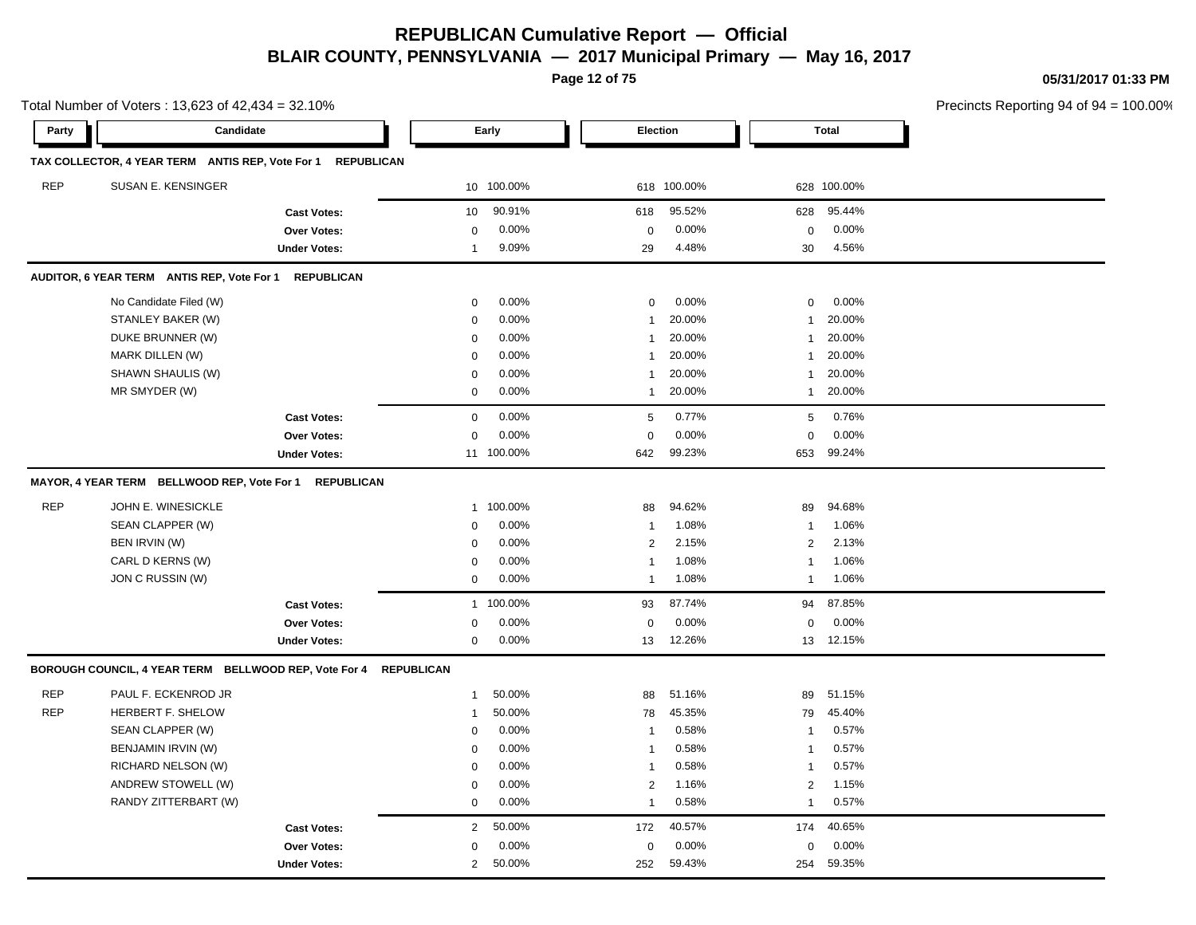**Page 12 of 75**

**05/31/2017 01:33 PM**

|            | Total Number of Voters: 13,623 of 42,434 = 32.10%     |                     |                   |            |                 |             |                |              | Precincts Reporting 94 of 94 |
|------------|-------------------------------------------------------|---------------------|-------------------|------------|-----------------|-------------|----------------|--------------|------------------------------|
| Party      | Candidate                                             |                     |                   | Early      | <b>Election</b> |             |                | <b>Total</b> |                              |
|            | TAX COLLECTOR, 4 YEAR TERM ANTIS REP, Vote For 1      | <b>REPUBLICAN</b>   |                   |            |                 |             |                |              |                              |
| <b>REP</b> | SUSAN E. KENSINGER                                    |                     |                   | 10 100.00% |                 | 618 100.00% |                | 628 100.00%  |                              |
|            |                                                       | <b>Cast Votes:</b>  | 10                | 90.91%     | 618             | 95.52%      | 628            | 95.44%       |                              |
|            |                                                       | Over Votes:         | 0                 | 0.00%      | $\mathbf 0$     | 0.00%       | $\mathbf 0$    | 0.00%        |                              |
|            |                                                       | <b>Under Votes:</b> | $\mathbf{1}$      | 9.09%      | 29              | 4.48%       | 30             | 4.56%        |                              |
|            | AUDITOR, 6 YEAR TERM ANTIS REP, Vote For 1            | <b>REPUBLICAN</b>   |                   |            |                 |             |                |              |                              |
|            | No Candidate Filed (W)                                |                     | 0                 | 0.00%      | $\mathbf{0}$    | 0.00%       | 0              | 0.00%        |                              |
|            | STANLEY BAKER (W)                                     |                     | $\mathbf 0$       | 0.00%      | $\overline{1}$  | 20.00%      | -1             | 20.00%       |                              |
|            | DUKE BRUNNER (W)                                      |                     | $\mathbf 0$       | 0.00%      | -1              | 20.00%      | -1             | 20.00%       |                              |
|            | <b>MARK DILLEN (W)</b>                                |                     | $\mathbf 0$       | 0.00%      | $\mathbf{1}$    | 20.00%      | $\mathbf{1}$   | 20.00%       |                              |
|            | SHAWN SHAULIS (W)                                     |                     | $\mathbf 0$       | 0.00%      | -1              | 20.00%      | $\mathbf{1}$   | 20.00%       |                              |
|            | MR SMYDER (W)                                         |                     | $\mathbf 0$       | 0.00%      | $\mathbf{1}$    | 20.00%      | $\mathbf{1}$   | 20.00%       |                              |
|            |                                                       | <b>Cast Votes:</b>  | $\mathbf 0$       | 0.00%      | 5               | 0.77%       | 5              | 0.76%        |                              |
|            |                                                       | Over Votes:         | $\mathbf 0$       | 0.00%      | $\mathbf 0$     | 0.00%       | $\mathbf 0$    | 0.00%        |                              |
|            |                                                       | <b>Under Votes:</b> |                   | 11 100.00% | 642             | 99.23%      | 653            | 99.24%       |                              |
|            | MAYOR, 4 YEAR TERM BELLWOOD REP, Vote For 1           | <b>REPUBLICAN</b>   |                   |            |                 |             |                |              |                              |
| <b>REP</b> | JOHN E. WINESICKLE                                    |                     | $\mathbf{1}$      | 100.00%    | 88              | 94.62%      | 89             | 94.68%       |                              |
|            | SEAN CLAPPER (W)                                      |                     | $\mathbf 0$       | 0.00%      | $\overline{1}$  | 1.08%       | -1             | 1.06%        |                              |
|            | BEN IRVIN (W)                                         |                     | $\mathbf 0$       | 0.00%      | $\overline{c}$  | 2.15%       | 2              | 2.13%        |                              |
|            | CARL D KERNS (W)                                      |                     | 0                 | 0.00%      | $\overline{1}$  | 1.08%       | -1             | 1.06%        |                              |
|            | JON C RUSSIN (W)                                      |                     | $\mathbf 0$       | 0.00%      | -1              | 1.08%       | -1             | 1.06%        |                              |
|            |                                                       | <b>Cast Votes:</b>  | 1                 | 100.00%    | 93              | 87.74%      | 94             | 87.85%       |                              |
|            |                                                       | Over Votes:         | $\mathbf 0$       | 0.00%      | $\mathbf 0$     | 0.00%       | $\mathbf 0$    | 0.00%        |                              |
|            |                                                       | <b>Under Votes:</b> | $\mathbf 0$       | 0.00%      | 13              | 12.26%      | 13             | 12.15%       |                              |
|            | BOROUGH COUNCIL, 4 YEAR TERM BELLWOOD REP, Vote For 4 |                     | <b>REPUBLICAN</b> |            |                 |             |                |              |                              |
| <b>REP</b> | PAUL F. ECKENROD JR                                   |                     | $\mathbf{1}$      | 50.00%     | 88              | 51.16%      | 89             | 51.15%       |                              |
| <b>REP</b> | HERBERT F. SHELOW                                     |                     | $\mathbf{1}$      | 50.00%     | 78              | 45.35%      | 79             | 45.40%       |                              |
|            | SEAN CLAPPER (W)                                      |                     | $\mathbf 0$       | 0.00%      | $\overline{1}$  | 0.58%       | -1             | 0.57%        |                              |
|            | BENJAMIN IRVIN (W)                                    |                     | $\mathbf 0$       | 0.00%      | $\mathbf{1}$    | 0.58%       | $\mathbf{1}$   | 0.57%        |                              |
|            | RICHARD NELSON (W)                                    |                     | $\mathbf 0$       | 0.00%      | $\mathbf{1}$    | 0.58%       | -1             | 0.57%        |                              |
|            | ANDREW STOWELL (W)                                    |                     | $\mathbf 0$       | 0.00%      | $\mathbf{2}$    | 1.16%       | 2              | 1.15%        |                              |
|            | RANDY ZITTERBART (W)                                  |                     | $\mathbf 0$       | 0.00%      | $\overline{1}$  | 0.58%       | $\overline{1}$ | 0.57%        |                              |
|            |                                                       | <b>Cast Votes:</b>  | $\overline{2}$    | 50.00%     | 172             | 40.57%      | 174            | 40.65%       |                              |
|            |                                                       | Over Votes:         | $\mathbf 0$       | 0.00%      | $\mathbf 0$     | 0.00%       | $\mathbf 0$    | 0.00%        |                              |
|            |                                                       | <b>Under Votes:</b> | $\overline{2}$    | 50.00%     | 252             | 59.43%      | 254            | 59.35%       |                              |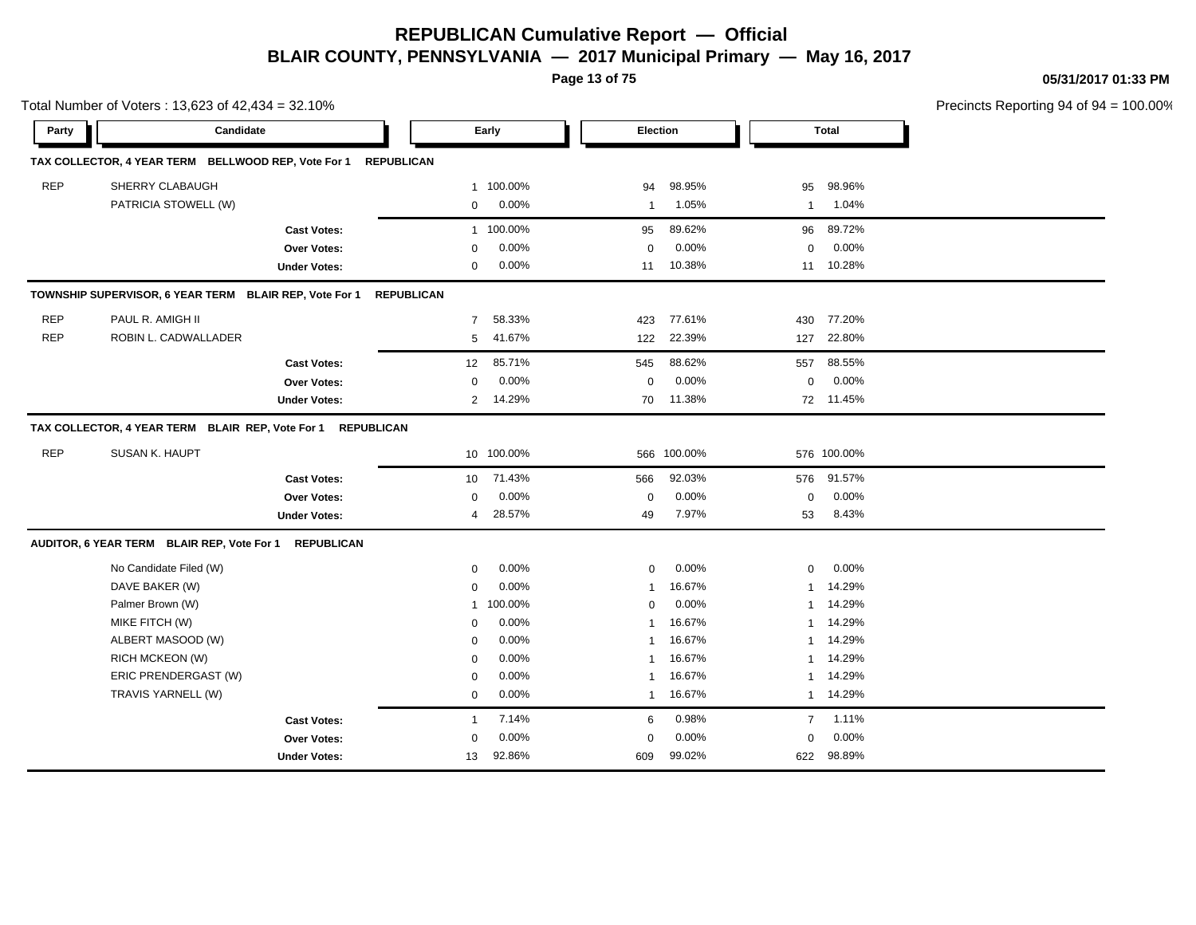**Page 13 of 75**

**05/31/2017 01:33 PM**

|            | Total Number of Voters: 13,623 of 42,434 = 32.10%              |                     |                   |            |                 |             |                |             | Precincts Reporting 94 of 94 |
|------------|----------------------------------------------------------------|---------------------|-------------------|------------|-----------------|-------------|----------------|-------------|------------------------------|
| Party      | Candidate                                                      |                     |                   | Early      | <b>Election</b> |             |                | Total       |                              |
|            | TAX COLLECTOR, 4 YEAR TERM BELLWOOD REP, Vote For 1 REPUBLICAN |                     |                   |            |                 |             |                |             |                              |
| <b>REP</b> | SHERRY CLABAUGH                                                |                     | 1                 | 100.00%    | 94              | 98.95%      | 95             | 98.96%      |                              |
|            | PATRICIA STOWELL (W)                                           |                     | $\mathbf 0$       | 0.00%      | $\mathbf{1}$    | 1.05%       | $\mathbf{1}$   | 1.04%       |                              |
|            |                                                                | <b>Cast Votes:</b>  | $\mathbf{1}$      | 100.00%    | 95              | 89.62%      | 96             | 89.72%      |                              |
|            |                                                                | <b>Over Votes:</b>  | $\mathbf 0$       | 0.00%      | $\mathbf 0$     | 0.00%       | $\mathbf 0$    | 0.00%       |                              |
|            |                                                                | <b>Under Votes:</b> | $\mathbf 0$       | 0.00%      | 11              | 10.38%      |                | 11 10.28%   |                              |
|            | TOWNSHIP SUPERVISOR, 6 YEAR TERM BLAIR REP, Vote For 1         |                     | <b>REPUBLICAN</b> |            |                 |             |                |             |                              |
| <b>REP</b> | PAUL R. AMIGH II                                               |                     | $\overline{7}$    | 58.33%     | 423             | 77.61%      | 430            | 77.20%      |                              |
| <b>REP</b> | ROBIN L. CADWALLADER                                           |                     | 5                 | 41.67%     | 122             | 22.39%      | 127            | 22.80%      |                              |
|            |                                                                | <b>Cast Votes:</b>  | 12                | 85.71%     | 545             | 88.62%      | 557            | 88.55%      |                              |
|            |                                                                | <b>Over Votes:</b>  | $\mathbf 0$       | $0.00\%$   | 0               | 0.00%       | $\mathbf 0$    | 0.00%       |                              |
|            |                                                                | <b>Under Votes:</b> | $\overline{2}$    | 14.29%     | 70              | 11.38%      |                | 72 11.45%   |                              |
|            | TAX COLLECTOR, 4 YEAR TERM BLAIR REP, Vote For 1 REPUBLICAN    |                     |                   |            |                 |             |                |             |                              |
| <b>REP</b> | SUSAN K. HAUPT                                                 |                     |                   | 10 100.00% |                 | 566 100.00% |                | 576 100.00% |                              |
|            |                                                                | <b>Cast Votes:</b>  | 10                | 71.43%     | 566             | 92.03%      | 576            | 91.57%      |                              |
|            |                                                                | <b>Over Votes:</b>  | $\mathbf 0$       | 0.00%      | $\mathbf 0$     | 0.00%       | $\mathsf 0$    | 0.00%       |                              |
|            |                                                                | <b>Under Votes:</b> | 4                 | 28.57%     | 49              | 7.97%       | 53             | 8.43%       |                              |
|            | AUDITOR, 6 YEAR TERM BLAIR REP, Vote For 1                     | <b>REPUBLICAN</b>   |                   |            |                 |             |                |             |                              |
|            | No Candidate Filed (W)                                         |                     | 0                 | 0.00%      | 0               | 0.00%       | 0              | 0.00%       |                              |
|            | DAVE BAKER (W)                                                 |                     | $\mathbf 0$       | 0.00%      | $\mathbf{1}$    | 16.67%      | 1              | 14.29%      |                              |
|            | Palmer Brown (W)                                               |                     | 1                 | 100.00%    | $\mathbf 0$     | 0.00%       | 1              | 14.29%      |                              |
|            | MIKE FITCH (W)                                                 |                     | $\mathbf 0$       | 0.00%      | $\mathbf{1}$    | 16.67%      | 1              | 14.29%      |                              |
|            | ALBERT MASOOD (W)                                              |                     | $\mathbf 0$       | 0.00%      | 1               | 16.67%      | 1              | 14.29%      |                              |
|            | RICH MCKEON (W)                                                |                     | $\mathbf 0$       | 0.00%      | 1               | 16.67%      | 1              | 14.29%      |                              |
|            | ERIC PRENDERGAST (W)                                           |                     | $\mathbf 0$       | 0.00%      | $\mathbf{1}$    | 16.67%      | 1              | 14.29%      |                              |
|            | TRAVIS YARNELL (W)                                             |                     | $\mathbf 0$       | 0.00%      | $\mathbf{1}$    | 16.67%      | $\mathbf{1}$   | 14.29%      |                              |
|            |                                                                | <b>Cast Votes:</b>  | $\overline{1}$    | 7.14%      | 6               | 0.98%       | $\overline{7}$ | 1.11%       |                              |
|            |                                                                | <b>Over Votes:</b>  | $\Omega$          | 0.00%      | $\mathbf 0$     | 0.00%       | $\mathbf 0$    | 0.00%       |                              |
|            |                                                                | <b>Under Votes:</b> | 13                | 92.86%     | 609             | 99.02%      | 622            | 98.89%      |                              |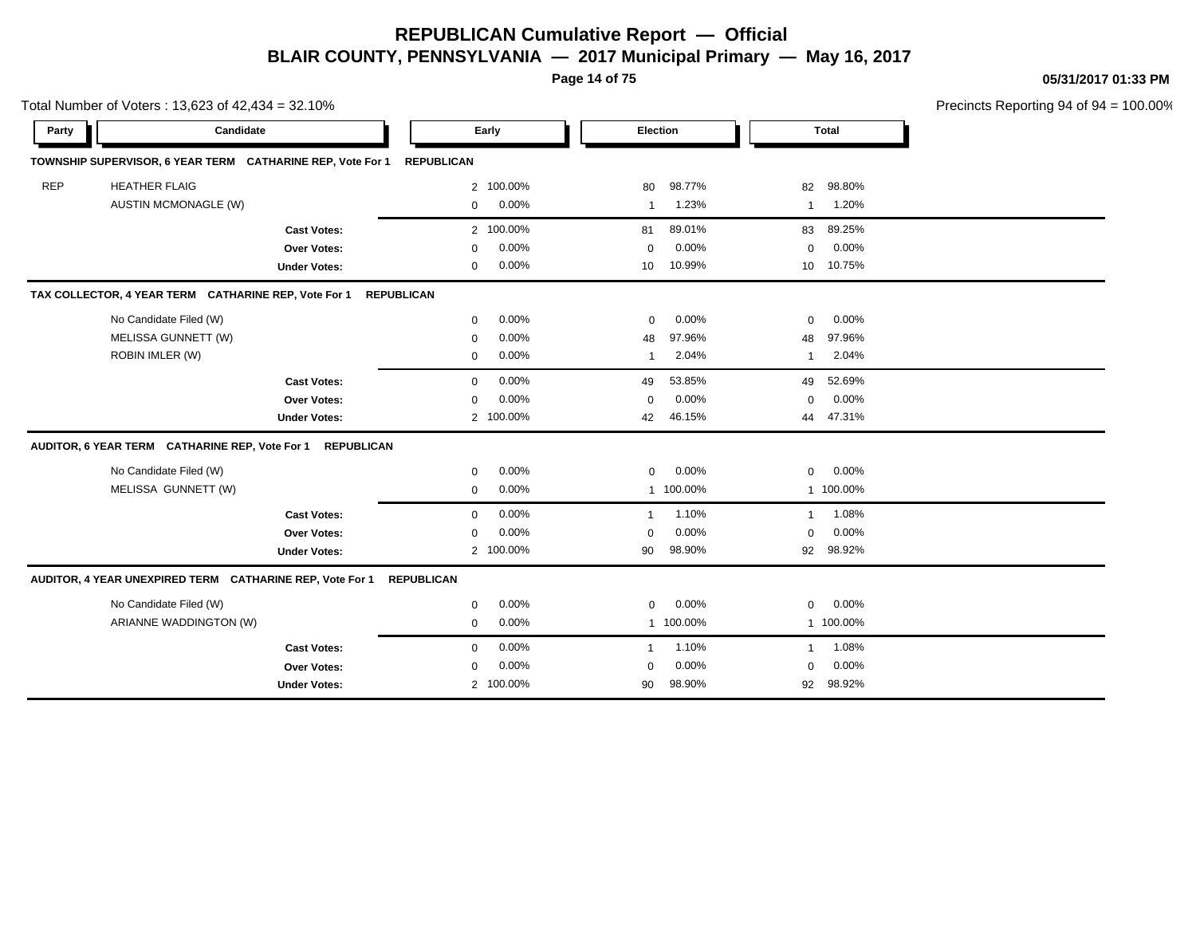**Page 14 of 75**

**05/31/2017 01:33 PM**

|            | Total Number of Voters: 13,623 of 42,434 = 32.10%          |                     |                   |           |                         |           |                 |              | Precincts Reporting 94 of 94 |
|------------|------------------------------------------------------------|---------------------|-------------------|-----------|-------------------------|-----------|-----------------|--------------|------------------------------|
| Party      | Candidate                                                  |                     |                   | Early     |                         | Election  |                 | <b>Total</b> |                              |
|            | TOWNSHIP SUPERVISOR, 6 YEAR TERM CATHARINE REP, Vote For 1 |                     | <b>REPUBLICAN</b> |           |                         |           |                 |              |                              |
| <b>REP</b> | <b>HEATHER FLAIG</b>                                       |                     | 2                 | 100.00%   | 80                      | 98.77%    | 82              | 98.80%       |                              |
|            | <b>AUSTIN MCMONAGLE (W)</b>                                |                     | 0                 | 0.00%     | -1                      | 1.23%     | $\mathbf{1}$    | 1.20%        |                              |
|            |                                                            | <b>Cast Votes:</b>  |                   | 2 100.00% | 81                      | 89.01%    | 83              | 89.25%       |                              |
|            |                                                            | Over Votes:         | $\mathbf 0$       | 0.00%     | $\mathbf 0$             | 0.00%     | $\mathbf 0$     | 0.00%        |                              |
|            |                                                            | <b>Under Votes:</b> | 0                 | 0.00%     | 10                      | 10.99%    | 10 <sup>1</sup> | 10.75%       |                              |
|            | TAX COLLECTOR, 4 YEAR TERM CATHARINE REP, Vote For 1       |                     | <b>REPUBLICAN</b> |           |                         |           |                 |              |                              |
|            | No Candidate Filed (W)                                     |                     | $\mathbf 0$       | 0.00%     | $\mathbf 0$             | 0.00%     | $\mathbf 0$     | 0.00%        |                              |
|            | MELISSA GUNNETT (W)                                        |                     | 0                 | 0.00%     | 48                      | 97.96%    | 48              | 97.96%       |                              |
|            | ROBIN IMLER (W)                                            |                     | 0                 | 0.00%     | -1                      | 2.04%     | $\mathbf{1}$    | 2.04%        |                              |
|            |                                                            | <b>Cast Votes:</b>  | $\mathbf 0$       | 0.00%     | 49                      | 53.85%    | 49              | 52.69%       |                              |
|            |                                                            | Over Votes:         | $\mathbf 0$       | 0.00%     | $\mathbf 0$             | 0.00%     | $\mathbf 0$     | 0.00%        |                              |
|            |                                                            | <b>Under Votes:</b> | $\overline{2}$    | 100.00%   | 42                      | 46.15%    | 44              | 47.31%       |                              |
|            | AUDITOR, 6 YEAR TERM CATHARINE REP, Vote For 1             | <b>REPUBLICAN</b>   |                   |           |                         |           |                 |              |                              |
|            | No Candidate Filed (W)                                     |                     | 0                 | 0.00%     | $\mathbf 0$             | 0.00%     | 0               | 0.00%        |                              |
|            | MELISSA GUNNETT (W)                                        |                     | $\mathbf 0$       | 0.00%     | $\mathbf{1}$            | 100.00%   |                 | 1 100.00%    |                              |
|            |                                                            | <b>Cast Votes:</b>  | $\mathbf{0}$      | 0.00%     | $\overline{\mathbf{1}}$ | 1.10%     | $\mathbf{1}$    | 1.08%        |                              |
|            |                                                            | <b>Over Votes:</b>  | 0                 | 0.00%     | 0                       | 0.00%     | 0               | 0.00%        |                              |
|            |                                                            | <b>Under Votes:</b> |                   | 2 100.00% | 90                      | 98.90%    | 92              | 98.92%       |                              |
|            | AUDITOR, 4 YEAR UNEXPIRED TERM CATHARINE REP, Vote For 1   |                     | <b>REPUBLICAN</b> |           |                         |           |                 |              |                              |
|            | No Candidate Filed (W)                                     |                     | 0                 | 0.00%     | 0                       | 0.00%     | 0               | 0.00%        |                              |
|            | ARIANNE WADDINGTON (W)                                     |                     | 0                 | 0.00%     |                         | 1 100.00% |                 | 1 100.00%    |                              |
|            |                                                            | <b>Cast Votes:</b>  | 0                 | 0.00%     | $\overline{1}$          | 1.10%     | $\mathbf{1}$    | 1.08%        |                              |
|            |                                                            | Over Votes:         | $\mathbf 0$       | 0.00%     | $\mathbf 0$             | 0.00%     | $\mathbf 0$     | 0.00%        |                              |
|            |                                                            | <b>Under Votes:</b> |                   | 2 100.00% | 90                      | 98.90%    | 92              | 98.92%       |                              |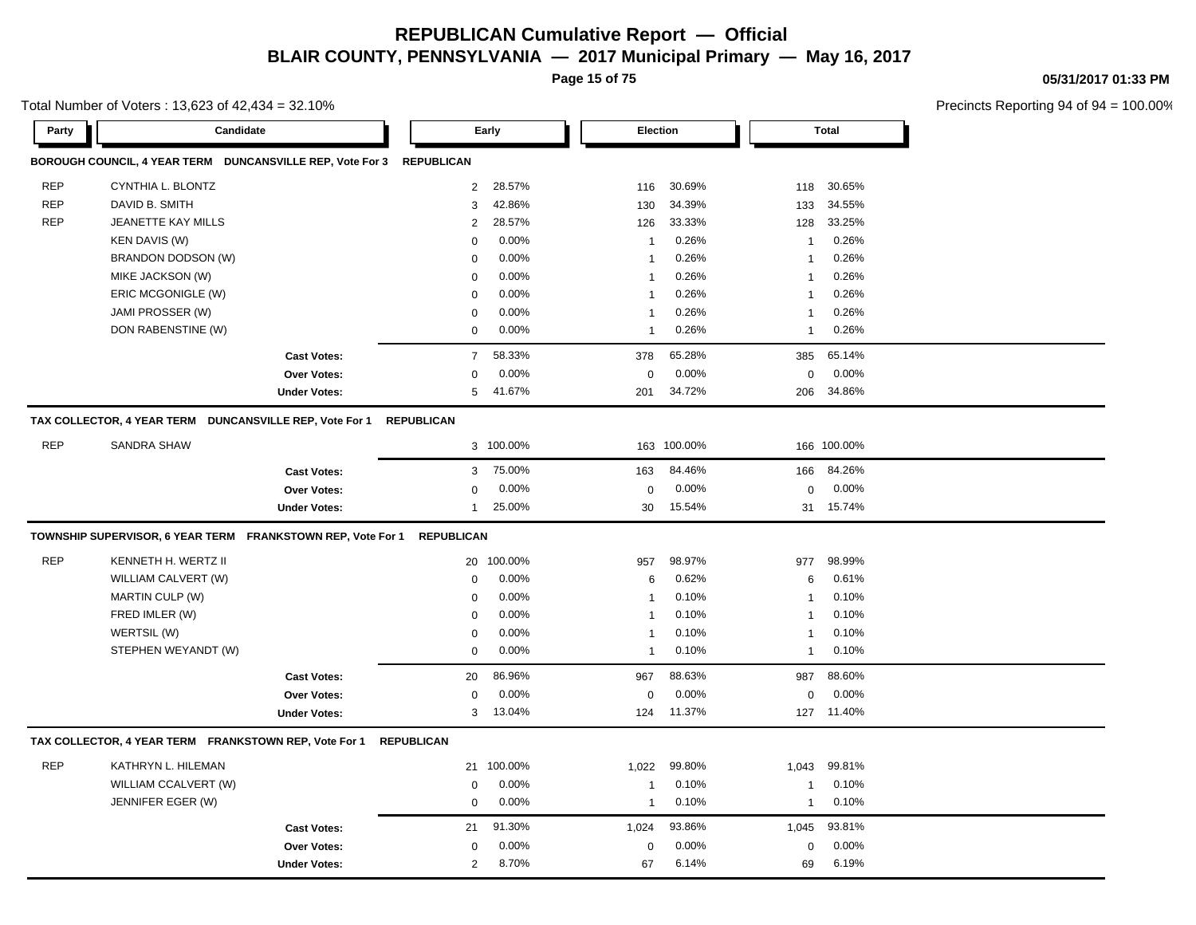**Page 15 of 75**

Total Number of Voters : 13,623 of 42,434 = 32.10%

**05/31/2017 01:33 PM**

|            | Candidate                                                   |                     |                   | Early      | Election       |         |                | <b>Total</b> |  |
|------------|-------------------------------------------------------------|---------------------|-------------------|------------|----------------|---------|----------------|--------------|--|
|            | BOROUGH COUNCIL, 4 YEAR TERM DUNCANSVILLE REP, Vote For 3   |                     | <b>REPUBLICAN</b> |            |                |         |                |              |  |
| <b>REP</b> | CYNTHIA L. BLONTZ                                           |                     | $\overline{2}$    | 28.57%     | 116            | 30.69%  | 118            | 30.65%       |  |
| <b>REP</b> | DAVID B. SMITH                                              |                     | 3                 | 42.86%     | 130            | 34.39%  | 133            | 34.55%       |  |
| <b>REP</b> | JEANETTE KAY MILLS                                          |                     | 2                 | 28.57%     | 126            | 33.33%  | 128            | 33.25%       |  |
|            | <b>KEN DAVIS (W)</b>                                        |                     | $\mathbf 0$       | 0.00%      | $\mathbf{1}$   | 0.26%   | 1              | 0.26%        |  |
|            | BRANDON DODSON (W)                                          |                     | $\mathbf 0$       | 0.00%      | $\overline{1}$ | 0.26%   | $\mathbf{1}$   | 0.26%        |  |
|            | MIKE JACKSON (W)                                            |                     | $\mathbf 0$       | 0.00%      | $\mathbf{1}$   | 0.26%   | $\mathbf{1}$   | 0.26%        |  |
|            | ERIC MCGONIGLE (W)                                          |                     | $\mathbf 0$       | 0.00%      | 1              | 0.26%   | $\mathbf{1}$   | 0.26%        |  |
|            | JAMI PROSSER (W)                                            |                     | $\mathbf 0$       | 0.00%      | $\mathbf{1}$   | 0.26%   | $\overline{1}$ | 0.26%        |  |
|            | DON RABENSTINE (W)                                          |                     | $\mathsf 0$       | 0.00%      | $\mathbf{1}$   | 0.26%   | $\mathbf{1}$   | 0.26%        |  |
|            |                                                             | <b>Cast Votes:</b>  | $\overline{7}$    | 58.33%     | 378            | 65.28%  | 385            | 65.14%       |  |
|            |                                                             | Over Votes:         | $\mathbf 0$       | 0.00%      | 0              | 0.00%   | $\mathbf 0$    | 0.00%        |  |
|            |                                                             | <b>Under Votes:</b> | 5                 | 41.67%     | 201            | 34.72%  | 206            | 34.86%       |  |
|            | TAX COLLECTOR, 4 YEAR TERM DUNCANSVILLE REP, Vote For 1     |                     | <b>REPUBLICAN</b> |            |                |         |                |              |  |
| <b>REP</b> | <b>SANDRA SHAW</b>                                          |                     |                   | 3 100.00%  | 163            | 100.00% |                | 166 100.00%  |  |
|            |                                                             | <b>Cast Votes:</b>  | 3                 | 75.00%     | 163            | 84.46%  | 166            | 84.26%       |  |
|            |                                                             | Over Votes:         | $\mathbf 0$       | 0.00%      | $\mathbf 0$    | 0.00%   | $\mathbf 0$    | 0.00%        |  |
|            |                                                             | <b>Under Votes:</b> | $\mathbf{1}$      | 25.00%     | 30             | 15.54%  | 31             | 15.74%       |  |
|            | TOWNSHIP SUPERVISOR, 6 YEAR TERM FRANKSTOWN REP, Vote For 1 |                     | <b>REPUBLICAN</b> |            |                |         |                |              |  |
|            |                                                             |                     |                   |            |                |         |                |              |  |
| <b>REP</b> | KENNETH H. WERTZ II                                         |                     |                   | 20 100.00% | 957            | 98.97%  | 977            | 98.99%       |  |
|            | WILLIAM CALVERT (W)                                         |                     | $\mathbf 0$       | 0.00%      | 6              | 0.62%   | 6              | 0.61%        |  |
|            | MARTIN CULP (W)                                             |                     | $\mathbf 0$       | 0.00%      | $\mathbf{1}$   | 0.10%   | $\mathbf{1}$   | 0.10%        |  |
|            | FRED IMLER (W)                                              |                     | $\mathbf 0$       | 0.00%      | $\mathbf{1}$   | 0.10%   | $\mathbf{1}$   | 0.10%        |  |
|            | WERTSIL (W)                                                 |                     | $\mathbf 0$       | 0.00%      | -1             | 0.10%   | $\mathbf{1}$   | 0.10%        |  |
|            | STEPHEN WEYANDT (W)                                         |                     | $\mathbf 0$       | 0.00%      | $\mathbf 1$    | 0.10%   | $\mathbf{1}$   | 0.10%        |  |
|            |                                                             | <b>Cast Votes:</b>  | 20                | 86.96%     | 967            | 88.63%  | 987            | 88.60%       |  |
|            |                                                             | Over Votes:         | $\mathbf 0$       | 0.00%      | $\mathbf 0$    | 0.00%   | 0              | 0.00%        |  |
|            |                                                             | <b>Under Votes:</b> | 3                 | 13.04%     | 124            | 11.37%  | 127            | 11.40%       |  |
|            | TAX COLLECTOR, 4 YEAR TERM FRANKSTOWN REP, Vote For 1       |                     | <b>REPUBLICAN</b> |            |                |         |                |              |  |
| <b>REP</b> | KATHRYN L. HILEMAN                                          |                     | 21                | 100.00%    | 1,022          | 99.80%  | 1,043          | 99.81%       |  |
|            | WILLIAM CCALVERT (W)                                        |                     | $\mathbf 0$       | 0.00%      | -1             | 0.10%   | $\mathbf{1}$   | 0.10%        |  |
|            | JENNIFER EGER (W)                                           |                     | $\mathbf 0$       | 0.00%      | $\mathbf{1}$   | 0.10%   | $\mathbf{1}$   | 0.10%        |  |
|            |                                                             | <b>Cast Votes:</b>  | 21                | 91.30%     | 1,024          | 93.86%  | 1,045          | 93.81%       |  |
|            |                                                             | <b>Over Votes:</b>  | $\mathbf 0$       | 0.00%      | 0              | 0.00%   | $\mathbf 0$    | 0.00%        |  |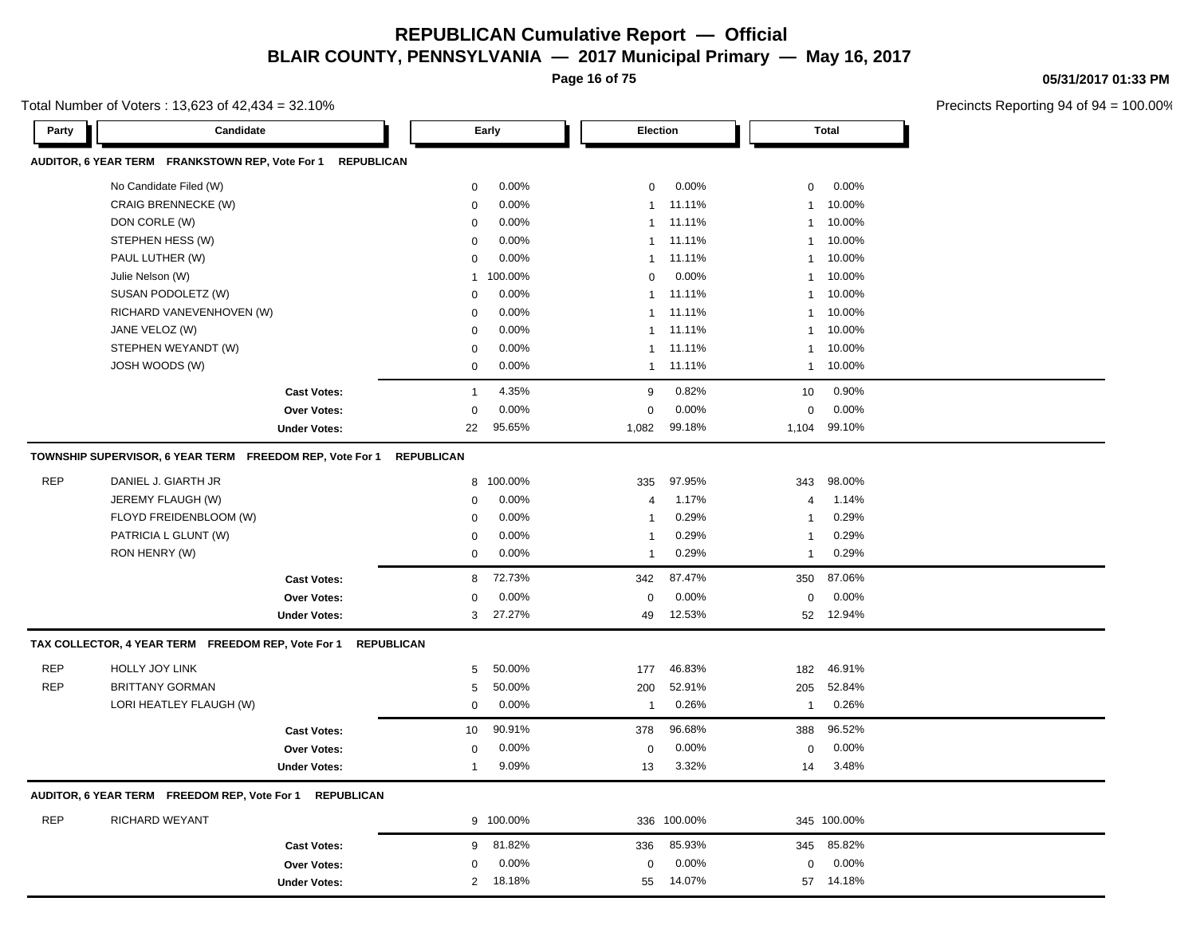**Page 16 of 75**

Total Number of Voters : 13,623 of 42,434 = 32.10%

**05/31/2017 01:33 PM**

|            | Candidate                                                             |                                          |                   | Early           | <b>Election</b> |                 |                 | Total           |  |
|------------|-----------------------------------------------------------------------|------------------------------------------|-------------------|-----------------|-----------------|-----------------|-----------------|-----------------|--|
|            | AUDITOR, 6 YEAR TERM FRANKSTOWN REP, Vote For 1                       | <b>REPUBLICAN</b>                        |                   |                 |                 |                 |                 |                 |  |
|            | No Candidate Filed (W)                                                |                                          | $\mathbf 0$       | 0.00%           | $\mathbf 0$     | 0.00%           | 0               | $0.00\%$        |  |
|            | <b>CRAIG BRENNECKE (W)</b>                                            |                                          | $\mathbf 0$       | 0.00%           | $\mathbf{1}$    | 11.11%          | $\mathbf{1}$    | 10.00%          |  |
|            | DON CORLE (W)                                                         |                                          | $\mathbf 0$       | 0.00%           | $\mathbf{1}$    | 11.11%          | $\mathbf{1}$    | 10.00%          |  |
|            | STEPHEN HESS (W)                                                      |                                          | 0                 | 0.00%           | $\mathbf{1}$    | 11.11%          | $\mathbf{1}$    | 10.00%          |  |
|            | PAUL LUTHER (W)                                                       |                                          | $\mathbf 0$       | 0.00%           | $\mathbf{1}$    | 11.11%          | 1               | 10.00%          |  |
|            | Julie Nelson (W)                                                      |                                          | $\mathbf{1}$      | 100.00%         | $\mathbf 0$     | 0.00%           | $\mathbf{1}$    | 10.00%          |  |
|            | SUSAN PODOLETZ (W)                                                    |                                          | $\Omega$          | 0.00%           | $\mathbf{1}$    | 11.11%          | $\mathbf{1}$    | 10.00%          |  |
|            | RICHARD VANEVENHOVEN (W)                                              |                                          | 0                 | 0.00%           | -1              | 11.11%          | $\mathbf{1}$    | 10.00%          |  |
|            | JANE VELOZ (W)                                                        |                                          | 0                 | 0.00%           | $\mathbf{1}$    | 11.11%          | $\mathbf{1}$    | 10.00%          |  |
|            | STEPHEN WEYANDT (W)                                                   |                                          | $\mathbf 0$       | 0.00%           | $\mathbf{1}$    | 11.11%          | $\mathbf{1}$    | 10.00%          |  |
|            | JOSH WOODS (W)                                                        |                                          | $\mathbf 0$       | 0.00%           | $\mathbf{1}$    | 11.11%          | 1               | 10.00%          |  |
|            |                                                                       | <b>Cast Votes:</b>                       | $\mathbf{1}$      | 4.35%           | 9               | 0.82%           | 10              | 0.90%           |  |
|            |                                                                       | <b>Over Votes:</b>                       | $\mathsf 0$       | 0.00%           | $\mathbf 0$     | 0.00%           | $\mathsf 0$     | 0.00%           |  |
|            |                                                                       | <b>Under Votes:</b>                      | 22                | 95.65%          | 1,082           | 99.18%          | 1,104           | 99.10%          |  |
|            | TOWNSHIP SUPERVISOR, 6 YEAR TERM FREEDOM REP, Vote For 1              |                                          | <b>REPUBLICAN</b> |                 |                 |                 |                 |                 |  |
| <b>REP</b> | DANIEL J. GIARTH JR                                                   |                                          |                   | 8 100.00%       | 335             | 97.95%          | 343             | 98.00%          |  |
|            | JEREMY FLAUGH (W)                                                     |                                          | 0                 | 0.00%           | $\overline{4}$  | 1.17%           | $\overline{4}$  | 1.14%           |  |
|            | FLOYD FREIDENBLOOM (W)                                                |                                          | $\mathbf 0$       | 0.00%           | $\mathbf{1}$    | 0.29%           | $\mathbf{1}$    | 0.29%           |  |
|            |                                                                       |                                          |                   |                 |                 |                 |                 |                 |  |
|            | PATRICIA L GLUNT (W)                                                  |                                          | $\Omega$          | 0.00%           | $\mathbf{1}$    | 0.29%           | $\mathbf{1}$    | 0.29%           |  |
|            | RON HENRY (W)                                                         |                                          | $\mathbf 0$       | 0.00%           | $\overline{1}$  | 0.29%           | 1               | 0.29%           |  |
|            |                                                                       | <b>Cast Votes:</b>                       | 8                 | 72.73%          | 342             | 87.47%          | 350             | 87.06%          |  |
|            |                                                                       | <b>Over Votes:</b>                       | $\mathbf 0$       | 0.00%           | $\mathbf 0$     | 0.00%           | 0               | $0.00\%$        |  |
|            |                                                                       | <b>Under Votes:</b>                      | 3                 | 27.27%          | 49              | 12.53%          | 52              | 12.94%          |  |
|            | TAX COLLECTOR, 4 YEAR TERM FREEDOM REP, Vote For 1                    | <b>REPUBLICAN</b>                        |                   |                 |                 |                 |                 |                 |  |
| <b>REP</b> | HOLLY JOY LINK                                                        |                                          | 5                 | 50.00%          | 177             | 46.83%          | 182             | 46.91%          |  |
| <b>REP</b> | <b>BRITTANY GORMAN</b>                                                |                                          | 5                 | 50.00%          | 200             | 52.91%          | 205             | 52.84%          |  |
|            | LORI HEATLEY FLAUGH (W)                                               |                                          | $\mathbf 0$       | 0.00%           | $\mathbf{1}$    | 0.26%           | -1              | 0.26%           |  |
|            |                                                                       | <b>Cast Votes:</b>                       | 10                | 90.91%          | 378             | 96.68%          | 388             | 96.52%          |  |
|            |                                                                       | Over Votes:                              | $\mathbf 0$       | 0.00%           | $\mathbf 0$     | 0.00%           | 0               | 0.00%           |  |
|            |                                                                       | <b>Under Votes:</b>                      | $\mathbf{1}$      | 9.09%           | 13              | 3.32%           | 14              | 3.48%           |  |
|            |                                                                       | <b>REPUBLICAN</b>                        |                   |                 |                 |                 |                 |                 |  |
| <b>REP</b> | AUDITOR, 6 YEAR TERM FREEDOM REP, Vote For 1<br><b>RICHARD WEYANT</b> |                                          |                   | 9 100.00%       |                 | 336 100.00%     |                 | 345 100.00%     |  |
|            |                                                                       |                                          |                   |                 |                 |                 |                 |                 |  |
|            |                                                                       | <b>Cast Votes:</b><br><b>Over Votes:</b> | 9<br>$\mathbf 0$  | 81.82%<br>0.00% | 336<br>0        | 85.93%<br>0.00% | 345<br>$\Omega$ | 85.82%<br>0.00% |  |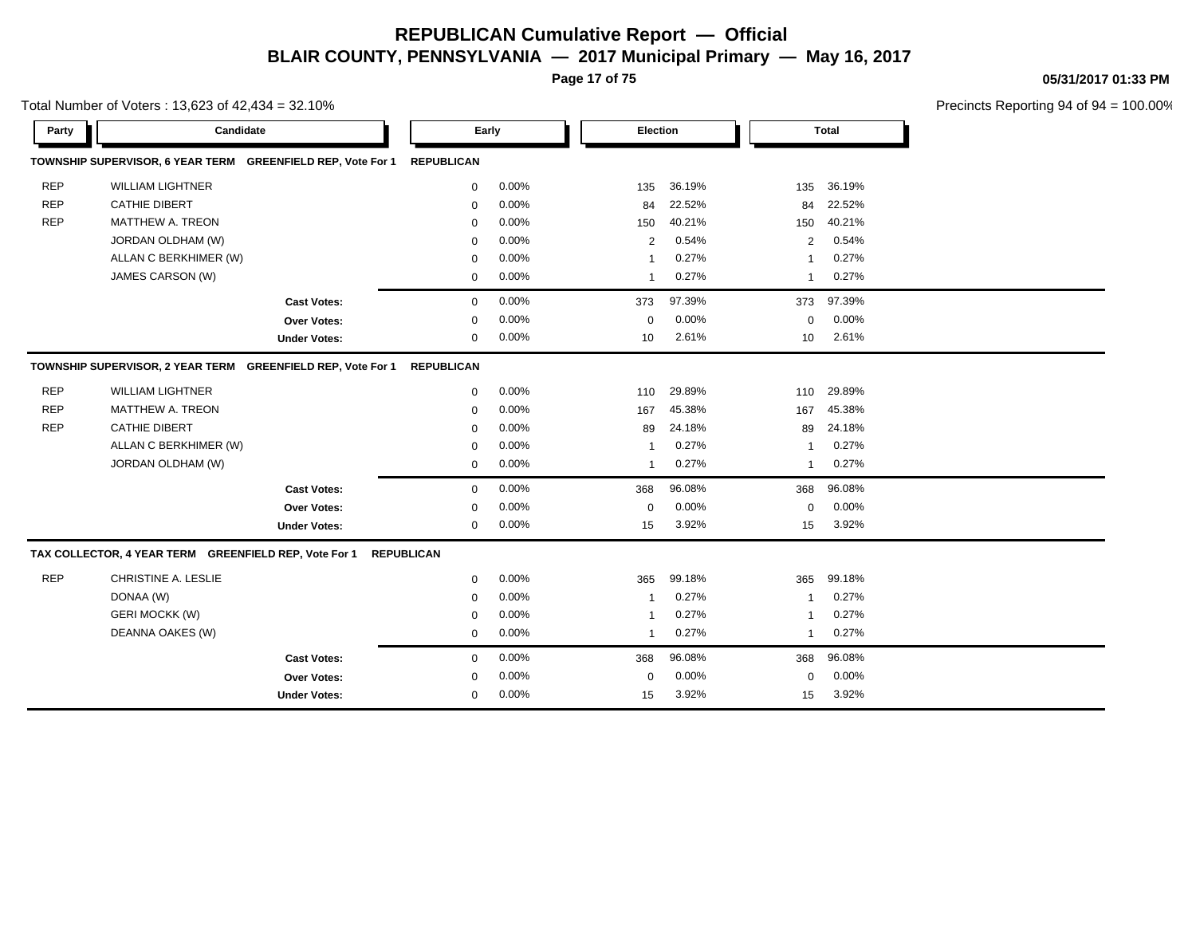**Page 17 of 75**

**05/31/2017 01:33 PM**

|            | Total Number of Voters: 13,623 of 42,434 = 32.10%     |                                                             |                   |          |                |        |                         |        | <b>Precincts Reportin</b> |
|------------|-------------------------------------------------------|-------------------------------------------------------------|-------------------|----------|----------------|--------|-------------------------|--------|---------------------------|
| Party      |                                                       | Candidate                                                   |                   | Early    | Election       |        |                         | Total  |                           |
|            |                                                       | TOWNSHIP SUPERVISOR, 6 YEAR TERM GREENFIELD REP, Vote For 1 | <b>REPUBLICAN</b> |          |                |        |                         |        |                           |
| <b>REP</b> | <b>WILLIAM LIGHTNER</b>                               |                                                             | $\mathbf 0$       | 0.00%    | 135            | 36.19% | 135                     | 36.19% |                           |
| <b>REP</b> | <b>CATHIE DIBERT</b>                                  |                                                             | $\mathbf 0$       | 0.00%    | 84             | 22.52% | 84                      | 22.52% |                           |
| <b>REP</b> | <b>MATTHEW A. TREON</b>                               |                                                             | $\mathbf 0$       | 0.00%    | 150            | 40.21% | 150                     | 40.21% |                           |
|            | JORDAN OLDHAM (W)                                     |                                                             | $\mathbf 0$       | 0.00%    | $\overline{2}$ | 0.54%  | 2                       | 0.54%  |                           |
|            | ALLAN C BERKHIMER (W)                                 |                                                             | 0                 | $0.00\%$ | $\mathbf{1}$   | 0.27%  | $\overline{\mathbf{1}}$ | 0.27%  |                           |
|            | JAMES CARSON (W)                                      |                                                             | 0                 | 0.00%    | 1              | 0.27%  | $\overline{1}$          | 0.27%  |                           |
|            |                                                       | <b>Cast Votes:</b>                                          | $\mathbf 0$       | 0.00%    | 373            | 97.39% | 373                     | 97.39% |                           |
|            |                                                       | Over Votes:                                                 | $\mathbf 0$       | 0.00%    | 0              | 0.00%  | $\mathbf 0$             | 0.00%  |                           |
|            |                                                       | <b>Under Votes:</b>                                         | 0                 | 0.00%    | 10             | 2.61%  | 10                      | 2.61%  |                           |
|            |                                                       | TOWNSHIP SUPERVISOR, 2 YEAR TERM GREENFIELD REP, Vote For 1 | <b>REPUBLICAN</b> |          |                |        |                         |        |                           |
| <b>REP</b> | <b>WILLIAM LIGHTNER</b>                               |                                                             | $\mathbf 0$       | $0.00\%$ | 110            | 29.89% | 110                     | 29.89% |                           |
| <b>REP</b> | <b>MATTHEW A. TREON</b>                               |                                                             | $\mathbf 0$       | 0.00%    | 167            | 45.38% | 167                     | 45.38% |                           |
| <b>REP</b> | <b>CATHIE DIBERT</b>                                  |                                                             | $\mathbf 0$       | 0.00%    | 89             | 24.18% | 89                      | 24.18% |                           |
|            | ALLAN C BERKHIMER (W)                                 |                                                             | $\mathbf 0$       | $0.00\%$ | -1             | 0.27%  | $\overline{\mathbf{1}}$ | 0.27%  |                           |
|            | JORDAN OLDHAM (W)                                     |                                                             | 0                 | 0.00%    | 1              | 0.27%  | $\overline{1}$          | 0.27%  |                           |
|            |                                                       | <b>Cast Votes:</b>                                          | $\mathbf 0$       | 0.00%    | 368            | 96.08% | 368                     | 96.08% |                           |
|            |                                                       | Over Votes:                                                 | $\mathbf 0$       | 0.00%    | 0              | 0.00%  | $\mathbf 0$             | 0.00%  |                           |
|            |                                                       | <b>Under Votes:</b>                                         | $\mathbf 0$       | 0.00%    | 15             | 3.92%  | 15                      | 3.92%  |                           |
|            | TAX COLLECTOR, 4 YEAR TERM GREENFIELD REP, Vote For 1 |                                                             | <b>REPUBLICAN</b> |          |                |        |                         |        |                           |
| <b>REP</b> | CHRISTINE A. LESLIE                                   |                                                             | $\mathbf 0$       | 0.00%    | 365            | 99.18% | 365                     | 99.18% |                           |
|            | DONAA (W)                                             |                                                             | 0                 | $0.00\%$ | -1             | 0.27%  | -1                      | 0.27%  |                           |
|            | <b>GERI MOCKK (W)</b>                                 |                                                             | $\mathbf 0$       | 0.00%    | -1             | 0.27%  | -1                      | 0.27%  |                           |
|            | DEANNA OAKES (W)                                      |                                                             | $\mathbf 0$       | 0.00%    | $\mathbf{1}$   | 0.27%  | $\overline{1}$          | 0.27%  |                           |
|            |                                                       | <b>Cast Votes:</b>                                          | $\mathbf 0$       | 0.00%    | 368            | 96.08% | 368                     | 96.08% |                           |
|            |                                                       | Over Votes:                                                 | $\mathbf 0$       | 0.00%    | 0              | 0.00%  | $\mathbf 0$             | 0.00%  |                           |
|            |                                                       | <b>Under Votes:</b>                                         | $\mathbf 0$       | 0.00%    | 15             | 3.92%  | 15                      | 3.92%  |                           |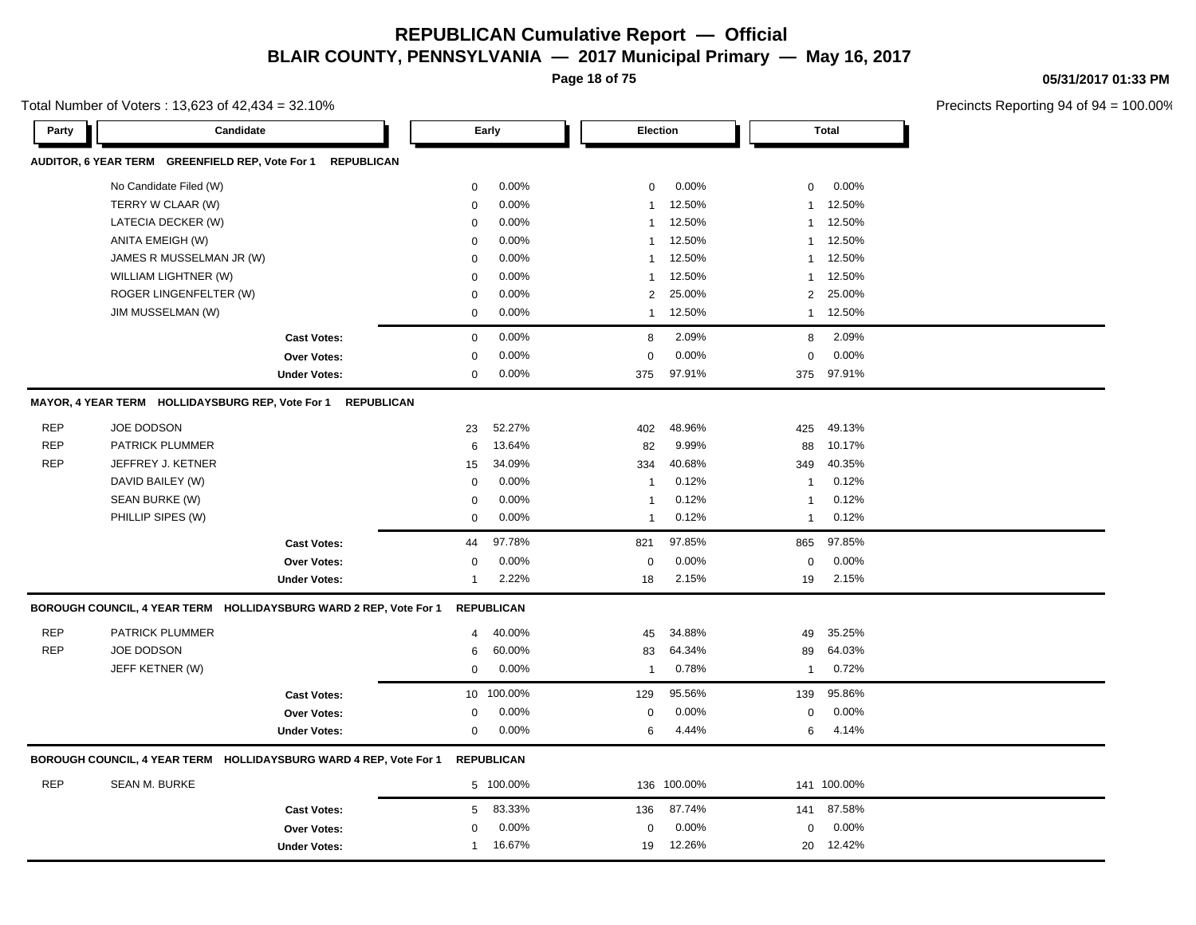**Page 18 of 75**

Total Number of Voters : 13,623 of 42,434 = 32.10%

**05/31/2017 01:33 PM**

| AUDITOR, 6 YEAR TERM GREENFIELD REP, Vote For 1<br><b>REPUBLICAN</b><br>No Candidate Filed (W)<br>0.00%<br>0.00%<br>$\mathbf 0$<br>0.00%<br>0<br>$\mathbf 0$<br>TERRY W CLAAR (W)<br>0.00%<br>12.50%<br>$\mathbf 0$<br>12.50%<br>$\overline{1}$<br>$\mathbf{1}$<br>12.50%<br>LATECIA DECKER (W)<br>0.00%<br>12.50%<br>$\mathbf 0$<br>$\mathbf{1}$<br>$\mathbf{1}$<br>ANITA EMEIGH (W)<br>0.00%<br>12.50%<br>12.50%<br>$\mathbf 0$<br>$\overline{1}$<br>$\mathbf{1}$<br>JAMES R MUSSELMAN JR (W)<br>0.00%<br>12.50%<br>12.50%<br>$\mathbf 0$<br>$\mathbf{1}$<br>$\mathbf{1}$<br>WILLIAM LIGHTNER (W)<br>0.00%<br>12.50%<br>12.50%<br>$\mathbf 0$<br>$\overline{1}$<br>$\mathbf{1}$<br>ROGER LINGENFELTER (W)<br>0.00%<br>25.00%<br>2<br>25.00%<br>2<br>$\mathbf 0$<br>JIM MUSSELMAN (W)<br>0.00%<br>12.50%<br>12.50%<br>0<br>$\mathbf{1}$<br>$\mathbf{1}$<br>$\mathbf 0$<br>0.00%<br>8<br>2.09%<br>8<br>2.09%<br><b>Cast Votes:</b><br>0.00%<br>0.00%<br>$\mathbf 0$<br>0.00%<br>$\mathbf 0$<br>$\mathbf 0$<br>Over Votes:<br>0.00%<br>97.91%<br>97.91%<br>$\mathbf 0$<br>375<br>375<br><b>Under Votes:</b><br>MAYOR, 4 YEAR TERM HOLLIDAYSBURG REP, Vote For 1<br><b>REPUBLICAN</b><br><b>REP</b><br><b>JOE DODSON</b><br>52.27%<br>48.96%<br>49.13%<br>23<br>402<br>425<br><b>REP</b><br>PATRICK PLUMMER<br>13.64%<br>9.99%<br>10.17%<br>88<br>6<br>82<br><b>REP</b><br>JEFFREY J. KETNER<br>34.09%<br>40.68%<br>40.35%<br>15<br>334<br>349<br>DAVID BAILEY (W)<br>0.00%<br>0.12%<br>0.12%<br>0<br>$\overline{1}$<br>$\mathbf{1}$<br>SEAN BURKE (W)<br>0.00%<br>0.12%<br>0.12%<br>$\mathbf 0$<br>$\overline{1}$<br>$\mathbf{1}$<br>PHILLIP SIPES (W)<br>0.00%<br>0.12%<br>0.12%<br>$\mathbf 0$<br>$\overline{1}$<br>$\mathbf{1}$<br>97.78%<br>97.85%<br>97.85%<br><b>Cast Votes:</b><br>44<br>821<br>865<br>0.00%<br>0.00%<br>0.00%<br><b>Over Votes:</b><br>$\mathbf 0$<br>$\mathbf 0$<br>$\mathbf 0$<br>2.22%<br>2.15%<br>2.15%<br><b>Under Votes:</b><br>$\mathbf{1}$<br>18<br>19<br>BOROUGH COUNCIL, 4 YEAR TERM HOLLIDAYSBURG WARD 2 REP, Vote For 1<br><b>REPUBLICAN</b><br><b>REP</b><br>PATRICK PLUMMER<br>40.00%<br>34.88%<br>35.25%<br>45<br>49<br>4<br><b>REP</b><br>JOE DODSON<br>60.00%<br>64.03%<br>64.34%<br>89<br>6<br>83<br>JEFF KETNER (W)<br>0.78%<br>$\mathbf 0$<br>0.00%<br>0.72%<br>$\overline{1}$<br>$\mathbf{1}$<br>10 100.00%<br>95.56%<br>95.86%<br><b>Cast Votes:</b><br>129<br>139<br>0.00%<br>0.00%<br>0.00%<br>Over Votes:<br>$\mathbf 0$<br>$\mathbf 0$<br>$\mathbf 0$<br>4.44%<br>$\mathbf 0$<br>0.00%<br>6<br>6<br>4.14%<br><b>Under Votes:</b><br>BOROUGH COUNCIL, 4 YEAR TERM HOLLIDAYSBURG WARD 4 REP, Vote For 1<br><b>REPUBLICAN</b><br><b>REP</b><br><b>SEAN M. BURKE</b><br>136 100.00%<br>5 100.00%<br>141 100.00%<br>83.33%<br>87.74%<br>87.58%<br><b>Cast Votes:</b><br>5<br>136<br>141<br>0.00%<br>0.00%<br>0.00%<br>$\mathbf 0$<br>$\mathbf 0$<br>$\mathbf 0$<br><b>Over Votes:</b><br>12.26%<br>16.67%<br>12.42%<br><b>Under Votes:</b><br>19<br>20<br>$\mathbf{1}$ | Party | Candidate |  | Early | Election | <b>Total</b> |  |
|--------------------------------------------------------------------------------------------------------------------------------------------------------------------------------------------------------------------------------------------------------------------------------------------------------------------------------------------------------------------------------------------------------------------------------------------------------------------------------------------------------------------------------------------------------------------------------------------------------------------------------------------------------------------------------------------------------------------------------------------------------------------------------------------------------------------------------------------------------------------------------------------------------------------------------------------------------------------------------------------------------------------------------------------------------------------------------------------------------------------------------------------------------------------------------------------------------------------------------------------------------------------------------------------------------------------------------------------------------------------------------------------------------------------------------------------------------------------------------------------------------------------------------------------------------------------------------------------------------------------------------------------------------------------------------------------------------------------------------------------------------------------------------------------------------------------------------------------------------------------------------------------------------------------------------------------------------------------------------------------------------------------------------------------------------------------------------------------------------------------------------------------------------------------------------------------------------------------------------------------------------------------------------------------------------------------------------------------------------------------------------------------------------------------------------------------------------------------------------------------------------------------------------------------------------------------------------------------------------------------------------------------------------------------------------------------------------------------------------------------------------------------------------------------------------------------------------------------------------------------------------------------------------------------------------------------------------------------------------------------------------------------|-------|-----------|--|-------|----------|--------------|--|
|                                                                                                                                                                                                                                                                                                                                                                                                                                                                                                                                                                                                                                                                                                                                                                                                                                                                                                                                                                                                                                                                                                                                                                                                                                                                                                                                                                                                                                                                                                                                                                                                                                                                                                                                                                                                                                                                                                                                                                                                                                                                                                                                                                                                                                                                                                                                                                                                                                                                                                                                                                                                                                                                                                                                                                                                                                                                                                                                                                                                                    |       |           |  |       |          |              |  |
|                                                                                                                                                                                                                                                                                                                                                                                                                                                                                                                                                                                                                                                                                                                                                                                                                                                                                                                                                                                                                                                                                                                                                                                                                                                                                                                                                                                                                                                                                                                                                                                                                                                                                                                                                                                                                                                                                                                                                                                                                                                                                                                                                                                                                                                                                                                                                                                                                                                                                                                                                                                                                                                                                                                                                                                                                                                                                                                                                                                                                    |       |           |  |       |          |              |  |
|                                                                                                                                                                                                                                                                                                                                                                                                                                                                                                                                                                                                                                                                                                                                                                                                                                                                                                                                                                                                                                                                                                                                                                                                                                                                                                                                                                                                                                                                                                                                                                                                                                                                                                                                                                                                                                                                                                                                                                                                                                                                                                                                                                                                                                                                                                                                                                                                                                                                                                                                                                                                                                                                                                                                                                                                                                                                                                                                                                                                                    |       |           |  |       |          |              |  |
|                                                                                                                                                                                                                                                                                                                                                                                                                                                                                                                                                                                                                                                                                                                                                                                                                                                                                                                                                                                                                                                                                                                                                                                                                                                                                                                                                                                                                                                                                                                                                                                                                                                                                                                                                                                                                                                                                                                                                                                                                                                                                                                                                                                                                                                                                                                                                                                                                                                                                                                                                                                                                                                                                                                                                                                                                                                                                                                                                                                                                    |       |           |  |       |          |              |  |
|                                                                                                                                                                                                                                                                                                                                                                                                                                                                                                                                                                                                                                                                                                                                                                                                                                                                                                                                                                                                                                                                                                                                                                                                                                                                                                                                                                                                                                                                                                                                                                                                                                                                                                                                                                                                                                                                                                                                                                                                                                                                                                                                                                                                                                                                                                                                                                                                                                                                                                                                                                                                                                                                                                                                                                                                                                                                                                                                                                                                                    |       |           |  |       |          |              |  |
|                                                                                                                                                                                                                                                                                                                                                                                                                                                                                                                                                                                                                                                                                                                                                                                                                                                                                                                                                                                                                                                                                                                                                                                                                                                                                                                                                                                                                                                                                                                                                                                                                                                                                                                                                                                                                                                                                                                                                                                                                                                                                                                                                                                                                                                                                                                                                                                                                                                                                                                                                                                                                                                                                                                                                                                                                                                                                                                                                                                                                    |       |           |  |       |          |              |  |
|                                                                                                                                                                                                                                                                                                                                                                                                                                                                                                                                                                                                                                                                                                                                                                                                                                                                                                                                                                                                                                                                                                                                                                                                                                                                                                                                                                                                                                                                                                                                                                                                                                                                                                                                                                                                                                                                                                                                                                                                                                                                                                                                                                                                                                                                                                                                                                                                                                                                                                                                                                                                                                                                                                                                                                                                                                                                                                                                                                                                                    |       |           |  |       |          |              |  |
|                                                                                                                                                                                                                                                                                                                                                                                                                                                                                                                                                                                                                                                                                                                                                                                                                                                                                                                                                                                                                                                                                                                                                                                                                                                                                                                                                                                                                                                                                                                                                                                                                                                                                                                                                                                                                                                                                                                                                                                                                                                                                                                                                                                                                                                                                                                                                                                                                                                                                                                                                                                                                                                                                                                                                                                                                                                                                                                                                                                                                    |       |           |  |       |          |              |  |
|                                                                                                                                                                                                                                                                                                                                                                                                                                                                                                                                                                                                                                                                                                                                                                                                                                                                                                                                                                                                                                                                                                                                                                                                                                                                                                                                                                                                                                                                                                                                                                                                                                                                                                                                                                                                                                                                                                                                                                                                                                                                                                                                                                                                                                                                                                                                                                                                                                                                                                                                                                                                                                                                                                                                                                                                                                                                                                                                                                                                                    |       |           |  |       |          |              |  |
|                                                                                                                                                                                                                                                                                                                                                                                                                                                                                                                                                                                                                                                                                                                                                                                                                                                                                                                                                                                                                                                                                                                                                                                                                                                                                                                                                                                                                                                                                                                                                                                                                                                                                                                                                                                                                                                                                                                                                                                                                                                                                                                                                                                                                                                                                                                                                                                                                                                                                                                                                                                                                                                                                                                                                                                                                                                                                                                                                                                                                    |       |           |  |       |          |              |  |
|                                                                                                                                                                                                                                                                                                                                                                                                                                                                                                                                                                                                                                                                                                                                                                                                                                                                                                                                                                                                                                                                                                                                                                                                                                                                                                                                                                                                                                                                                                                                                                                                                                                                                                                                                                                                                                                                                                                                                                                                                                                                                                                                                                                                                                                                                                                                                                                                                                                                                                                                                                                                                                                                                                                                                                                                                                                                                                                                                                                                                    |       |           |  |       |          |              |  |
|                                                                                                                                                                                                                                                                                                                                                                                                                                                                                                                                                                                                                                                                                                                                                                                                                                                                                                                                                                                                                                                                                                                                                                                                                                                                                                                                                                                                                                                                                                                                                                                                                                                                                                                                                                                                                                                                                                                                                                                                                                                                                                                                                                                                                                                                                                                                                                                                                                                                                                                                                                                                                                                                                                                                                                                                                                                                                                                                                                                                                    |       |           |  |       |          |              |  |
|                                                                                                                                                                                                                                                                                                                                                                                                                                                                                                                                                                                                                                                                                                                                                                                                                                                                                                                                                                                                                                                                                                                                                                                                                                                                                                                                                                                                                                                                                                                                                                                                                                                                                                                                                                                                                                                                                                                                                                                                                                                                                                                                                                                                                                                                                                                                                                                                                                                                                                                                                                                                                                                                                                                                                                                                                                                                                                                                                                                                                    |       |           |  |       |          |              |  |
|                                                                                                                                                                                                                                                                                                                                                                                                                                                                                                                                                                                                                                                                                                                                                                                                                                                                                                                                                                                                                                                                                                                                                                                                                                                                                                                                                                                                                                                                                                                                                                                                                                                                                                                                                                                                                                                                                                                                                                                                                                                                                                                                                                                                                                                                                                                                                                                                                                                                                                                                                                                                                                                                                                                                                                                                                                                                                                                                                                                                                    |       |           |  |       |          |              |  |
|                                                                                                                                                                                                                                                                                                                                                                                                                                                                                                                                                                                                                                                                                                                                                                                                                                                                                                                                                                                                                                                                                                                                                                                                                                                                                                                                                                                                                                                                                                                                                                                                                                                                                                                                                                                                                                                                                                                                                                                                                                                                                                                                                                                                                                                                                                                                                                                                                                                                                                                                                                                                                                                                                                                                                                                                                                                                                                                                                                                                                    |       |           |  |       |          |              |  |
|                                                                                                                                                                                                                                                                                                                                                                                                                                                                                                                                                                                                                                                                                                                                                                                                                                                                                                                                                                                                                                                                                                                                                                                                                                                                                                                                                                                                                                                                                                                                                                                                                                                                                                                                                                                                                                                                                                                                                                                                                                                                                                                                                                                                                                                                                                                                                                                                                                                                                                                                                                                                                                                                                                                                                                                                                                                                                                                                                                                                                    |       |           |  |       |          |              |  |
|                                                                                                                                                                                                                                                                                                                                                                                                                                                                                                                                                                                                                                                                                                                                                                                                                                                                                                                                                                                                                                                                                                                                                                                                                                                                                                                                                                                                                                                                                                                                                                                                                                                                                                                                                                                                                                                                                                                                                                                                                                                                                                                                                                                                                                                                                                                                                                                                                                                                                                                                                                                                                                                                                                                                                                                                                                                                                                                                                                                                                    |       |           |  |       |          |              |  |
|                                                                                                                                                                                                                                                                                                                                                                                                                                                                                                                                                                                                                                                                                                                                                                                                                                                                                                                                                                                                                                                                                                                                                                                                                                                                                                                                                                                                                                                                                                                                                                                                                                                                                                                                                                                                                                                                                                                                                                                                                                                                                                                                                                                                                                                                                                                                                                                                                                                                                                                                                                                                                                                                                                                                                                                                                                                                                                                                                                                                                    |       |           |  |       |          |              |  |
|                                                                                                                                                                                                                                                                                                                                                                                                                                                                                                                                                                                                                                                                                                                                                                                                                                                                                                                                                                                                                                                                                                                                                                                                                                                                                                                                                                                                                                                                                                                                                                                                                                                                                                                                                                                                                                                                                                                                                                                                                                                                                                                                                                                                                                                                                                                                                                                                                                                                                                                                                                                                                                                                                                                                                                                                                                                                                                                                                                                                                    |       |           |  |       |          |              |  |
|                                                                                                                                                                                                                                                                                                                                                                                                                                                                                                                                                                                                                                                                                                                                                                                                                                                                                                                                                                                                                                                                                                                                                                                                                                                                                                                                                                                                                                                                                                                                                                                                                                                                                                                                                                                                                                                                                                                                                                                                                                                                                                                                                                                                                                                                                                                                                                                                                                                                                                                                                                                                                                                                                                                                                                                                                                                                                                                                                                                                                    |       |           |  |       |          |              |  |
|                                                                                                                                                                                                                                                                                                                                                                                                                                                                                                                                                                                                                                                                                                                                                                                                                                                                                                                                                                                                                                                                                                                                                                                                                                                                                                                                                                                                                                                                                                                                                                                                                                                                                                                                                                                                                                                                                                                                                                                                                                                                                                                                                                                                                                                                                                                                                                                                                                                                                                                                                                                                                                                                                                                                                                                                                                                                                                                                                                                                                    |       |           |  |       |          |              |  |
|                                                                                                                                                                                                                                                                                                                                                                                                                                                                                                                                                                                                                                                                                                                                                                                                                                                                                                                                                                                                                                                                                                                                                                                                                                                                                                                                                                                                                                                                                                                                                                                                                                                                                                                                                                                                                                                                                                                                                                                                                                                                                                                                                                                                                                                                                                                                                                                                                                                                                                                                                                                                                                                                                                                                                                                                                                                                                                                                                                                                                    |       |           |  |       |          |              |  |
|                                                                                                                                                                                                                                                                                                                                                                                                                                                                                                                                                                                                                                                                                                                                                                                                                                                                                                                                                                                                                                                                                                                                                                                                                                                                                                                                                                                                                                                                                                                                                                                                                                                                                                                                                                                                                                                                                                                                                                                                                                                                                                                                                                                                                                                                                                                                                                                                                                                                                                                                                                                                                                                                                                                                                                                                                                                                                                                                                                                                                    |       |           |  |       |          |              |  |
|                                                                                                                                                                                                                                                                                                                                                                                                                                                                                                                                                                                                                                                                                                                                                                                                                                                                                                                                                                                                                                                                                                                                                                                                                                                                                                                                                                                                                                                                                                                                                                                                                                                                                                                                                                                                                                                                                                                                                                                                                                                                                                                                                                                                                                                                                                                                                                                                                                                                                                                                                                                                                                                                                                                                                                                                                                                                                                                                                                                                                    |       |           |  |       |          |              |  |
|                                                                                                                                                                                                                                                                                                                                                                                                                                                                                                                                                                                                                                                                                                                                                                                                                                                                                                                                                                                                                                                                                                                                                                                                                                                                                                                                                                                                                                                                                                                                                                                                                                                                                                                                                                                                                                                                                                                                                                                                                                                                                                                                                                                                                                                                                                                                                                                                                                                                                                                                                                                                                                                                                                                                                                                                                                                                                                                                                                                                                    |       |           |  |       |          |              |  |
|                                                                                                                                                                                                                                                                                                                                                                                                                                                                                                                                                                                                                                                                                                                                                                                                                                                                                                                                                                                                                                                                                                                                                                                                                                                                                                                                                                                                                                                                                                                                                                                                                                                                                                                                                                                                                                                                                                                                                                                                                                                                                                                                                                                                                                                                                                                                                                                                                                                                                                                                                                                                                                                                                                                                                                                                                                                                                                                                                                                                                    |       |           |  |       |          |              |  |
|                                                                                                                                                                                                                                                                                                                                                                                                                                                                                                                                                                                                                                                                                                                                                                                                                                                                                                                                                                                                                                                                                                                                                                                                                                                                                                                                                                                                                                                                                                                                                                                                                                                                                                                                                                                                                                                                                                                                                                                                                                                                                                                                                                                                                                                                                                                                                                                                                                                                                                                                                                                                                                                                                                                                                                                                                                                                                                                                                                                                                    |       |           |  |       |          |              |  |
|                                                                                                                                                                                                                                                                                                                                                                                                                                                                                                                                                                                                                                                                                                                                                                                                                                                                                                                                                                                                                                                                                                                                                                                                                                                                                                                                                                                                                                                                                                                                                                                                                                                                                                                                                                                                                                                                                                                                                                                                                                                                                                                                                                                                                                                                                                                                                                                                                                                                                                                                                                                                                                                                                                                                                                                                                                                                                                                                                                                                                    |       |           |  |       |          |              |  |
|                                                                                                                                                                                                                                                                                                                                                                                                                                                                                                                                                                                                                                                                                                                                                                                                                                                                                                                                                                                                                                                                                                                                                                                                                                                                                                                                                                                                                                                                                                                                                                                                                                                                                                                                                                                                                                                                                                                                                                                                                                                                                                                                                                                                                                                                                                                                                                                                                                                                                                                                                                                                                                                                                                                                                                                                                                                                                                                                                                                                                    |       |           |  |       |          |              |  |
|                                                                                                                                                                                                                                                                                                                                                                                                                                                                                                                                                                                                                                                                                                                                                                                                                                                                                                                                                                                                                                                                                                                                                                                                                                                                                                                                                                                                                                                                                                                                                                                                                                                                                                                                                                                                                                                                                                                                                                                                                                                                                                                                                                                                                                                                                                                                                                                                                                                                                                                                                                                                                                                                                                                                                                                                                                                                                                                                                                                                                    |       |           |  |       |          |              |  |
|                                                                                                                                                                                                                                                                                                                                                                                                                                                                                                                                                                                                                                                                                                                                                                                                                                                                                                                                                                                                                                                                                                                                                                                                                                                                                                                                                                                                                                                                                                                                                                                                                                                                                                                                                                                                                                                                                                                                                                                                                                                                                                                                                                                                                                                                                                                                                                                                                                                                                                                                                                                                                                                                                                                                                                                                                                                                                                                                                                                                                    |       |           |  |       |          |              |  |
|                                                                                                                                                                                                                                                                                                                                                                                                                                                                                                                                                                                                                                                                                                                                                                                                                                                                                                                                                                                                                                                                                                                                                                                                                                                                                                                                                                                                                                                                                                                                                                                                                                                                                                                                                                                                                                                                                                                                                                                                                                                                                                                                                                                                                                                                                                                                                                                                                                                                                                                                                                                                                                                                                                                                                                                                                                                                                                                                                                                                                    |       |           |  |       |          |              |  |
|                                                                                                                                                                                                                                                                                                                                                                                                                                                                                                                                                                                                                                                                                                                                                                                                                                                                                                                                                                                                                                                                                                                                                                                                                                                                                                                                                                                                                                                                                                                                                                                                                                                                                                                                                                                                                                                                                                                                                                                                                                                                                                                                                                                                                                                                                                                                                                                                                                                                                                                                                                                                                                                                                                                                                                                                                                                                                                                                                                                                                    |       |           |  |       |          |              |  |
|                                                                                                                                                                                                                                                                                                                                                                                                                                                                                                                                                                                                                                                                                                                                                                                                                                                                                                                                                                                                                                                                                                                                                                                                                                                                                                                                                                                                                                                                                                                                                                                                                                                                                                                                                                                                                                                                                                                                                                                                                                                                                                                                                                                                                                                                                                                                                                                                                                                                                                                                                                                                                                                                                                                                                                                                                                                                                                                                                                                                                    |       |           |  |       |          |              |  |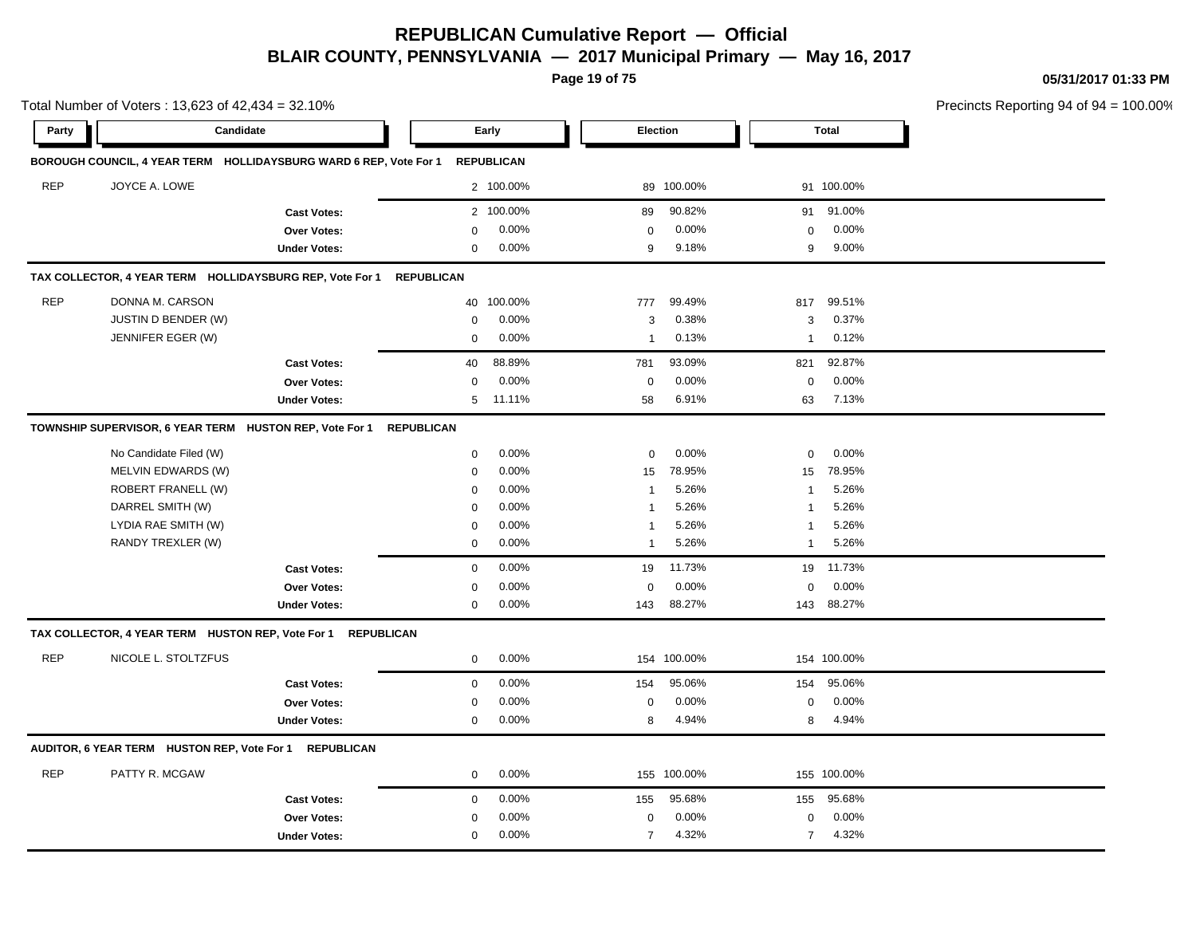**Page 19 of 75**

**05/31/2017 01:33 PM**

|            | Total Number of Voters: 13,623 of 42,434 = 32.10%        |                                                                   |             |                   |                |             |                |              | Precincts Reporting 94 of 94 |
|------------|----------------------------------------------------------|-------------------------------------------------------------------|-------------|-------------------|----------------|-------------|----------------|--------------|------------------------------|
| Party      |                                                          | Candidate                                                         |             | Early             |                | Election    |                | <b>Total</b> |                              |
|            |                                                          | BOROUGH COUNCIL, 4 YEAR TERM HOLLIDAYSBURG WARD 6 REP, Vote For 1 |             | <b>REPUBLICAN</b> |                |             |                |              |                              |
| <b>REP</b> | JOYCE A. LOWE                                            |                                                                   |             | 2 100.00%         |                | 89 100.00%  |                | 91 100.00%   |                              |
|            |                                                          | <b>Cast Votes:</b>                                                |             | 2 100.00%         | 89             | 90.82%      | 91             | 91.00%       |                              |
|            |                                                          | Over Votes:                                                       | $\mathbf 0$ | 0.00%             | $\mathsf 0$    | 0.00%       | $\mathbf 0$    | 0.00%        |                              |
|            |                                                          | <b>Under Votes:</b>                                               | $\mathbf 0$ | 0.00%             | 9              | 9.18%       | 9              | 9.00%        |                              |
|            | TAX COLLECTOR, 4 YEAR TERM HOLLIDAYSBURG REP, Vote For 1 | <b>REPUBLICAN</b>                                                 |             |                   |                |             |                |              |                              |
| <b>REP</b> | DONNA M. CARSON                                          |                                                                   | 40          | 100.00%           | 777            | 99.49%      | 817            | 99.51%       |                              |
|            | JUSTIN D BENDER (W)                                      |                                                                   | $\mathbf 0$ | 0.00%             | 3              | 0.38%       | 3              | 0.37%        |                              |
|            | JENNIFER EGER (W)                                        |                                                                   | $\mathbf 0$ | 0.00%             | $\mathbf{1}$   | 0.13%       | $\mathbf{1}$   | 0.12%        |                              |
|            |                                                          | <b>Cast Votes:</b>                                                | 40          | 88.89%            | 781            | 93.09%      | 821            | 92.87%       |                              |
|            |                                                          | Over Votes:                                                       | $\mathbf 0$ | 0.00%             | $\mathbf 0$    | 0.00%       | $\mathbf 0$    | 0.00%        |                              |
|            |                                                          | <b>Under Votes:</b>                                               | 5           | 11.11%            | 58             | 6.91%       | 63             | 7.13%        |                              |
|            | TOWNSHIP SUPERVISOR, 6 YEAR TERM HUSTON REP, Vote For 1  | <b>REPUBLICAN</b>                                                 |             |                   |                |             |                |              |                              |
|            | No Candidate Filed (W)                                   |                                                                   | $\mathbf 0$ | 0.00%             | 0              | 0.00%       | 0              | 0.00%        |                              |
|            | MELVIN EDWARDS (W)                                       |                                                                   | $\mathbf 0$ | 0.00%             | 15             | 78.95%      | 15             | 78.95%       |                              |
|            | ROBERT FRANELL (W)                                       |                                                                   | $\mathbf 0$ | 0.00%             | $\mathbf{1}$   | 5.26%       | 1              | 5.26%        |                              |
|            | DARREL SMITH (W)                                         |                                                                   | 0           | 0.00%             | -1             | 5.26%       | 1              | 5.26%        |                              |
|            | LYDIA RAE SMITH (W)                                      |                                                                   | 0           | 0.00%             | -1             | 5.26%       | 1              | 5.26%        |                              |
|            | RANDY TREXLER (W)                                        |                                                                   | 0           | 0.00%             | $\mathbf{1}$   | 5.26%       | $\mathbf{1}$   | 5.26%        |                              |
|            |                                                          | <b>Cast Votes:</b>                                                | $\mathbf 0$ | 0.00%             | 19             | 11.73%      | 19             | 11.73%       |                              |
|            |                                                          | Over Votes:                                                       | 0           | 0.00%             | $\mathbf 0$    | 0.00%       | $\mathbf 0$    | 0.00%        |                              |
|            |                                                          | <b>Under Votes:</b>                                               | $\mathbf 0$ | 0.00%             | 143            | 88.27%      |                | 143 88.27%   |                              |
|            | TAX COLLECTOR, 4 YEAR TERM HUSTON REP, Vote For 1        | <b>REPUBLICAN</b>                                                 |             |                   |                |             |                |              |                              |
| <b>REP</b> | NICOLE L. STOLTZFUS                                      |                                                                   | $\mathbf 0$ | 0.00%             |                | 154 100.00% |                | 154 100.00%  |                              |
|            |                                                          | <b>Cast Votes:</b>                                                | $\mathbf 0$ | 0.00%             | 154            | 95.06%      | 154            | 95.06%       |                              |
|            |                                                          | Over Votes:                                                       | $\mathbf 0$ | 0.00%             | $\mathbf 0$    | 0.00%       | $\mathbf 0$    | 0.00%        |                              |
|            |                                                          | <b>Under Votes:</b>                                               | $\mathbf 0$ | 0.00%             | 8              | 4.94%       | 8              | 4.94%        |                              |
|            | AUDITOR, 6 YEAR TERM HUSTON REP, Vote For 1 REPUBLICAN   |                                                                   |             |                   |                |             |                |              |                              |
| <b>REP</b> | PATTY R. MCGAW                                           |                                                                   | $\mathbf 0$ | 0.00%             |                | 155 100.00% |                | 155 100.00%  |                              |
|            |                                                          | <b>Cast Votes:</b>                                                | $\mathbf 0$ | 0.00%             | 155            | 95.68%      | 155            | 95.68%       |                              |
|            |                                                          | Over Votes:                                                       | 0           | 0.00%             | 0              | 0.00%       | 0              | 0.00%        |                              |
|            |                                                          | <b>Under Votes:</b>                                               | $\mathbf 0$ | 0.00%             | $\overline{7}$ | 4.32%       | $\overline{7}$ | 4.32%        |                              |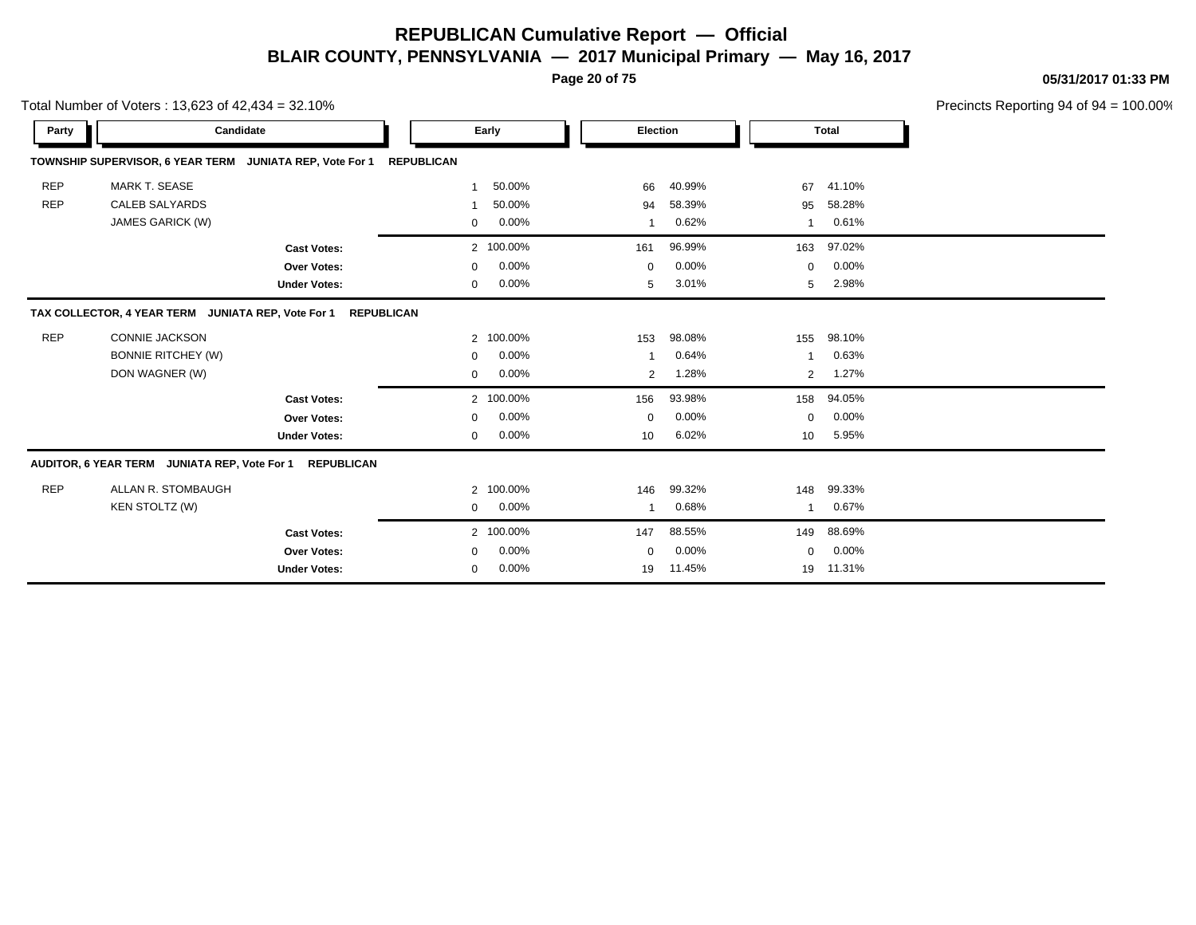**Page 20 of 75**

**05/31/2017 01:33 PM**

|            | Total Number of Voters: 13,623 of 42,434 = 32.10%        |                     |                   |           |             |        |             |              | Precincts Reporting 94 of 94 |
|------------|----------------------------------------------------------|---------------------|-------------------|-----------|-------------|--------|-------------|--------------|------------------------------|
| Party      |                                                          | Candidate           |                   | Early     | Election    |        |             | <b>Total</b> |                              |
|            | TOWNSHIP SUPERVISOR, 6 YEAR TERM JUNIATA REP, Vote For 1 |                     | <b>REPUBLICAN</b> |           |             |        |             |              |                              |
| <b>REP</b> | <b>MARK T. SEASE</b>                                     |                     | 1                 | 50.00%    | 66          | 40.99% | 67          | 41.10%       |                              |
| <b>REP</b> | <b>CALEB SALYARDS</b>                                    |                     | -1                | 50.00%    | 94          | 58.39% | 95          | 58.28%       |                              |
|            | JAMES GARICK (W)                                         |                     | $\mathbf 0$       | 0.00%     |             | 0.62%  | -1          | 0.61%        |                              |
|            |                                                          | <b>Cast Votes:</b>  |                   | 2 100.00% | 161         | 96.99% | 163         | 97.02%       |                              |
|            |                                                          | <b>Over Votes:</b>  | 0                 | 0.00%     | $\mathbf 0$ | 0.00%  | $\mathbf 0$ | 0.00%        |                              |
|            |                                                          | <b>Under Votes:</b> | 0                 | 0.00%     | 5           | 3.01%  | 5           | 2.98%        |                              |
|            | TAX COLLECTOR, 4 YEAR TERM JUNIATA REP, Vote For 1       | <b>REPUBLICAN</b>   |                   |           |             |        |             |              |                              |
| <b>REP</b> | <b>CONNIE JACKSON</b>                                    |                     |                   | 2 100.00% | 153         | 98.08% | 155         | 98.10%       |                              |
|            | <b>BONNIE RITCHEY (W)</b>                                |                     | 0                 | 0.00%     |             | 0.64%  |             | 0.63%        |                              |
|            | DON WAGNER (W)                                           |                     | 0                 | 0.00%     | 2           | 1.28%  | 2           | 1.27%        |                              |
|            |                                                          | <b>Cast Votes:</b>  |                   | 2 100.00% | 156         | 93.98% | 158         | 94.05%       |                              |
|            |                                                          | Over Votes:         | 0                 | 0.00%     | $\mathbf 0$ | 0.00%  | $\mathbf 0$ | 0.00%        |                              |
|            |                                                          | <b>Under Votes:</b> | 0                 | 0.00%     | 10          | 6.02%  | 10          | 5.95%        |                              |
|            | AUDITOR, 6 YEAR TERM JUNIATA REP, Vote For 1             | <b>REPUBLICAN</b>   |                   |           |             |        |             |              |                              |
| <b>REP</b> | ALLAN R. STOMBAUGH                                       |                     |                   | 2 100.00% | 146         | 99.32% | 148         | 99.33%       |                              |
|            | KEN STOLTZ (W)                                           |                     | 0                 | 0.00%     |             | 0.68%  | -1          | 0.67%        |                              |
|            |                                                          | <b>Cast Votes:</b>  |                   | 2 100.00% | 147         | 88.55% | 149         | 88.69%       |                              |
|            |                                                          | <b>Over Votes:</b>  | 0                 | 0.00%     | $\mathbf 0$ | 0.00%  | $\mathbf 0$ | 0.00%        |                              |
|            |                                                          | <b>Under Votes:</b> | 0                 | 0.00%     | 19          | 11.45% | 19          | 11.31%       |                              |
|            |                                                          |                     |                   |           |             |        |             |              |                              |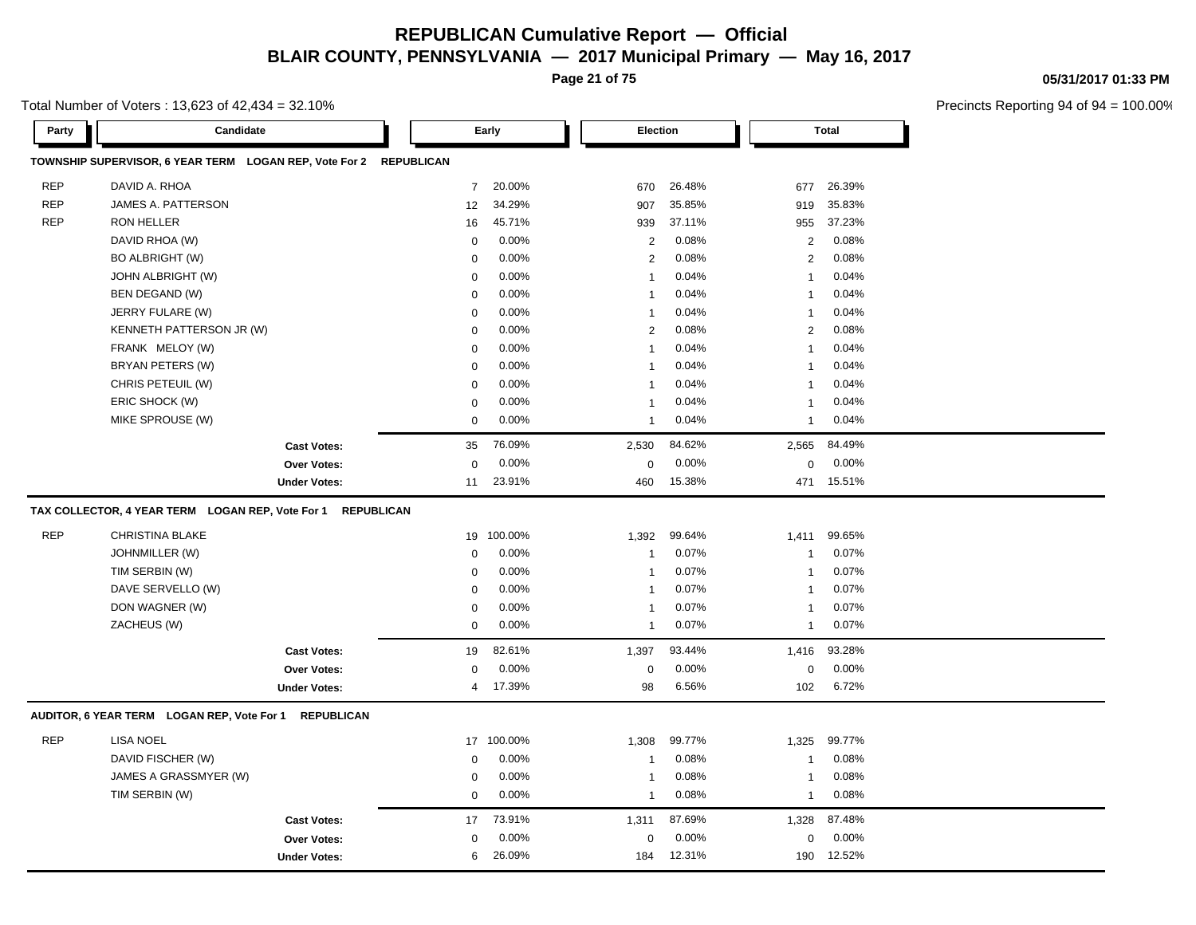**Page 21 of 75**

**05/31/2017 01:33 PM**

| Total Number of Voters: 13,623 of 42,434 = 32.10% |  |
|---------------------------------------------------|--|
|---------------------------------------------------|--|

| Party      | Candidate                                                         |                     |                | Early      | Election       |        |                          | <b>Total</b> |  |
|------------|-------------------------------------------------------------------|---------------------|----------------|------------|----------------|--------|--------------------------|--------------|--|
|            | TOWNSHIP SUPERVISOR, 6 YEAR TERM LOGAN REP, Vote For 2 REPUBLICAN |                     |                |            |                |        |                          |              |  |
| <b>REP</b> | DAVID A. RHOA                                                     |                     | $\overline{7}$ | 20.00%     | 670            | 26.48% | 677                      | 26.39%       |  |
| <b>REP</b> | JAMES A. PATTERSON                                                |                     | 12             | 34.29%     | 907            | 35.85% | 919                      | 35.83%       |  |
| <b>REP</b> | RON HELLER                                                        |                     | 16             | 45.71%     | 939            | 37.11% | 955                      | 37.23%       |  |
|            | DAVID RHOA (W)                                                    |                     | $\mathbf 0$    | 0.00%      | 2              | 0.08%  | 2                        | 0.08%        |  |
|            | <b>BO ALBRIGHT (W)</b>                                            |                     | $\Omega$       | 0.00%      | 2              | 0.08%  | 2                        | 0.08%        |  |
|            | JOHN ALBRIGHT (W)                                                 |                     | $\mathbf 0$    | 0.00%      | $\mathbf{1}$   | 0.04%  | $\mathbf{1}$             | 0.04%        |  |
|            | BEN DEGAND (W)                                                    |                     | $\mathbf 0$    | 0.00%      | $\mathbf{1}$   | 0.04%  | -1                       | 0.04%        |  |
|            | JERRY FULARE (W)                                                  |                     | $\mathbf 0$    | 0.00%      | $\overline{1}$ | 0.04%  | 1                        | 0.04%        |  |
|            | KENNETH PATTERSON JR (W)                                          |                     | $\mathbf 0$    | 0.00%      | 2              | 0.08%  | 2                        | 0.08%        |  |
|            | FRANK MELOY (W)                                                   |                     | $\mathbf 0$    | 0.00%      | $\overline{1}$ | 0.04%  | $\mathbf{1}$             | 0.04%        |  |
|            | BRYAN PETERS (W)                                                  |                     | $\mathbf 0$    | 0.00%      | $\mathbf{1}$   | 0.04%  | $\mathbf{1}$             | 0.04%        |  |
|            | CHRIS PETEUIL (W)                                                 |                     | $\mathbf 0$    | 0.00%      | 1              | 0.04%  | 1                        | 0.04%        |  |
|            | ERIC SHOCK (W)                                                    |                     | $\mathbf 0$    | 0.00%      | $\overline{1}$ | 0.04%  | $\overline{1}$           | 0.04%        |  |
|            | MIKE SPROUSE (W)                                                  |                     | 0              | 0.00%      | $\mathbf{1}$   | 0.04%  | $\mathbf{1}$             | 0.04%        |  |
|            |                                                                   | <b>Cast Votes:</b>  | 35             | 76.09%     | 2,530          | 84.62% | 2,565                    | 84.49%       |  |
|            |                                                                   | Over Votes:         | $\mathbf 0$    | 0.00%      | $\mathbf 0$    | 0.00%  | $\mathbf 0$              | 0.00%        |  |
|            |                                                                   | <b>Under Votes:</b> | 11             | 23.91%     | 460            | 15.38% | 471                      | 15.51%       |  |
|            | TAX COLLECTOR, 4 YEAR TERM LOGAN REP, Vote For 1 REPUBLICAN       |                     |                |            |                |        |                          |              |  |
| <b>REP</b> | <b>CHRISTINA BLAKE</b>                                            |                     |                | 19 100.00% | 1,392          | 99.64% | 1,411                    | 99.65%       |  |
|            | JOHNMILLER (W)                                                    |                     | $\mathbf 0$    | 0.00%      | -1             | 0.07%  | -1                       | 0.07%        |  |
|            | TIM SERBIN (W)                                                    |                     | $\mathbf 0$    | 0.00%      | $\overline{1}$ | 0.07%  | -1                       | 0.07%        |  |
|            | DAVE SERVELLO (W)                                                 |                     | $\mathbf 0$    | 0.00%      | -1             | 0.07%  | -1                       | 0.07%        |  |
|            | DON WAGNER (W)                                                    |                     | $\Omega$       | 0.00%      | $\overline{1}$ | 0.07%  | -1                       | 0.07%        |  |
|            | ZACHEUS (W)                                                       |                     | $\mathbf 0$    | 0.00%      | $\mathbf{1}$   | 0.07%  | $\mathbf{1}$             | 0.07%        |  |
|            |                                                                   | <b>Cast Votes:</b>  | 19             | 82.61%     | 1,397          | 93.44% | 1,416                    | 93.28%       |  |
|            |                                                                   | Over Votes:         | $\Omega$       | 0.00%      | $\mathbf 0$    | 0.00%  | 0                        | 0.00%        |  |
|            |                                                                   | <b>Under Votes:</b> | 4              | 17.39%     | 98             | 6.56%  | 102                      | 6.72%        |  |
|            | AUDITOR, 6 YEAR TERM LOGAN REP, Vote For 1                        | <b>REPUBLICAN</b>   |                |            |                |        |                          |              |  |
| <b>REP</b> | <b>LISA NOEL</b>                                                  |                     |                | 17 100.00% | 1,308          | 99.77% | 1,325                    | 99.77%       |  |
|            | DAVID FISCHER (W)                                                 |                     | $\mathbf 0$    | 0.00%      | -1             | 0.08%  | -1                       | 0.08%        |  |
|            | JAMES A GRASSMYER (W)                                             |                     | $\mathbf 0$    | 0.00%      | -1             | 0.08%  | $\overline{\phantom{a}}$ | 0.08%        |  |
|            | TIM SERBIN (W)                                                    |                     | $\mathbf 0$    | 0.00%      | $\mathbf{1}$   | 0.08%  | $\mathbf{1}$             | 0.08%        |  |
|            |                                                                   | <b>Cast Votes:</b>  | 17             | 73.91%     | 1,311          | 87.69% | 1,328                    | 87.48%       |  |
|            |                                                                   | <b>Over Votes:</b>  | $\mathbf 0$    | 0.00%      | $\Omega$       | 0.00%  | $\Omega$                 | 0.00%        |  |
|            |                                                                   | <b>Under Votes:</b> | 6              | 26.09%     | 184            | 12.31% | 190                      | 12.52%       |  |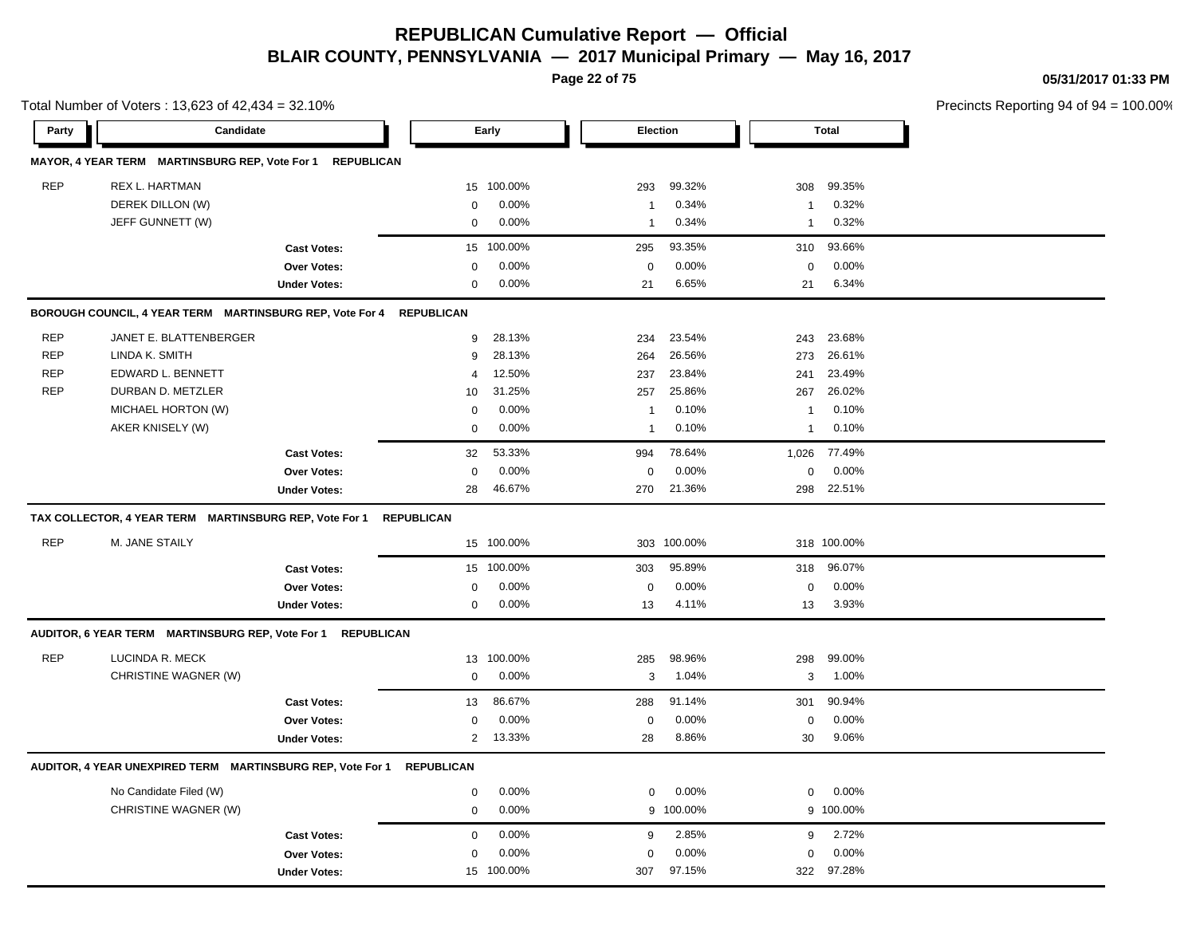**Page 22 of 75**

**05/31/2017 01:33 PM**

|            | Total Number of Voters: 13,623 of 42,434 = 32.10%           |                     |                   |            |                  |             |                |              | Precincts Reporting 94 of 94 = 100.00% |
|------------|-------------------------------------------------------------|---------------------|-------------------|------------|------------------|-------------|----------------|--------------|----------------------------------------|
| Party      | Candidate                                                   |                     |                   | Early      | <b>Election</b>  |             |                | <b>Total</b> |                                        |
|            | MAYOR, 4 YEAR TERM MARTINSBURG REP, Vote For 1 REPUBLICAN   |                     |                   |            |                  |             |                |              |                                        |
| <b>REP</b> | REX L. HARTMAN                                              |                     | 15                | 100.00%    | 293              | 99.32%      | 308            | 99.35%       |                                        |
|            | DEREK DILLON (W)                                            |                     | $\mathbf 0$       | 0.00%      | $\mathbf 1$      | 0.34%       | $\overline{1}$ | 0.32%        |                                        |
|            | JEFF GUNNETT (W)                                            |                     | $\mathbf 0$       | 0.00%      | $\mathbf 1$      | 0.34%       | $\mathbf{1}$   | 0.32%        |                                        |
|            |                                                             | <b>Cast Votes:</b>  | 15                | 100.00%    | 295              | 93.35%      | 310            | 93.66%       |                                        |
|            |                                                             | <b>Over Votes:</b>  | $\mathbf 0$       | 0.00%      | $\boldsymbol{0}$ | 0.00%       | $\mathbf 0$    | 0.00%        |                                        |
|            |                                                             | <b>Under Votes:</b> | $\mathbf 0$       | 0.00%      | 21               | 6.65%       | 21             | 6.34%        |                                        |
|            | BOROUGH COUNCIL, 4 YEAR TERM MARTINSBURG REP, Vote For 4    |                     | <b>REPUBLICAN</b> |            |                  |             |                |              |                                        |
| <b>REP</b> | JANET E. BLATTENBERGER                                      |                     | 9                 | 28.13%     | 234              | 23.54%      | 243            | 23.68%       |                                        |
| <b>REP</b> | LINDA K. SMITH                                              |                     | 9                 | 28.13%     | 264              | 26.56%      | 273            | 26.61%       |                                        |
| <b>REP</b> | EDWARD L. BENNETT                                           |                     | 4                 | 12.50%     | 237              | 23.84%      | 241            | 23.49%       |                                        |
| <b>REP</b> | DURBAN D. METZLER                                           |                     | 10                | 31.25%     | 257              | 25.86%      | 267            | 26.02%       |                                        |
|            | MICHAEL HORTON (W)                                          |                     | 0                 | 0.00%      | $\mathbf{1}$     | 0.10%       | $\overline{1}$ | 0.10%        |                                        |
|            | AKER KNISELY (W)                                            |                     | $\mathbf 0$       | 0.00%      | $\mathbf 1$      | 0.10%       | $\overline{1}$ | 0.10%        |                                        |
|            |                                                             | <b>Cast Votes:</b>  | 32                | 53.33%     | 994              | 78.64%      | 1,026          | 77.49%       |                                        |
|            |                                                             | <b>Over Votes:</b>  | $\mathbf 0$       | 0.00%      | $\mathbf 0$      | 0.00%       | $\mathbf 0$    | 0.00%        |                                        |
|            |                                                             | <b>Under Votes:</b> | 28                | 46.67%     | 270              | 21.36%      | 298            | 22.51%       |                                        |
|            | TAX COLLECTOR, 4 YEAR TERM MARTINSBURG REP, Vote For 1      |                     | <b>REPUBLICAN</b> |            |                  |             |                |              |                                        |
| <b>REP</b> | M. JANE STAILY                                              |                     |                   | 15 100.00% |                  | 303 100.00% |                | 318 100.00%  |                                        |
|            |                                                             | <b>Cast Votes:</b>  |                   | 15 100.00% | 303              | 95.89%      | 318            | 96.07%       |                                        |
|            |                                                             | <b>Over Votes:</b>  | 0                 | 0.00%      | 0                | 0.00%       | $\mathbf 0$    | 0.00%        |                                        |
|            |                                                             | <b>Under Votes:</b> | $\mathbf{0}$      | 0.00%      | 13               | 4.11%       | 13             | 3.93%        |                                        |
|            | AUDITOR, 6 YEAR TERM MARTINSBURG REP, Vote For 1 REPUBLICAN |                     |                   |            |                  |             |                |              |                                        |
| <b>REP</b> | LUCINDA R. MECK                                             |                     | 13                | 100.00%    | 285              | 98.96%      | 298            | 99.00%       |                                        |
|            | CHRISTINE WAGNER (W)                                        |                     | $\mathbf 0$       | 0.00%      | 3                | 1.04%       | 3              | 1.00%        |                                        |
|            |                                                             | <b>Cast Votes:</b>  | 13                | 86.67%     | 288              | 91.14%      | 301            | 90.94%       |                                        |
|            |                                                             | Over Votes:         | $\mathbf 0$       | 0.00%      | $\mathbf 0$      | 0.00%       | $\mathbf 0$    | 0.00%        |                                        |
|            |                                                             | <b>Under Votes:</b> | $\overline{2}$    | 13.33%     | 28               | 8.86%       | 30             | 9.06%        |                                        |
|            | AUDITOR, 4 YEAR UNEXPIRED TERM MARTINSBURG REP, Vote For 1  |                     | <b>REPUBLICAN</b> |            |                  |             |                |              |                                        |
|            | No Candidate Filed (W)                                      |                     | $\mathbf 0$       | 0.00%      | $\mathbf 0$      | 0.00%       | $\mathbf 0$    | 0.00%        |                                        |
|            | CHRISTINE WAGNER (W)                                        |                     | $\mathbf 0$       | 0.00%      |                  | 9 100.00%   |                | 9 100.00%    |                                        |
|            |                                                             | <b>Cast Votes:</b>  | $\mathbf 0$       | 0.00%      | 9                | 2.85%       | 9              | 2.72%        |                                        |
|            |                                                             | <b>Over Votes:</b>  | $\mathbf 0$       | 0.00%      | $\Omega$         | 0.00%       | $\mathbf 0$    | 0.00%        |                                        |
|            |                                                             | <b>Under Votes:</b> | 15                | 100.00%    | 307              | 97.15%      | 322            | 97.28%       |                                        |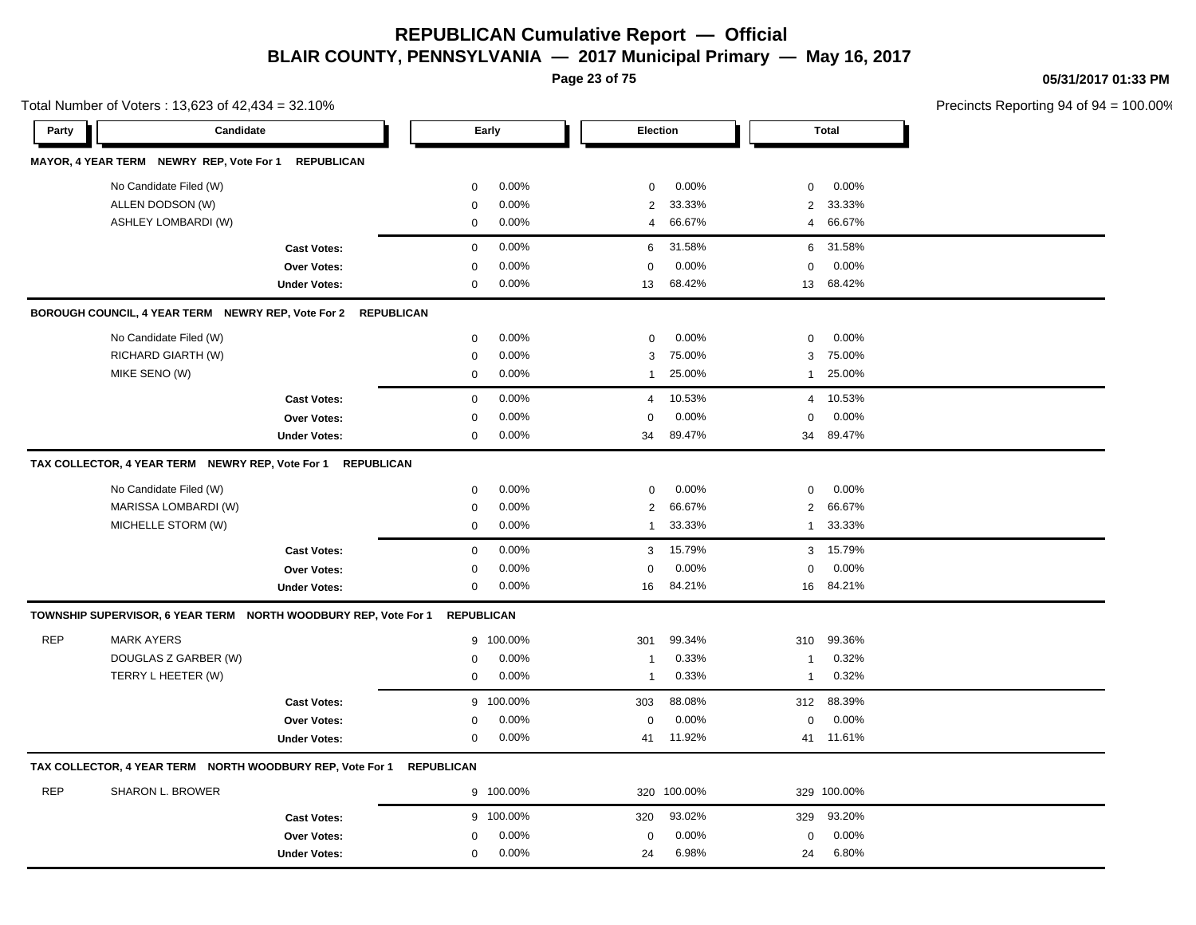**Page 23 of 75**

**05/31/2017 01:33 PM**

|            | Total Number of Voters: 13,623 of 42,434 = 32.10%                    |                     |                     |           |                 |             |                |              | Precincts Reporting 94 of 9 |
|------------|----------------------------------------------------------------------|---------------------|---------------------|-----------|-----------------|-------------|----------------|--------------|-----------------------------|
| Party      | Candidate                                                            |                     |                     | Early     | <b>Election</b> |             |                | <b>Total</b> |                             |
|            | MAYOR, 4 YEAR TERM NEWRY REP, Vote For 1 REPUBLICAN                  |                     |                     |           |                 |             |                |              |                             |
|            | No Candidate Filed (W)                                               |                     | $\mathbf 0$         | 0.00%     | $\mathbf 0$     | 0.00%       | $\mathbf 0$    | 0.00%        |                             |
|            | ALLEN DODSON (W)                                                     |                     | $\mathbf 0$         | 0.00%     | 2               | 33.33%      | $\overline{2}$ | 33.33%       |                             |
|            | ASHLEY LOMBARDI (W)                                                  |                     | $\mathbf 0$         | 0.00%     | $\overline{4}$  | 66.67%      | $\overline{4}$ | 66.67%       |                             |
|            |                                                                      | <b>Cast Votes:</b>  | $\mathsf{O}\xspace$ | 0.00%     | $\,6$           | 31.58%      | 6              | 31.58%       |                             |
|            |                                                                      | Over Votes:         | $\pmb{0}$           | 0.00%     | $\Omega$        | 0.00%       | $\Omega$       | 0.00%        |                             |
|            |                                                                      | <b>Under Votes:</b> | 0                   | 0.00%     | 13              | 68.42%      | 13             | 68.42%       |                             |
|            | BOROUGH COUNCIL, 4 YEAR TERM NEWRY REP, Vote For 2 REPUBLICAN        |                     |                     |           |                 |             |                |              |                             |
|            | No Candidate Filed (W)                                               |                     | $\mathbf 0$         | 0.00%     | $\mathbf 0$     | 0.00%       | $\mathbf 0$    | 0.00%        |                             |
|            | RICHARD GIARTH (W)                                                   |                     | $\mathbf 0$         | 0.00%     | 3               | 75.00%      | 3              | 75.00%       |                             |
|            | MIKE SENO (W)                                                        |                     | $\mathbf 0$         | 0.00%     | $\mathbf{1}$    | 25.00%      | 1              | 25.00%       |                             |
|            |                                                                      | <b>Cast Votes:</b>  | $\mathbf 0$         | 0.00%     | $\overline{4}$  | 10.53%      | $\overline{4}$ | 10.53%       |                             |
|            |                                                                      | Over Votes:         | $\mathbf 0$         | 0.00%     | $\Omega$        | 0.00%       | $\mathbf 0$    | 0.00%        |                             |
|            |                                                                      | <b>Under Votes:</b> | $\mathbf 0$         | 0.00%     | 34              | 89.47%      | 34             | 89.47%       |                             |
|            | TAX COLLECTOR, 4 YEAR TERM NEWRY REP, Vote For 1 REPUBLICAN          |                     |                     |           |                 |             |                |              |                             |
|            | No Candidate Filed (W)                                               |                     | $\mathbf 0$         | 0.00%     | $\mathbf 0$     | 0.00%       | $\mathbf 0$    | 0.00%        |                             |
|            | MARISSA LOMBARDI (W)                                                 |                     | $\mathbf 0$         | 0.00%     | $\overline{2}$  | 66.67%      | 2              | 66.67%       |                             |
|            | MICHELLE STORM (W)                                                   |                     | $\mathbf 0$         | 0.00%     | $\overline{1}$  | 33.33%      | $\mathbf{1}$   | 33.33%       |                             |
|            |                                                                      | <b>Cast Votes:</b>  | $\mathbf 0$         | 0.00%     | 3               | 15.79%      | 3              | 15.79%       |                             |
|            |                                                                      | Over Votes:         | $\mathbf 0$         | 0.00%     | $\Omega$        | 0.00%       | $\Omega$       | 0.00%        |                             |
|            |                                                                      | <b>Under Votes:</b> | 0                   | 0.00%     | 16              | 84.21%      |                | 16 84.21%    |                             |
|            | TOWNSHIP SUPERVISOR, 6 YEAR TERM NORTH WOODBURY REP, Vote For 1      |                     | <b>REPUBLICAN</b>   |           |                 |             |                |              |                             |
| <b>REP</b> | <b>MARK AYERS</b>                                                    |                     |                     | 9 100.00% | 301             | 99.34%      | 310            | 99.36%       |                             |
|            | DOUGLAS Z GARBER (W)                                                 |                     | 0                   | 0.00%     | $\overline{1}$  | 0.33%       | $\mathbf{1}$   | 0.32%        |                             |
|            | TERRY L HEETER (W)                                                   |                     | 0                   | 0.00%     | $\overline{1}$  | 0.33%       | $\mathbf{1}$   | 0.32%        |                             |
|            |                                                                      | <b>Cast Votes:</b>  |                     | 9 100.00% | 303             | 88.08%      | 312            | 88.39%       |                             |
|            |                                                                      | Over Votes:         | 0                   | 0.00%     | 0               | 0.00%       | 0              | 0.00%        |                             |
|            |                                                                      | <b>Under Votes:</b> | 0                   | $0.00\%$  | 41              | 11.92%      |                | 41 11.61%    |                             |
|            | TAX COLLECTOR, 4 YEAR TERM NORTH WOODBURY REP, Vote For 1 REPUBLICAN |                     |                     |           |                 |             |                |              |                             |
| <b>REP</b> | <b>SHARON L. BROWER</b>                                              |                     |                     | 9 100.00% |                 | 320 100.00% |                | 329 100.00%  |                             |
|            |                                                                      | <b>Cast Votes:</b>  |                     | 9 100.00% | 320             | 93.02%      | 329            | 93.20%       |                             |
|            |                                                                      | Over Votes:         | $\mathbf 0$         | 0.00%     | $\mathbf 0$     | 0.00%       | $\mathbf 0$    | 0.00%        |                             |
|            |                                                                      | <b>Under Votes:</b> | $\mathbf 0$         | 0.00%     | 24              | 6.98%       | 24             | 6.80%        |                             |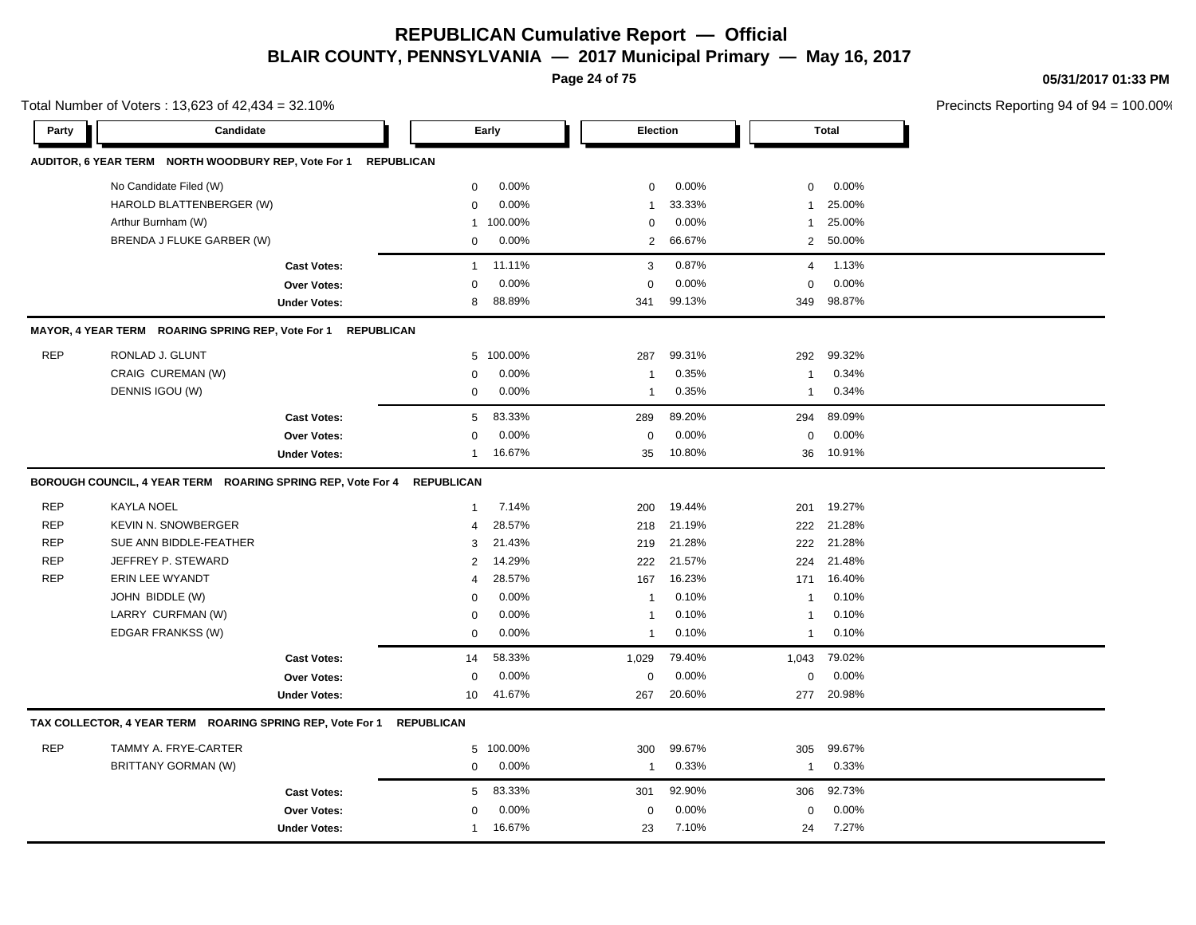**Page 24 of 75**

**05/31/2017 01:33 PM**

|            | Total Number of Voters: 13,623 of 42,434 = 32.10%              |                     |                   |         |              |        |                         |              | Precincts Reporting 94 of 94 |
|------------|----------------------------------------------------------------|---------------------|-------------------|---------|--------------|--------|-------------------------|--------------|------------------------------|
| Party      | Candidate                                                      |                     |                   | Early   | Election     |        |                         | <b>Total</b> |                              |
|            | AUDITOR, 6 YEAR TERM NORTH WOODBURY REP, Vote For 1 REPUBLICAN |                     |                   |         |              |        |                         |              |                              |
|            | No Candidate Filed (W)                                         |                     | $\mathbf 0$       | 0.00%   | 0            | 0.00%  | 0                       | 0.00%        |                              |
|            | HAROLD BLATTENBERGER (W)                                       |                     | $\Omega$          | 0.00%   | 1            | 33.33% | 1                       | 25.00%       |                              |
|            | Arthur Burnham (W)                                             |                     | $\mathbf{1}$      | 100.00% | $\mathbf 0$  | 0.00%  | 1                       | 25.00%       |                              |
|            | BRENDA J FLUKE GARBER (W)                                      |                     | $\mathbf 0$       | 0.00%   | 2            | 66.67% |                         | 2 50.00%     |                              |
|            |                                                                | <b>Cast Votes:</b>  | $\mathbf{1}$      | 11.11%  | 3            | 0.87%  | 4                       | 1.13%        |                              |
|            |                                                                | Over Votes:         | $\Omega$          | 0.00%   | $\Omega$     | 0.00%  | 0                       | 0.00%        |                              |
|            |                                                                | <b>Under Votes:</b> | 8                 | 88.89%  | 341          | 99.13% | 349                     | 98.87%       |                              |
|            | MAYOR, 4 YEAR TERM ROARING SPRING REP, Vote For 1              | <b>REPUBLICAN</b>   |                   |         |              |        |                         |              |                              |
| <b>REP</b> | RONLAD J. GLUNT                                                |                     | 5                 | 100.00% | 287          | 99.31% | 292                     | 99.32%       |                              |
|            | CRAIG CUREMAN (W)                                              |                     | $\mathbf 0$       | 0.00%   | -1           | 0.35%  | -1                      | 0.34%        |                              |
|            | DENNIS IGOU (W)                                                |                     | $\mathbf 0$       | 0.00%   | $\mathbf{1}$ | 0.35%  | $\overline{1}$          | 0.34%        |                              |
|            |                                                                | <b>Cast Votes:</b>  | 5                 | 83.33%  | 289          | 89.20% | 294                     | 89.09%       |                              |
|            |                                                                | <b>Over Votes:</b>  | $\mathbf 0$       | 0.00%   | 0            | 0.00%  | 0                       | 0.00%        |                              |
|            |                                                                | <b>Under Votes:</b> | 1                 | 16.67%  | 35           | 10.80% | 36                      | 10.91%       |                              |
|            | BOROUGH COUNCIL, 4 YEAR TERM ROARING SPRING REP, Vote For 4    |                     | <b>REPUBLICAN</b> |         |              |        |                         |              |                              |
| <b>REP</b> | <b>KAYLA NOEL</b>                                              |                     | $\mathbf{1}$      | 7.14%   | 200          | 19.44% | 201                     | 19.27%       |                              |
| <b>REP</b> | <b>KEVIN N. SNOWBERGER</b>                                     |                     | 4                 | 28.57%  | 218          | 21.19% | 222                     | 21.28%       |                              |
| <b>REP</b> | SUE ANN BIDDLE-FEATHER                                         |                     | 3                 | 21.43%  | 219          | 21.28% | 222                     | 21.28%       |                              |
| <b>REP</b> | JEFFREY P. STEWARD                                             |                     | 2                 | 14.29%  | 222          | 21.57% | 224                     | 21.48%       |                              |
| <b>REP</b> | <b>ERIN LEE WYANDT</b>                                         |                     | 4                 | 28.57%  | 167          | 16.23% | 171                     | 16.40%       |                              |
|            | JOHN BIDDLE (W)                                                |                     | $\mathbf 0$       | 0.00%   | $\mathbf{1}$ | 0.10%  | $\overline{1}$          | 0.10%        |                              |
|            | LARRY CURFMAN (W)                                              |                     | $\mathbf 0$       | 0.00%   | $\mathbf{1}$ | 0.10%  | $\overline{1}$          | 0.10%        |                              |
|            | EDGAR FRANKSS (W)                                              |                     | 0                 | 0.00%   | 1            | 0.10%  | $\mathbf{1}$            | 0.10%        |                              |
|            |                                                                | <b>Cast Votes:</b>  | 14                | 58.33%  | 1,029        | 79.40% | 1,043                   | 79.02%       |                              |
|            |                                                                | Over Votes:         | $\mathbf 0$       | 0.00%   | $\mathsf 0$  | 0.00%  | 0                       | 0.00%        |                              |
|            |                                                                | <b>Under Votes:</b> | 10                | 41.67%  | 267          | 20.60% | 277                     | 20.98%       |                              |
|            | TAX COLLECTOR, 4 YEAR TERM ROARING SPRING REP, Vote For 1      |                     | <b>REPUBLICAN</b> |         |              |        |                         |              |                              |
| <b>REP</b> | TAMMY A. FRYE-CARTER                                           |                     | 5                 | 100.00% | 300          | 99.67% | 305                     | 99.67%       |                              |
|            | BRITTANY GORMAN (W)                                            |                     | 0                 | 0.00%   | $\mathbf{1}$ | 0.33%  | $\overline{\mathbf{1}}$ | 0.33%        |                              |
|            |                                                                | <b>Cast Votes:</b>  | 5                 | 83.33%  | 301          | 92.90% | 306                     | 92.73%       |                              |
|            |                                                                | Over Votes:         | $\mathbf 0$       | 0.00%   | 0            | 0.00%  | 0                       | 0.00%        |                              |
|            |                                                                | <b>Under Votes:</b> | 1                 | 16.67%  | 23           | 7.10%  | 24                      | 7.27%        |                              |
|            |                                                                |                     |                   |         |              |        |                         |              |                              |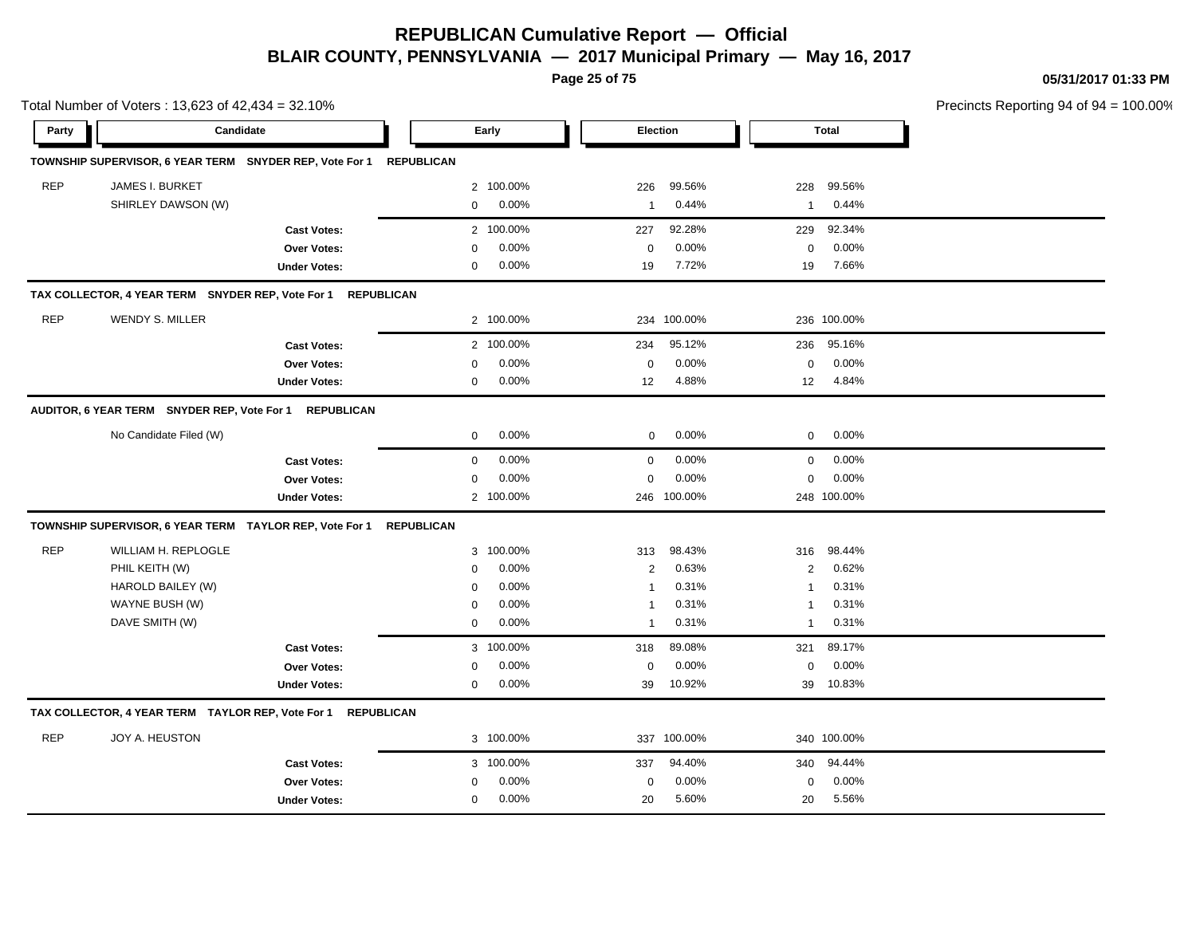**Page 25 of 75**

**05/31/2017 01:33 PM**

|            | Total Number of Voters: 13,623 of 42,434 = 32.10%            |                     |                   |           |              |             |                         |              | Precincts Reporting 94 of 94 |
|------------|--------------------------------------------------------------|---------------------|-------------------|-----------|--------------|-------------|-------------------------|--------------|------------------------------|
| Party      |                                                              | Candidate           |                   | Early     | Election     |             |                         | <b>Total</b> |                              |
|            | TOWNSHIP SUPERVISOR, 6 YEAR TERM SNYDER REP, Vote For 1      |                     | <b>REPUBLICAN</b> |           |              |             |                         |              |                              |
| <b>REP</b> | JAMES I. BURKET                                              |                     |                   | 2 100.00% | 226          | 99.56%      | 228                     | 99.56%       |                              |
|            | SHIRLEY DAWSON (W)                                           |                     | $\mathbf 0$       | 0.00%     | $\mathbf{1}$ | 0.44%       | $\mathbf{1}$            | 0.44%        |                              |
|            |                                                              | <b>Cast Votes:</b>  | $\mathbf{2}$      | 100.00%   | 227          | 92.28%      | 229                     | 92.34%       |                              |
|            |                                                              | Over Votes:         | $\Omega$          | 0.00%     | $\mathbf 0$  | 0.00%       | 0                       | 0.00%        |                              |
|            |                                                              | <b>Under Votes:</b> | 0                 | 0.00%     | 19           | 7.72%       | 19                      | 7.66%        |                              |
|            | TAX COLLECTOR, 4 YEAR TERM SNYDER REP, Vote For 1            |                     | <b>REPUBLICAN</b> |           |              |             |                         |              |                              |
| <b>REP</b> | <b>WENDY S. MILLER</b>                                       |                     |                   | 2 100.00% |              | 234 100.00% |                         | 236 100.00%  |                              |
|            |                                                              | <b>Cast Votes:</b>  |                   | 2 100.00% | 234          | 95.12%      | 236                     | 95.16%       |                              |
|            |                                                              | Over Votes:         | $\mathbf 0$       | 0.00%     | $\mathbf 0$  | 0.00%       | 0                       | 0.00%        |                              |
|            |                                                              | <b>Under Votes:</b> | 0                 | 0.00%     | 12           | 4.88%       | 12                      | 4.84%        |                              |
|            | AUDITOR, 6 YEAR TERM SNYDER REP, Vote For 1 REPUBLICAN       |                     |                   |           |              |             |                         |              |                              |
|            | No Candidate Filed (W)                                       |                     | $\mathbf 0$       | 0.00%     | 0            | 0.00%       | 0                       | 0.00%        |                              |
|            |                                                              | <b>Cast Votes:</b>  | $\mathsf 0$       | 0.00%     | $\mathbf 0$  | 0.00%       | 0                       | 0.00%        |                              |
|            |                                                              | Over Votes:         | $\mathbf 0$       | 0.00%     | $\mathbf 0$  | 0.00%       | 0                       | 0.00%        |                              |
|            |                                                              | <b>Under Votes:</b> |                   | 2 100.00% |              | 246 100.00% |                         | 248 100.00%  |                              |
|            | TOWNSHIP SUPERVISOR, 6 YEAR TERM TAYLOR REP, Vote For 1      |                     | <b>REPUBLICAN</b> |           |              |             |                         |              |                              |
| <b>REP</b> | WILLIAM H. REPLOGLE                                          |                     | 3                 | 100.00%   | 313          | 98.43%      | 316                     | 98.44%       |                              |
|            | PHIL KEITH (W)                                               |                     | $\mathbf 0$       | 0.00%     | $\sqrt{2}$   | 0.63%       | $\overline{\mathbf{c}}$ | 0.62%        |                              |
|            | HAROLD BAILEY (W)                                            |                     | $\mathbf 0$       | 0.00%     | $\mathbf{1}$ | 0.31%       | $\overline{1}$          | 0.31%        |                              |
|            | WAYNE BUSH (W)                                               |                     | $\mathbf 0$       | 0.00%     | $\mathbf{1}$ | 0.31%       | $\mathbf{1}$            | 0.31%        |                              |
|            | DAVE SMITH (W)                                               |                     | $\mathbf 0$       | 0.00%     | $\mathbf{1}$ | 0.31%       | $\mathbf{1}$            | 0.31%        |                              |
|            |                                                              | <b>Cast Votes:</b>  | 3                 | 100.00%   | 318          | 89.08%      | 321                     | 89.17%       |                              |
|            |                                                              | <b>Over Votes:</b>  | 0                 | 0.00%     | 0            | 0.00%       | 0                       | 0.00%        |                              |
|            |                                                              | <b>Under Votes:</b> | 0                 | 0.00%     | 39           | 10.92%      | 39                      | 10.83%       |                              |
|            | TAX COLLECTOR, 4 YEAR TERM TAYLOR REP, Vote For 1 REPUBLICAN |                     |                   |           |              |             |                         |              |                              |
| <b>REP</b> | JOY A. HEUSTON                                               |                     |                   | 3 100.00% |              | 337 100.00% |                         | 340 100.00%  |                              |
|            |                                                              | <b>Cast Votes:</b>  |                   | 3 100.00% | 337          | 94.40%      | 340                     | 94.44%       |                              |
|            |                                                              | Over Votes:         | 0                 | 0.00%     | 0            | 0.00%       | 0                       | 0.00%        |                              |
|            |                                                              | <b>Under Votes:</b> | 0                 | 0.00%     | 20           | 5.60%       | 20                      | 5.56%        |                              |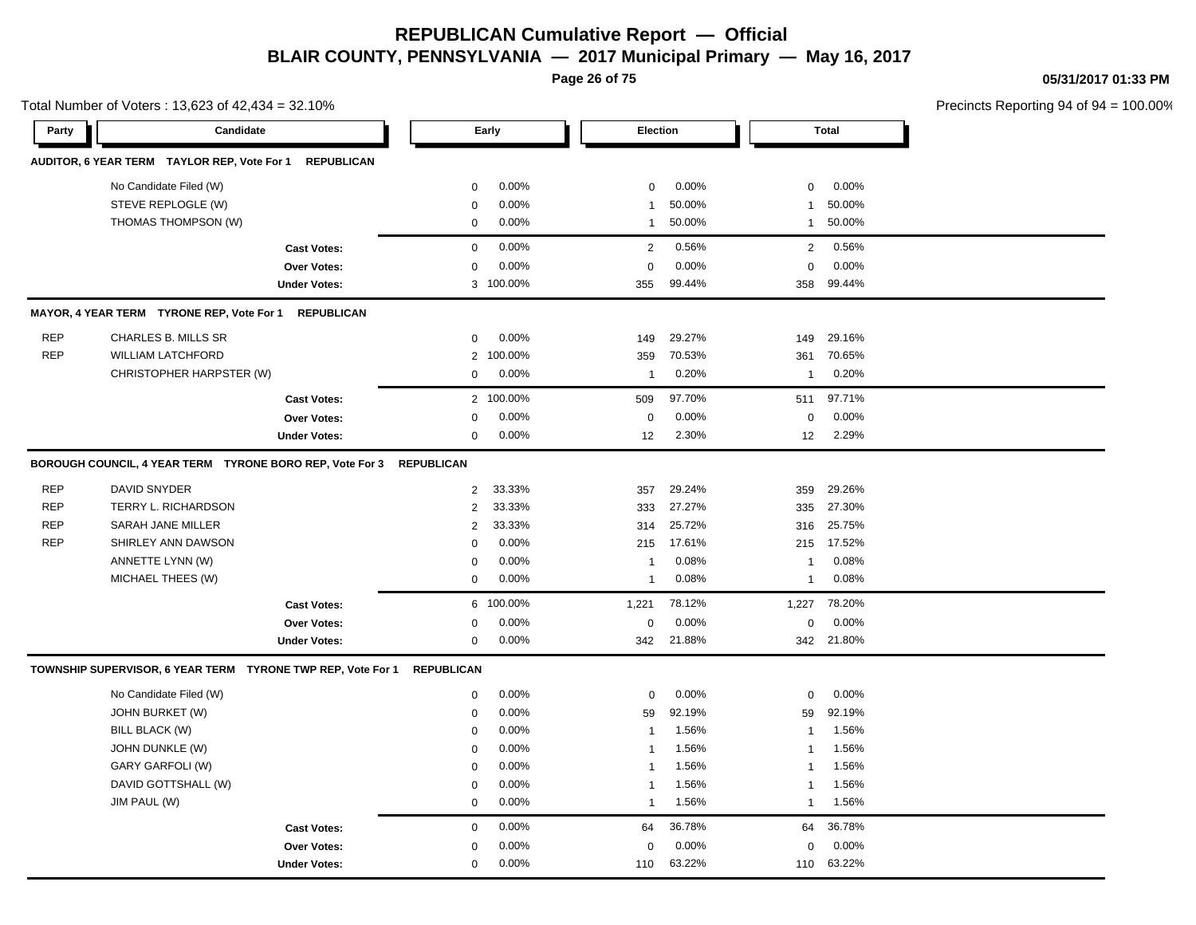**Page 26 of 75**

**05/31/2017 01:33 PM**

Total Number of Voters : 13,623 of 42,434 = 32.10%

| Party      | Candidate                                                             |                     |                   | Early          | Election         |                 |                  | <b>Total</b>    |  |
|------------|-----------------------------------------------------------------------|---------------------|-------------------|----------------|------------------|-----------------|------------------|-----------------|--|
|            | AUDITOR, 6 YEAR TERM TAYLOR REP, Vote For 1                           | <b>REPUBLICAN</b>   |                   |                |                  |                 |                  |                 |  |
|            | No Candidate Filed (W)<br>STEVE REPLOGLE (W)                          |                     | 0<br>0            | 0.00%<br>0.00% | $\mathbf 0$<br>1 | 0.00%<br>50.00% | $\mathbf 0$<br>1 | 0.00%<br>50.00% |  |
|            | THOMAS THOMPSON (W)                                                   |                     | 0                 | 0.00%          | $\mathbf{1}$     | 50.00%          | $\mathbf{1}$     | 50.00%          |  |
|            |                                                                       | <b>Cast Votes:</b>  | $\mathbf 0$       | 0.00%          | $\overline{2}$   | 0.56%           | 2                | 0.56%           |  |
|            |                                                                       | <b>Over Votes:</b>  | 0                 | 0.00%          | $\mathbf 0$      | 0.00%           | $\mathbf 0$      | 0.00%           |  |
|            |                                                                       | <b>Under Votes:</b> |                   | 3 100.00%      | 355              | 99.44%          | 358              | 99.44%          |  |
|            | MAYOR, 4 YEAR TERM TYRONE REP, Vote For 1                             | <b>REPUBLICAN</b>   |                   |                |                  |                 |                  |                 |  |
| <b>REP</b> | CHARLES B. MILLS SR                                                   |                     | $\mathbf 0$       | 0.00%          | 149              | 29.27%          | 149              | 29.16%          |  |
| <b>REP</b> | <b>WILLIAM LATCHFORD</b>                                              |                     | $\overline{2}$    | 100.00%        | 359              | 70.53%          | 361              | 70.65%          |  |
|            | CHRISTOPHER HARPSTER (W)                                              |                     | 0                 | 0.00%          | $\mathbf{1}$     | 0.20%           | $\mathbf{1}$     | 0.20%           |  |
|            |                                                                       | <b>Cast Votes:</b>  |                   | 2 100.00%      | 509              | 97.70%          | 511              | 97.71%          |  |
|            |                                                                       | <b>Over Votes:</b>  | $\Omega$          | 0.00%          | $\mathbf 0$      | 0.00%           | $\mathbf 0$      | 0.00%           |  |
|            |                                                                       | <b>Under Votes:</b> | $\mathbf 0$       | 0.00%          | 12               | 2.30%           | 12               | 2.29%           |  |
|            | BOROUGH COUNCIL, 4 YEAR TERM  TYRONE BORO REP, Vote For 3  REPUBLICAN |                     |                   |                |                  |                 |                  |                 |  |
| <b>REP</b> | DAVID SNYDER                                                          |                     | $\overline{2}$    | 33.33%         | 357              | 29.24%          | 359              | 29.26%          |  |
| <b>REP</b> | TERRY L. RICHARDSON                                                   |                     | $\overline{2}$    | 33.33%         | 333              | 27.27%          | 335              | 27.30%          |  |
| <b>REP</b> | SARAH JANE MILLER                                                     |                     | $\overline{2}$    | 33.33%         | 314              | 25.72%          | 316              | 25.75%          |  |
| <b>REP</b> | SHIRLEY ANN DAWSON                                                    |                     | 0                 | 0.00%          | 215              | 17.61%          | 215              | 17.52%          |  |
|            | ANNETTE LYNN (W)                                                      |                     | $\mathbf 0$       | 0.00%          | $\overline{1}$   | 0.08%           | $\mathbf{1}$     | 0.08%           |  |
|            | MICHAEL THEES (W)                                                     |                     | $\mathbf 0$       | 0.00%          | $\mathbf{1}$     | 0.08%           | $\mathbf{1}$     | 0.08%           |  |
|            |                                                                       | <b>Cast Votes:</b>  | 6                 | 100.00%        | 1,221            | 78.12%          | 1,227            | 78.20%          |  |
|            |                                                                       | <b>Over Votes:</b>  | 0                 | 0.00%          | $\mathbf 0$      | 0.00%           | $\mathbf 0$      | 0.00%           |  |
|            |                                                                       | <b>Under Votes:</b> | 0                 | 0.00%          | 342              | 21.88%          |                  | 342 21.80%      |  |
|            | TOWNSHIP SUPERVISOR, 6 YEAR TERM TYRONE TWP REP, Vote For 1           |                     | <b>REPUBLICAN</b> |                |                  |                 |                  |                 |  |
|            | No Candidate Filed (W)                                                |                     | 0                 | 0.00%          | $\mathbf 0$      | 0.00%           | $\mathbf 0$      | 0.00%           |  |
|            | JOHN BURKET (W)                                                       |                     | 0                 | 0.00%          | 59               | 92.19%          | 59               | 92.19%          |  |
|            | BILL BLACK (W)                                                        |                     | 0                 | 0.00%          | $\mathbf{1}$     | 1.56%           | $\mathbf{1}$     | 1.56%           |  |
|            | JOHN DUNKLE (W)                                                       |                     | 0                 | 0.00%          | $\mathbf{1}$     | 1.56%           | $\mathbf{1}$     | 1.56%           |  |
|            | <b>GARY GARFOLI (W)</b>                                               |                     | $\mathbf 0$       | 0.00%          | $\mathbf{1}$     | 1.56%           | 1                | 1.56%           |  |
|            | DAVID GOTTSHALL (W)                                                   |                     | 0                 | 0.00%          | $\overline{1}$   | 1.56%           | $\mathbf{1}$     | 1.56%           |  |
|            | JIM PAUL (W)                                                          |                     | $\mathbf 0$       | 0.00%          | $\mathbf{1}$     | 1.56%           | $\mathbf{1}$     | 1.56%           |  |
|            |                                                                       | <b>Cast Votes:</b>  | $\mathbf 0$       | 0.00%          | 64               | 36.78%          | 64               | 36.78%          |  |
|            |                                                                       | <b>Over Votes:</b>  | 0                 | 0.00%          | $\mathbf 0$      | 0.00%           | 0                | 0.00%           |  |
|            |                                                                       | <b>Under Votes:</b> | 0                 | 0.00%          | 110              | 63.22%          | 110              | 63.22%          |  |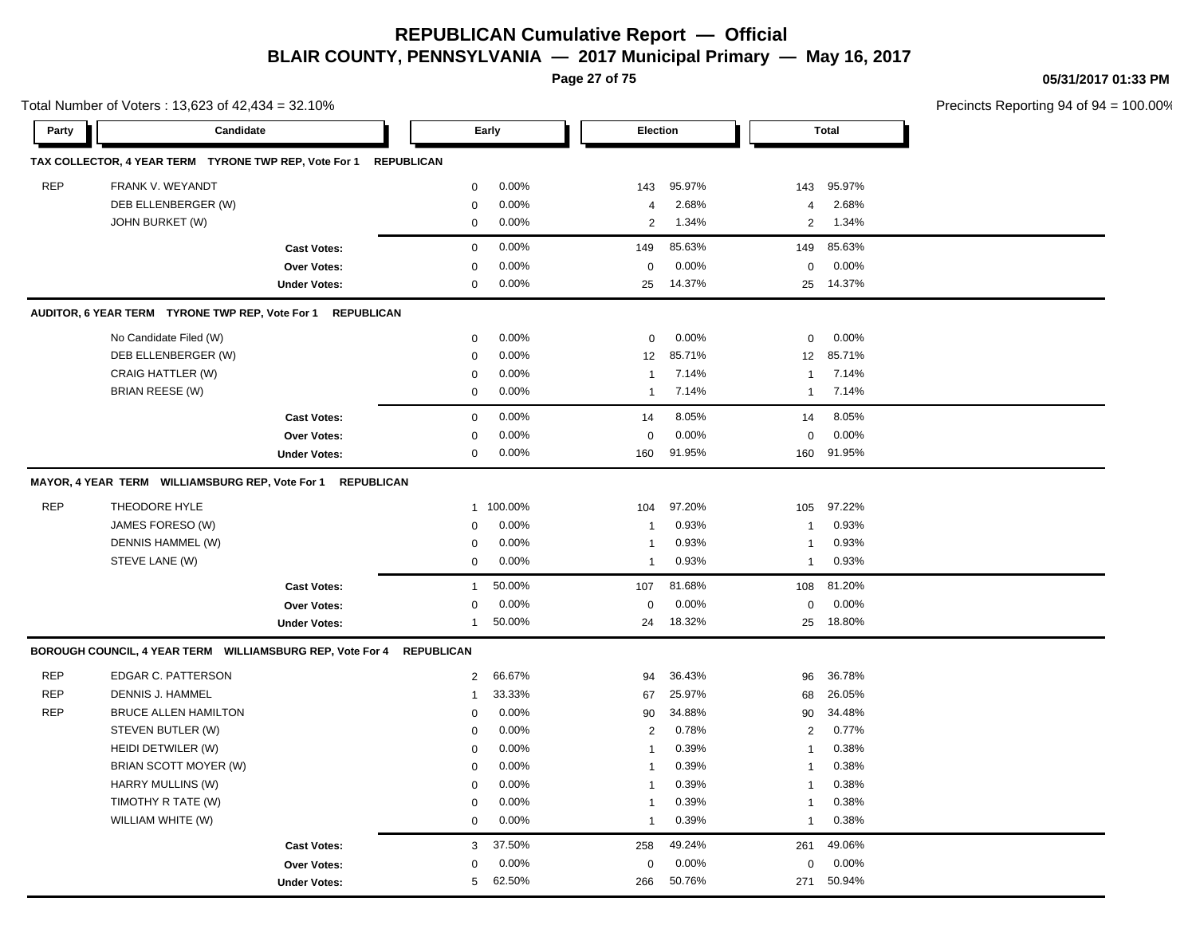**Page 27 of 75**

**05/31/2017 01:33 PM**

|            | Total Number of Voters: 13,623 of 42,434 = 32.10%         |                     |                   |         |                 |        |                |              | Precincts Reporting 94 of 94 = 100.00% |
|------------|-----------------------------------------------------------|---------------------|-------------------|---------|-----------------|--------|----------------|--------------|----------------------------------------|
| Party      | Candidate                                                 |                     |                   | Early   | <b>Election</b> |        |                | <b>Total</b> |                                        |
|            | TAX COLLECTOR, 4 YEAR TERM TYRONE TWP REP, Vote For 1     |                     | <b>REPUBLICAN</b> |         |                 |        |                |              |                                        |
| <b>REP</b> | FRANK V. WEYANDT                                          |                     | 0                 | 0.00%   | 143             | 95.97% | 143            | 95.97%       |                                        |
|            | DEB ELLENBERGER (W)                                       |                     | $\mathbf 0$       | 0.00%   | $\overline{4}$  | 2.68%  | 4              | 2.68%        |                                        |
|            | JOHN BURKET (W)                                           |                     | $\mathbf 0$       | 0.00%   | $\overline{2}$  | 1.34%  | $\overline{2}$ | 1.34%        |                                        |
|            |                                                           | <b>Cast Votes:</b>  | $\mathbf 0$       | 0.00%   | 149             | 85.63% | 149            | 85.63%       |                                        |
|            |                                                           | Over Votes:         | $\mathbf 0$       | 0.00%   | $\mathbf 0$     | 0.00%  | 0              | 0.00%        |                                        |
|            |                                                           | <b>Under Votes:</b> | 0                 | 0.00%   | 25              | 14.37% | 25             | 14.37%       |                                        |
|            | AUDITOR, 6 YEAR TERM TYRONE TWP REP, Vote For 1           | <b>REPUBLICAN</b>   |                   |         |                 |        |                |              |                                        |
|            | No Candidate Filed (W)                                    |                     | 0                 | 0.00%   | $\mathbf 0$     | 0.00%  | 0              | 0.00%        |                                        |
|            | DEB ELLENBERGER (W)                                       |                     | 0                 | 0.00%   | 12              | 85.71% | 12             | 85.71%       |                                        |
|            | CRAIG HATTLER (W)                                         |                     | $\mathbf 0$       | 0.00%   | $\mathbf{1}$    | 7.14%  | $\mathbf{1}$   | 7.14%        |                                        |
|            | <b>BRIAN REESE (W)</b>                                    |                     | 0                 | 0.00%   | $\overline{1}$  | 7.14%  | $\overline{1}$ | 7.14%        |                                        |
|            |                                                           | <b>Cast Votes:</b>  | $\mathbf 0$       | 0.00%   | 14              | 8.05%  | 14             | 8.05%        |                                        |
|            |                                                           | Over Votes:         | 0                 | 0.00%   | $\mathbf 0$     | 0.00%  | 0              | 0.00%        |                                        |
|            |                                                           | <b>Under Votes:</b> | $\mathbf 0$       | 0.00%   | 160             | 91.95% | 160            | 91.95%       |                                        |
|            | MAYOR, 4 YEAR TERM WILLIAMSBURG REP, Vote For 1           | <b>REPUBLICAN</b>   |                   |         |                 |        |                |              |                                        |
| <b>REP</b> | THEODORE HYLE                                             |                     | $\mathbf{1}$      | 100.00% | 104             | 97.20% | 105            | 97.22%       |                                        |
|            | JAMES FORESO (W)                                          |                     | 0                 | 0.00%   | -1              | 0.93%  | $\overline{1}$ | 0.93%        |                                        |
|            | DENNIS HAMMEL (W)                                         |                     | 0                 | 0.00%   | 1               | 0.93%  | $\overline{1}$ | 0.93%        |                                        |
|            | STEVE LANE (W)                                            |                     | 0                 | 0.00%   | -1              | 0.93%  | $\overline{1}$ | 0.93%        |                                        |
|            |                                                           | <b>Cast Votes:</b>  | $\mathbf{1}$      | 50.00%  | 107             | 81.68% | 108            | 81.20%       |                                        |
|            |                                                           | <b>Over Votes:</b>  | 0                 | 0.00%   | $\mathbf 0$     | 0.00%  | 0              | 0.00%        |                                        |
|            |                                                           | <b>Under Votes:</b> | $\mathbf{1}$      | 50.00%  | 24              | 18.32% | 25             | 18.80%       |                                        |
|            | BOROUGH COUNCIL, 4 YEAR TERM WILLIAMSBURG REP, Vote For 4 |                     | <b>REPUBLICAN</b> |         |                 |        |                |              |                                        |
| <b>REP</b> | EDGAR C. PATTERSON                                        |                     | $\overline{2}$    | 66.67%  | 94              | 36.43% | 96             | 36.78%       |                                        |
| <b>REP</b> | <b>DENNIS J. HAMMEL</b>                                   |                     | $\mathbf{1}$      | 33.33%  | 67              | 25.97% | 68             | 26.05%       |                                        |
| <b>REP</b> | <b>BRUCE ALLEN HAMILTON</b>                               |                     | $\Omega$          | 0.00%   | 90              | 34.88% | 90             | 34.48%       |                                        |
|            | STEVEN BUTLER (W)                                         |                     | $\Omega$          | 0.00%   | 2               | 0.78%  | $\overline{2}$ | 0.77%        |                                        |
|            | HEIDI DETWILER (W)                                        |                     | 0                 | 0.00%   | $\overline{1}$  | 0.39%  | $\overline{1}$ | 0.38%        |                                        |
|            | BRIAN SCOTT MOYER (W)                                     |                     | $\mathbf 0$       | 0.00%   | -1              | 0.39%  | $\overline{1}$ | 0.38%        |                                        |
|            | HARRY MULLINS (W)                                         |                     | $\mathbf{0}$      | 0.00%   | $\mathbf{1}$    | 0.39%  | $\overline{1}$ | 0.38%        |                                        |
|            | TIMOTHY R TATE (W)                                        |                     | 0                 | 0.00%   | -1              | 0.39%  | $\overline{1}$ | 0.38%        |                                        |
|            | WILLIAM WHITE (W)                                         |                     | $\mathbf 0$       | 0.00%   | $\mathbf{1}$    | 0.39%  | $\overline{1}$ | 0.38%        |                                        |
|            |                                                           | <b>Cast Votes:</b>  | 3                 | 37.50%  | 258             | 49.24% | 261            | 49.06%       |                                        |
|            |                                                           | <b>Over Votes:</b>  | $\mathbf{0}$      | 0.00%   | $\mathbf 0$     | 0.00%  | 0              | $0.00\%$     |                                        |

266 50.76%

266 271 50.76% 50.94%

Under Votes:  $5\qquad 62.50\%$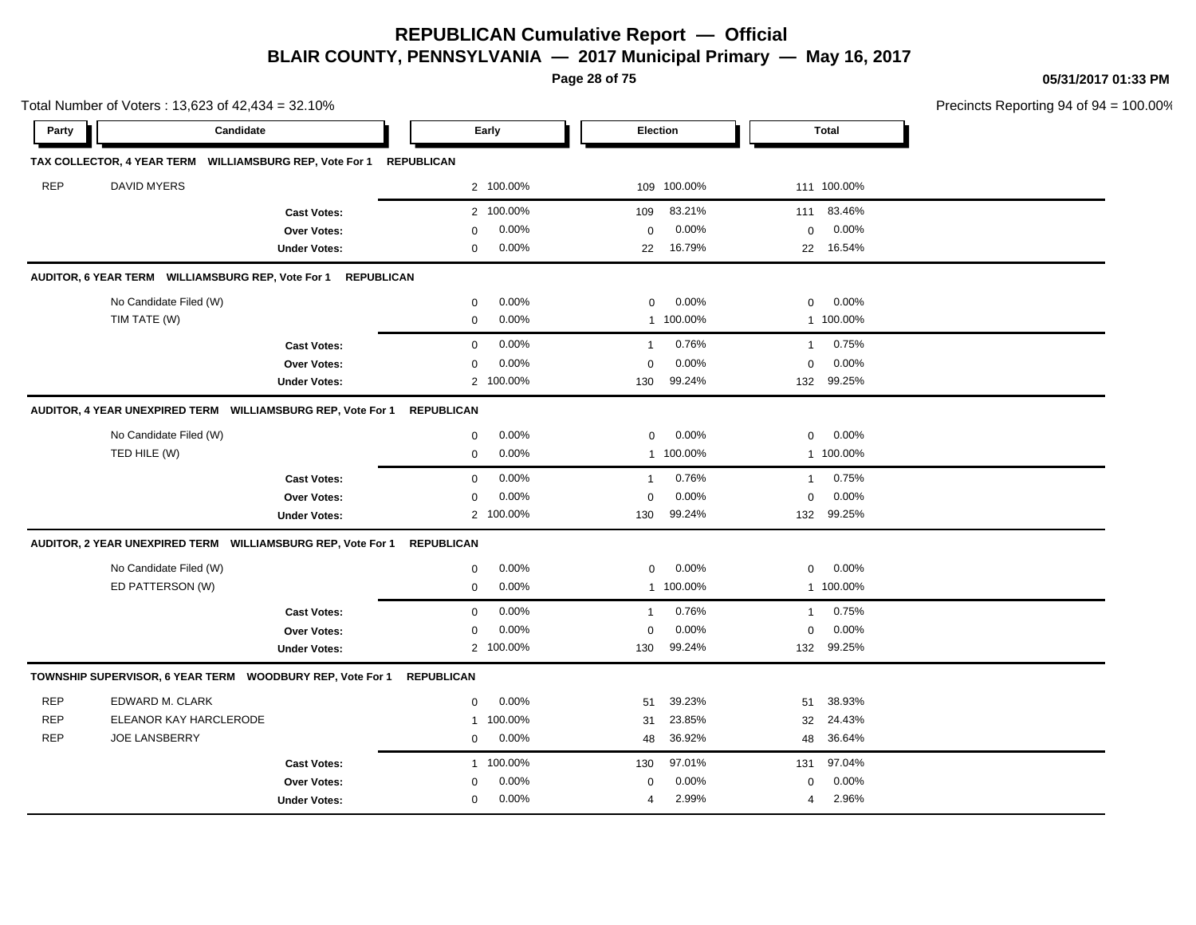**Page 28 of 75**

Total Number of Voters : 13,623 of 42,434 = 32.10%

**05/31/2017 01:33 PM**

|            |             | al Number of Voters : 13,623 of 42,434 = 32.10%       |                   |           |                 |             |          |              | Precincts Reporting 94 of 94 = 100.00% |
|------------|-------------|-------------------------------------------------------|-------------------|-----------|-----------------|-------------|----------|--------------|----------------------------------------|
| Party      |             | Candidate                                             |                   | Early     | <b>Election</b> |             |          | <b>Total</b> |                                        |
|            |             | X COLLECTOR, 4 YEAR TERM WILLIAMSBURG REP, Vote For 1 | <b>REPUBLICAN</b> |           |                 |             |          |              |                                        |
| <b>REP</b> | DAVID MYERS |                                                       |                   | 2 100.00% |                 | 109 100.00% |          | 111 100.00%  |                                        |
|            |             | <b>Cast Votes:</b>                                    |                   | 2 100.00% | 109             | 83.21%      |          | 111 83.46%   |                                        |
|            |             | <b>Over Votes:</b>                                    |                   | $0.00\%$  | 0               | $0.00\%$    | $\Omega$ | $0.00\%$     |                                        |
|            |             | <b>Under Votes:</b>                                   |                   | $0.00\%$  | 22              | 16.79%      |          | 22 16.54%    |                                        |

|            | AUDITOR, 6 YEAR TERM WILLIAMSBURG REP, Vote For 1              | <b>REPUBLICAN</b>   |                   |           |                |         |                |           |  |
|------------|----------------------------------------------------------------|---------------------|-------------------|-----------|----------------|---------|----------------|-----------|--|
|            | No Candidate Filed (W)                                         |                     | 0                 | 0.00%     | $\mathbf 0$    | 0.00%   | 0              | 0.00%     |  |
|            | TIM TATE (W)                                                   |                     | $\mathbf 0$       | 0.00%     | 1              | 100.00% | $\mathbf{1}$   | 100.00%   |  |
|            |                                                                | <b>Cast Votes:</b>  | $\mathbf 0$       | 0.00%     | -1             | 0.76%   | -1             | 0.75%     |  |
|            |                                                                | Over Votes:         | $\mathbf 0$       | 0.00%     | $\mathbf 0$    | 0.00%   | 0              | 0.00%     |  |
|            |                                                                | <b>Under Votes:</b> |                   | 2 100.00% | 130            | 99.24%  | 132            | 99.25%    |  |
|            | AUDITOR, 4 YEAR UNEXPIRED TERM WILLIAMSBURG REP, Vote For 1    |                     | <b>REPUBLICAN</b> |           |                |         |                |           |  |
|            | No Candidate Filed (W)                                         |                     | $\mathbf 0$       | 0.00%     | $\Omega$       | 0.00%   | $\Omega$       | 0.00%     |  |
|            | TED HILE (W)                                                   |                     | $\mathbf 0$       | 0.00%     | $\mathbf{1}$   | 100.00% |                | 1 100.00% |  |
|            |                                                                | <b>Cast Votes:</b>  | 0                 | 0.00%     | $\mathbf 1$    | 0.76%   | -1             | 0.75%     |  |
|            |                                                                | <b>Over Votes:</b>  | $\mathbf 0$       | 0.00%     | $\Omega$       | 0.00%   | 0              | 0.00%     |  |
|            |                                                                | <b>Under Votes:</b> |                   | 2 100.00% | 130            | 99.24%  | 132            | 99.25%    |  |
|            | AUDITOR, 2 YEAR UNEXPIRED TERM    WILLIAMSBURG REP, Vote For 1 |                     | <b>REPUBLICAN</b> |           |                |         |                |           |  |
|            | No Candidate Filed (W)                                         |                     | $\mathbf 0$       | 0.00%     | $\mathbf 0$    | 0.00%   | 0              | 0.00%     |  |
|            | ED PATTERSON (W)                                               |                     | $\mathbf 0$       | 0.00%     | $\mathbf{1}$   | 100.00% |                | 1 100.00% |  |
|            |                                                                | <b>Cast Votes:</b>  | $\mathbf 0$       | 0.00%     | $\overline{1}$ | 0.76%   | $\overline{1}$ | 0.75%     |  |
|            |                                                                | Over Votes:         | $\mathbf 0$       | 0.00%     | $\mathbf 0$    | 0.00%   | $\mathbf 0$    | 0.00%     |  |
|            |                                                                | <b>Under Votes:</b> |                   | 2 100.00% | 130            | 99.24%  | 132            | 99.25%    |  |
|            | TOWNSHIP SUPERVISOR, 6 YEAR TERM WOODBURY REP, Vote For 1      |                     | <b>REPUBLICAN</b> |           |                |         |                |           |  |
| <b>REP</b> | EDWARD M. CLARK                                                |                     | $\mathbf 0$       | 0.00%     | 51             | 39.23%  | 51             | 38.93%    |  |
| <b>REP</b> | ELEANOR KAY HARCLERODE                                         |                     |                   | 1 100.00% | 31             | 23.85%  | 32             | 24.43%    |  |
| <b>REP</b> | <b>JOE LANSBERRY</b>                                           |                     | 0                 | 0.00%     | 48             | 36.92%  | 48             | 36.64%    |  |
|            |                                                                | <b>Cast Votes:</b>  |                   | 1 100.00% | 130            | 97.01%  | 131            | 97.04%    |  |
|            |                                                                |                     |                   |           |                |         |                |           |  |
|            |                                                                | Over Votes:         | $\Omega$          | 0.00%     | $\mathbf 0$    | 0.00%   | 0              | 0.00%     |  |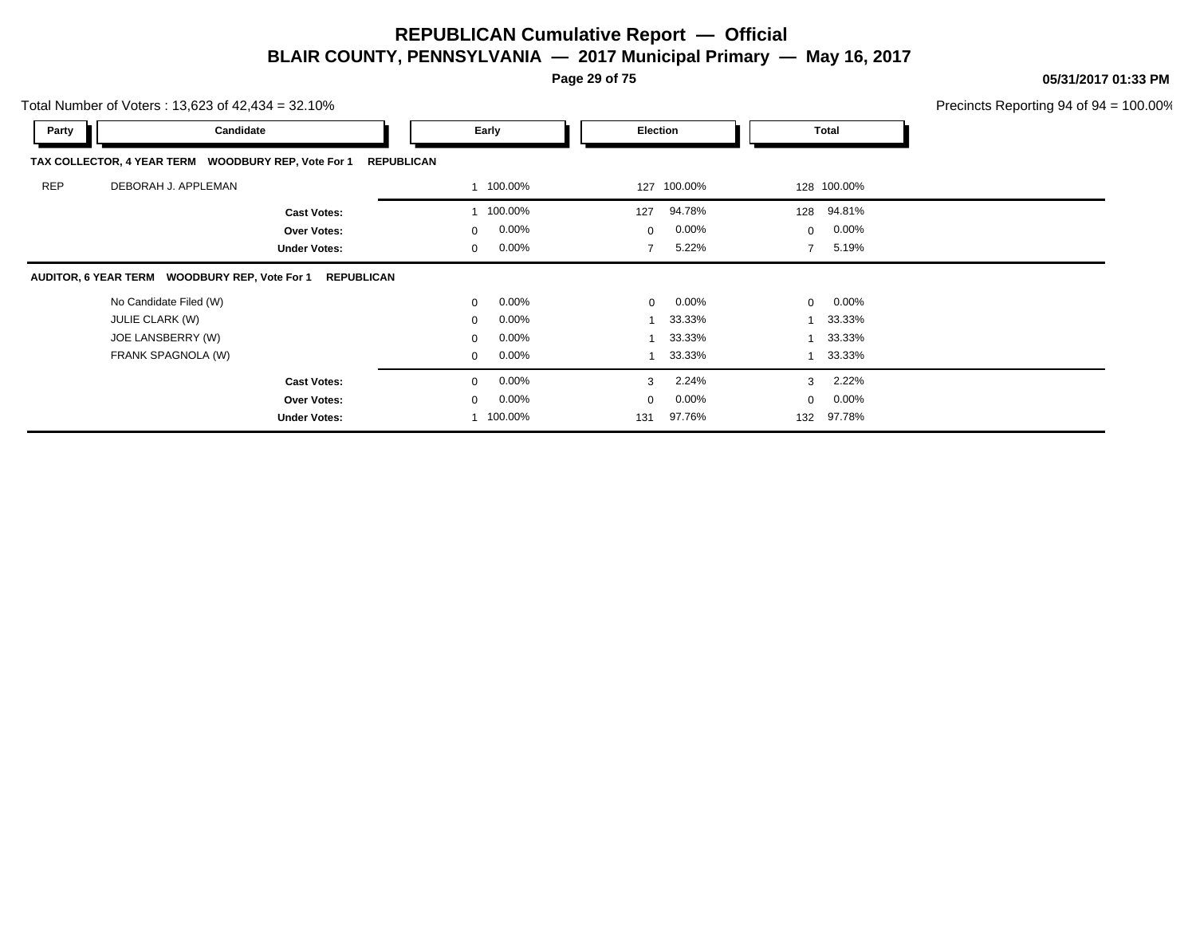**Page 29 of 75**

**05/31/2017 01:33 PM**

Total Number of Voters : 13,623 of 42,434 = 32.10%

| Party      | Candidate                                                          | Early                    | Election                   | Total                    |  |
|------------|--------------------------------------------------------------------|--------------------------|----------------------------|--------------------------|--|
|            | TAX COLLECTOR, 4 YEAR TERM WOODBURY REP, Vote For 1                | <b>REPUBLICAN</b>        |                            |                          |  |
| <b>REP</b> | DEBORAH J. APPLEMAN                                                | 1 100.00%                | 127 100.00%                | 128 100.00%              |  |
|            | <b>Cast Votes:</b>                                                 | 100.00%                  | 94.78%<br>127              | 128 94.81%               |  |
|            | Over Votes:                                                        | $0.00\%$<br>$\mathbf{0}$ | $0.00\%$<br>$\mathbf{0}$   | 0.00%<br>$\mathbf{0}$    |  |
|            | <b>Under Votes:</b>                                                | $0.00\%$<br>$\mathbf{0}$ | 5.22%<br>$\overline{7}$    | 5.19%<br>$\overline{7}$  |  |
|            | AUDITOR, 6 YEAR TERM WOODBURY REP, Vote For 1<br><b>REPUBLICAN</b> |                          |                            |                          |  |
|            | No Candidate Filed (W)                                             | $0.00\%$<br>$\mathbf{0}$ | $0.00\%$<br>$\overline{0}$ | $\mathbf{0}$<br>$0.00\%$ |  |
|            | <b>JULIE CLARK (W)</b>                                             | $0.00\%$<br>$\mathbf{0}$ | 33.33%                     | 33.33%<br>$\overline{ }$ |  |
|            | JOE LANSBERRY (W)                                                  | $0.00\%$<br>0            | 33.33%                     | 33.33%                   |  |
|            | FRANK SPAGNOLA (W)                                                 | $0.00\%$<br>$\mathbf{0}$ | 33.33%                     | 33.33%                   |  |
|            | <b>Cast Votes:</b>                                                 | $0.00\%$<br>0            | 2.24%<br>3                 | 2.22%<br>3               |  |
|            | Over Votes:                                                        | $0.00\%$<br>$\mathbf{0}$ | $0.00\%$<br>$\mathbf 0$    | 0.00%<br>$\mathbf 0$     |  |
|            | <b>Under Votes:</b>                                                | 100.00%                  | 97.76%<br>131              | 97.78%<br>132            |  |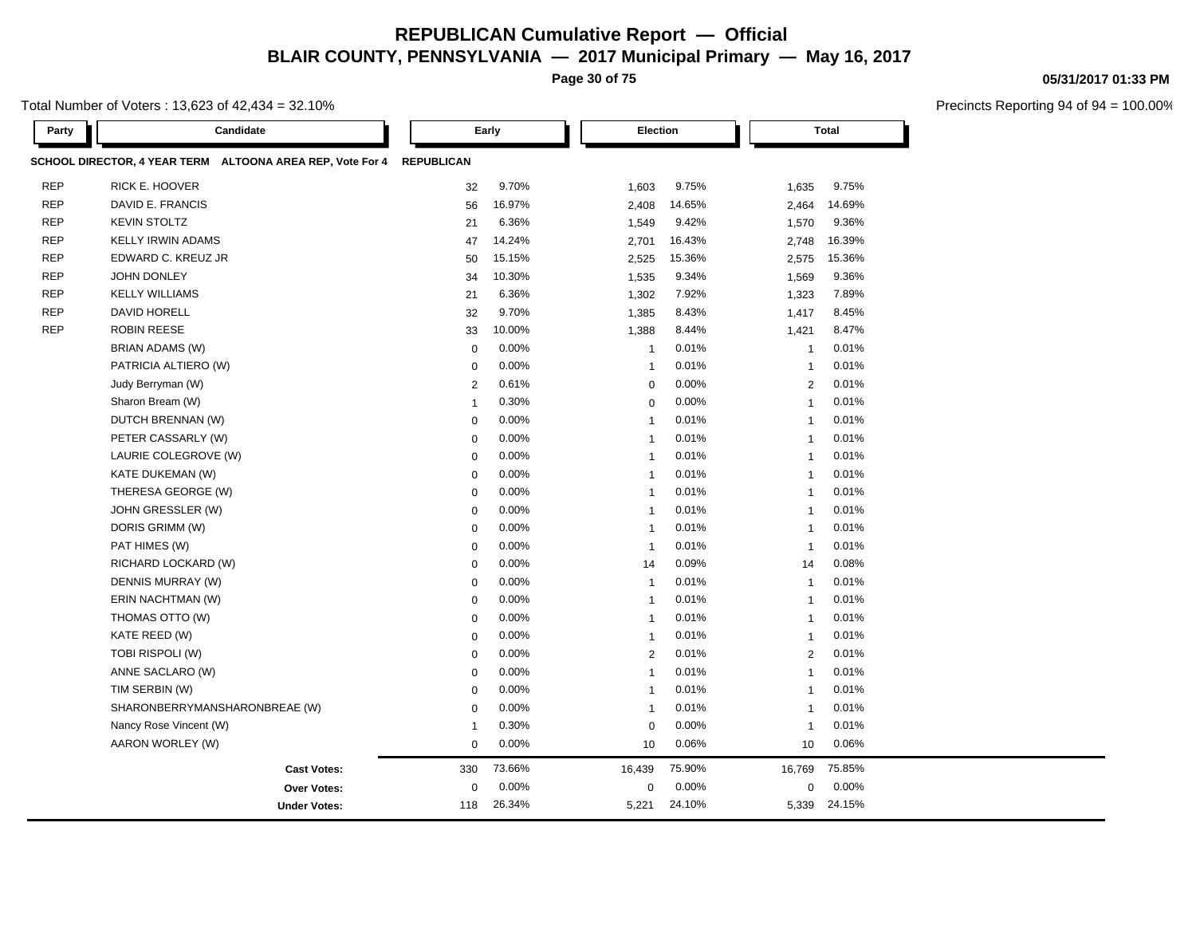**Page 30 of 75**

Total Number of Voters : 13,623 of 42,434 = 32.10%

| Party      | Candidate                                                 | Early             |          |                | Election |                | <b>Total</b> |  |
|------------|-----------------------------------------------------------|-------------------|----------|----------------|----------|----------------|--------------|--|
|            | SCHOOL DIRECTOR, 4 YEAR TERM ALTOONA AREA REP, Vote For 4 | <b>REPUBLICAN</b> |          |                |          |                |              |  |
| <b>REP</b> | RICK E. HOOVER                                            | 32                | 9.70%    | 1,603          | 9.75%    | 1,635          | 9.75%        |  |
| <b>REP</b> | DAVID E. FRANCIS                                          | 56                | 16.97%   | 2,408          | 14.65%   | 2,464          | 14.69%       |  |
| <b>REP</b> | <b>KEVIN STOLTZ</b>                                       | 21                | 6.36%    | 1,549          | 9.42%    | 1,570          | 9.36%        |  |
| <b>REP</b> | <b>KELLY IRWIN ADAMS</b>                                  | 47                | 14.24%   | 2,701          | 16.43%   | 2,748          | 16.39%       |  |
| <b>REP</b> | EDWARD C. KREUZ JR                                        | 50                | 15.15%   | 2,525          | 15.36%   | 2,575          | 15.36%       |  |
| <b>REP</b> | <b>JOHN DONLEY</b>                                        | 34                | 10.30%   | 1,535          | 9.34%    | 1,569          | 9.36%        |  |
| <b>REP</b> | <b>KELLY WILLIAMS</b>                                     | 21                | 6.36%    | 1,302          | 7.92%    | 1,323          | 7.89%        |  |
| <b>REP</b> | DAVID HORELL                                              | 32                | 9.70%    | 1,385          | 8.43%    | 1,417          | 8.45%        |  |
| <b>REP</b> | <b>ROBIN REESE</b>                                        | 33                | 10.00%   | 1,388          | 8.44%    | 1,421          | 8.47%        |  |
|            | BRIAN ADAMS (W)                                           | $\mathbf 0$       | 0.00%    | $\mathbf{1}$   | 0.01%    | $\mathbf{1}$   | 0.01%        |  |
|            | PATRICIA ALTIERO (W)                                      | $\mathbf 0$       | 0.00%    | $\overline{1}$ | 0.01%    | $\mathbf{1}$   | 0.01%        |  |
|            | Judy Berryman (W)                                         | $\overline{2}$    | 0.61%    | $\mathbf 0$    | 0.00%    | $\overline{2}$ | 0.01%        |  |
|            | Sharon Bream (W)                                          | $\mathbf{1}$      | 0.30%    | $\mathbf 0$    | 0.00%    | $\mathbf{1}$   | 0.01%        |  |
|            | DUTCH BRENNAN (W)                                         | $\mathbf 0$       | 0.00%    | $\overline{1}$ | 0.01%    | $\mathbf{1}$   | 0.01%        |  |
|            | PETER CASSARLY (W)                                        | $\mathbf 0$       | 0.00%    | $\mathbf{1}$   | 0.01%    | -1             | 0.01%        |  |
|            | LAURIE COLEGROVE (W)                                      | $\mathbf 0$       | 0.00%    | $\overline{1}$ | 0.01%    | $\mathbf{1}$   | 0.01%        |  |
|            | KATE DUKEMAN (W)                                          | $\mathbf 0$       | 0.00%    | $\mathbf{1}$   | 0.01%    | $\mathbf{1}$   | 0.01%        |  |
|            | THERESA GEORGE (W)                                        | $\mathbf 0$       | 0.00%    | $\mathbf{1}$   | 0.01%    | $\mathbf{1}$   | 0.01%        |  |
|            | JOHN GRESSLER (W)                                         | $\mathbf 0$       | 0.00%    | $\overline{1}$ | 0.01%    | $\overline{1}$ | 0.01%        |  |
|            | DORIS GRIMM (W)                                           | $\mathbf 0$       | $0.00\%$ | $\mathbf{1}$   | 0.01%    | $\mathbf{1}$   | 0.01%        |  |
|            | PAT HIMES (W)                                             | $\mathbf 0$       | 0.00%    | $\overline{1}$ | 0.01%    | $\overline{1}$ | 0.01%        |  |
|            | RICHARD LOCKARD (W)                                       | $\mathbf 0$       | 0.00%    | 14             | 0.09%    | 14             | 0.08%        |  |
|            | DENNIS MURRAY (W)                                         | $\mathbf 0$       | 0.00%    | $\mathbf{1}$   | 0.01%    | $\mathbf{1}$   | 0.01%        |  |
|            | ERIN NACHTMAN (W)                                         | $\mathbf 0$       | 0.00%    | $\mathbf{1}$   | 0.01%    | $\mathbf{1}$   | 0.01%        |  |
|            | THOMAS OTTO (W)                                           | $\mathbf 0$       | 0.00%    | $\mathbf{1}$   | 0.01%    | $\mathbf{1}$   | 0.01%        |  |
|            | KATE REED (W)                                             | $\mathbf 0$       | 0.00%    | $\mathbf{1}$   | 0.01%    | $\mathbf{1}$   | 0.01%        |  |
|            | TOBI RISPOLI (W)                                          | $\mathbf 0$       | 0.00%    | $\overline{2}$ | 0.01%    | 2              | 0.01%        |  |
|            | ANNE SACLARO (W)                                          | $\mathbf 0$       | 0.00%    | $\mathbf{1}$   | 0.01%    | $\mathbf{1}$   | 0.01%        |  |
|            | TIM SERBIN (W)                                            | $\mathbf 0$       | 0.00%    | $\overline{1}$ | 0.01%    | $\mathbf{1}$   | 0.01%        |  |
|            | SHARONBERRYMANSHARONBREAE (W)                             | $\mathbf 0$       | 0.00%    | $\overline{1}$ | 0.01%    | $\overline{1}$ | 0.01%        |  |
|            | Nancy Rose Vincent (W)                                    | $\mathbf 1$       | 0.30%    | $\mathbf 0$    | 0.00%    | $\mathbf{1}$   | 0.01%        |  |
|            | AARON WORLEY (W)                                          | $\mathbf 0$       | 0.00%    | 10             | 0.06%    | 10             | 0.06%        |  |
|            | <b>Cast Votes:</b>                                        | 330               | 73.66%   | 16,439         | 75.90%   | 16,769         | 75.85%       |  |
|            | <b>Over Votes:</b>                                        | $\mathbf 0$       | 0.00%    | $\mathbf 0$    | 0.00%    | $\mathbf 0$    | 0.00%        |  |
|            | <b>Under Votes:</b>                                       | 118               | 26.34%   | 5,221          | 24.10%   | 5,339          | 24.15%       |  |

#### **05/31/2017 01:33 PM**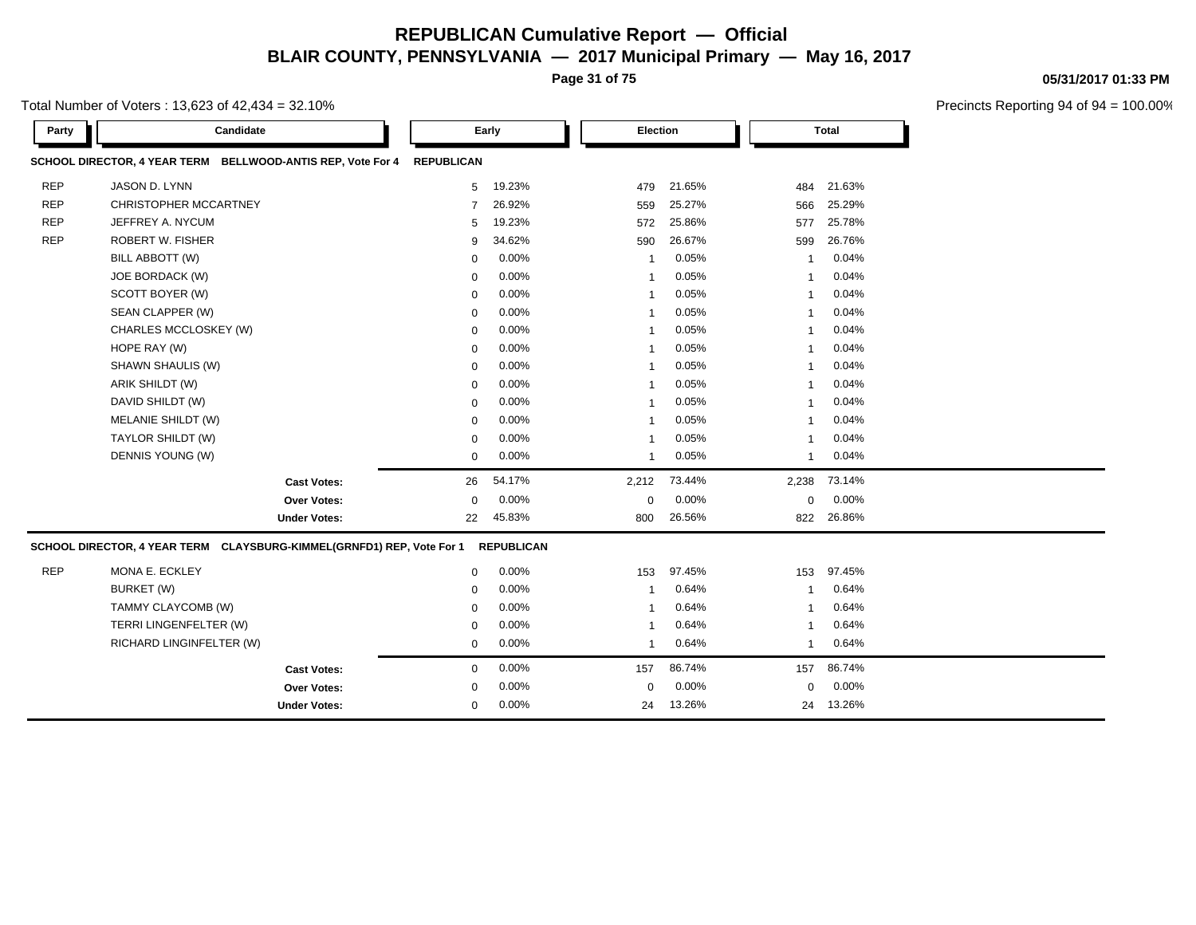**Page 31 of 75**

Total Number of Voters : 13,623 of 42,434 = 32.10%

| Party      | Candidate                                                             |                     | Early             |                   | Election       |        |              | <b>Total</b> |  |
|------------|-----------------------------------------------------------------------|---------------------|-------------------|-------------------|----------------|--------|--------------|--------------|--|
|            | SCHOOL DIRECTOR, 4 YEAR TERM BELLWOOD-ANTIS REP, Vote For 4           |                     | <b>REPUBLICAN</b> |                   |                |        |              |              |  |
| <b>REP</b> | JASON D. LYNN                                                         |                     | 5                 | 19.23%            | 479            | 21.65% | 484          | 21.63%       |  |
| <b>REP</b> | <b>CHRISTOPHER MCCARTNEY</b>                                          |                     | 7                 | 26.92%            | 559            | 25.27% | 566          | 25.29%       |  |
| <b>REP</b> | JEFFREY A. NYCUM                                                      |                     | 5                 | 19.23%            | 572            | 25.86% | 577          | 25.78%       |  |
| <b>REP</b> | <b>ROBERT W. FISHER</b>                                               |                     | 9                 | 34.62%            | 590            | 26.67% | 599          | 26.76%       |  |
|            | BILL ABBOTT (W)                                                       |                     | 0                 | 0.00%             | $\mathbf{1}$   | 0.05%  | $\mathbf{1}$ | 0.04%        |  |
|            | JOE BORDACK (W)                                                       |                     | 0                 | 0.00%             | $\mathbf{1}$   | 0.05%  | $\mathbf{1}$ | 0.04%        |  |
|            | SCOTT BOYER (W)                                                       |                     | 0                 | 0.00%             | $\mathbf{1}$   | 0.05%  | $\mathbf{1}$ | 0.04%        |  |
|            | SEAN CLAPPER (W)                                                      |                     | 0                 | 0.00%             | $\mathbf{1}$   | 0.05%  | $\mathbf{1}$ | 0.04%        |  |
|            | CHARLES MCCLOSKEY (W)                                                 |                     | $\mathbf 0$       | 0.00%             | $\mathbf{1}$   | 0.05%  | $\mathbf{1}$ | 0.04%        |  |
|            | HOPE RAY (W)                                                          |                     | $\mathbf 0$       | 0.00%             | $\mathbf{1}$   | 0.05%  | $\mathbf{1}$ | 0.04%        |  |
|            | SHAWN SHAULIS (W)                                                     |                     | $\mathbf 0$       | $0.00\%$          | $\mathbf{1}$   | 0.05%  | $\mathbf{1}$ | 0.04%        |  |
|            | ARIK SHILDT (W)                                                       |                     | $\mathbf 0$       | 0.00%             | $\mathbf{1}$   | 0.05%  | $\mathbf{1}$ | 0.04%        |  |
|            | DAVID SHILDT (W)                                                      |                     | $\mathbf 0$       | 0.00%             | $\mathbf{1}$   | 0.05%  | $\mathbf{1}$ | 0.04%        |  |
|            | MELANIE SHILDT (W)                                                    |                     | $\mathbf 0$       | 0.00%             | $\mathbf{1}$   | 0.05%  | $\mathbf{1}$ | 0.04%        |  |
|            | TAYLOR SHILDT (W)                                                     |                     | $\mathbf 0$       | 0.00%             | $\mathbf{1}$   | 0.05%  | $\mathbf{1}$ | 0.04%        |  |
|            | DENNIS YOUNG (W)                                                      |                     | $\mathbf 0$       | 0.00%             | $\mathbf{1}$   | 0.05%  | -1           | 0.04%        |  |
|            |                                                                       | <b>Cast Votes:</b>  | 26                | 54.17%            | 2,212          | 73.44% | 2,238        | 73.14%       |  |
|            |                                                                       | Over Votes:         | $\mathbf 0$       | 0.00%             | $\mathbf 0$    | 0.00%  | $\mathbf 0$  | 0.00%        |  |
|            |                                                                       | <b>Under Votes:</b> | 22                | 45.83%            | 800            | 26.56% | 822          | 26.86%       |  |
|            | SCHOOL DIRECTOR, 4 YEAR TERM CLAYSBURG-KIMMEL(GRNFD1) REP, Vote For 1 |                     |                   | <b>REPUBLICAN</b> |                |        |              |              |  |
| <b>REP</b> | MONA E. ECKLEY                                                        |                     | 0                 | 0.00%             | 153            | 97.45% | 153          | 97.45%       |  |
|            | BURKET (W)                                                            |                     | $\mathbf 0$       | 0.00%             | $\mathbf{1}$   | 0.64%  | $\mathbf{1}$ | 0.64%        |  |
|            | TAMMY CLAYCOMB (W)                                                    |                     | $\Omega$          | 0.00%             | $\mathbf{1}$   | 0.64%  | $\mathbf{1}$ | 0.64%        |  |
|            | TERRI LINGENFELTER (W)                                                |                     | $\mathbf 0$       | 0.00%             | $\mathbf{1}$   | 0.64%  | $\mathbf{1}$ | 0.64%        |  |
|            | RICHARD LINGINFELTER (W)                                              |                     | $\mathbf 0$       | 0.00%             | $\overline{1}$ | 0.64%  | $\mathbf{1}$ | 0.64%        |  |
|            |                                                                       | <b>Cast Votes:</b>  | $\mathbf 0$       | 0.00%             | 157            | 86.74% | 157          | 86.74%       |  |
|            |                                                                       | Over Votes:         | $\mathbf 0$       | 0.00%             | $\Omega$       | 0.00%  | $\Omega$     | 0.00%        |  |
|            |                                                                       | <b>Under Votes:</b> | $\mathbf 0$       | 0.00%             | 24             | 13.26% | 24           | 13.26%       |  |
|            |                                                                       |                     |                   |                   |                |        |              |              |  |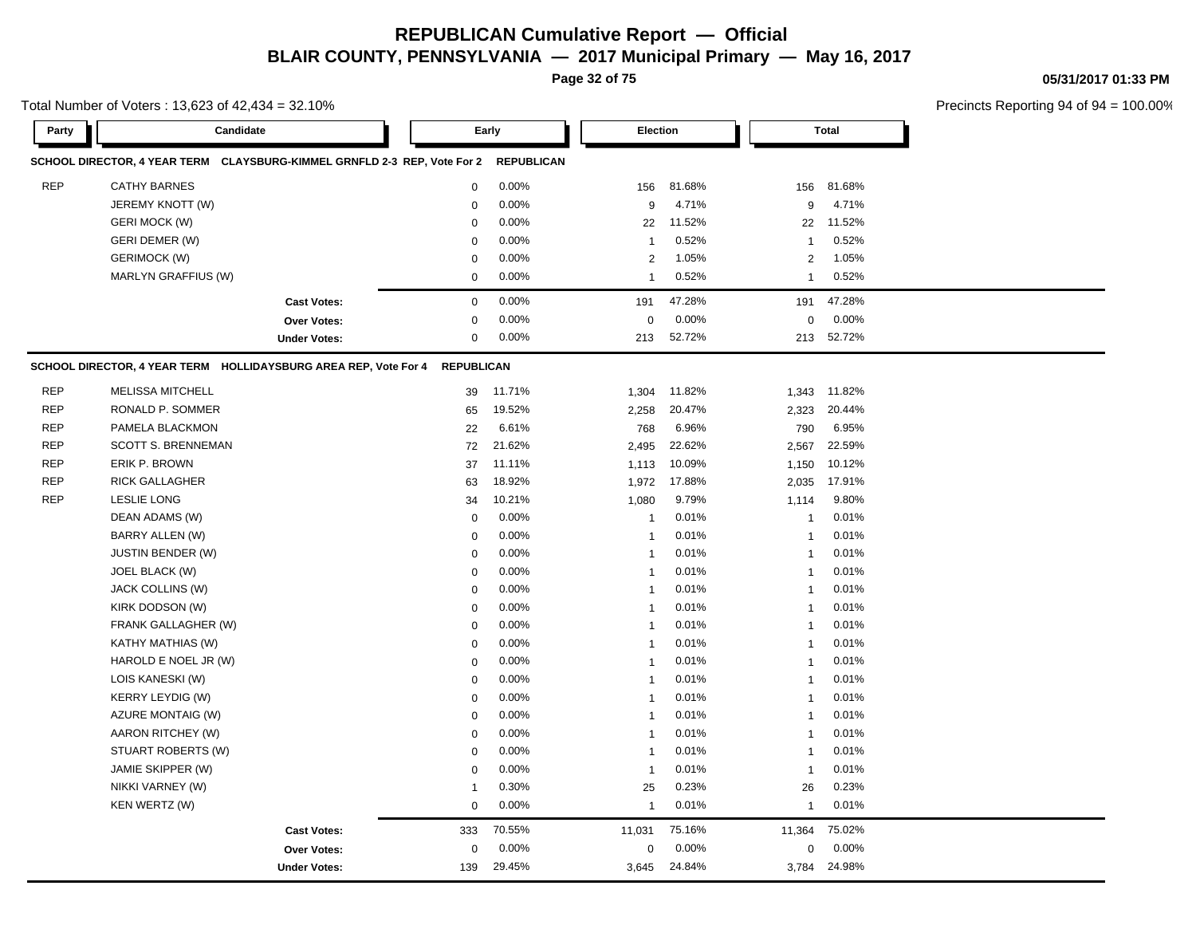**Page 32 of 75**

**05/31/2017 01:33 PM**

|            | Total Number of Voters: 13,623 of 42,434 = 32.10%                        |                     |                   |                   |                |        |                |              | Precincts Reporting 94 of 94 |
|------------|--------------------------------------------------------------------------|---------------------|-------------------|-------------------|----------------|--------|----------------|--------------|------------------------------|
| Party      | Candidate                                                                |                     |                   | Early             | Election       |        |                | <b>Total</b> |                              |
|            | SCHOOL DIRECTOR, 4 YEAR TERM CLAYSBURG-KIMMEL GRNFLD 2-3 REP, Vote For 2 |                     |                   | <b>REPUBLICAN</b> |                |        |                |              |                              |
| <b>REP</b> | <b>CATHY BARNES</b>                                                      |                     | $\mathbf 0$       | 0.00%             | 156            | 81.68% | 156            | 81.68%       |                              |
|            | JEREMY KNOTT (W)                                                         |                     | $\mathbf 0$       | 0.00%             | 9              | 4.71%  | 9              | 4.71%        |                              |
|            | <b>GERI MOCK (W)</b>                                                     |                     | $\mathbf 0$       | 0.00%             | 22             | 11.52% | 22             | 11.52%       |                              |
|            | <b>GERI DEMER (W)</b>                                                    |                     | $\mathbf 0$       | 0.00%             | $\mathbf{1}$   | 0.52%  | 1              | 0.52%        |                              |
|            | <b>GERIMOCK (W)</b>                                                      |                     | $\mathbf 0$       | 0.00%             | $\overline{2}$ | 1.05%  | $\overline{2}$ | 1.05%        |                              |
|            | MARLYN GRAFFIUS (W)                                                      |                     | $\mathbf 0$       | 0.00%             | $\mathbf{1}$   | 0.52%  | $\mathbf{1}$   | 0.52%        |                              |
|            |                                                                          | <b>Cast Votes:</b>  | $\pmb{0}$         | 0.00%             | 191            | 47.28% | 191            | 47.28%       |                              |
|            |                                                                          | Over Votes:         | $\mathbf 0$       | 0.00%             | 0              | 0.00%  | $\mathbf 0$    | 0.00%        |                              |
|            |                                                                          | <b>Under Votes:</b> | 0                 | 0.00%             | 213            | 52.72% |                | 213 52.72%   |                              |
|            | SCHOOL DIRECTOR, 4 YEAR TERM HOLLIDAYSBURG AREA REP, Vote For 4          |                     | <b>REPUBLICAN</b> |                   |                |        |                |              |                              |
| <b>REP</b> | <b>MELISSA MITCHELL</b>                                                  |                     | 39                | 11.71%            | 1,304          | 11.82% | 1,343          | 11.82%       |                              |
| <b>REP</b> | RONALD P. SOMMER                                                         |                     | 65                | 19.52%            | 2,258          | 20.47% | 2,323          | 20.44%       |                              |
| <b>REP</b> | PAMELA BLACKMON                                                          |                     | 22                | 6.61%             | 768            | 6.96%  | 790            | 6.95%        |                              |
| <b>REP</b> | <b>SCOTT S. BRENNEMAN</b>                                                |                     | 72                | 21.62%            | 2,495          | 22.62% | 2,567          | 22.59%       |                              |
| <b>REP</b> | ERIK P. BROWN                                                            |                     | 37                | 11.11%            | 1,113          | 10.09% | 1,150          | 10.12%       |                              |
| <b>REP</b> | <b>RICK GALLAGHER</b>                                                    |                     | 63                | 18.92%            | 1,972          | 17.88% | 2,035          | 17.91%       |                              |
| <b>REP</b> | <b>LESLIE LONG</b>                                                       |                     | 34                | 10.21%            | 1,080          | 9.79%  | 1,114          | 9.80%        |                              |
|            | DEAN ADAMS (W)                                                           |                     | $\mathbf 0$       | 0.00%             | $\mathbf{1}$   | 0.01%  | $\mathbf{1}$   | 0.01%        |                              |
|            | BARRY ALLEN (W)                                                          |                     | 0                 | 0.00%             | $\mathbf{1}$   | 0.01%  | $\mathbf{1}$   | 0.01%        |                              |
|            | JUSTIN BENDER (W)                                                        |                     | 0                 | 0.00%             | $\mathbf{1}$   | 0.01%  | $\mathbf{1}$   | 0.01%        |                              |
|            | JOEL BLACK (W)                                                           |                     | $\mathbf 0$       | 0.00%             | $\mathbf{1}$   | 0.01%  | $\mathbf{1}$   | 0.01%        |                              |
|            | JACK COLLINS (W)                                                         |                     | $\mathbf 0$       | 0.00%             | $\mathbf{1}$   | 0.01%  | 1              | 0.01%        |                              |
|            | KIRK DODSON (W)                                                          |                     | $\mathbf 0$       | 0.00%             | $\mathbf{1}$   | 0.01%  | $\mathbf{1}$   | 0.01%        |                              |
|            | FRANK GALLAGHER (W)                                                      |                     | $\mathbf 0$       | 0.00%             | -1             | 0.01%  | 1              | 0.01%        |                              |
|            | KATHY MATHIAS (W)                                                        |                     | $\mathbf 0$       | 0.00%             | $\mathbf{1}$   | 0.01%  | $\mathbf 1$    | 0.01%        |                              |
|            | HAROLD E NOEL JR (W)                                                     |                     | $\mathbf 0$       | 0.00%             | $\mathbf{1}$   | 0.01%  | 1              | 0.01%        |                              |
|            | LOIS KANESKI (W)                                                         |                     | 0                 | 0.00%             | -1             | 0.01%  | 1              | 0.01%        |                              |
|            | <b>KERRY LEYDIG (W)</b>                                                  |                     | 0                 | 0.00%             | $\mathbf{1}$   | 0.01%  | $\mathbf{1}$   | 0.01%        |                              |
|            | AZURE MONTAIG (W)                                                        |                     | $\mathbf 0$       | 0.00%             | $\mathbf{1}$   | 0.01%  | $\mathbf{1}$   | 0.01%        |                              |
|            | AARON RITCHEY (W)                                                        |                     | $\mathbf 0$       | 0.00%             | $\mathbf{1}$   | 0.01%  | $\mathbf{1}$   | 0.01%        |                              |
|            | STUART ROBERTS (W)                                                       |                     | $\mathbf 0$       | 0.00%             | $\mathbf{1}$   | 0.01%  | $\mathbf{1}$   | 0.01%        |                              |
|            | JAMIE SKIPPER (W)                                                        |                     | $\mathbf 0$       | 0.00%             | $\mathbf{1}$   | 0.01%  | $\mathbf{1}$   | 0.01%        |                              |
|            | NIKKI VARNEY (W)                                                         |                     | $\mathbf{1}$      | 0.30%             | 25             | 0.23%  | 26             | 0.23%        |                              |
|            | KEN WERTZ (W)                                                            |                     | $\mathbf 0$       | 0.00%             | -1             | 0.01%  | 1              | 0.01%        |                              |
|            |                                                                          | <b>Cast Votes:</b>  | 333               | 70.55%            | 11,031         | 75.16% | 11,364         | 75.02%       |                              |
|            |                                                                          | Over Votes:         | $\mathbf 0$       | 0.00%             | 0              | 0.00%  | $\mathbf 0$    | 0.00%        |                              |
|            |                                                                          | <b>Under Votes:</b> | 139               | 29.45%            | 3,645          | 24.84% | 3,784          | 24.98%       |                              |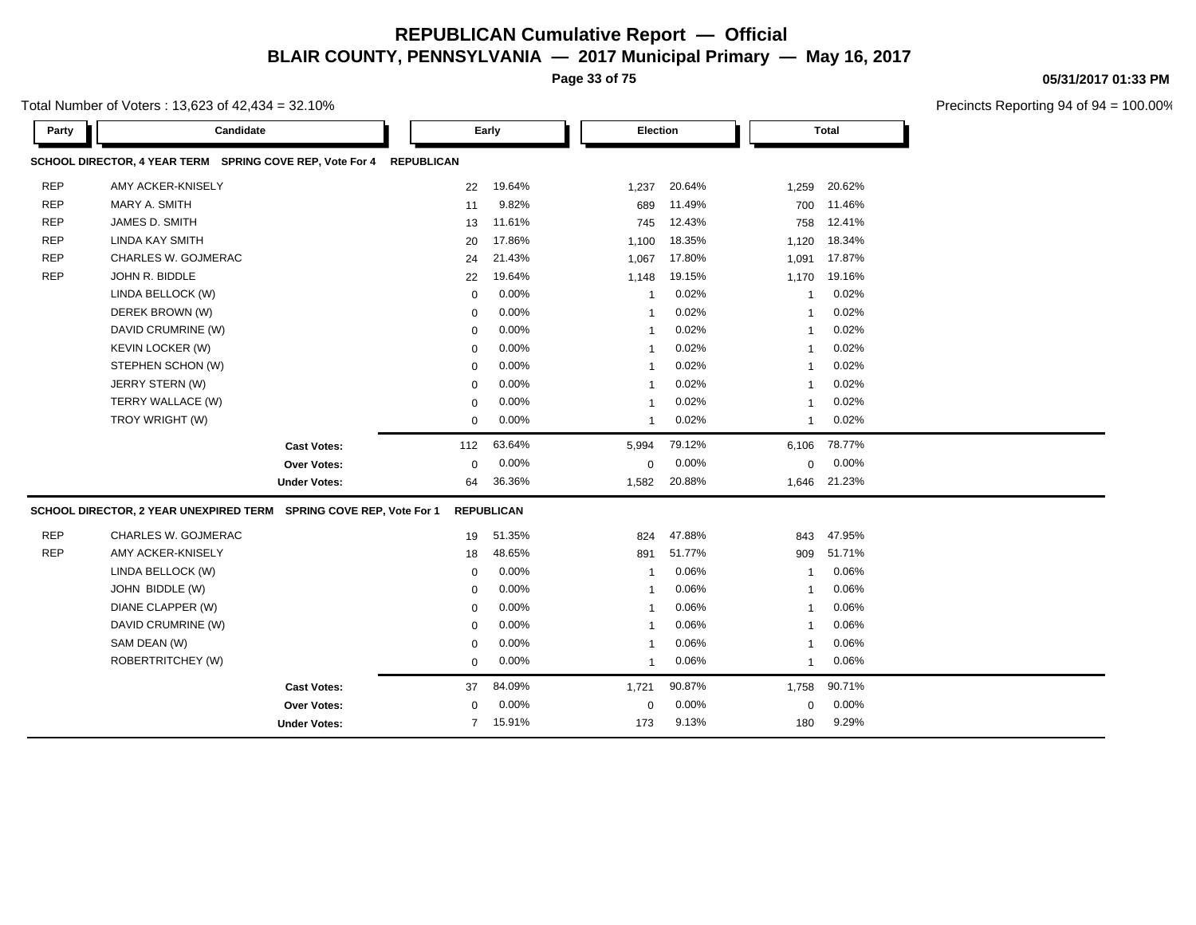**Page 33 of 75**

Total Number of Voters : 13,623 of 42,434 = 32.10%

| Party      | Candidate                                                          |                     | Early             |                   |                | Election |                         | <b>Total</b> |  |
|------------|--------------------------------------------------------------------|---------------------|-------------------|-------------------|----------------|----------|-------------------------|--------------|--|
|            | SCHOOL DIRECTOR, 4 YEAR TERM SPRING COVE REP, Vote For 4           |                     | <b>REPUBLICAN</b> |                   |                |          |                         |              |  |
| <b>REP</b> | AMY ACKER-KNISELY                                                  |                     | 22                | 19.64%            | 1,237          | 20.64%   | 1,259                   | 20.62%       |  |
| <b>REP</b> | MARY A. SMITH                                                      |                     | 11                | 9.82%             | 689            | 11.49%   | 700                     | 11.46%       |  |
| <b>REP</b> | JAMES D. SMITH                                                     |                     | 13                | 11.61%            | 745            | 12.43%   | 758                     | 12.41%       |  |
| <b>REP</b> | <b>LINDA KAY SMITH</b>                                             |                     | 20                | 17.86%            | 1,100          | 18.35%   | 1,120                   | 18.34%       |  |
| <b>REP</b> | CHARLES W. GOJMERAC                                                |                     | 24                | 21.43%            | 1,067          | 17.80%   | 1,091                   | 17.87%       |  |
| <b>REP</b> | JOHN R. BIDDLE                                                     |                     | 22                | 19.64%            | 1,148          | 19.15%   | 1,170                   | 19.16%       |  |
|            | LINDA BELLOCK (W)                                                  |                     | $\Omega$          | 0.00%             | $\overline{1}$ | 0.02%    | $\overline{\mathbf{1}}$ | 0.02%        |  |
|            | DEREK BROWN (W)                                                    |                     | $\mathbf 0$       | 0.00%             | $\overline{1}$ | 0.02%    | $\overline{\mathbf{1}}$ | 0.02%        |  |
|            | DAVID CRUMRINE (W)                                                 |                     | $\Omega$          | 0.00%             | -1             | 0.02%    | 1                       | 0.02%        |  |
|            | <b>KEVIN LOCKER (W)</b>                                            |                     | $\mathbf 0$       | 0.00%             | $\overline{1}$ | 0.02%    | -1                      | 0.02%        |  |
|            | STEPHEN SCHON (W)                                                  |                     | $\mathbf 0$       | 0.00%             | $\overline{1}$ | 0.02%    | 1                       | 0.02%        |  |
|            | JERRY STERN (W)                                                    |                     | $\mathbf 0$       | 0.00%             | -1             | 0.02%    | -1                      | 0.02%        |  |
|            | TERRY WALLACE (W)                                                  |                     | $\mathbf 0$       | 0.00%             | $\mathbf{1}$   | 0.02%    | 1                       | 0.02%        |  |
|            | TROY WRIGHT (W)                                                    |                     | $\mathbf 0$       | 0.00%             | $\mathbf{1}$   | 0.02%    | 1                       | 0.02%        |  |
|            |                                                                    | <b>Cast Votes:</b>  | 112               | 63.64%            | 5,994          | 79.12%   | 6,106                   | 78.77%       |  |
|            |                                                                    | Over Votes:         | $\mathbf 0$       | 0.00%             | $\mathbf 0$    | 0.00%    | 0                       | 0.00%        |  |
|            |                                                                    | <b>Under Votes:</b> | 64                | 36.36%            | 1,582          | 20.88%   | 1,646                   | 21.23%       |  |
|            | SCHOOL DIRECTOR, 2 YEAR UNEXPIRED TERM SPRING COVE REP, Vote For 1 |                     |                   | <b>REPUBLICAN</b> |                |          |                         |              |  |
| <b>REP</b> | CHARLES W. GOJMERAC                                                |                     | 19                | 51.35%            | 824            | 47.88%   | 843                     | 47.95%       |  |
| <b>REP</b> | AMY ACKER-KNISELY                                                  |                     | 18                | 48.65%            | 891            | 51.77%   | 909                     | 51.71%       |  |
|            | LINDA BELLOCK (W)                                                  |                     | $\mathbf 0$       | 0.00%             | $\overline{1}$ | 0.06%    | $\overline{1}$          | 0.06%        |  |
|            | JOHN BIDDLE (W)                                                    |                     | $\mathbf 0$       | 0.00%             | $\overline{1}$ | 0.06%    | $\overline{\mathbf{1}}$ | 0.06%        |  |
|            | DIANE CLAPPER (W)                                                  |                     | $\Omega$          | 0.00%             | -1             | 0.06%    | -1                      | 0.06%        |  |
|            | DAVID CRUMRINE (W)                                                 |                     | $\mathbf 0$       | 0.00%             | 1              | 0.06%    | -1                      | 0.06%        |  |
|            | SAM DEAN (W)                                                       |                     | $\mathbf 0$       | $0.00\%$          | 1              | 0.06%    | 1                       | 0.06%        |  |
|            | ROBERTRITCHEY (W)                                                  |                     | $\mathbf 0$       | 0.00%             | -1             | 0.06%    | 1                       | 0.06%        |  |
|            |                                                                    | <b>Cast Votes:</b>  | 37                | 84.09%            | 1,721          | 90.87%   | 1,758                   | 90.71%       |  |
|            |                                                                    | <b>Over Votes:</b>  | $\mathbf 0$       | 0.00%             | $\mathbf 0$    | 0.00%    | 0                       | 0.00%        |  |
|            |                                                                    | <b>Under Votes:</b> | $\overline{7}$    | 15.91%            | 173            | 9.13%    | 180                     | 9.29%        |  |
|            |                                                                    |                     |                   |                   |                |          |                         |              |  |

**05/31/2017 01:33 PM**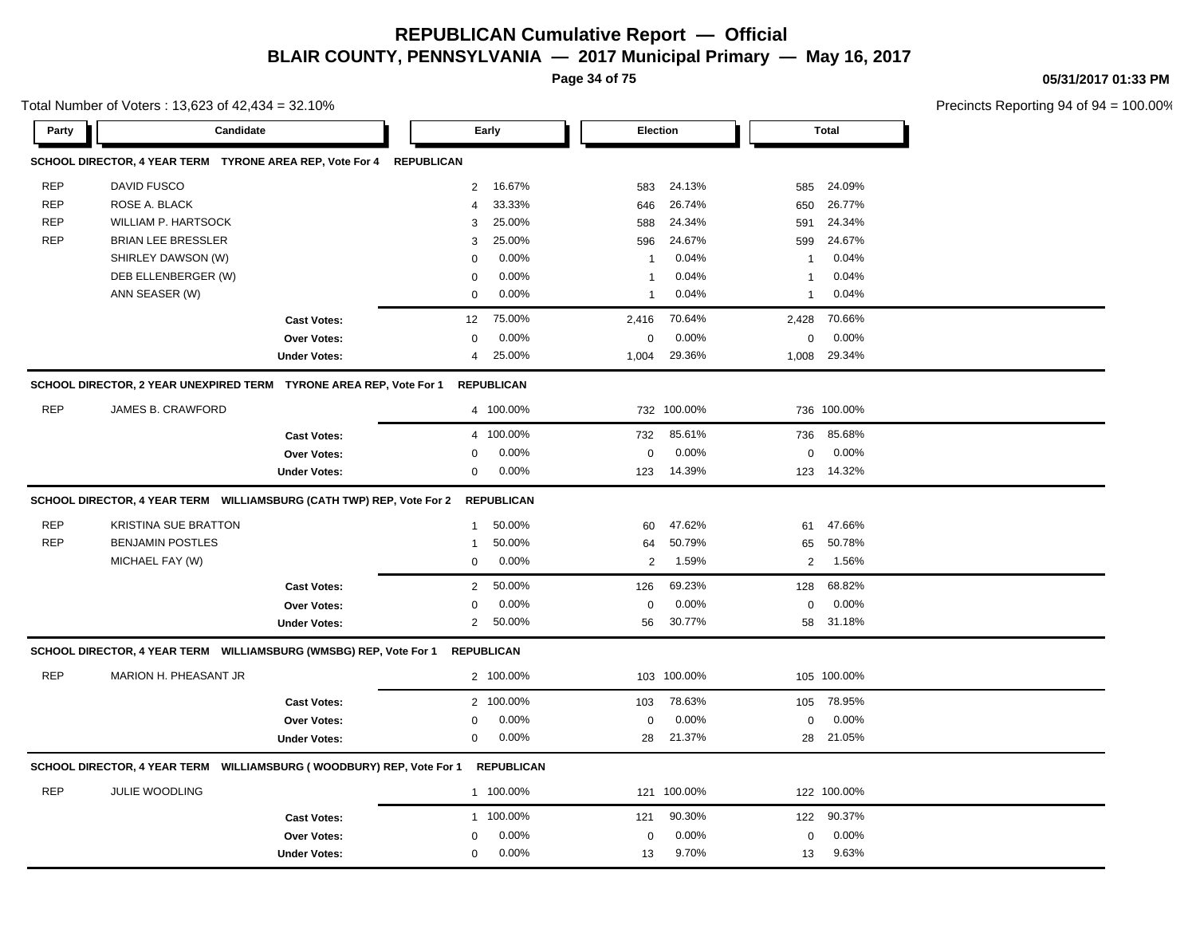**Page 34 of 75**

**05/31/2017 01:33 PM**

| Total Number of Voters: 13,623 of 42,434 = 32.10% |                                                                       |                     |                |                   |              |             |                |              | Precincts Reporting 94 of ! |
|---------------------------------------------------|-----------------------------------------------------------------------|---------------------|----------------|-------------------|--------------|-------------|----------------|--------------|-----------------------------|
| Party                                             | Candidate                                                             |                     |                | Early             | Election     |             |                | <b>Total</b> |                             |
|                                                   | SCHOOL DIRECTOR, 4 YEAR TERM  TYRONE AREA REP, Vote For 4  REPUBLICAN |                     |                |                   |              |             |                |              |                             |
| <b>REP</b>                                        | DAVID FUSCO                                                           |                     | $\overline{2}$ | 16.67%            | 583          | 24.13%      | 585            | 24.09%       |                             |
| <b>REP</b>                                        | ROSE A. BLACK                                                         |                     | $\overline{4}$ | 33.33%            | 646          | 26.74%      | 650            | 26.77%       |                             |
| <b>REP</b>                                        | WILLIAM P. HARTSOCK                                                   |                     | 3              | 25.00%            | 588          | 24.34%      | 591            | 24.34%       |                             |
| <b>REP</b>                                        | BRIAN LEE BRESSLER                                                    |                     | 3              | 25.00%            | 596          | 24.67%      | 599            | 24.67%       |                             |
|                                                   | SHIRLEY DAWSON (W)                                                    |                     | $\Omega$       | 0.00%             | $\mathbf{1}$ | 0.04%       | 1              | 0.04%        |                             |
|                                                   | DEB ELLENBERGER (W)                                                   |                     | $\Omega$       | 0.00%             | -1           | 0.04%       | -1             | 0.04%        |                             |
|                                                   | ANN SEASER (W)                                                        |                     | $\mathbf 0$    | 0.00%             | $\mathbf{1}$ | 0.04%       | $\mathbf{1}$   | 0.04%        |                             |
|                                                   |                                                                       | <b>Cast Votes:</b>  | 12             | 75.00%            | 2,416        | 70.64%      | 2,428          | 70.66%       |                             |
|                                                   |                                                                       | <b>Over Votes:</b>  | $\mathbf 0$    | 0.00%             | 0            | 0.00%       | $\pmb{0}$      | 0.00%        |                             |
|                                                   |                                                                       | <b>Under Votes:</b> | $\overline{4}$ | 25.00%            | 1,004        | 29.36%      | 1,008          | 29.34%       |                             |
|                                                   | SCHOOL DIRECTOR, 2 YEAR UNEXPIRED TERM TYRONE AREA REP, Vote For 1    |                     |                | <b>REPUBLICAN</b> |              |             |                |              |                             |
| <b>REP</b>                                        | JAMES B. CRAWFORD                                                     |                     |                | 4 100.00%         |              | 732 100.00% |                | 736 100.00%  |                             |
|                                                   |                                                                       | <b>Cast Votes:</b>  | $\overline{4}$ | 100.00%           | 732          | 85.61%      | 736            | 85.68%       |                             |
|                                                   |                                                                       | <b>Over Votes:</b>  | $\mathbf 0$    | 0.00%             | 0            | 0.00%       | $\pmb{0}$      | 0.00%        |                             |
|                                                   |                                                                       | <b>Under Votes:</b> | $\mathbf 0$    | 0.00%             | 123          | 14.39%      | 123            | 14.32%       |                             |
|                                                   | SCHOOL DIRECTOR, 4 YEAR TERM WILLIAMSBURG (CATH TWP) REP, Vote For 2  |                     |                | <b>REPUBLICAN</b> |              |             |                |              |                             |
| <b>REP</b>                                        | <b>KRISTINA SUE BRATTON</b>                                           |                     | -1             | 50.00%            | 60           | 47.62%      | 61             | 47.66%       |                             |
| <b>REP</b>                                        | <b>BENJAMIN POSTLES</b>                                               |                     | $\overline{1}$ | 50.00%            | 64           | 50.79%      | 65             | 50.78%       |                             |
|                                                   | MICHAEL FAY (W)                                                       |                     | $\mathbf 0$    | 0.00%             | $\sqrt{2}$   | 1.59%       | $\overline{2}$ | 1.56%        |                             |
|                                                   |                                                                       | <b>Cast Votes:</b>  | $\overline{2}$ | 50.00%            | 126          | 69.23%      | 128            | 68.82%       |                             |
|                                                   |                                                                       | Over Votes:         | $\Omega$       | 0.00%             | $\Omega$     | 0.00%       | $\mathbf 0$    | 0.00%        |                             |
|                                                   |                                                                       | <b>Under Votes:</b> | $\overline{2}$ | 50.00%            | 56           | 30.77%      | 58             | 31.18%       |                             |
|                                                   | SCHOOL DIRECTOR, 4 YEAR TERM WILLIAMSBURG (WMSBG) REP, Vote For 1     |                     |                | <b>REPUBLICAN</b> |              |             |                |              |                             |
| <b>REP</b>                                        | MARION H. PHEASANT JR                                                 |                     |                | 2 100.00%         |              | 103 100.00% |                | 105 100.00%  |                             |
|                                                   |                                                                       | <b>Cast Votes:</b>  |                | 2 100.00%         | 103          | 78.63%      | 105            | 78.95%       |                             |
|                                                   |                                                                       | Over Votes:         | $\Omega$       | 0.00%             | 0            | 0.00%       | $\mathbf 0$    | 0.00%        |                             |
|                                                   |                                                                       | <b>Under Votes:</b> | $\mathbf 0$    | 0.00%             | 28           | 21.37%      | 28             | 21.05%       |                             |
|                                                   | SCHOOL DIRECTOR, 4 YEAR TERM WILLIAMSBURG (WOODBURY) REP, Vote For 1  |                     |                | <b>REPUBLICAN</b> |              |             |                |              |                             |
| <b>REP</b>                                        | JULIE WOODLING                                                        |                     |                | 1 100.00%         |              | 121 100.00% |                | 122 100.00%  |                             |
|                                                   |                                                                       | <b>Cast Votes:</b>  |                | 1 100.00%         | 121          | 90.30%      | 122            | 90.37%       |                             |
|                                                   |                                                                       | <b>Over Votes:</b>  | $\Omega$       | 0.00%             | 0            | 0.00%       | $\mathbf 0$    | 0.00%        |                             |
|                                                   |                                                                       | <b>Under Votes:</b> | $\mathbf 0$    | 0.00%             | 13           | 9.70%       | 13             | 9.63%        |                             |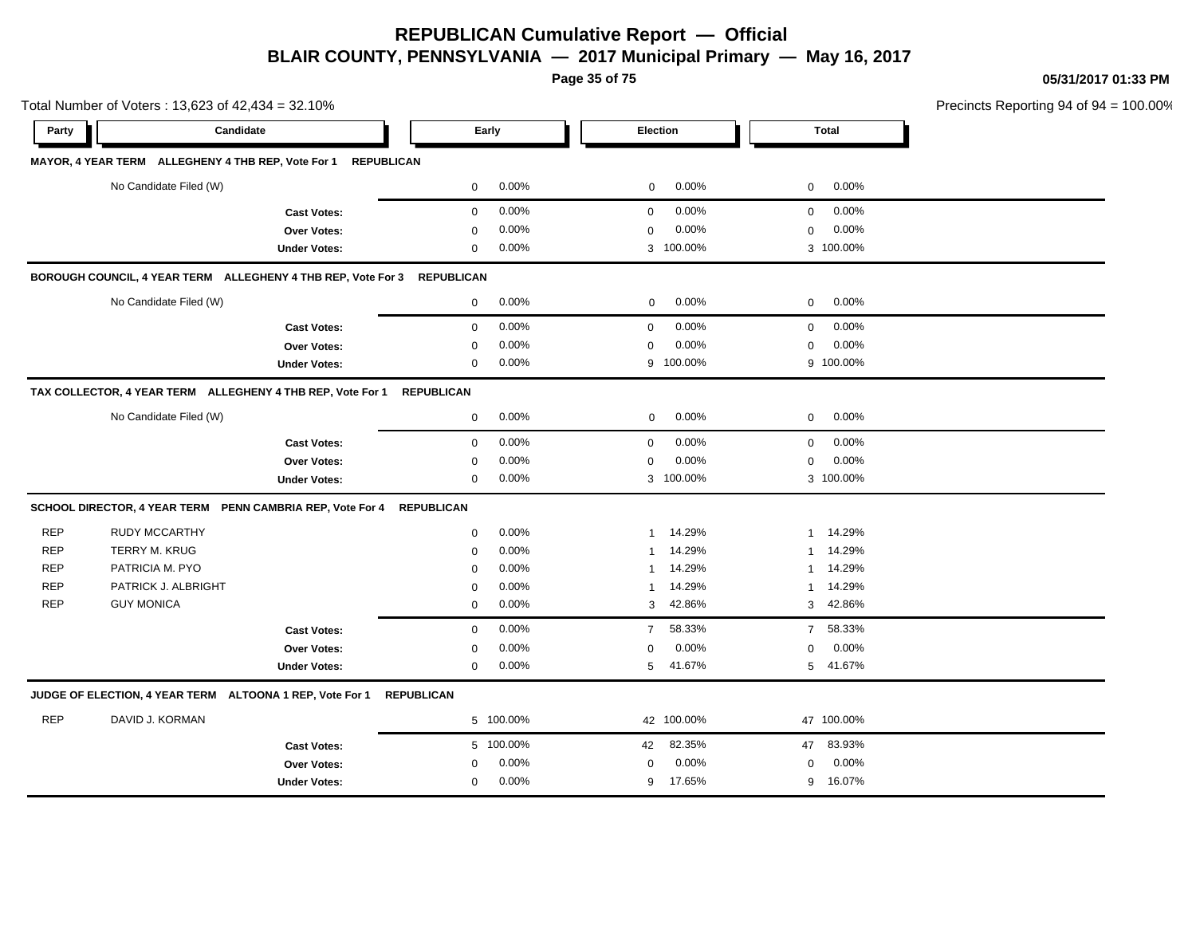**Page 35 of 75**

**05/31/2017 01:33 PM**

| Total Number of Voters: 13,623 of 42,434 = 32.10% |                                                                         |                     |                            |                            | Precincts Reporting 94 of 94 = 100.00% |  |
|---------------------------------------------------|-------------------------------------------------------------------------|---------------------|----------------------------|----------------------------|----------------------------------------|--|
| Party                                             | Candidate                                                               |                     | Early                      | Election                   | Total                                  |  |
|                                                   | MAYOR, 4 YEAR TERM ALLEGHENY 4 THB REP, Vote For 1 REPUBLICAN           |                     |                            |                            |                                        |  |
|                                                   | No Candidate Filed (W)                                                  |                     | $0.00\%$<br>$\overline{0}$ | 0.00%<br>$\overline{0}$    | $0$ 0.00%                              |  |
|                                                   |                                                                         | <b>Cast Votes:</b>  | 0.00%<br>$\overline{0}$    | $0.00\%$<br>$\overline{0}$ | $0\quad 0.00\%$                        |  |
|                                                   |                                                                         | Over Votes:         | 0.00%<br>$\mathbf 0$       | 0.00%<br>$\mathbf 0$       | $0.00\%$<br>$\mathbf 0$                |  |
|                                                   |                                                                         | <b>Under Votes:</b> | 0.00%<br>$\mathbf{0}$      | 3 100.00%                  | 3 100.00%                              |  |
|                                                   | BOROUGH COUNCIL, 4 YEAR TERM ALLEGHENY 4 THB REP, Vote For 3 REPUBLICAN |                     |                            |                            |                                        |  |
|                                                   | No Candidate Filed (W)                                                  |                     | $0\qquad 0.00\%$           | $0.00\%$<br>$\overline{0}$ | $0\qquad 0.00\%$                       |  |
|                                                   |                                                                         | <b>Cast Votes:</b>  | 0.00%<br>$\mathbf 0$       | 0.00%<br>$\overline{0}$    | $0\quad 0.00\%$                        |  |
|                                                   |                                                                         | Over Votes:         | 0.00%<br>$\mathbf 0$       | 0.00%<br>$\mathbf{0}$      | $0\quad 0.00\%$                        |  |
|                                                   |                                                                         | <b>Under Votes:</b> | $0.00\%$<br>$\mathbf{0}$   | 9 100.00%                  | 9 100.00%                              |  |
|                                                   | TAX COLLECTOR, 4 YEAR TERM ALLEGHENY 4 THB REP, Vote For 1 REPUBLICAN   |                     |                            |                            |                                        |  |
|                                                   | No Candidate Filed (W)                                                  |                     | $0.00\%$<br>$\overline{0}$ | $0.00\%$<br>$\overline{0}$ | $0\quad 0.00\%$                        |  |
|                                                   |                                                                         | <b>Cast Votes:</b>  | 0.00%<br>$\mathbf 0$       | $0.00\%$<br>$\mathbf{0}$   | $0\quad 0.00\%$                        |  |
|                                                   |                                                                         | Over Votes:         | 0.00%<br>0                 | 0.00%<br>$\mathbf 0$       | 0.00%<br>$\mathbf 0$                   |  |
|                                                   |                                                                         | <b>Under Votes:</b> | $0.00\%$<br>$\mathbf{0}$   | 3 100.00%                  | 3 100.00%                              |  |
|                                                   | SCHOOL DIRECTOR, 4 YEAR TERM PENN CAMBRIA REP, Vote For 4 REPUBLICAN    |                     |                            |                            |                                        |  |
| <b>REP</b>                                        | <b>RUDY MCCARTHY</b>                                                    |                     | $0.00\%$<br>$\mathbf{0}$   | 1 14.29%                   | 1 14.29%                               |  |
| <b>REP</b>                                        | TERRY M. KRUG                                                           |                     | 0.00%<br>$\mathbf 0$       | 1 14.29%                   | 1 14.29%                               |  |
| <b>REP</b>                                        | PATRICIA M. PYO                                                         |                     | 0.00%<br>$\Omega$          | 1 14.29%                   | 1 14.29%                               |  |
| <b>REP</b>                                        | PATRICK J. ALBRIGHT                                                     |                     | 0.00%<br>$\mathbf 0$       | 1 14.29%                   | 1 14.29%                               |  |
| <b>REP</b>                                        | <b>GUY MONICA</b>                                                       |                     | 0.00%<br>$\mathbf 0$       | 3 42.86%                   | 3 42.86%                               |  |
|                                                   |                                                                         | <b>Cast Votes:</b>  | 0.00%<br>$\mathbf 0$       | 58.33%<br>$\overline{7}$   | 7 58.33%                               |  |
|                                                   |                                                                         | Over Votes:         | 0.00%<br>0                 | 0.00%<br>0                 | $0.00\%$<br>$\overline{0}$             |  |
|                                                   |                                                                         | <b>Under Votes:</b> | $0.00\%$<br>$\overline{0}$ | 5 41.67%                   | 5 41.67%                               |  |
|                                                   | JUDGE OF ELECTION, 4 YEAR TERM ALTOONA 1 REP, Vote For 1 REPUBLICAN     |                     |                            |                            |                                        |  |
| <b>REP</b>                                        | DAVID J. KORMAN                                                         |                     | 5 100.00%                  | 42 100.00%                 | 47 100.00%                             |  |
|                                                   |                                                                         | <b>Cast Votes:</b>  | 5 100.00%                  | 42 82.35%                  | 47 83.93%                              |  |
|                                                   |                                                                         | Over Votes:         | $0.00\%$<br>$\mathbf{0}$   | 0.00%<br>$\mathbf{0}$      | $0.00\%$<br>$\mathbf{0}$               |  |
|                                                   |                                                                         | <b>Under Votes:</b> | $0.00\%$<br>$\overline{0}$ | 9 17.65%                   | 9 16.07%                               |  |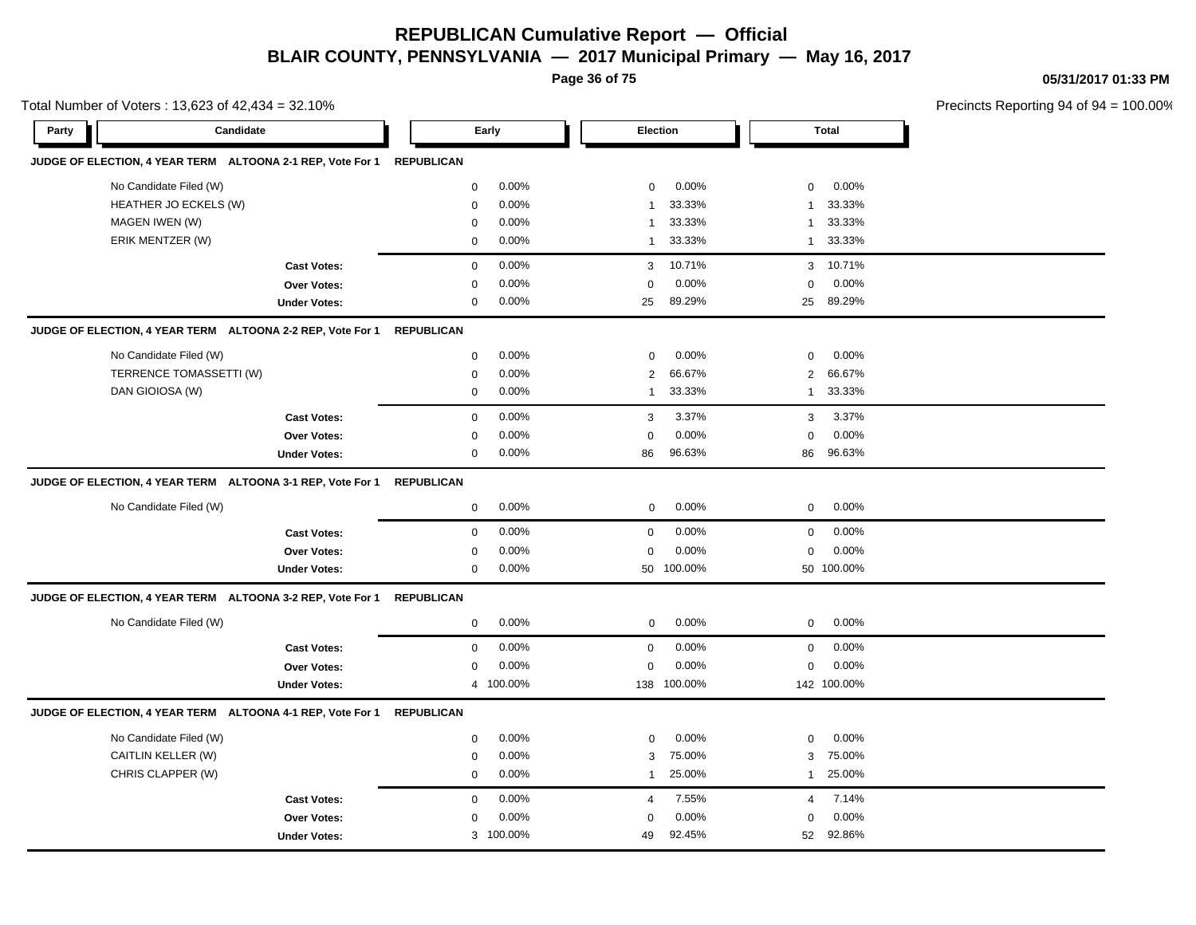**Page 36 of 75**

**05/31/2017 01:33 PM**

|       | Total Number of Voters: 13,623 of 42,434 = 32.10%          |                     |                   |           |                |             |                |              | Precincts Reporting 94 of 94 |
|-------|------------------------------------------------------------|---------------------|-------------------|-----------|----------------|-------------|----------------|--------------|------------------------------|
| Party | Candidate                                                  |                     |                   | Early     | Election       |             |                | <b>Total</b> |                              |
|       | JUDGE OF ELECTION, 4 YEAR TERM ALTOONA 2-1 REP, Vote For 1 |                     | <b>REPUBLICAN</b> |           |                |             |                |              |                              |
|       | No Candidate Filed (W)                                     |                     | $\mathsf 0$       | 0.00%     | $\mathbf 0$    | 0.00%       | $\mathbf 0$    | 0.00%        |                              |
|       | HEATHER JO ECKELS (W)                                      |                     | $\mathbf 0$       | 0.00%     | $\mathbf{1}$   | 33.33%      | $\mathbf{1}$   | 33.33%       |                              |
|       | MAGEN IWEN (W)                                             |                     | $\mathbf 0$       | 0.00%     | $\mathbf{1}$   | 33.33%      | $\mathbf{1}$   | 33.33%       |                              |
|       | ERIK MENTZER (W)                                           |                     | $\mathsf 0$       | 0.00%     | $\mathbf{1}$   | 33.33%      | $\mathbf{1}$   | 33.33%       |                              |
|       |                                                            | <b>Cast Votes:</b>  | $\mathbf 0$       | 0.00%     | 3              | 10.71%      | 3              | 10.71%       |                              |
|       |                                                            | <b>Over Votes:</b>  | $\mathbf 0$       | 0.00%     | $\Omega$       | 0.00%       | $\mathbf 0$    | 0.00%        |                              |
|       |                                                            | <b>Under Votes:</b> | $\mathbf 0$       | $0.00\%$  | 25             | 89.29%      | 25             | 89.29%       |                              |
|       | JUDGE OF ELECTION, 4 YEAR TERM ALTOONA 2-2 REP, Vote For 1 |                     | <b>REPUBLICAN</b> |           |                |             |                |              |                              |
|       | No Candidate Filed (W)                                     |                     | $\mathbf 0$       | $0.00\%$  | $\mathbf 0$    | 0.00%       | 0              | 0.00%        |                              |
|       | TERRENCE TOMASSETTI (W)                                    |                     | $\mathbf 0$       | 0.00%     | $\overline{2}$ | 66.67%      | $\overline{2}$ | 66.67%       |                              |
|       | DAN GIOIOSA (W)                                            |                     | $\mathbf 0$       | 0.00%     | $\mathbf{1}$   | 33.33%      | $\mathbf{1}$   | 33.33%       |                              |
|       |                                                            | <b>Cast Votes:</b>  | $\mathbf 0$       | 0.00%     | 3              | 3.37%       | 3              | 3.37%        |                              |
|       |                                                            | <b>Over Votes:</b>  | $\mathbf 0$       | 0.00%     | $\mathbf 0$    | 0.00%       | $\mathbf 0$    | 0.00%        |                              |
|       |                                                            | <b>Under Votes:</b> | $\mathbf 0$       | 0.00%     | 86             | 96.63%      | 86             | 96.63%       |                              |
|       | JUDGE OF ELECTION, 4 YEAR TERM ALTOONA 3-1 REP, Vote For 1 |                     | <b>REPUBLICAN</b> |           |                |             |                |              |                              |
|       | No Candidate Filed (W)                                     |                     | $\mathbf 0$       | 0.00%     | $\mathbf 0$    | 0.00%       | 0              | 0.00%        |                              |
|       |                                                            | <b>Cast Votes:</b>  | $\mathbf 0$       | 0.00%     | $\mathbf 0$    | 0.00%       | $\mathbf 0$    | 0.00%        |                              |
|       |                                                            | <b>Over Votes:</b>  | $\mathbf 0$       | 0.00%     | $\mathbf 0$    | 0.00%       | $\mathbf 0$    | 0.00%        |                              |
|       |                                                            | <b>Under Votes:</b> | 0                 | 0.00%     |                | 50 100.00%  |                | 50 100.00%   |                              |
|       | JUDGE OF ELECTION, 4 YEAR TERM ALTOONA 3-2 REP, Vote For 1 |                     | <b>REPUBLICAN</b> |           |                |             |                |              |                              |
|       | No Candidate Filed (W)                                     |                     | $\mathbf 0$       | 0.00%     | $\pmb{0}$      | 0.00%       | $\mathbf 0$    | 0.00%        |                              |
|       |                                                            | <b>Cast Votes:</b>  | $\mathbf 0$       | 0.00%     | $\mathbf 0$    | 0.00%       | $\mathbf 0$    | 0.00%        |                              |
|       |                                                            | Over Votes:         | $\mathbf 0$       | 0.00%     | $\Omega$       | 0.00%       | $\mathbf 0$    | 0.00%        |                              |
|       |                                                            | <b>Under Votes:</b> |                   | 4 100.00% |                | 138 100.00% |                | 142 100.00%  |                              |
|       | JUDGE OF ELECTION, 4 YEAR TERM ALTOONA 4-1 REP, Vote For 1 |                     | <b>REPUBLICAN</b> |           |                |             |                |              |                              |
|       | No Candidate Filed (W)                                     |                     | $\mathbf 0$       | 0.00%     | $\mathbf 0$    | 0.00%       | $\mathbf 0$    | 0.00%        |                              |
|       | CAITLIN KELLER (W)                                         |                     | 0                 | 0.00%     | 3              | 75.00%      | 3              | 75.00%       |                              |
|       | CHRIS CLAPPER (W)                                          |                     | 0                 | 0.00%     | $\mathbf{1}$   | 25.00%      | $\mathbf{1}$   | 25.00%       |                              |
|       |                                                            | <b>Cast Votes:</b>  | $\mathbf 0$       | 0.00%     | $\overline{4}$ | 7.55%       | $\overline{4}$ | 7.14%        |                              |
|       |                                                            | Over Votes:         | 0                 | 0.00%     | $\mathbf 0$    | 0.00%       | 0              | 0.00%        |                              |
|       |                                                            | <b>Under Votes:</b> | 3                 | 100.00%   | 49             | 92.45%      | 52             | 92.86%       |                              |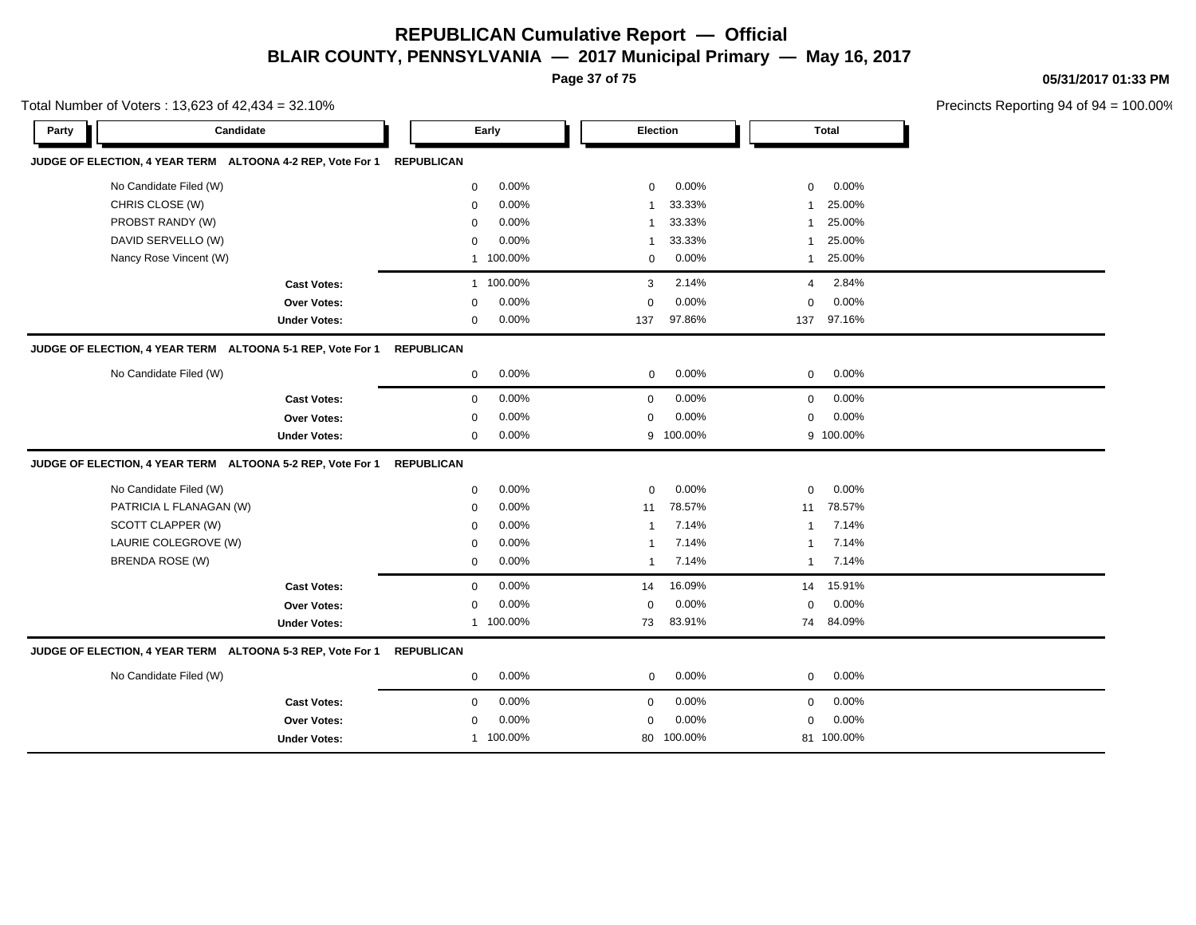**Page 37 of 75**

**05/31/2017 01:33 PM**

|       | Total Number of Voters: 13,623 of 42,434 = 32.10%          |                     |                   |           |                |            |                |            | Precincts Reporting 94 of 9 |
|-------|------------------------------------------------------------|---------------------|-------------------|-----------|----------------|------------|----------------|------------|-----------------------------|
| Party | Candidate                                                  |                     |                   | Early     |                | Election   |                | Total      |                             |
|       | JUDGE OF ELECTION, 4 YEAR TERM ALTOONA 4-2 REP, Vote For 1 |                     | <b>REPUBLICAN</b> |           |                |            |                |            |                             |
|       | No Candidate Filed (W)                                     |                     | $\mathbf 0$       | 0.00%     | $\mathbf 0$    | 0.00%      | $\mathbf 0$    | 0.00%      |                             |
|       | CHRIS CLOSE (W)                                            |                     | $\mathbf 0$       | 0.00%     | $\overline{1}$ | 33.33%     | $\overline{1}$ | 25.00%     |                             |
|       | PROBST RANDY (W)                                           |                     | $\mathbf 0$       | 0.00%     | $\overline{1}$ | 33.33%     | $\overline{1}$ | 25.00%     |                             |
|       | DAVID SERVELLO (W)                                         |                     | $\mathbf 0$       | 0.00%     | $\overline{1}$ | 33.33%     | $\overline{1}$ | 25.00%     |                             |
|       | Nancy Rose Vincent (W)                                     |                     |                   | 1 100.00% | $\mathbf 0$    | 0.00%      | $\mathbf{1}$   | 25.00%     |                             |
|       |                                                            | <b>Cast Votes:</b>  |                   | 1 100.00% | 3              | 2.14%      | 4              | 2.84%      |                             |
|       |                                                            | Over Votes:         | $\Omega$          | 0.00%     | $\mathbf 0$    | 0.00%      | $\mathbf 0$    | 0.00%      |                             |
|       |                                                            | <b>Under Votes:</b> | 0                 | 0.00%     | 137            | 97.86%     | 137            | 97.16%     |                             |
|       | JUDGE OF ELECTION, 4 YEAR TERM ALTOONA 5-1 REP, Vote For 1 |                     | <b>REPUBLICAN</b> |           |                |            |                |            |                             |
|       | No Candidate Filed (W)                                     |                     | $\mathbf 0$       | 0.00%     | $\mathbf 0$    | 0.00%      | $\mathbf 0$    | 0.00%      |                             |
|       |                                                            | <b>Cast Votes:</b>  | $\mathbf 0$       | 0.00%     | $\mathbf 0$    | 0.00%      | $\mathbf 0$    | 0.00%      |                             |
|       |                                                            | Over Votes:         | $\mathbf 0$       | 0.00%     | $\mathbf 0$    | 0.00%      | $\mathbf 0$    | 0.00%      |                             |
|       |                                                            | <b>Under Votes:</b> | $\mathbf 0$       | 0.00%     | 9              | 100.00%    |                | 9 100.00%  |                             |
|       | JUDGE OF ELECTION, 4 YEAR TERM ALTOONA 5-2 REP, Vote For 1 |                     | <b>REPUBLICAN</b> |           |                |            |                |            |                             |
|       | No Candidate Filed (W)                                     |                     | 0                 | 0.00%     | $\mathbf 0$    | 0.00%      | 0              | 0.00%      |                             |
|       | PATRICIA L FLANAGAN (W)                                    |                     | 0                 | 0.00%     | 11             | 78.57%     | 11             | 78.57%     |                             |
|       | SCOTT CLAPPER (W)                                          |                     | 0                 | 0.00%     | $\overline{1}$ | 7.14%      | -1             | 7.14%      |                             |
|       | LAURIE COLEGROVE (W)                                       |                     | $\mathbf 0$       | 0.00%     | $\overline{1}$ | 7.14%      | $\overline{1}$ | 7.14%      |                             |
|       | BRENDA ROSE (W)                                            |                     | 0                 | 0.00%     | $\overline{1}$ | 7.14%      | $\mathbf{1}$   | 7.14%      |                             |
|       |                                                            | <b>Cast Votes:</b>  | $\mathbf 0$       | 0.00%     | 14             | 16.09%     | 14             | 15.91%     |                             |
|       |                                                            | Over Votes:         | 0                 | $0.00\%$  | 0              | 0.00%      | 0              | 0.00%      |                             |
|       |                                                            | <b>Under Votes:</b> |                   | 1 100.00% | 73             | 83.91%     |                | 74 84.09%  |                             |
|       | JUDGE OF ELECTION, 4 YEAR TERM ALTOONA 5-3 REP, Vote For 1 |                     | <b>REPUBLICAN</b> |           |                |            |                |            |                             |
|       | No Candidate Filed (W)                                     |                     | 0                 | 0.00%     | 0              | 0.00%      | 0              | 0.00%      |                             |
|       |                                                            | <b>Cast Votes:</b>  | $\mathbf 0$       | 0.00%     | $\mathbf 0$    | 0.00%      | 0              | 0.00%      |                             |
|       |                                                            | Over Votes:         | 0                 | 0.00%     | $\mathbf 0$    | 0.00%      | 0              | 0.00%      |                             |
|       |                                                            | <b>Under Votes:</b> |                   | 1 100.00% |                | 80 100.00% |                | 81 100.00% |                             |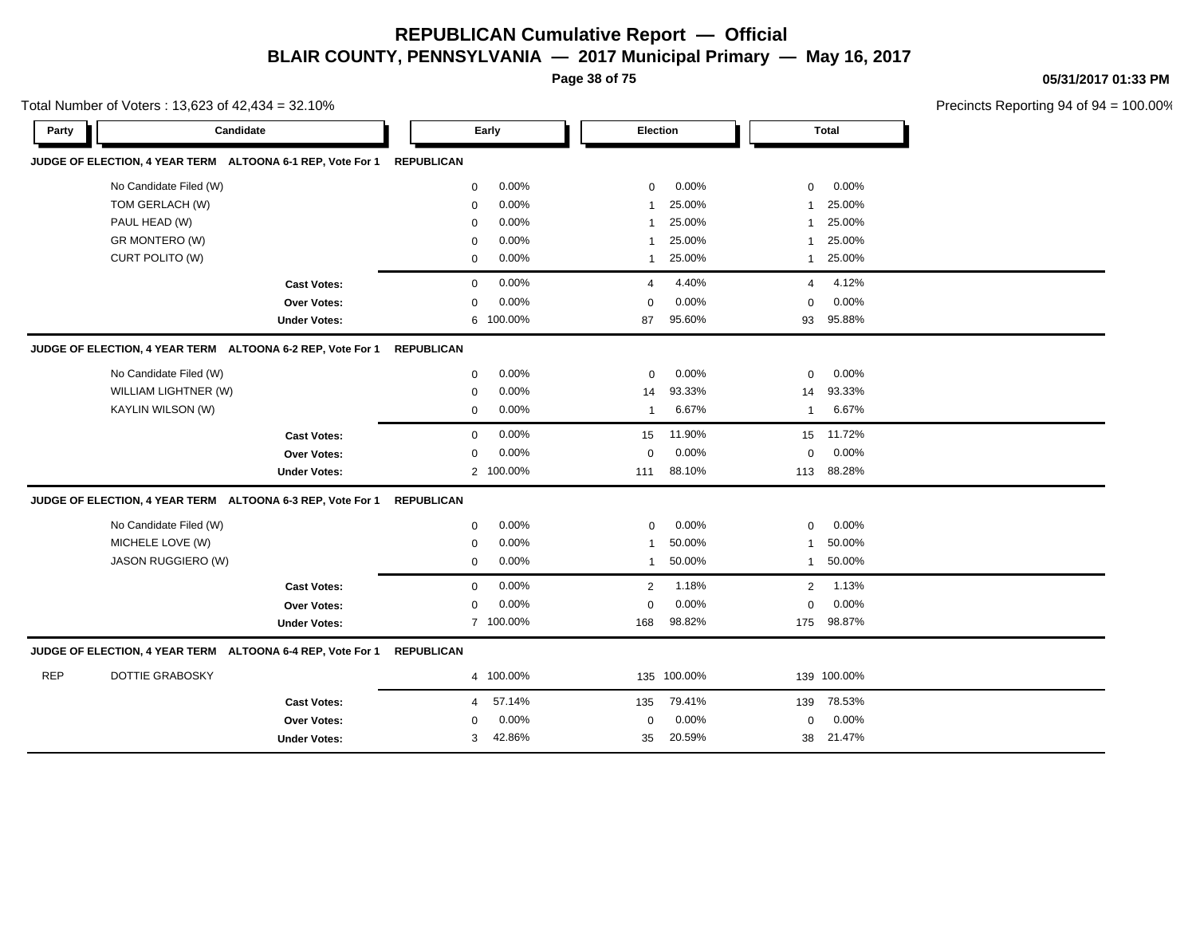**Page 38 of 75**

**05/31/2017 01:33 PM**

|            | Total Number of Voters: 13,623 of 42,434 = 32.10%          |                     |                   |           |                         |             |                |              | Precincts Reporting 94 of 94 |
|------------|------------------------------------------------------------|---------------------|-------------------|-----------|-------------------------|-------------|----------------|--------------|------------------------------|
| Party      | Candidate                                                  |                     |                   | Early     | Election                |             |                | <b>Total</b> |                              |
|            | JUDGE OF ELECTION, 4 YEAR TERM ALTOONA 6-1 REP, Vote For 1 |                     | <b>REPUBLICAN</b> |           |                         |             |                |              |                              |
|            | No Candidate Filed (W)                                     |                     | $\mathbf 0$       | 0.00%     | 0                       | 0.00%       | 0              | 0.00%        |                              |
|            | TOM GERLACH (W)                                            |                     | $\mathbf 0$       | 0.00%     | $\overline{1}$          | 25.00%      | $\mathbf 1$    | 25.00%       |                              |
|            | PAUL HEAD (W)                                              |                     | 0                 | 0.00%     | 1                       | 25.00%      | $\mathbf 1$    | 25.00%       |                              |
|            | GR MONTERO (W)                                             |                     | $\mathbf 0$       | 0.00%     | $\overline{1}$          | 25.00%      | $\overline{1}$ | 25.00%       |                              |
|            | CURT POLITO (W)                                            |                     | $\mathbf 0$       | 0.00%     | $\mathbf{1}$            | 25.00%      | $\overline{1}$ | 25.00%       |                              |
|            |                                                            | <b>Cast Votes:</b>  | 0                 | 0.00%     | 4                       | 4.40%       | 4              | 4.12%        |                              |
|            |                                                            | Over Votes:         | $\mathbf 0$       | 0.00%     | $\mathbf 0$             | 0.00%       | $\mathbf 0$    | 0.00%        |                              |
|            |                                                            | <b>Under Votes:</b> | 6                 | 100.00%   | 87                      | 95.60%      | 93             | 95.88%       |                              |
|            | JUDGE OF ELECTION, 4 YEAR TERM ALTOONA 6-2 REP, Vote For 1 |                     | <b>REPUBLICAN</b> |           |                         |             |                |              |                              |
|            | No Candidate Filed (W)                                     |                     | $\mathbf 0$       | 0.00%     | 0                       | 0.00%       | $\mathbf 0$    | 0.00%        |                              |
|            | WILLIAM LIGHTNER (W)                                       |                     | $\mathbf 0$       | 0.00%     | 14                      | 93.33%      | 14             | 93.33%       |                              |
|            | KAYLIN WILSON (W)                                          |                     | $\mathbf 0$       | 0.00%     | $\overline{\mathbf{1}}$ | 6.67%       | $\overline{1}$ | 6.67%        |                              |
|            |                                                            | <b>Cast Votes:</b>  | $\mathsf 0$       | 0.00%     | 15                      | 11.90%      |                | 15 11.72%    |                              |
|            |                                                            | Over Votes:         | $\mathbf 0$       | 0.00%     | $\mathbf 0$             | 0.00%       | 0              | 0.00%        |                              |
|            |                                                            | <b>Under Votes:</b> |                   | 2 100.00% | 111                     | 88.10%      | 113            | 88.28%       |                              |
|            | JUDGE OF ELECTION, 4 YEAR TERM ALTOONA 6-3 REP, Vote For 1 |                     | <b>REPUBLICAN</b> |           |                         |             |                |              |                              |
|            | No Candidate Filed (W)                                     |                     | 0                 | 0.00%     | 0                       | 0.00%       | 0              | 0.00%        |                              |
|            | MICHELE LOVE (W)                                           |                     | 0                 | 0.00%     | 1                       | 50.00%      | 1              | 50.00%       |                              |
|            | JASON RUGGIERO (W)                                         |                     | $\mathbf 0$       | 0.00%     | -1                      | 50.00%      | $\mathbf 1$    | 50.00%       |                              |
|            |                                                            | <b>Cast Votes:</b>  | $\mathbf 0$       | 0.00%     | 2                       | 1.18%       | $\overline{2}$ | 1.13%        |                              |
|            |                                                            | Over Votes:         | $\mathbf 0$       | 0.00%     | $\mathbf 0$             | 0.00%       | 0              | 0.00%        |                              |
|            |                                                            | <b>Under Votes:</b> |                   | 7 100.00% | 168                     | 98.82%      |                | 175 98.87%   |                              |
|            | JUDGE OF ELECTION, 4 YEAR TERM ALTOONA 6-4 REP, Vote For 1 |                     | <b>REPUBLICAN</b> |           |                         |             |                |              |                              |
| <b>REP</b> | <b>DOTTIE GRABOSKY</b>                                     |                     |                   | 4 100.00% |                         | 135 100.00% |                | 139 100.00%  |                              |
|            |                                                            | <b>Cast Votes:</b>  | 4                 | 57.14%    | 135                     | 79.41%      | 139            | 78.53%       |                              |
|            |                                                            | Over Votes:         | 0                 | 0.00%     | 0                       | 0.00%       | 0              | 0.00%        |                              |
|            |                                                            | <b>Under Votes:</b> | 3                 | 42.86%    | 35                      | 20.59%      | 38             | 21.47%       |                              |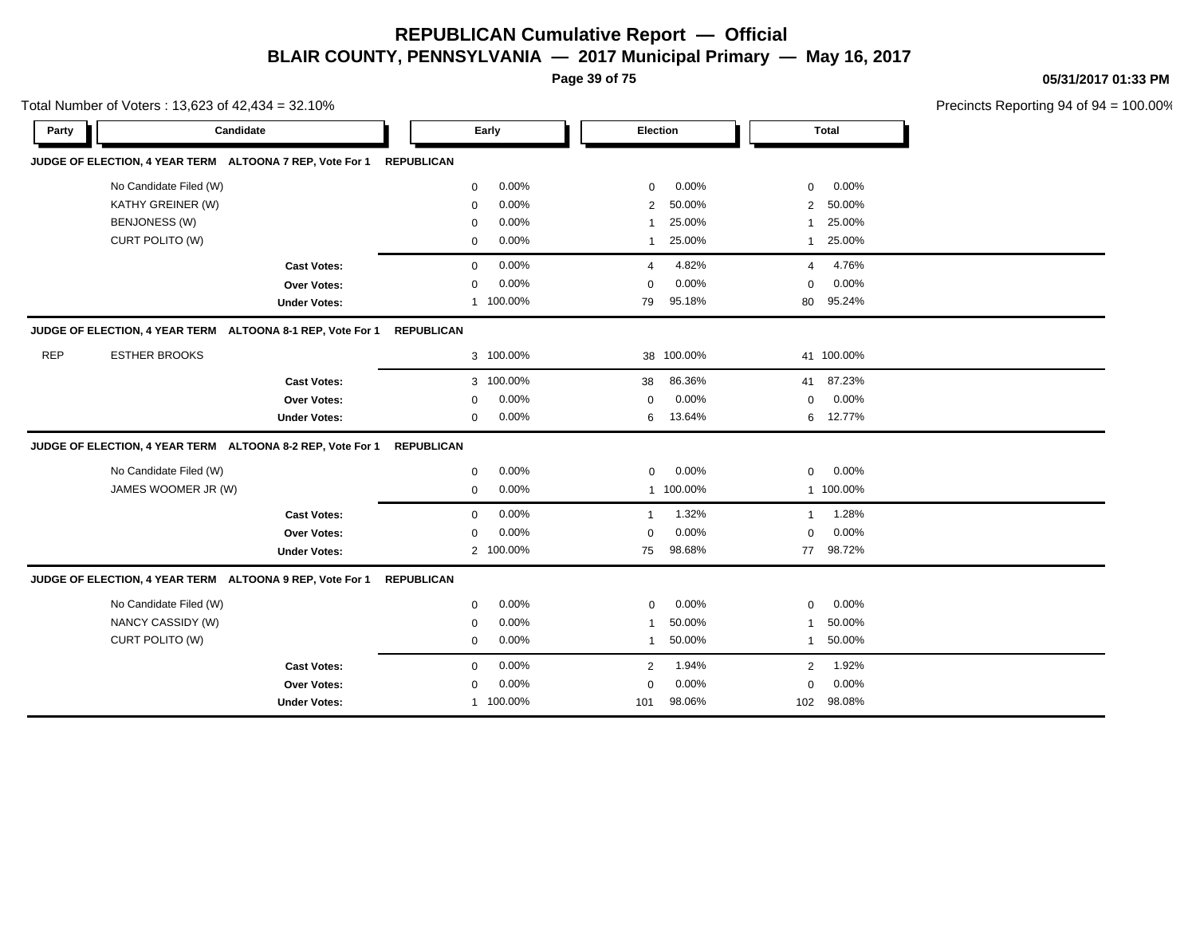**Page 39 of 75**

**05/31/2017 01:33 PM**

|            | Total Number of Voters: 13,623 of 42,434 = 32.10% |                                                            |                   |           |                |            |                |            | Precincts Reporting 94 of 94 |
|------------|---------------------------------------------------|------------------------------------------------------------|-------------------|-----------|----------------|------------|----------------|------------|------------------------------|
| Party      |                                                   | Candidate                                                  |                   | Early     | Election       |            |                | Total      |                              |
|            |                                                   | JUDGE OF ELECTION, 4 YEAR TERM ALTOONA 7 REP, Vote For 1   | <b>REPUBLICAN</b> |           |                |            |                |            |                              |
|            | No Candidate Filed (W)                            |                                                            | 0                 | 0.00%     | $\mathbf 0$    | 0.00%      | $\mathbf 0$    | 0.00%      |                              |
|            | KATHY GREINER (W)                                 |                                                            | $\mathbf 0$       | 0.00%     | $\overline{2}$ | 50.00%     | $\overline{2}$ | 50.00%     |                              |
|            | <b>BENJONESS (W)</b>                              |                                                            | 0                 | 0.00%     | -1             | 25.00%     | $\mathbf 1$    | 25.00%     |                              |
|            | CURT POLITO (W)                                   |                                                            | 0                 | 0.00%     | $\mathbf 1$    | 25.00%     | $\mathbf{1}$   | 25.00%     |                              |
|            |                                                   | <b>Cast Votes:</b>                                         | 0                 | 0.00%     | 4              | 4.82%      | 4              | 4.76%      |                              |
|            |                                                   | <b>Over Votes:</b>                                         | 0                 | 0.00%     | $\mathbf 0$    | 0.00%      | $\mathbf 0$    | 0.00%      |                              |
|            |                                                   | <b>Under Votes:</b>                                        |                   | 1 100.00% | 79             | 95.18%     | 80             | 95.24%     |                              |
|            |                                                   | JUDGE OF ELECTION, 4 YEAR TERM ALTOONA 8-1 REP, Vote For 1 | <b>REPUBLICAN</b> |           |                |            |                |            |                              |
| <b>REP</b> | <b>ESTHER BROOKS</b>                              |                                                            |                   | 3 100.00% |                | 38 100.00% |                | 41 100.00% |                              |
|            |                                                   | <b>Cast Votes:</b>                                         |                   | 3 100.00% | 38             | 86.36%     | 41             | 87.23%     |                              |
|            |                                                   | <b>Over Votes:</b>                                         | $\Omega$          | 0.00%     | $\mathbf 0$    | 0.00%      | $\mathbf 0$    | 0.00%      |                              |
|            |                                                   | <b>Under Votes:</b>                                        | 0                 | 0.00%     | 6              | 13.64%     | 6              | 12.77%     |                              |
|            |                                                   | JUDGE OF ELECTION, 4 YEAR TERM ALTOONA 8-2 REP, Vote For 1 | <b>REPUBLICAN</b> |           |                |            |                |            |                              |
|            | No Candidate Filed (W)                            |                                                            | 0                 | 0.00%     | $\mathbf 0$    | 0.00%      | $\mathbf 0$    | 0.00%      |                              |
|            | JAMES WOOMER JR (W)                               |                                                            | 0                 | 0.00%     |                | 1 100.00%  |                | 1 100.00%  |                              |
|            |                                                   | <b>Cast Votes:</b>                                         | 0                 | 0.00%     | $\mathbf 1$    | 1.32%      | $\mathbf{1}$   | 1.28%      |                              |
|            |                                                   | Over Votes:                                                | 0                 | 0.00%     | $\mathbf 0$    | 0.00%      | $\mathbf 0$    | 0.00%      |                              |
|            |                                                   | <b>Under Votes:</b>                                        |                   | 2 100.00% | 75             | 98.68%     | 77             | 98.72%     |                              |
|            |                                                   | JUDGE OF ELECTION, 4 YEAR TERM ALTOONA 9 REP, Vote For 1   | <b>REPUBLICAN</b> |           |                |            |                |            |                              |
|            | No Candidate Filed (W)                            |                                                            | 0                 | 0.00%     | 0              | 0.00%      | $\mathbf 0$    | 0.00%      |                              |
|            | NANCY CASSIDY (W)                                 |                                                            | 0                 | 0.00%     | $\mathbf 1$    | 50.00%     | $\mathbf{1}$   | 50.00%     |                              |
|            | CURT POLITO (W)                                   |                                                            | 0                 | 0.00%     | $\mathbf{1}$   | 50.00%     | $\mathbf{1}$   | 50.00%     |                              |
|            |                                                   | <b>Cast Votes:</b>                                         | 0                 | 0.00%     | 2              | 1.94%      | $\overline{2}$ | 1.92%      |                              |
|            |                                                   | <b>Over Votes:</b>                                         | $\mathbf 0$       | 0.00%     | $\mathbf 0$    | 0.00%      | $\mathbf 0$    | 0.00%      |                              |
|            |                                                   | <b>Under Votes:</b>                                        |                   | 1 100.00% | 101            | 98.06%     | 102            | 98.08%     |                              |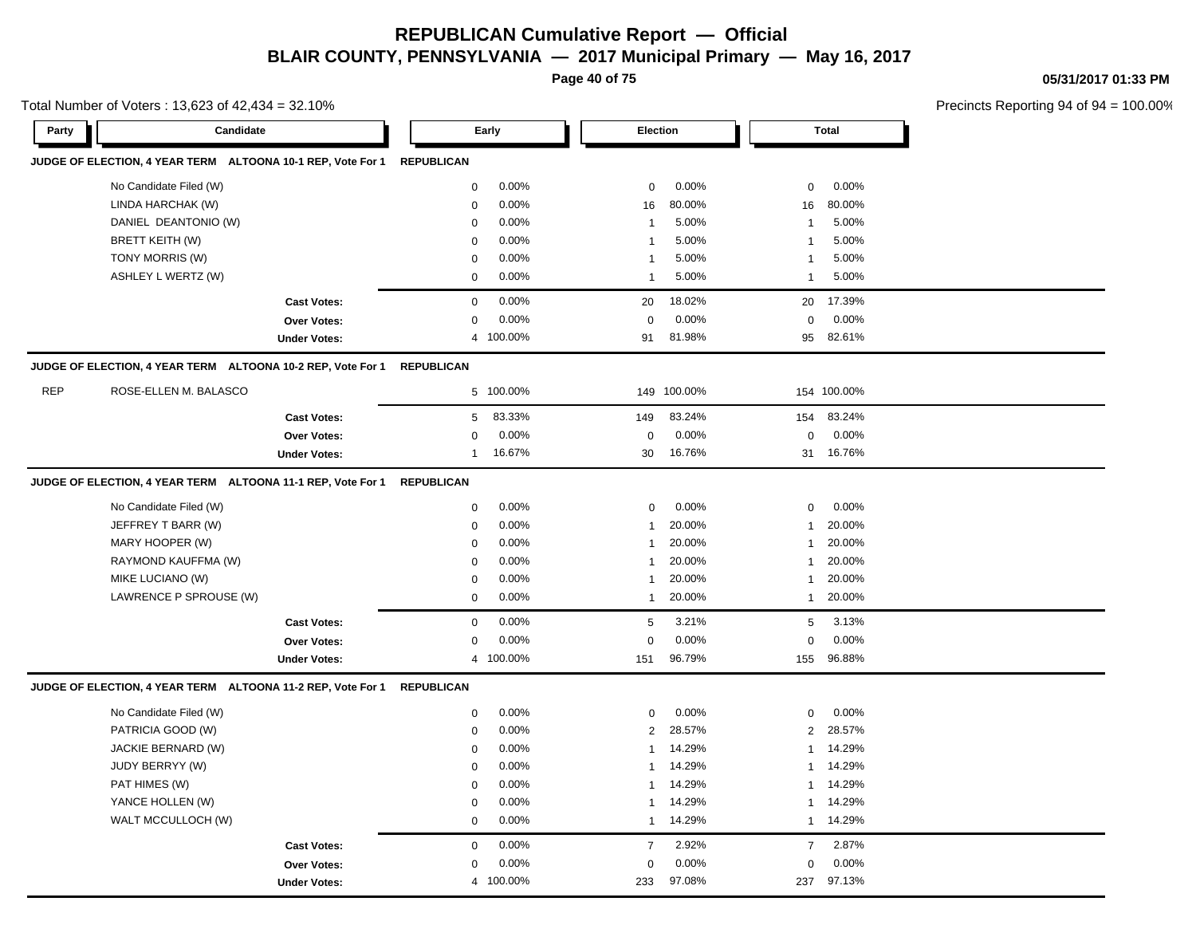**Page 40 of 75**

**05/31/2017 01:33 PM**

|            | Total Number of Voters: 13,623 of 42,434 = 32.10%                      |                     |                   |           |                         |         |              |              | Precincts Reporting 94 of 9 |
|------------|------------------------------------------------------------------------|---------------------|-------------------|-----------|-------------------------|---------|--------------|--------------|-----------------------------|
| Party      | Candidate                                                              |                     |                   | Early     | Election                |         |              | <b>Total</b> |                             |
|            | JUDGE OF ELECTION, 4 YEAR TERM ALTOONA 10-1 REP, Vote For 1 REPUBLICAN |                     |                   |           |                         |         |              |              |                             |
|            | No Candidate Filed (W)                                                 |                     | 0                 | 0.00%     | $\mathbf 0$             | 0.00%   | $\mathbf 0$  | 0.00%        |                             |
|            | LINDA HARCHAK (W)                                                      |                     | $\pmb{0}$         | 0.00%     | 16                      | 80.00%  | 16           | 80.00%       |                             |
|            | DANIEL DEANTONIO (W)                                                   |                     | 0                 | 0.00%     | $\overline{1}$          | 5.00%   | 1            | 5.00%        |                             |
|            | BRETT KEITH (W)                                                        |                     | 0                 | 0.00%     | $\overline{1}$          | 5.00%   | 1            | 5.00%        |                             |
|            | TONY MORRIS (W)                                                        |                     | $\mathbf 0$       | 0.00%     | $\overline{\mathbf{1}}$ | 5.00%   | -1           | 5.00%        |                             |
|            | ASHLEY L WERTZ (W)                                                     |                     | 0                 | 0.00%     | $\overline{1}$          | 5.00%   | 1            | 5.00%        |                             |
|            |                                                                        | <b>Cast Votes:</b>  | 0                 | 0.00%     | 20                      | 18.02%  | 20           | 17.39%       |                             |
|            |                                                                        | Over Votes:         | 0                 | 0.00%     | $\pmb{0}$               | 0.00%   | $\mathbf 0$  | 0.00%        |                             |
|            |                                                                        | <b>Under Votes:</b> |                   | 4 100.00% | 91                      | 81.98%  | 95           | 82.61%       |                             |
|            | JUDGE OF ELECTION, 4 YEAR TERM ALTOONA 10-2 REP, Vote For 1            |                     | <b>REPUBLICAN</b> |           |                         |         |              |              |                             |
| <b>REP</b> | ROSE-ELLEN M. BALASCO                                                  |                     |                   | 5 100.00% | 149                     | 100.00% |              | 154 100.00%  |                             |
|            |                                                                        | <b>Cast Votes:</b>  | 5                 | 83.33%    | 149                     | 83.24%  | 154          | 83.24%       |                             |
|            |                                                                        | <b>Over Votes:</b>  | 0                 | 0.00%     | $\mathbf 0$             | 0.00%   | $\mathbf 0$  | 0.00%        |                             |
|            |                                                                        | <b>Under Votes:</b> | 1                 | 16.67%    | 30                      | 16.76%  | 31           | 16.76%       |                             |
|            | JUDGE OF ELECTION, 4 YEAR TERM ALTOONA 11-1 REP, Vote For 1            |                     | <b>REPUBLICAN</b> |           |                         |         |              |              |                             |
|            | No Candidate Filed (W)                                                 |                     | 0                 | 0.00%     | 0                       | 0.00%   | 0            | 0.00%        |                             |
|            | JEFFREY T BARR (W)                                                     |                     | $\mathbf 0$       | 0.00%     | $\overline{\mathbf{1}}$ | 20.00%  | $\mathbf{1}$ | 20.00%       |                             |
|            | MARY HOOPER (W)                                                        |                     | 0                 | 0.00%     | $\overline{1}$          | 20.00%  | -1           | 20.00%       |                             |
|            | RAYMOND KAUFFMA (W)                                                    |                     | $\mathbf 0$       | 0.00%     | $\overline{1}$          | 20.00%  | -1           | 20.00%       |                             |
|            | MIKE LUCIANO (W)                                                       |                     | 0                 | 0.00%     | $\overline{1}$          | 20.00%  | 1            | 20.00%       |                             |
|            | LAWRENCE P SPROUSE (W)                                                 |                     | $\mathbf 0$       | 0.00%     | $\overline{1}$          | 20.00%  | $\mathbf{1}$ | 20.00%       |                             |
|            |                                                                        | <b>Cast Votes:</b>  | $\mathbf 0$       | 0.00%     | $\sqrt{5}$              | 3.21%   | 5            | 3.13%        |                             |
|            |                                                                        | <b>Over Votes:</b>  | 0                 | 0.00%     | $\mathbf 0$             | 0.00%   | $\mathbf 0$  | 0.00%        |                             |
|            |                                                                        | <b>Under Votes:</b> |                   | 4 100.00% | 151                     | 96.79%  | 155          | 96.88%       |                             |
|            | JUDGE OF ELECTION, 4 YEAR TERM ALTOONA 11-2 REP, Vote For 1            |                     | <b>REPUBLICAN</b> |           |                         |         |              |              |                             |
|            | No Candidate Filed (W)                                                 |                     | 0                 | 0.00%     | $\mathsf 0$             | 0.00%   | $\mathbf 0$  | 0.00%        |                             |
|            | PATRICIA GOOD (W)                                                      |                     | 0                 | 0.00%     | 2                       | 28.57%  | 2            | 28.57%       |                             |
|            | JACKIE BERNARD (W)                                                     |                     | 0                 | 0.00%     | $\overline{1}$          | 14.29%  | -1           | 14.29%       |                             |
|            | JUDY BERRYY (W)                                                        |                     | $\mathbf 0$       | 0.00%     | $\overline{1}$          | 14.29%  | 1            | 14.29%       |                             |
|            | PAT HIMES (W)                                                          |                     | 0                 | 0.00%     | $\overline{1}$          | 14.29%  | 1            | 14.29%       |                             |
|            | YANCE HOLLEN (W)                                                       |                     | $\mathbf 0$       | 0.00%     | $\overline{1}$          | 14.29%  | 1            | 14.29%       |                             |
|            | WALT MCCULLOCH (W)                                                     |                     | $\mathbf 0$       | 0.00%     | $\mathbf{1}$            | 14.29%  | 1            | 14.29%       |                             |
|            |                                                                        | <b>Cast Votes:</b>  | $\mathbf 0$       | 0.00%     | $\overline{7}$          | 2.92%   | 7            | 2.87%        |                             |
|            |                                                                        | <b>Over Votes:</b>  | 0                 | 0.00%     | $\mathbf 0$             | 0.00%   | 0            | 0.00%        |                             |
|            |                                                                        | <b>Under Votes:</b> |                   | 4 100.00% | 233                     | 97.08%  | 237          | 97.13%       |                             |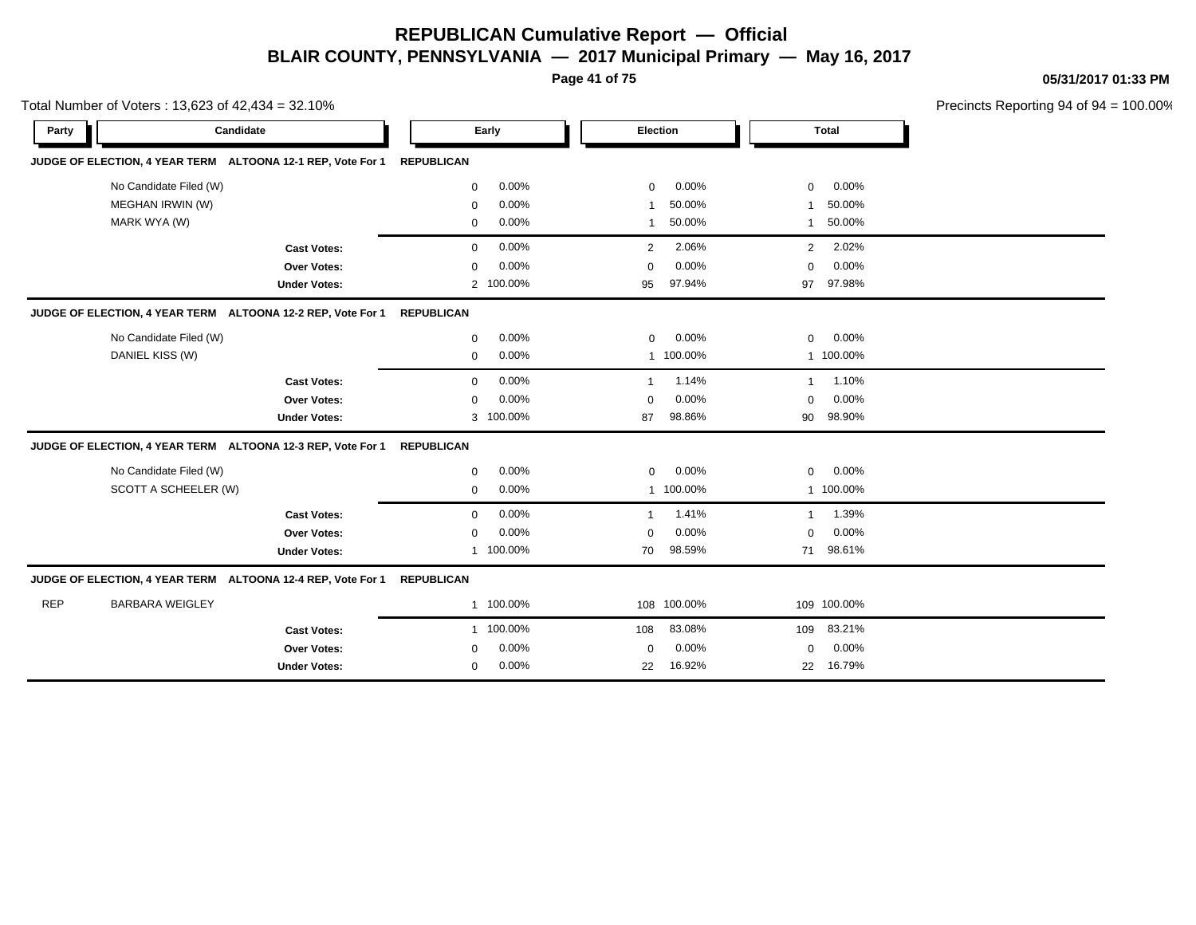**Page 41 of 75**

**05/31/2017 01:33 PM**

|            | Total Number of Voters: 13,623 of 42,434 = 32.10%                      |                     |                      |                          |                         | Precincts Reporting 94 of 94 = 100.00% |
|------------|------------------------------------------------------------------------|---------------------|----------------------|--------------------------|-------------------------|----------------------------------------|
| Party      | Candidate                                                              |                     | Early                | Election                 | <b>Total</b>            |                                        |
|            | JUDGE OF ELECTION, 4 YEAR TERM ALTOONA 12-1 REP, Vote For 1            |                     | <b>REPUBLICAN</b>    |                          |                         |                                        |
|            | No Candidate Filed (W)                                                 |                     | 0.00%<br>$\mathbf 0$ | $0.00\%$<br>$\mathbf 0$  | 0.00%<br>0              |                                        |
|            | MEGHAN IRWIN (W)                                                       |                     | 0.00%<br>$\mathbf 0$ | 50.00%<br>-1             | 50.00%<br>1             |                                        |
|            | MARK WYA (W)                                                           |                     | 0.00%<br>$\mathbf 0$ | 50.00%<br>$\overline{1}$ | 50.00%<br>$\mathbf{1}$  |                                        |
|            |                                                                        | <b>Cast Votes:</b>  | 0.00%<br>$\mathbf 0$ | 2.06%<br>2               | 2.02%<br>$\overline{2}$ |                                        |
|            |                                                                        | Over Votes:         | 0.00%<br>$\mathbf 0$ | $0.00\%$<br>$\Omega$     | 0.00%<br>0              |                                        |
|            |                                                                        | <b>Under Votes:</b> | 2 100.00%            | 97.94%<br>95             | 97.98%<br>97            |                                        |
|            | JUDGE OF ELECTION, 4 YEAR TERM ALTOONA 12-2 REP, Vote For 1 REPUBLICAN |                     |                      |                          |                         |                                        |
|            | No Candidate Filed (W)                                                 |                     | 0.00%<br>0           | 0.00%<br>$\mathbf 0$     | 0.00%<br>0              |                                        |
|            | DANIEL KISS (W)                                                        |                     | 0.00%<br>0           | 1 100.00%                | 1 100.00%               |                                        |
|            |                                                                        | <b>Cast Votes:</b>  | 0.00%<br>$\mathbf 0$ | 1.14%<br>$\mathbf{1}$    | 1.10%<br>$\mathbf{1}$   |                                        |
|            |                                                                        | Over Votes:         | 0.00%<br>$\mathbf 0$ | $0.00\%$<br>$\Omega$     | $0.00\%$<br>0           |                                        |
|            |                                                                        | <b>Under Votes:</b> | 3 100.00%            | 98.86%<br>87             | 98.90%<br>90            |                                        |
|            | JUDGE OF ELECTION, 4 YEAR TERM ALTOONA 12-3 REP, Vote For 1 REPUBLICAN |                     |                      |                          |                         |                                        |
|            | No Candidate Filed (W)                                                 |                     | 0.00%<br>$\mathbf 0$ | $0.00\%$<br>$\mathbf 0$  | 0.00%<br>0              |                                        |
|            | SCOTT A SCHEELER (W)                                                   |                     | 0.00%<br>$\mathbf 0$ | 1 100.00%                | 1 100.00%               |                                        |
|            |                                                                        | <b>Cast Votes:</b>  | 0.00%<br>$\Omega$    | 1.41%<br>$\mathbf 1$     | 1.39%<br>1              |                                        |
|            |                                                                        | Over Votes:         | 0.00%<br>$\mathbf 0$ | $0.00\%$<br>$\Omega$     | 0.00%<br>0              |                                        |
|            |                                                                        | <b>Under Votes:</b> | 1 100.00%            | 98.59%<br>70             | 71 98.61%               |                                        |
|            | JUDGE OF ELECTION, 4 YEAR TERM ALTOONA 12-4 REP, Vote For 1            |                     | <b>REPUBLICAN</b>    |                          |                         |                                        |
| <b>REP</b> | <b>BARBARA WEIGLEY</b>                                                 |                     | 1 100.00%            | 108 100.00%              | 109 100.00%             |                                        |
|            |                                                                        | <b>Cast Votes:</b>  | 1 100.00%            | 83.08%<br>108            | 83.21%<br>109           |                                        |
|            |                                                                        | Over Votes:         | 0.00%<br>0           | $0.00\%$<br>$\mathbf 0$  | 0.00%<br>0              |                                        |
|            |                                                                        | <b>Under Votes:</b> | 0.00%<br>0           | 16.92%<br>22             | 16.79%<br>22            |                                        |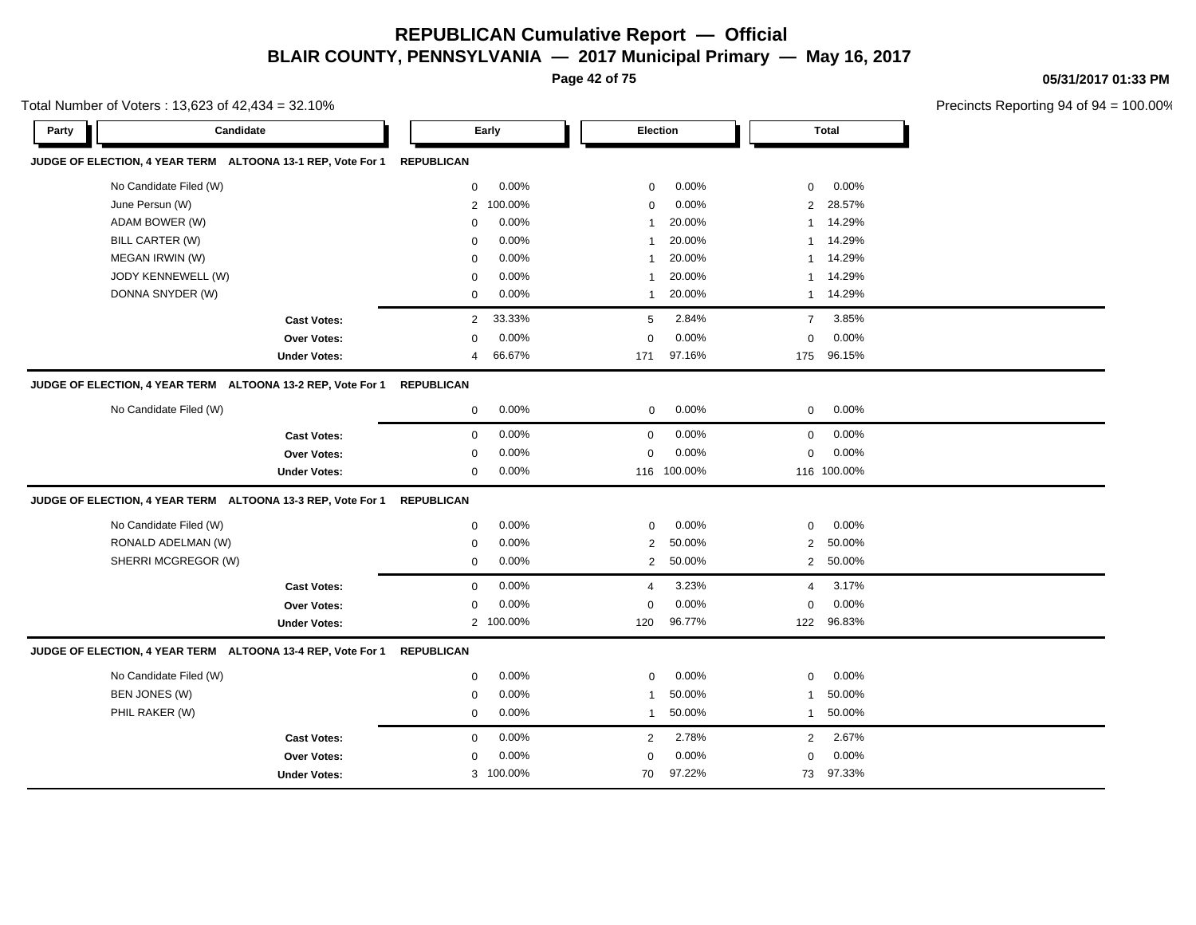**Page 42 of 75**

**05/31/2017 01:33 PM**

|       | Total Number of Voters: 13,623 of 42,434 = 32.10%           |                     |                   |           |                |         |                |              | Precincts Reporting 94 of 9 |
|-------|-------------------------------------------------------------|---------------------|-------------------|-----------|----------------|---------|----------------|--------------|-----------------------------|
| Party | Candidate                                                   |                     |                   | Early     | Election       |         |                | <b>Total</b> |                             |
|       | JUDGE OF ELECTION, 4 YEAR TERM ALTOONA 13-1 REP, Vote For 1 |                     | <b>REPUBLICAN</b> |           |                |         |                |              |                             |
|       | No Candidate Filed (W)                                      |                     | $\mathbf 0$       | 0.00%     | $\mathbf 0$    | 0.00%   | $\mathbf{0}$   | 0.00%        |                             |
|       | June Persun (W)                                             |                     | $\overline{2}$    | 100.00%   | $\mathbf 0$    | 0.00%   | $\overline{2}$ | 28.57%       |                             |
|       | ADAM BOWER (W)                                              |                     | $\mathbf 0$       | 0.00%     |                | 20.00%  | 1              | 14.29%       |                             |
|       | <b>BILL CARTER (W)</b>                                      |                     | $\mathbf 0$       | 0.00%     |                | 20.00%  | 1              | 14.29%       |                             |
|       | MEGAN IRWIN (W)                                             |                     | $\mathbf 0$       | 0.00%     | -1             | 20.00%  | 1              | 14.29%       |                             |
|       | JODY KENNEWELL (W)                                          |                     | $\mathbf 0$       | 0.00%     | -1             | 20.00%  | 1              | 14.29%       |                             |
|       | DONNA SNYDER (W)                                            |                     | $\mathbf 0$       | 0.00%     | -1             | 20.00%  | $\mathbf{1}$   | 14.29%       |                             |
|       |                                                             | <b>Cast Votes:</b>  | $\overline{2}$    | 33.33%    | 5              | 2.84%   | $\overline{7}$ | 3.85%        |                             |
|       |                                                             | <b>Over Votes:</b>  | $\mathbf 0$       | 0.00%     | $\Omega$       | 0.00%   | 0              | 0.00%        |                             |
|       |                                                             | <b>Under Votes:</b> | $\overline{4}$    | 66.67%    | 171            | 97.16%  | 175            | 96.15%       |                             |
|       | JUDGE OF ELECTION, 4 YEAR TERM ALTOONA 13-2 REP, Vote For 1 |                     | <b>REPUBLICAN</b> |           |                |         |                |              |                             |
|       | No Candidate Filed (W)                                      |                     | $\mathbf 0$       | 0.00%     | $\mathbf 0$    | 0.00%   | $\mathbf{0}$   | 0.00%        |                             |
|       |                                                             | <b>Cast Votes:</b>  | $\mathbf 0$       | 0.00%     | 0              | 0.00%   | $\mathbf 0$    | 0.00%        |                             |
|       |                                                             | Over Votes:         | $\mathbf 0$       | 0.00%     | $\mathbf 0$    | 0.00%   | 0              | 0.00%        |                             |
|       |                                                             | <b>Under Votes:</b> | $\mathbf 0$       | 0.00%     | 116            | 100.00% |                | 116 100.00%  |                             |
|       | JUDGE OF ELECTION, 4 YEAR TERM ALTOONA 13-3 REP, Vote For 1 |                     | <b>REPUBLICAN</b> |           |                |         |                |              |                             |
|       | No Candidate Filed (W)                                      |                     | 0                 | 0.00%     | $\mathbf 0$    | 0.00%   | 0              | 0.00%        |                             |
|       | RONALD ADELMAN (W)                                          |                     | $\mathbf 0$       | 0.00%     | $\overline{2}$ | 50.00%  | 2              | 50.00%       |                             |
|       | SHERRI MCGREGOR (W)                                         |                     | $\mathbf 0$       | 0.00%     | $\overline{2}$ | 50.00%  | $\overline{2}$ | 50.00%       |                             |
|       |                                                             | <b>Cast Votes:</b>  | $\mathbf 0$       | 0.00%     | $\overline{4}$ | 3.23%   | $\overline{4}$ | 3.17%        |                             |
|       |                                                             | <b>Over Votes:</b>  | 0                 | 0.00%     | 0              | 0.00%   | 0              | 0.00%        |                             |
|       |                                                             | <b>Under Votes:</b> | $\overline{2}$    | 100.00%   | 120            | 96.77%  | 122            | 96.83%       |                             |
|       | JUDGE OF ELECTION, 4 YEAR TERM ALTOONA 13-4 REP, Vote For 1 |                     | <b>REPUBLICAN</b> |           |                |         |                |              |                             |
|       | No Candidate Filed (W)                                      |                     | $\mathbf 0$       | 0.00%     | $\mathbf 0$    | 0.00%   | $\mathbf 0$    | 0.00%        |                             |
|       | BEN JONES (W)                                               |                     | $\mathbf 0$       | 0.00%     | -1             | 50.00%  | -1             | 50.00%       |                             |
|       | PHIL RAKER (W)                                              |                     | $\mathbf 0$       | 0.00%     | -1             | 50.00%  | 1              | 50.00%       |                             |
|       |                                                             | <b>Cast Votes:</b>  | $\mathbf 0$       | 0.00%     | $\overline{2}$ | 2.78%   | $\overline{2}$ | 2.67%        |                             |
|       |                                                             | Over Votes:         | $\Omega$          | 0.00%     | $\Omega$       | 0.00%   | 0              | 0.00%        |                             |
|       |                                                             | <b>Under Votes:</b> |                   | 3 100.00% | 70             | 97.22%  | 73             | 97.33%       |                             |
|       |                                                             |                     |                   |           |                |         |                |              |                             |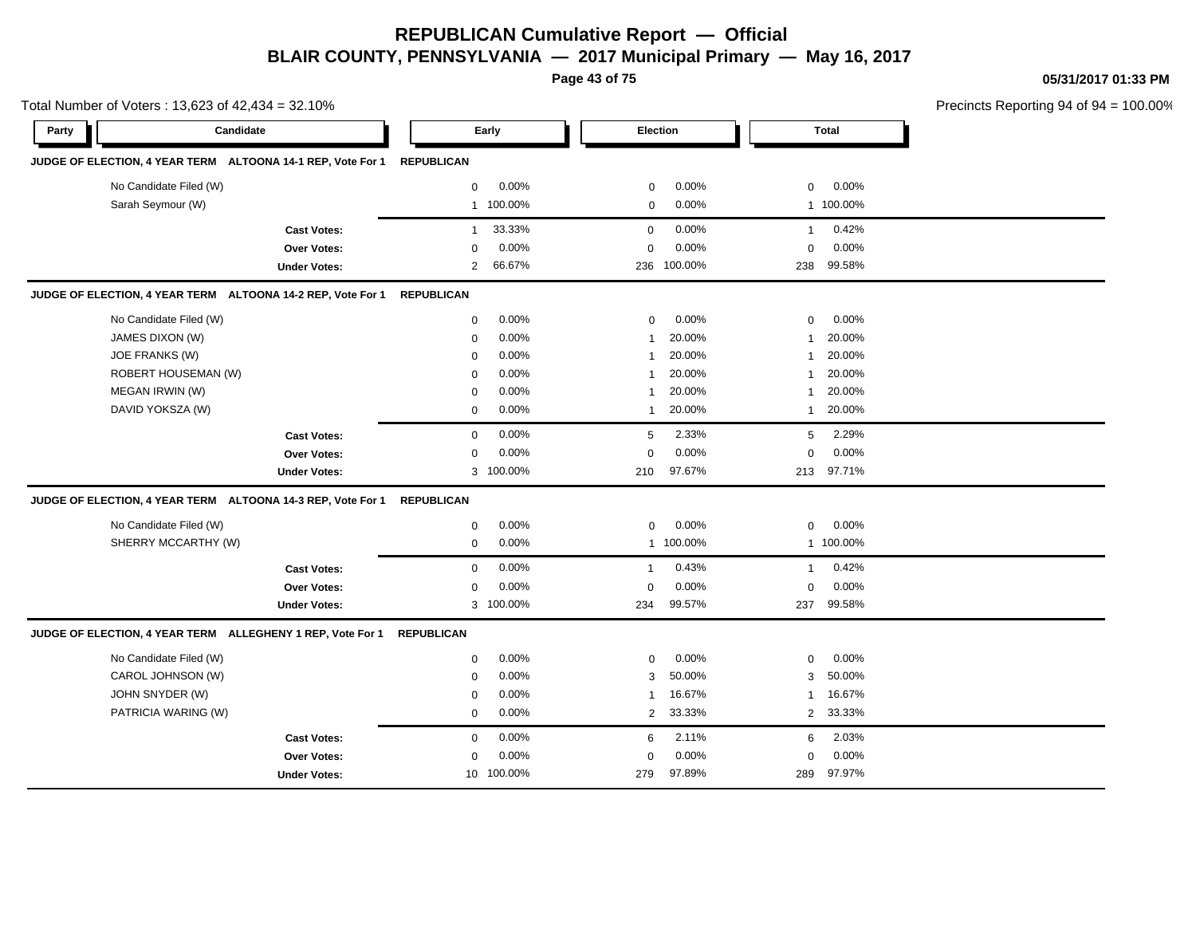**Page 43 of 75**

**05/31/2017 01:33 PM**

|       | Total Number of Voters: 13,623 of 42,434 = 32.10% |                                                             |                   |            |                |                 |                |              | Precincts Reporting 94 of 94 |
|-------|---------------------------------------------------|-------------------------------------------------------------|-------------------|------------|----------------|-----------------|----------------|--------------|------------------------------|
| Party |                                                   | Candidate                                                   |                   | Early      |                | <b>Election</b> |                | <b>Total</b> |                              |
|       |                                                   | JUDGE OF ELECTION, 4 YEAR TERM ALTOONA 14-1 REP, Vote For 1 | <b>REPUBLICAN</b> |            |                |                 |                |              |                              |
|       | No Candidate Filed (W)                            |                                                             | $\mathsf 0$       | 0.00%      | 0              | 0.00%           | $\mathbf 0$    | 0.00%        |                              |
|       | Sarah Seymour (W)                                 |                                                             |                   | 1 100.00%  | $\mathbf 0$    | 0.00%           |                | 1 100.00%    |                              |
|       |                                                   | <b>Cast Votes:</b>                                          | $\mathbf{1}$      | 33.33%     | $\mathbf 0$    | 0.00%           | $\overline{1}$ | 0.42%        |                              |
|       |                                                   | <b>Over Votes:</b>                                          | $\mathbf 0$       | 0.00%      | $\mathbf 0$    | 0.00%           | $\mathbf 0$    | 0.00%        |                              |
|       |                                                   | <b>Under Votes:</b>                                         | $\overline{2}$    | 66.67%     |                | 236 100.00%     | 238            | 99.58%       |                              |
|       |                                                   | JUDGE OF ELECTION, 4 YEAR TERM ALTOONA 14-2 REP, Vote For 1 | <b>REPUBLICAN</b> |            |                |                 |                |              |                              |
|       | No Candidate Filed (W)                            |                                                             | 0                 | 0.00%      | 0              | 0.00%           | 0              | 0.00%        |                              |
|       | JAMES DIXON (W)                                   |                                                             | 0                 | 0.00%      | $\overline{1}$ | 20.00%          | $\mathbf 1$    | 20.00%       |                              |
|       | <b>JOE FRANKS (W)</b>                             |                                                             | 0                 | 0.00%      | -1             | 20.00%          | -1             | 20.00%       |                              |
|       | ROBERT HOUSEMAN (W)                               |                                                             | 0                 | 0.00%      | 1              | 20.00%          | $\mathbf 1$    | 20.00%       |                              |
|       | MEGAN IRWIN (W)                                   |                                                             | 0                 | 0.00%      | 1              | 20.00%          | $\mathbf 1$    | 20.00%       |                              |
|       | DAVID YOKSZA (W)                                  |                                                             | $\mathbf 0$       | 0.00%      | 1              | 20.00%          | 1              | 20.00%       |                              |
|       |                                                   | <b>Cast Votes:</b>                                          | $\mathbf 0$       | 0.00%      | 5              | 2.33%           | 5              | 2.29%        |                              |
|       |                                                   | Over Votes:                                                 | $\mathbf 0$       | 0.00%      | $\mathbf 0$    | 0.00%           | 0              | 0.00%        |                              |
|       |                                                   | <b>Under Votes:</b>                                         |                   | 3 100.00%  | 210            | 97.67%          |                | 213 97.71%   |                              |
|       |                                                   | JUDGE OF ELECTION, 4 YEAR TERM ALTOONA 14-3 REP, Vote For 1 | <b>REPUBLICAN</b> |            |                |                 |                |              |                              |
|       | No Candidate Filed (W)                            |                                                             | $\mathbf 0$       | 0.00%      | 0              | $0.00\%$        | 0              | 0.00%        |                              |
|       | SHERRY MCCARTHY (W)                               |                                                             | 0                 | 0.00%      | $\overline{1}$ | 100.00%         |                | 1 100.00%    |                              |
|       |                                                   | <b>Cast Votes:</b>                                          | $\mathbf 0$       | 0.00%      | $\overline{1}$ | 0.43%           | $\mathbf{1}$   | 0.42%        |                              |
|       |                                                   | <b>Over Votes:</b>                                          | $\Omega$          | 0.00%      | $\mathbf 0$    | 0.00%           | 0              | 0.00%        |                              |
|       |                                                   | <b>Under Votes:</b>                                         |                   | 3 100.00%  | 234            | 99.57%          | 237            | 99.58%       |                              |
|       |                                                   | JUDGE OF ELECTION, 4 YEAR TERM ALLEGHENY 1 REP, Vote For 1  | <b>REPUBLICAN</b> |            |                |                 |                |              |                              |
|       | No Candidate Filed (W)                            |                                                             | 0                 | 0.00%      | 0              | 0.00%           | 0              | 0.00%        |                              |
|       | CAROL JOHNSON (W)                                 |                                                             | $\mathbf 0$       | 0.00%      | 3              | 50.00%          | 3              | 50.00%       |                              |
|       | JOHN SNYDER (W)                                   |                                                             | $\mathbf 0$       | 0.00%      | 1              | 16.67%          | $\mathbf{1}$   | 16.67%       |                              |
|       | PATRICIA WARING (W)                               |                                                             | $\mathbf 0$       | 0.00%      | $\overline{2}$ | 33.33%          |                | 2 33.33%     |                              |
|       |                                                   | <b>Cast Votes:</b>                                          | $\mathbf 0$       | 0.00%      | 6              | 2.11%           | 6              | 2.03%        |                              |
|       |                                                   | Over Votes:                                                 | $\Omega$          | 0.00%      | $\mathbf 0$    | 0.00%           | 0              | 0.00%        |                              |
|       |                                                   | <b>Under Votes:</b>                                         |                   | 10 100.00% | 279            | 97.89%          | 289            | 97.97%       |                              |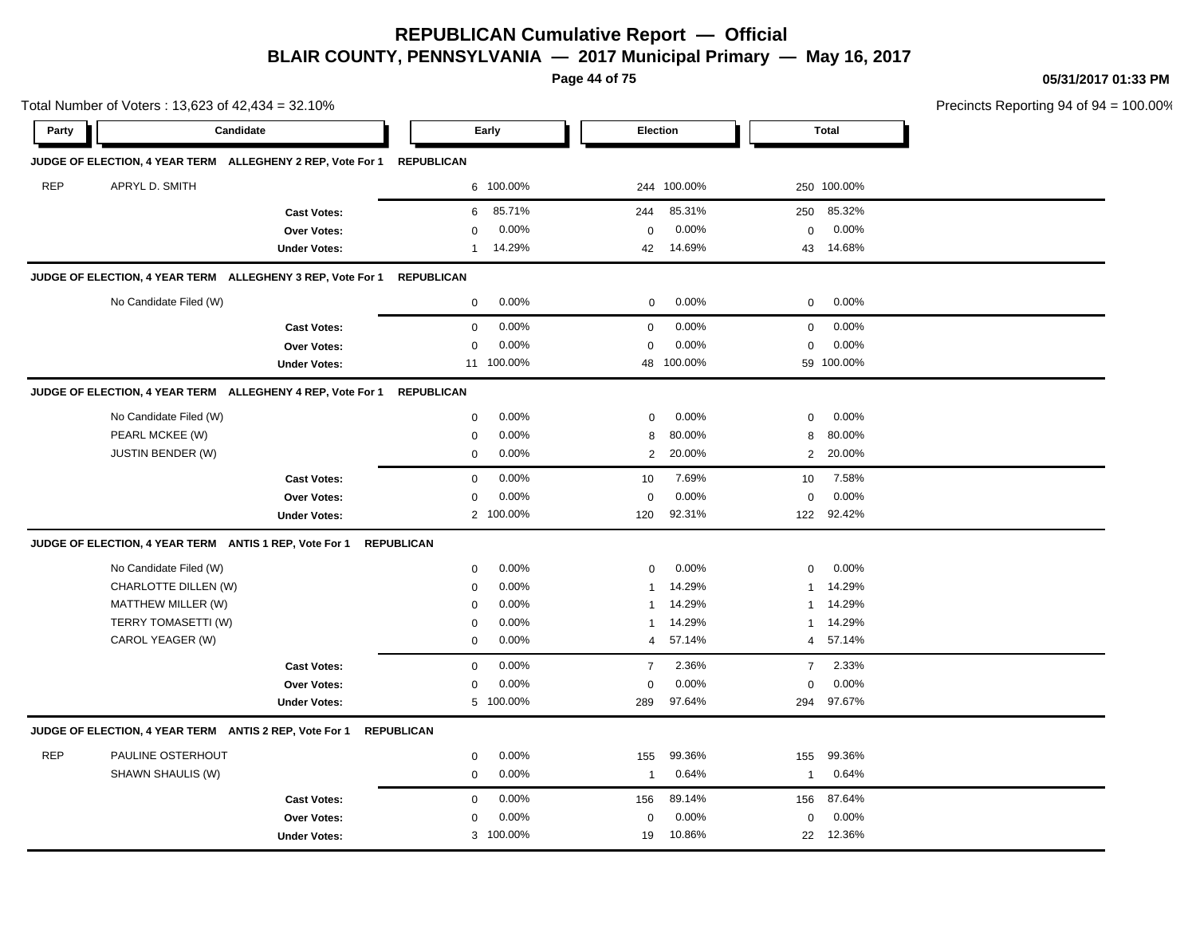**Page 44 of 75**

**05/31/2017 01:33 PM**

|            | Total Number of Voters: 13,623 of 42,434 = 32.10% |                                                            |                   |            |                 |             |                  |              | Precincts Reporting 94 of 94 |
|------------|---------------------------------------------------|------------------------------------------------------------|-------------------|------------|-----------------|-------------|------------------|--------------|------------------------------|
| Party      |                                                   | Candidate                                                  |                   | Early      | <b>Election</b> |             |                  | <b>Total</b> |                              |
|            |                                                   | JUDGE OF ELECTION, 4 YEAR TERM ALLEGHENY 2 REP, Vote For 1 | <b>REPUBLICAN</b> |            |                 |             |                  |              |                              |
| <b>REP</b> | APRYL D. SMITH                                    |                                                            |                   | 6 100.00%  |                 | 244 100.00% |                  | 250 100.00%  |                              |
|            |                                                   | <b>Cast Votes:</b>                                         | 6                 | 85.71%     | 244             | 85.31%      | 250              | 85.32%       |                              |
|            |                                                   | Over Votes:                                                | $\mathbf 0$       | 0.00%      | 0               | 0.00%       | $\mathbf 0$      | 0.00%        |                              |
|            |                                                   | <b>Under Votes:</b>                                        | 1                 | 14.29%     | 42              | 14.69%      |                  | 43 14.68%    |                              |
|            |                                                   | JUDGE OF ELECTION, 4 YEAR TERM ALLEGHENY 3 REP, Vote For 1 | <b>REPUBLICAN</b> |            |                 |             |                  |              |                              |
|            | No Candidate Filed (W)                            |                                                            | $\mathbf 0$       | 0.00%      | $\mathbf 0$     | 0.00%       | $\mathbf 0$      | 0.00%        |                              |
|            |                                                   | <b>Cast Votes:</b>                                         | $\mathbf 0$       | 0.00%      | $\mathsf 0$     | 0.00%       | $\boldsymbol{0}$ | 0.00%        |                              |
|            |                                                   | Over Votes:                                                | $\mathbf 0$       | 0.00%      | $\mathsf 0$     | 0.00%       | 0                | 0.00%        |                              |
|            |                                                   | <b>Under Votes:</b>                                        |                   | 11 100.00% |                 | 48 100.00%  |                  | 59 100.00%   |                              |
|            |                                                   | JUDGE OF ELECTION, 4 YEAR TERM ALLEGHENY 4 REP, Vote For 1 | <b>REPUBLICAN</b> |            |                 |             |                  |              |                              |
|            | No Candidate Filed (W)                            |                                                            | $\mathbf 0$       | 0.00%      | 0               | 0.00%       | $\mathbf 0$      | 0.00%        |                              |
|            | PEARL MCKEE (W)                                   |                                                            | $\mathbf 0$       | 0.00%      | 8               | 80.00%      | 8                | 80.00%       |                              |
|            | JUSTIN BENDER (W)                                 |                                                            | $\mathbf 0$       | 0.00%      | $\overline{2}$  | 20.00%      |                  | 2 20.00%     |                              |
|            |                                                   | <b>Cast Votes:</b>                                         | $\mathbf 0$       | 0.00%      | 10              | 7.69%       | 10               | 7.58%        |                              |
|            |                                                   | <b>Over Votes:</b>                                         | $\mathbf 0$       | 0.00%      | 0               | 0.00%       | $\mathbf 0$      | 0.00%        |                              |
|            |                                                   | <b>Under Votes:</b>                                        |                   | 2 100.00%  | 120             | 92.31%      |                  | 122 92.42%   |                              |
|            |                                                   | JUDGE OF ELECTION, 4 YEAR TERM ANTIS 1 REP, Vote For 1     | <b>REPUBLICAN</b> |            |                 |             |                  |              |                              |
|            | No Candidate Filed (W)                            |                                                            | 0                 | 0.00%      | 0               | 0.00%       | 0                | 0.00%        |                              |
|            | CHARLOTTE DILLEN (W)                              |                                                            | $\mathbf 0$       | 0.00%      | -1              | 14.29%      | 1                | 14.29%       |                              |
|            | MATTHEW MILLER (W)                                |                                                            | $\mathbf 0$       | 0.00%      | -1              | 14.29%      | 1                | 14.29%       |                              |
|            | TERRY TOMASETTI (W)                               |                                                            | $\mathbf 0$       | 0.00%      | -1              | 14.29%      | 1                | 14.29%       |                              |
|            | CAROL YEAGER (W)                                  |                                                            | $\mathbf 0$       | 0.00%      | 4               | 57.14%      | 4                | 57.14%       |                              |
|            |                                                   | <b>Cast Votes:</b>                                         | $\mathbf 0$       | 0.00%      | $\overline{7}$  | 2.36%       | $\overline{7}$   | 2.33%        |                              |
|            |                                                   | Over Votes:                                                | $\mathbf 0$       | 0.00%      | $\mathsf 0$     | 0.00%       | $\mathbf 0$      | 0.00%        |                              |
|            |                                                   | <b>Under Votes:</b>                                        |                   | 5 100.00%  | 289             | 97.64%      | 294              | 97.67%       |                              |
|            |                                                   | JUDGE OF ELECTION, 4 YEAR TERM ANTIS 2 REP, Vote For 1     | <b>REPUBLICAN</b> |            |                 |             |                  |              |                              |
| <b>REP</b> | PAULINE OSTERHOUT                                 |                                                            | $\mathbf 0$       | 0.00%      | 155             | 99.36%      | 155              | 99.36%       |                              |
|            | SHAWN SHAULIS (W)                                 |                                                            | 0                 | 0.00%      | $\mathbf{1}$    | 0.64%       | 1                | 0.64%        |                              |
|            |                                                   | <b>Cast Votes:</b>                                         | $\mathbf 0$       | 0.00%      | 156             | 89.14%      | 156              | 87.64%       |                              |
|            |                                                   | Over Votes:                                                | $\mathbf 0$       | 0.00%      | 0               | 0.00%       | 0                | 0.00%        |                              |
|            |                                                   | <b>Under Votes:</b>                                        |                   | 3 100.00%  | 19              | 10.86%      |                  | 22 12.36%    |                              |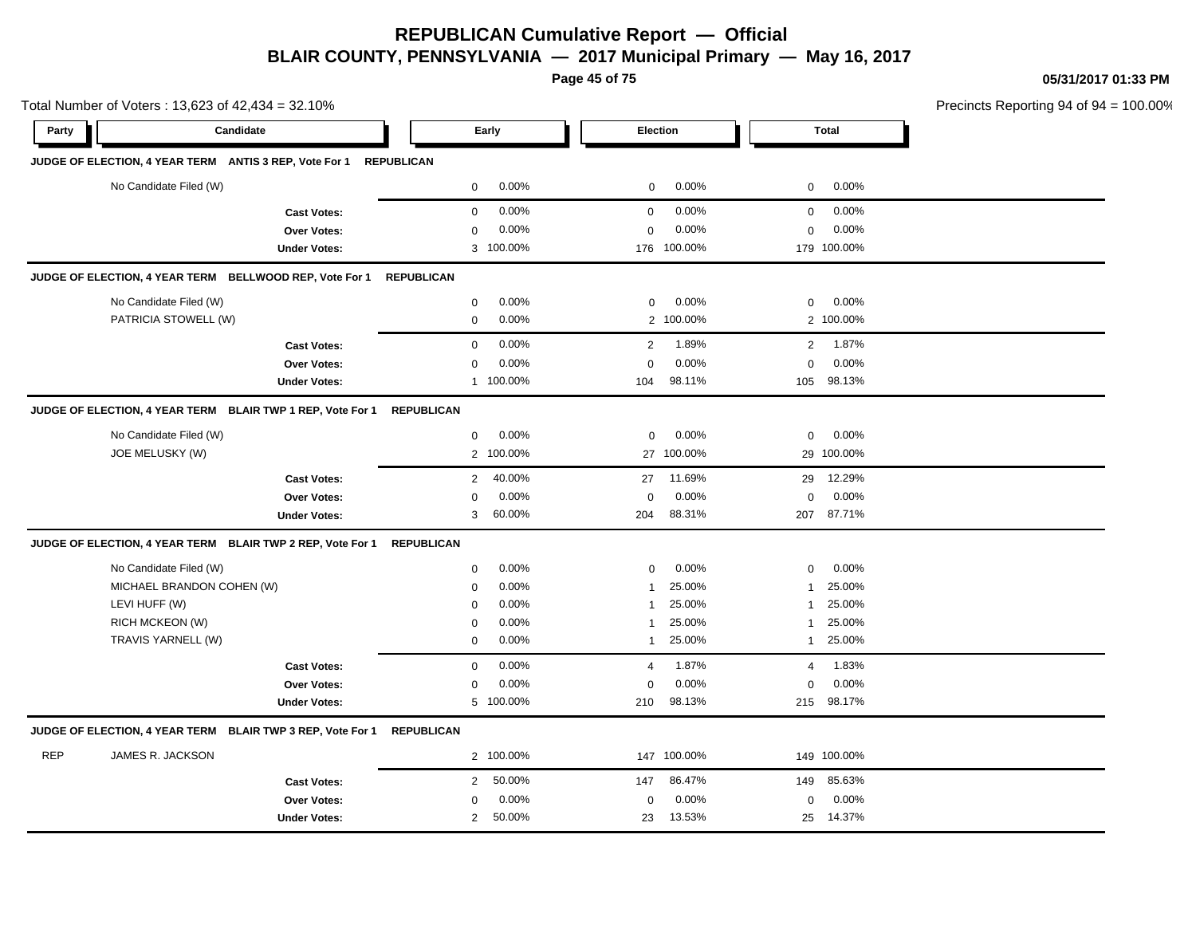**Page 45 of 75**

**05/31/2017 01:33 PM**

| Total Number of Voters: 13,623 of 42,434 = 32.10% | Precincts Reporting 94 of 94 = 100.00%                     |                     |                          |                         |                         |  |
|---------------------------------------------------|------------------------------------------------------------|---------------------|--------------------------|-------------------------|-------------------------|--|
| Party                                             | Candidate                                                  |                     | Early                    | Election                | <b>Total</b>            |  |
|                                                   | JUDGE OF ELECTION, 4 YEAR TERM ANTIS 3 REP, Vote For 1     | <b>REPUBLICAN</b>   |                          |                         |                         |  |
|                                                   | No Candidate Filed (W)                                     |                     | 0.00%<br>0               | 0.00%<br>0              | $0.00\%$<br>$\mathbf 0$ |  |
|                                                   |                                                            | <b>Cast Votes:</b>  | 0.00%<br>0               | 0.00%<br>$\mathbf 0$    | 0.00%<br>$\mathbf 0$    |  |
|                                                   |                                                            | <b>Over Votes:</b>  | 0.00%<br>0               | 0.00%<br>$\mathbf 0$    | 0.00%<br>$\mathbf 0$    |  |
|                                                   |                                                            | <b>Under Votes:</b> | 3 100.00%                | 176 100.00%             | 179 100.00%             |  |
|                                                   | JUDGE OF ELECTION, 4 YEAR TERM BELLWOOD REP, Vote For 1    |                     | <b>REPUBLICAN</b>        |                         |                         |  |
|                                                   | No Candidate Filed (W)                                     |                     | 0<br>0.00%               | 0.00%<br>0              | $\mathbf 0$<br>$0.00\%$ |  |
|                                                   | PATRICIA STOWELL (W)                                       |                     | 0.00%<br>$\mathbf 0$     | 2 100.00%               | 2 100.00%               |  |
|                                                   |                                                            | <b>Cast Votes:</b>  | 0.00%<br>$\mathbf 0$     | 1.89%<br>$\overline{2}$ | 1.87%<br>$\overline{2}$ |  |
|                                                   |                                                            | <b>Over Votes:</b>  | 0.00%<br>0               | 0.00%<br>$\mathbf 0$    | 0.00%<br>$\mathbf 0$    |  |
|                                                   |                                                            | <b>Under Votes:</b> | 1 100.00%                | 98.11%<br>104           | 98.13%<br>105           |  |
|                                                   | JUDGE OF ELECTION, 4 YEAR TERM BLAIR TWP 1 REP, Vote For 1 |                     | <b>REPUBLICAN</b>        |                         |                         |  |
|                                                   | No Candidate Filed (W)                                     |                     | 0.00%<br>0               | 0.00%<br>0              | 0.00%<br>$\mathbf 0$    |  |
|                                                   | JOE MELUSKY (W)                                            |                     | 2 100.00%                | 27 100.00%              | 29 100.00%              |  |
|                                                   |                                                            | <b>Cast Votes:</b>  | $\overline{2}$<br>40.00% | 11.69%<br>27            | 12.29%<br>29            |  |
|                                                   |                                                            | <b>Over Votes:</b>  | 0.00%<br>0               | $0.00\%$<br>$\mathbf 0$ | $0.00\%$<br>$\mathbf 0$ |  |
|                                                   |                                                            | <b>Under Votes:</b> | 3<br>60.00%              | 88.31%<br>204           | 87.71%<br>207           |  |
|                                                   | JUDGE OF ELECTION, 4 YEAR TERM BLAIR TWP 2 REP, Vote For 1 |                     | <b>REPUBLICAN</b>        |                         |                         |  |
|                                                   | No Candidate Filed (W)                                     |                     | 0.00%<br>0               | 0.00%<br>0              | 0.00%<br>$\mathbf 0$    |  |
|                                                   | MICHAEL BRANDON COHEN (W)                                  |                     | 0.00%<br>0               | 25.00%<br>1             | 25.00%<br>$\mathbf{1}$  |  |
|                                                   | LEVI HUFF (W)                                              |                     | 0.00%<br>$\mathbf 0$     | 25.00%<br>1             | 25.00%<br>$\mathbf{1}$  |  |
|                                                   | <b>RICH MCKEON (W)</b>                                     |                     | 0.00%<br>0               | 25.00%<br>1             | 25.00%<br>$\mathbf{1}$  |  |
|                                                   | TRAVIS YARNELL (W)                                         |                     | 0.00%<br>0               | 25.00%<br>$\mathbf{1}$  | 25.00%<br>$\mathbf{1}$  |  |
|                                                   |                                                            | <b>Cast Votes:</b>  | 0.00%<br>$\mathbf 0$     | 1.87%<br>$\overline{4}$ | 1.83%<br>$\overline{4}$ |  |
|                                                   |                                                            | <b>Over Votes:</b>  | 0.00%<br>$\mathbf 0$     | 0.00%<br>$\Omega$       | 0.00%<br>$\mathbf 0$    |  |
|                                                   |                                                            | <b>Under Votes:</b> | 5 100.00%                | 98.13%<br>210           | 98.17%<br>215           |  |
|                                                   | JUDGE OF ELECTION, 4 YEAR TERM BLAIR TWP 3 REP, Vote For 1 |                     | <b>REPUBLICAN</b>        |                         |                         |  |
| <b>REP</b>                                        | JAMES R. JACKSON                                           |                     | 2 100.00%                | 147 100.00%             | 149 100.00%             |  |
|                                                   |                                                            | <b>Cast Votes:</b>  | 50.00%<br>$\overline{2}$ | 86.47%<br>147           | 85.63%<br>149           |  |
|                                                   |                                                            | <b>Over Votes:</b>  | 0.00%<br>0               | 0.00%<br>$\mathbf 0$    | 0.00%<br>$\mathbf 0$    |  |

50.00% 23 25

13.53% 14.37%

Under Votes: 2 50.00%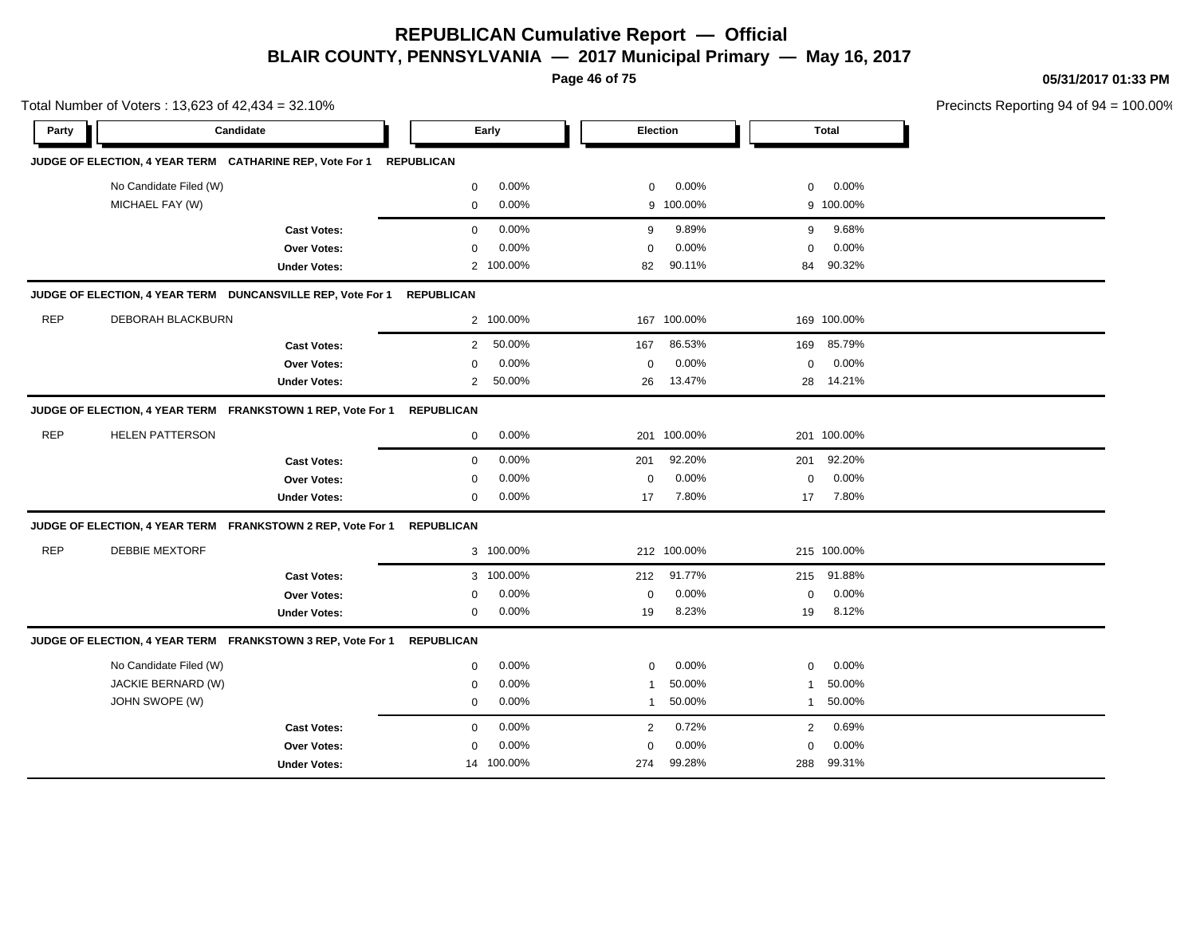**Page 46 of 75**

**05/31/2017 01:33 PM**

|            | Total Number of Voters: 13,623 of 42,434 = 32.10% |                                                             |                   |            |                |             |             |             | Precincts Reporting 94 of 94 |
|------------|---------------------------------------------------|-------------------------------------------------------------|-------------------|------------|----------------|-------------|-------------|-------------|------------------------------|
| Party      |                                                   | Candidate                                                   |                   | Early      |                | Election    |             | Total       |                              |
|            |                                                   | JUDGE OF ELECTION, 4 YEAR TERM CATHARINE REP, Vote For 1    | <b>REPUBLICAN</b> |            |                |             |             |             |                              |
|            | No Candidate Filed (W)                            |                                                             | $\mathbf 0$       | 0.00%      | 0              | 0.00%       | 0           | 0.00%       |                              |
|            | MICHAEL FAY (W)                                   |                                                             | $\mathbf 0$       | 0.00%      | 9              | 100.00%     |             | 9 100.00%   |                              |
|            |                                                   | <b>Cast Votes:</b>                                          | $\mathbf 0$       | 0.00%      | 9              | 9.89%       | 9           | 9.68%       |                              |
|            |                                                   | <b>Over Votes:</b>                                          | $\mathbf 0$       | 0.00%      | $\mathbf 0$    | 0.00%       | $\Omega$    | 0.00%       |                              |
|            |                                                   | <b>Under Votes:</b>                                         |                   | 2 100.00%  | 82             | 90.11%      | 84          | 90.32%      |                              |
|            |                                                   | JUDGE OF ELECTION, 4 YEAR TERM DUNCANSVILLE REP, Vote For 1 | <b>REPUBLICAN</b> |            |                |             |             |             |                              |
| <b>REP</b> | DEBORAH BLACKBURN                                 |                                                             |                   | 2 100.00%  | 167            | 100.00%     |             | 169 100.00% |                              |
|            |                                                   | <b>Cast Votes:</b>                                          | $\overline{2}$    | 50.00%     | 167            | 86.53%      | 169         | 85.79%      |                              |
|            |                                                   | <b>Over Votes:</b>                                          | 0                 | 0.00%      | $\mathbf 0$    | 0.00%       | $\mathbf 0$ | 0.00%       |                              |
|            |                                                   | <b>Under Votes:</b>                                         | $\overline{2}$    | 50.00%     | 26             | 13.47%      |             | 28 14.21%   |                              |
|            |                                                   | JUDGE OF ELECTION, 4 YEAR TERM FRANKSTOWN 1 REP, Vote For 1 | <b>REPUBLICAN</b> |            |                |             |             |             |                              |
| <b>REP</b> | <b>HELEN PATTERSON</b>                            |                                                             | $\mathbf 0$       | 0.00%      |                | 201 100.00% |             | 201 100.00% |                              |
|            |                                                   | <b>Cast Votes:</b>                                          | $\mathbf 0$       | 0.00%      | 201            | 92.20%      | 201         | 92.20%      |                              |
|            |                                                   | <b>Over Votes:</b>                                          | 0                 | 0.00%      | $\mathbf 0$    | 0.00%       | 0           | 0.00%       |                              |
|            |                                                   | <b>Under Votes:</b>                                         | 0                 | 0.00%      | 17             | 7.80%       | 17          | 7.80%       |                              |
|            |                                                   | JUDGE OF ELECTION, 4 YEAR TERM FRANKSTOWN 2 REP, Vote For 1 | <b>REPUBLICAN</b> |            |                |             |             |             |                              |
| <b>REP</b> | <b>DEBBIE MEXTORF</b>                             |                                                             |                   | 3 100.00%  |                | 212 100.00% |             | 215 100.00% |                              |
|            |                                                   | <b>Cast Votes:</b>                                          |                   | 3 100.00%  | 212            | 91.77%      | 215         | 91.88%      |                              |
|            |                                                   | <b>Over Votes:</b>                                          | 0                 | 0.00%      | $\mathbf 0$    | 0.00%       | $\mathbf 0$ | 0.00%       |                              |
|            |                                                   | <b>Under Votes:</b>                                         | $\mathbf 0$       | 0.00%      | 19             | 8.23%       | 19          | 8.12%       |                              |
|            |                                                   | JUDGE OF ELECTION, 4 YEAR TERM FRANKSTOWN 3 REP, Vote For 1 | <b>REPUBLICAN</b> |            |                |             |             |             |                              |
|            | No Candidate Filed (W)                            |                                                             | 0                 | 0.00%      | $\mathbf 0$    | 0.00%       | $\mathbf 0$ | 0.00%       |                              |
|            | JACKIE BERNARD (W)                                |                                                             | $\mathbf 0$       | 0.00%      | $\overline{1}$ | 50.00%      | 1           | 50.00%      |                              |
|            | JOHN SWOPE (W)                                    |                                                             | $\mathbf 0$       | 0.00%      | $\mathbf{1}$   | 50.00%      | 1           | 50.00%      |                              |
|            |                                                   | <b>Cast Votes:</b>                                          | $\mathbf 0$       | 0.00%      | 2              | 0.72%       | 2           | 0.69%       |                              |
|            |                                                   | <b>Over Votes:</b>                                          | $\mathbf 0$       | 0.00%      | $\Omega$       | 0.00%       | $\Omega$    | 0.00%       |                              |
|            |                                                   | <b>Under Votes:</b>                                         |                   | 14 100.00% | 274            | 99.28%      | 288         | 99.31%      |                              |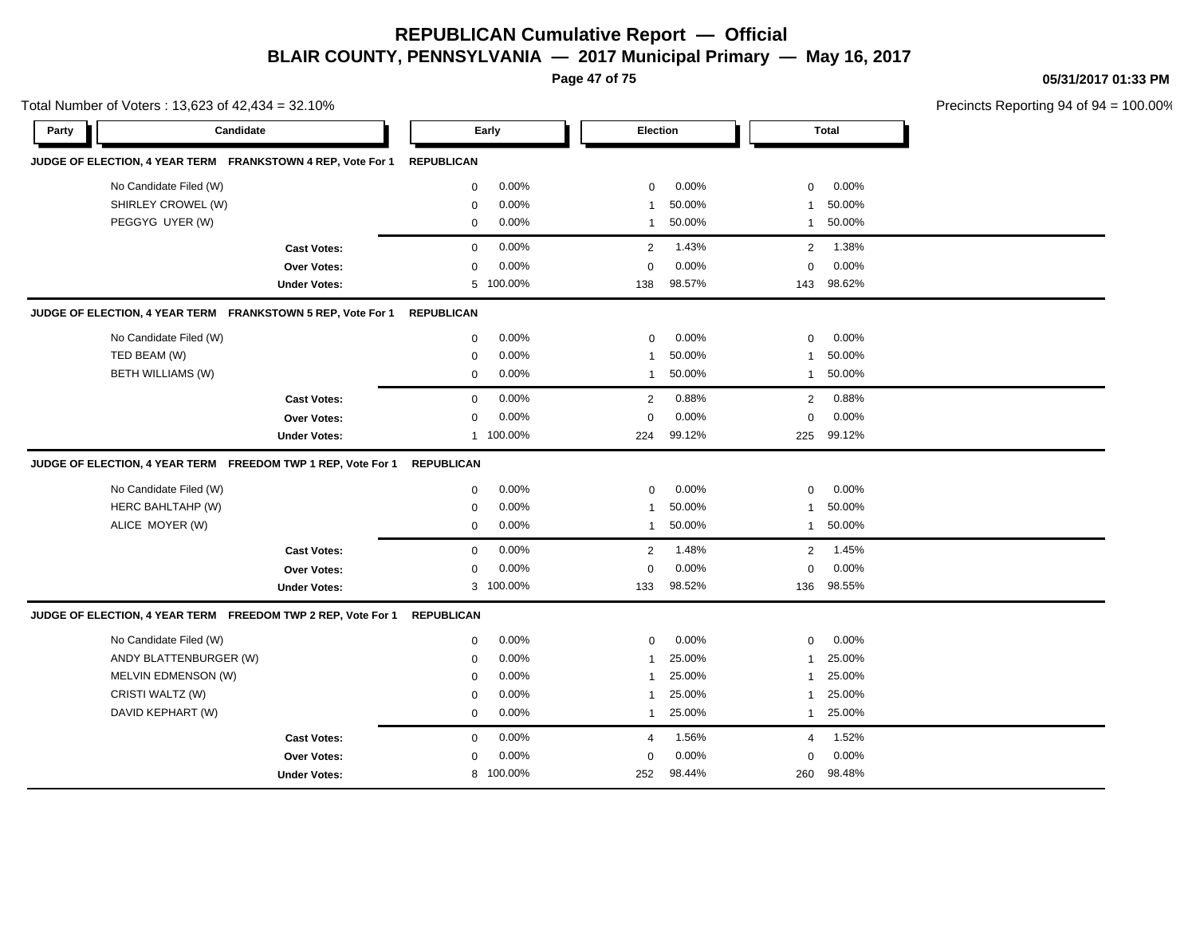**Page 47 of 75**

**05/31/2017 01:33 PM**

|       | Total Number of Voters: 13,623 of 42,434 = 32.10% |                                                              |                   |           |                 |        |                |              | Precincts Reporting 94 of 94 |
|-------|---------------------------------------------------|--------------------------------------------------------------|-------------------|-----------|-----------------|--------|----------------|--------------|------------------------------|
| Party |                                                   | Candidate                                                    |                   | Early     | <b>Election</b> |        |                | <b>Total</b> |                              |
|       |                                                   | JUDGE OF ELECTION, 4 YEAR TERM FRANKSTOWN 4 REP, Vote For 1  | <b>REPUBLICAN</b> |           |                 |        |                |              |                              |
|       | No Candidate Filed (W)                            |                                                              | 0                 | 0.00%     | $\mathbf 0$     | 0.00%  | $\mathbf 0$    | 0.00%        |                              |
|       | SHIRLEY CROWEL (W)                                |                                                              | $\mathbf 0$       | 0.00%     | $\mathbf{1}$    | 50.00% | 1              | 50.00%       |                              |
|       | PEGGYG UYER (W)                                   |                                                              | $\mathbf 0$       | 0.00%     | $\mathbf{1}$    | 50.00% | 1              | 50.00%       |                              |
|       |                                                   | <b>Cast Votes:</b>                                           | $\mathbf 0$       | 0.00%     | 2               | 1.43%  | $\overline{2}$ | 1.38%        |                              |
|       |                                                   | Over Votes:                                                  | 0                 | 0.00%     | $\mathbf 0$     | 0.00%  | $\mathbf 0$    | 0.00%        |                              |
|       |                                                   | <b>Under Votes:</b>                                          | 5                 | 100.00%   | 138             | 98.57% |                | 143 98.62%   |                              |
|       |                                                   | JUDGE OF ELECTION, 4 YEAR TERM FRANKSTOWN 5 REP, Vote For 1  | <b>REPUBLICAN</b> |           |                 |        |                |              |                              |
|       | No Candidate Filed (W)                            |                                                              | $\mathbf 0$       | $0.00\%$  | $\mathbf 0$     | 0.00%  | $\mathbf 0$    | 0.00%        |                              |
|       | TED BEAM (W)                                      |                                                              | $\mathbf 0$       | 0.00%     | $\mathbf{1}$    | 50.00% | 1              | 50.00%       |                              |
|       | <b>BETH WILLIAMS (W)</b>                          |                                                              | $\mathbf 0$       | 0.00%     | $\mathbf{1}$    | 50.00% | 1              | 50.00%       |                              |
|       |                                                   | <b>Cast Votes:</b>                                           | $\mathbf 0$       | 0.00%     | $\overline{2}$  | 0.88%  | $\overline{2}$ | 0.88%        |                              |
|       |                                                   | Over Votes:                                                  | $\mathbf 0$       | 0.00%     | $\mathbf 0$     | 0.00%  | $\mathbf 0$    | 0.00%        |                              |
|       |                                                   | <b>Under Votes:</b>                                          |                   | 1 100.00% | 224             | 99.12% | 225            | 99.12%       |                              |
|       |                                                   | JUDGE OF ELECTION, 4 YEAR TERM FREEDOM TWP 1 REP, Vote For 1 | <b>REPUBLICAN</b> |           |                 |        |                |              |                              |
|       | No Candidate Filed (W)                            |                                                              | 0                 | 0.00%     | $\mathbf 0$     | 0.00%  | $\mathbf 0$    | 0.00%        |                              |
|       | HERC BAHLTAHP (W)                                 |                                                              | $\mathbf 0$       | 0.00%     | $\overline{1}$  | 50.00% | 1              | 50.00%       |                              |
|       | ALICE MOYER (W)                                   |                                                              | 0                 | 0.00%     | $\mathbf{1}$    | 50.00% | $\mathbf{1}$   | 50.00%       |                              |
|       |                                                   | <b>Cast Votes:</b>                                           | $\mathbf 0$       | 0.00%     | 2               | 1.48%  | 2              | 1.45%        |                              |
|       |                                                   | Over Votes:                                                  | 0                 | 0.00%     | $\mathbf 0$     | 0.00%  | $\Omega$       | 0.00%        |                              |
|       |                                                   | <b>Under Votes:</b>                                          |                   | 3 100.00% | 133             | 98.52% | 136            | 98.55%       |                              |
|       |                                                   | JUDGE OF ELECTION, 4 YEAR TERM FREEDOM TWP 2 REP, Vote For 1 | <b>REPUBLICAN</b> |           |                 |        |                |              |                              |
|       | No Candidate Filed (W)                            |                                                              | $\mathbf 0$       | 0.00%     | $\mathbf 0$     | 0.00%  | $\mathbf 0$    | 0.00%        |                              |
|       | ANDY BLATTENBURGER (W)                            |                                                              | $\mathbf 0$       | 0.00%     | $\overline{1}$  | 25.00% | 1              | 25.00%       |                              |
|       | MELVIN EDMENSON (W)                               |                                                              | 0                 | 0.00%     | $\mathbf{1}$    | 25.00% | 1              | 25.00%       |                              |
|       | CRISTI WALTZ (W)                                  |                                                              | $\mathbf 0$       | 0.00%     | $\mathbf{1}$    | 25.00% | $\mathbf{1}$   | 25.00%       |                              |
|       | DAVID KEPHART (W)                                 |                                                              | $\mathbf 0$       | 0.00%     | $\mathbf{1}$    | 25.00% |                | 1 25.00%     |                              |
|       |                                                   | <b>Cast Votes:</b>                                           | $\mathbf 0$       | $0.00\%$  | $\overline{4}$  | 1.56%  | 4              | 1.52%        |                              |
|       |                                                   | <b>Over Votes:</b>                                           | $\mathbf 0$       | 0.00%     | $\Omega$        | 0.00%  | $\Omega$       | 0.00%        |                              |
|       |                                                   | <b>Under Votes:</b>                                          |                   | 8 100.00% | 252             | 98.44% | 260            | 98.48%       |                              |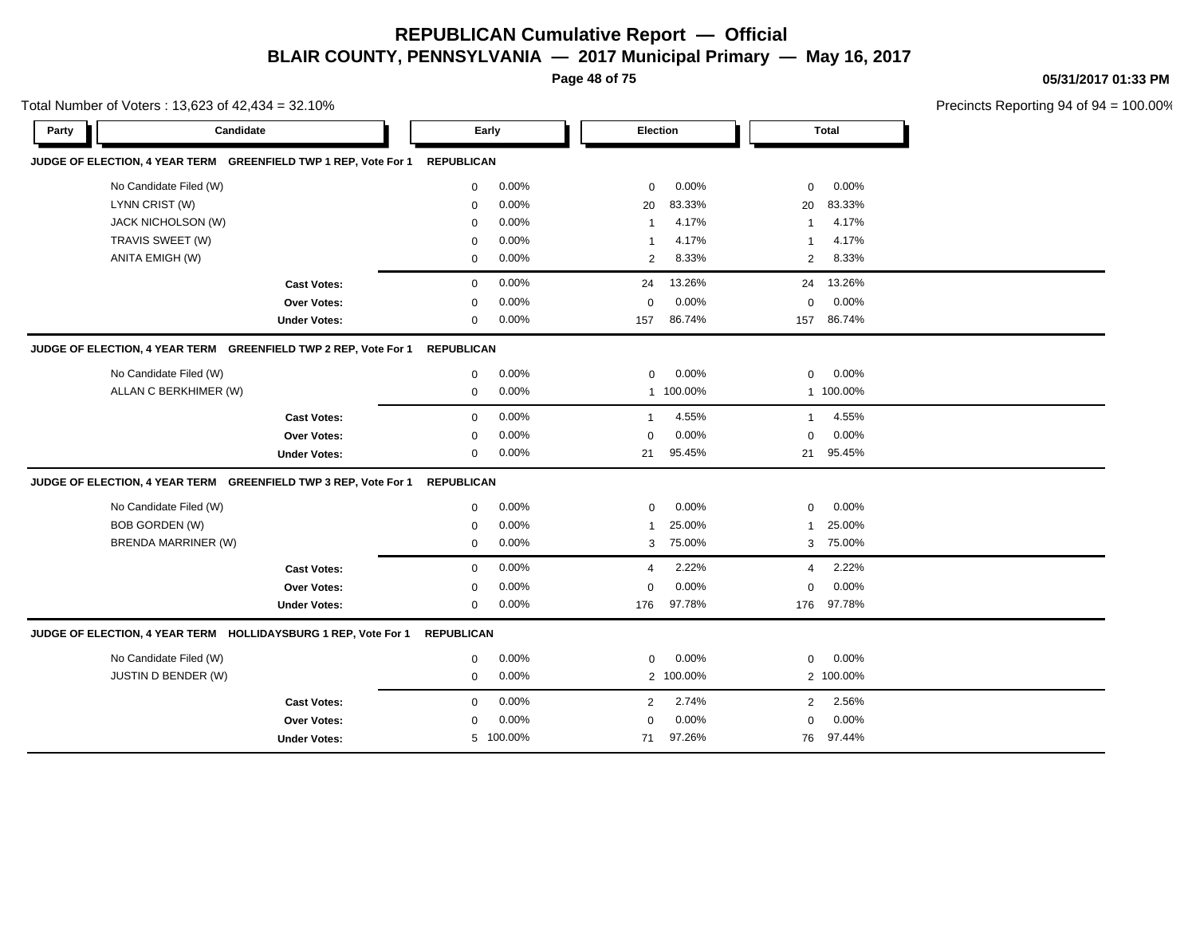**Page 48 of 75**

**05/31/2017 01:33 PM**

|       | Total Number of Voters: 13,623 of 42,434 = 32.10%               |                   |           |                 |           |                |           | Precincts Reporting 94 of 94 |
|-------|-----------------------------------------------------------------|-------------------|-----------|-----------------|-----------|----------------|-----------|------------------------------|
| Party | Candidate                                                       |                   | Early     | <b>Election</b> |           |                | Total     |                              |
|       | JUDGE OF ELECTION, 4 YEAR TERM GREENFIELD TWP 1 REP, Vote For 1 | <b>REPUBLICAN</b> |           |                 |           |                |           |                              |
|       | No Candidate Filed (W)                                          | 0                 | 0.00%     | $\mathbf 0$     | 0.00%     | $\mathbf 0$    | 0.00%     |                              |
|       | LYNN CRIST (W)                                                  | $\mathbf 0$       | 0.00%     | 20              | 83.33%    | 20             | 83.33%    |                              |
|       | JACK NICHOLSON (W)                                              | $\mathbf 0$       | 0.00%     | $\overline{1}$  | 4.17%     | $\mathbf{1}$   | 4.17%     |                              |
|       | TRAVIS SWEET (W)                                                | $\mathbf 0$       | 0.00%     | -1              | 4.17%     | -1             | 4.17%     |                              |
|       | <b>ANITA EMIGH (W)</b>                                          | 0                 | 0.00%     | 2               | 8.33%     | 2              | 8.33%     |                              |
|       | <b>Cast Votes:</b>                                              | $\mathbf 0$       | 0.00%     | 24              | 13.26%    | 24             | 13.26%    |                              |
|       | <b>Over Votes:</b>                                              | $\mathbf 0$       | 0.00%     | $\Omega$        | 0.00%     | $\mathbf 0$    | 0.00%     |                              |
|       | <b>Under Votes:</b>                                             | 0                 | 0.00%     | 157             | 86.74%    | 157            | 86.74%    |                              |
|       | JUDGE OF ELECTION, 4 YEAR TERM GREENFIELD TWP 2 REP, Vote For 1 | <b>REPUBLICAN</b> |           |                 |           |                |           |                              |
|       | No Candidate Filed (W)                                          | $\mathbf 0$       | 0.00%     | $\mathbf 0$     | 0.00%     | $\mathbf 0$    | 0.00%     |                              |
|       | ALLAN C BERKHIMER (W)                                           | $\mathbf 0$       | 0.00%     | $\mathbf{1}$    | 100.00%   |                | 1 100.00% |                              |
|       | <b>Cast Votes:</b>                                              | $\mathbf 0$       | 0.00%     | $\mathbf{1}$    | 4.55%     | $\overline{1}$ | 4.55%     |                              |
|       | <b>Over Votes:</b>                                              | $\mathbf 0$       | 0.00%     | $\mathbf 0$     | 0.00%     | $\mathbf 0$    | 0.00%     |                              |
|       | <b>Under Votes:</b>                                             | 0                 | 0.00%     | 21              | 95.45%    | 21             | 95.45%    |                              |
|       | JUDGE OF ELECTION, 4 YEAR TERM GREENFIELD TWP 3 REP, Vote For 1 | <b>REPUBLICAN</b> |           |                 |           |                |           |                              |
|       | No Candidate Filed (W)                                          | 0                 | 0.00%     | $\mathbf 0$     | 0.00%     | 0              | 0.00%     |                              |
|       | <b>BOB GORDEN (W)</b>                                           | 0                 | 0.00%     | -1              | 25.00%    | $\mathbf{1}$   | 25.00%    |                              |
|       | <b>BRENDA MARRINER (W)</b>                                      | $\mathbf{0}$      | 0.00%     | 3               | 75.00%    | 3              | 75.00%    |                              |
|       | <b>Cast Votes:</b>                                              | $\mathbf 0$       | 0.00%     | $\overline{4}$  | 2.22%     | $\overline{4}$ | 2.22%     |                              |
|       | Over Votes:                                                     | 0                 | 0.00%     | $\Omega$        | 0.00%     | $\mathbf 0$    | 0.00%     |                              |
|       | <b>Under Votes:</b>                                             | $\mathbf 0$       | 0.00%     | 176             | 97.78%    | 176            | 97.78%    |                              |
|       | JUDGE OF ELECTION, 4 YEAR TERM HOLLIDAYSBURG 1 REP, Vote For 1  | <b>REPUBLICAN</b> |           |                 |           |                |           |                              |
|       | No Candidate Filed (W)                                          | 0                 | 0.00%     | $\mathbf 0$     | 0.00%     | $\mathbf 0$    | 0.00%     |                              |
|       | JUSTIN D BENDER (W)                                             | $\mathbf 0$       | 0.00%     |                 | 2 100.00% |                | 2 100.00% |                              |
|       | <b>Cast Votes:</b>                                              | $\mathbf{0}$      | 0.00%     | 2               | 2.74%     | 2              | 2.56%     |                              |
|       | <b>Over Votes:</b>                                              | 0                 | 0.00%     | $\Omega$        | 0.00%     | $\mathbf 0$    | 0.00%     |                              |
|       | <b>Under Votes:</b>                                             |                   | 5 100.00% | 71              | 97.26%    |                | 76 97.44% |                              |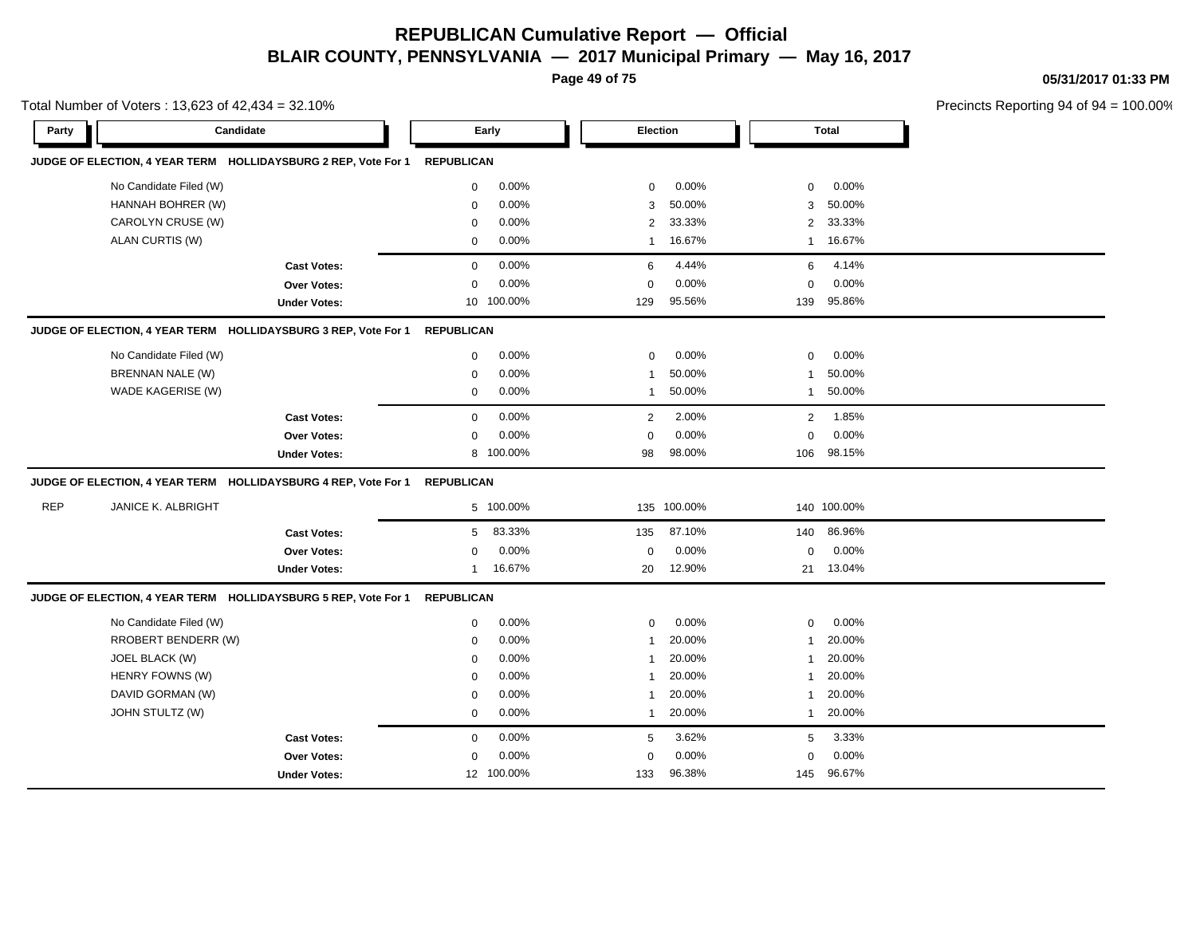**Page 49 of 75**

**05/31/2017 01:33 PM**

|            | Total Number of Voters: 13,623 of 42,434 = 32.10% |                                                                |                   |            |                 |             |                       |              | Precincts Reporting 94 of 94 |
|------------|---------------------------------------------------|----------------------------------------------------------------|-------------------|------------|-----------------|-------------|-----------------------|--------------|------------------------------|
| Party      | Candidate                                         |                                                                |                   | Early      | <b>Election</b> |             |                       | <b>Total</b> |                              |
|            |                                                   | JUDGE OF ELECTION, 4 YEAR TERM HOLLIDAYSBURG 2 REP, Vote For 1 | <b>REPUBLICAN</b> |            |                 |             |                       |              |                              |
|            | No Candidate Filed (W)                            |                                                                | $\mathbf 0$       | 0.00%      | $\mathbf 0$     | 0.00%       | 0                     | 0.00%        |                              |
|            | HANNAH BOHRER (W)                                 |                                                                | 0                 | 0.00%      | 3               | 50.00%      | 3                     | 50.00%       |                              |
|            | CAROLYN CRUSE (W)                                 |                                                                | $\mathbf 0$       | 0.00%      | 2               | 33.33%      | $\mathbf{2}^{\prime}$ | 33.33%       |                              |
|            | ALAN CURTIS (W)                                   |                                                                | $\mathbf 0$       | 0.00%      | $\mathbf{1}$    | 16.67%      | $\overline{1}$        | 16.67%       |                              |
|            |                                                   | <b>Cast Votes:</b>                                             | $\mathbf 0$       | 0.00%      | 6               | 4.44%       | 6                     | 4.14%        |                              |
|            |                                                   | <b>Over Votes:</b>                                             | $\mathbf 0$       | 0.00%      | $\mathbf 0$     | 0.00%       | 0                     | 0.00%        |                              |
|            |                                                   | <b>Under Votes:</b>                                            |                   | 10 100.00% | 129             | 95.56%      | 139                   | 95.86%       |                              |
|            |                                                   | JUDGE OF ELECTION, 4 YEAR TERM HOLLIDAYSBURG 3 REP, Vote For 1 | <b>REPUBLICAN</b> |            |                 |             |                       |              |                              |
|            | No Candidate Filed (W)                            |                                                                | 0                 | 0.00%      | $\mathbf 0$     | 0.00%       | 0                     | 0.00%        |                              |
|            | BRENNAN NALE (W)                                  |                                                                | 0                 | 0.00%      | 1               | 50.00%      | 1                     | 50.00%       |                              |
|            | WADE KAGERISE (W)                                 |                                                                | $\mathbf 0$       | 0.00%      | $\mathbf{1}$    | 50.00%      | $\mathbf{1}$          | 50.00%       |                              |
|            |                                                   | <b>Cast Votes:</b>                                             | $\mathbf 0$       | 0.00%      | $\overline{2}$  | 2.00%       | $\overline{2}$        | 1.85%        |                              |
|            |                                                   | Over Votes:                                                    | $\mathbf 0$       | 0.00%      | $\mathbf 0$     | 0.00%       | 0                     | 0.00%        |                              |
|            |                                                   | <b>Under Votes:</b>                                            |                   | 8 100.00%  | 98              | 98.00%      | 106                   | 98.15%       |                              |
|            |                                                   | JUDGE OF ELECTION, 4 YEAR TERM HOLLIDAYSBURG 4 REP, Vote For 1 | <b>REPUBLICAN</b> |            |                 |             |                       |              |                              |
| <b>REP</b> | <b>JANICE K. ALBRIGHT</b>                         |                                                                |                   | 5 100.00%  |                 | 135 100.00% |                       | 140 100.00%  |                              |
|            |                                                   | <b>Cast Votes:</b>                                             | 5                 | 83.33%     | 135             | 87.10%      | 140                   | 86.96%       |                              |
|            |                                                   | Over Votes:                                                    | 0                 | 0.00%      | 0               | 0.00%       | 0                     | 0.00%        |                              |
|            |                                                   | <b>Under Votes:</b>                                            | 1                 | 16.67%     | 20              | 12.90%      |                       | 21 13.04%    |                              |
|            |                                                   | JUDGE OF ELECTION, 4 YEAR TERM HOLLIDAYSBURG 5 REP, Vote For 1 | <b>REPUBLICAN</b> |            |                 |             |                       |              |                              |
|            | No Candidate Filed (W)                            |                                                                | 0                 | 0.00%      | $\mathbf 0$     | 0.00%       | 0                     | 0.00%        |                              |
|            | RROBERT BENDERR (W)                               |                                                                | $\mathbf 0$       | 0.00%      | $\mathbf{1}$    | 20.00%      | $\overline{1}$        | 20.00%       |                              |
|            | JOEL BLACK (W)                                    |                                                                | $\mathbf 0$       | 0.00%      | $\mathbf{1}$    | 20.00%      | 1                     | 20.00%       |                              |
|            | HENRY FOWNS (W)                                   |                                                                | $\mathbf 0$       | 0.00%      | 1               | 20.00%      | -1                    | 20.00%       |                              |
|            | DAVID GORMAN (W)                                  |                                                                | $\mathbf 0$       | 0.00%      | 1               | 20.00%      | -1                    | 20.00%       |                              |
|            | JOHN STULTZ (W)                                   |                                                                | $\mathbf 0$       | 0.00%      | $\mathbf{1}$    | 20.00%      | $\overline{1}$        | 20.00%       |                              |
|            |                                                   | <b>Cast Votes:</b>                                             | $\mathbf 0$       | 0.00%      | 5               | 3.62%       | 5                     | 3.33%        |                              |
|            |                                                   | Over Votes:                                                    | $\mathbf 0$       | 0.00%      | $\mathbf 0$     | 0.00%       | 0                     | 0.00%        |                              |
|            |                                                   | <b>Under Votes:</b>                                            |                   | 12 100.00% | 133             | 96.38%      | 145                   | 96.67%       |                              |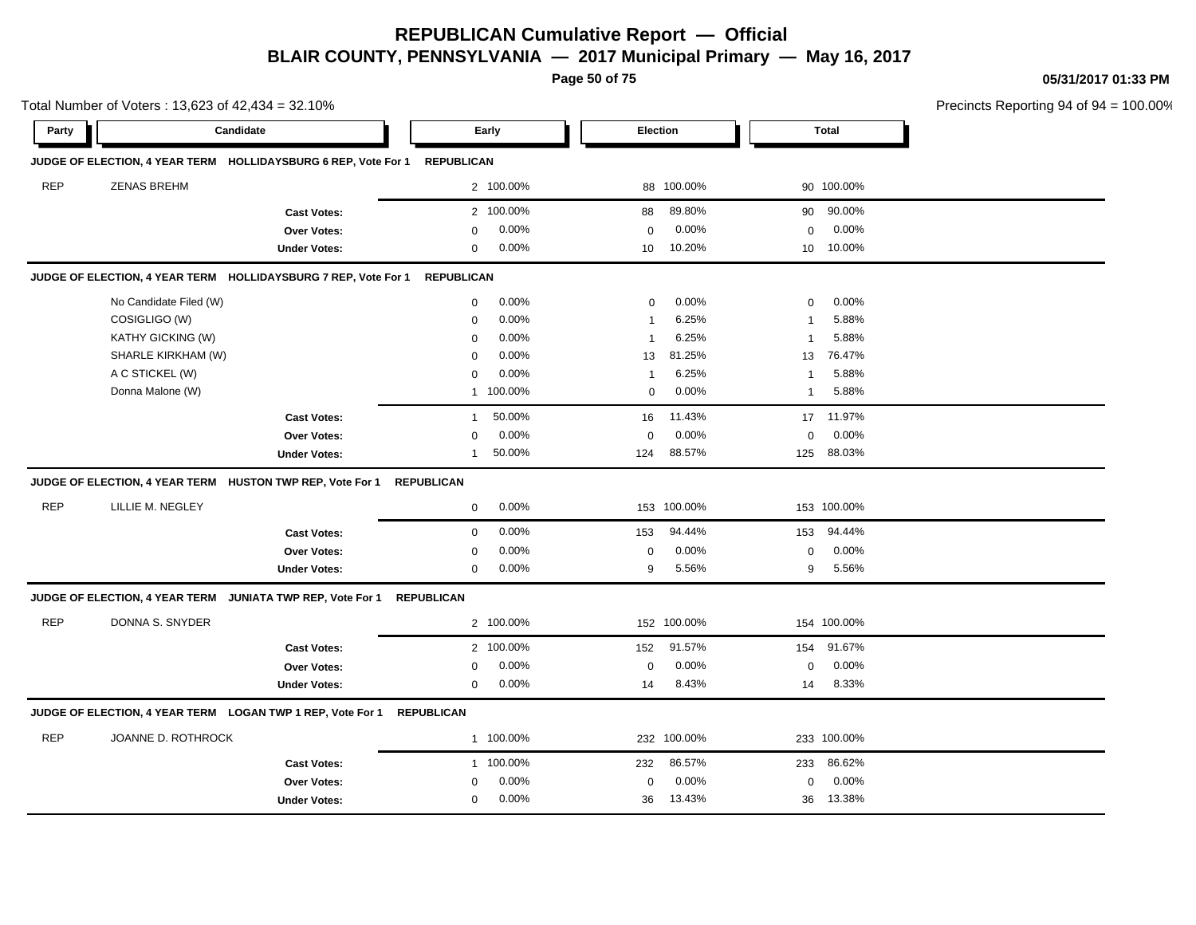**Page 50 of 75**

**05/31/2017 01:33 PM**

|            | Total Number of Voters: 13,623 of 42,434 = 32.10%                         |                     |                          |                       |                          | Precincts Reporting 94 of 94 = 100.00% |
|------------|---------------------------------------------------------------------------|---------------------|--------------------------|-----------------------|--------------------------|----------------------------------------|
| Party      | Candidate                                                                 |                     | Early                    | Election              | <b>Total</b>             |                                        |
|            | JUDGE OF ELECTION, 4 YEAR TERM HOLLIDAYSBURG 6 REP, Vote For 1 REPUBLICAN |                     |                          |                       |                          |                                        |
| <b>REP</b> | <b>ZENAS BREHM</b>                                                        |                     | 2 100.00%                | 88 100.00%            | 90 100.00%               |                                        |
|            |                                                                           | <b>Cast Votes:</b>  | 2 100.00%                | 88 89.80%             | 90 90.00%                |                                        |
|            |                                                                           | Over Votes:         | 0.00%<br>$\mathbf{0}$    | 0.00%<br>$\mathbf 0$  | 0.00%<br>$\mathbf{0}$    |                                        |
|            |                                                                           | <b>Under Votes:</b> | $0.00\%$<br>0            | 10.20%<br>10          | 10 10.00%                |                                        |
|            | JUDGE OF ELECTION, 4 YEAR TERM HOLLIDAYSBURG 7 REP, Vote For 1 REPUBLICAN |                     |                          |                       |                          |                                        |
|            | No Candidate Filed (W)                                                    |                     | $0.00\%$<br>$\mathbf{0}$ | 0.00%<br>$\mathbf 0$  | $0.00\%$<br>$\mathbf{0}$ |                                        |
|            | COSIGLIGO (W)                                                             |                     | 0.00%<br>$\Omega$        | 6.25%                 | 5.88%                    |                                        |
|            | <b>KATHY GICKING (W)</b>                                                  |                     | 0.00%                    | 6.25%                 | 5.88%                    |                                        |
|            | SHARLE KIRKHAM (W)                                                        |                     | 0.00%<br>$\Omega$        | 13 81.25%             | 13 76.47%                |                                        |
|            | A C STICKEL (W)                                                           |                     | 0.00%<br>$\Omega$        | 6.25%                 | 5.88%<br>-1              |                                        |
|            | Donna Malone (W)                                                          |                     | 1 100.00%                | 0.00%<br>$\mathbf 0$  | 5.88%<br>-1              |                                        |
|            |                                                                           | <b>Cast Votes:</b>  | 50.00%<br>-1             | 16 11.43%             | 17 11.97%                |                                        |
|            |                                                                           | Over Votes:         | 0.00%<br>$\Omega$        | 0.00%<br>$\mathbf 0$  | $0.00\%$<br>$\mathbf{0}$ |                                        |
|            |                                                                           | <b>Under Votes:</b> | 50.00%                   | 88.57%<br>124         | 125 88.03%               |                                        |
|            | JUDGE OF ELECTION, 4 YEAR TERM HUSTON TWP REP, Vote For 1 REPUBLICAN      |                     |                          |                       |                          |                                        |
| <b>REP</b> | LILLIE M. NEGLEY                                                          |                     | $0.00\%$<br>$\mathbf{0}$ | 153 100.00%           | 153 100.00%              |                                        |
|            |                                                                           | <b>Cast Votes:</b>  | $0.00\%$<br>$\mathbf{0}$ | 94.44%<br>153         | 153 94.44%               |                                        |
|            |                                                                           | Over Votes:         | 0.00%<br>$\Omega$        | 0.00%<br>$\Omega$     | $0.00\%$<br>$\mathbf{0}$ |                                        |
|            |                                                                           | <b>Under Votes:</b> | $0.00\%$<br>$\mathbf{0}$ | 5.56%<br>9            | 5.56%<br>9               |                                        |
|            | JUDGE OF ELECTION, 4 YEAR TERM JUNIATA TWP REP, Vote For 1 REPUBLICAN     |                     |                          |                       |                          |                                        |
| <b>REP</b> | DONNA S. SNYDER                                                           |                     | 2 100.00%                | 152 100.00%           | 154 100.00%              |                                        |
|            |                                                                           | <b>Cast Votes:</b>  | 2 100.00%                | 152<br>91.57%         | 154 91.67%               |                                        |
|            |                                                                           | <b>Over Votes:</b>  | $0.00\%$<br>$\mathbf{0}$ | 0.00%<br>$\mathbf{0}$ | $0.00\%$<br>$\mathbf{0}$ |                                        |

14 8.43%

14 14 8.43% 8.33%

#### **JUDGE OF ELECTION, 4 YEAR TERM LOGAN TWP 1 REP, Vote For 1 REPUBLICAN**

**Under Votes:** 0

| <b>REP</b> | JOANNE D. ROTHROCK  | 100.00%                  | 232 100.00%           | 233 100.00%   |  |
|------------|---------------------|--------------------------|-----------------------|---------------|--|
|            | <b>Cast Votes:</b>  | 100.00%                  | 86.57%<br>232         | 86.62%<br>233 |  |
|            | Over Votes:         | $0.00\%$<br><sup>n</sup> | 0.00%<br><sup>0</sup> | $0.00\%$      |  |
|            | <b>Under Votes:</b> | $0.00\%$<br><sup>n</sup> | 13.43%<br>36          | 13.38%<br>36  |  |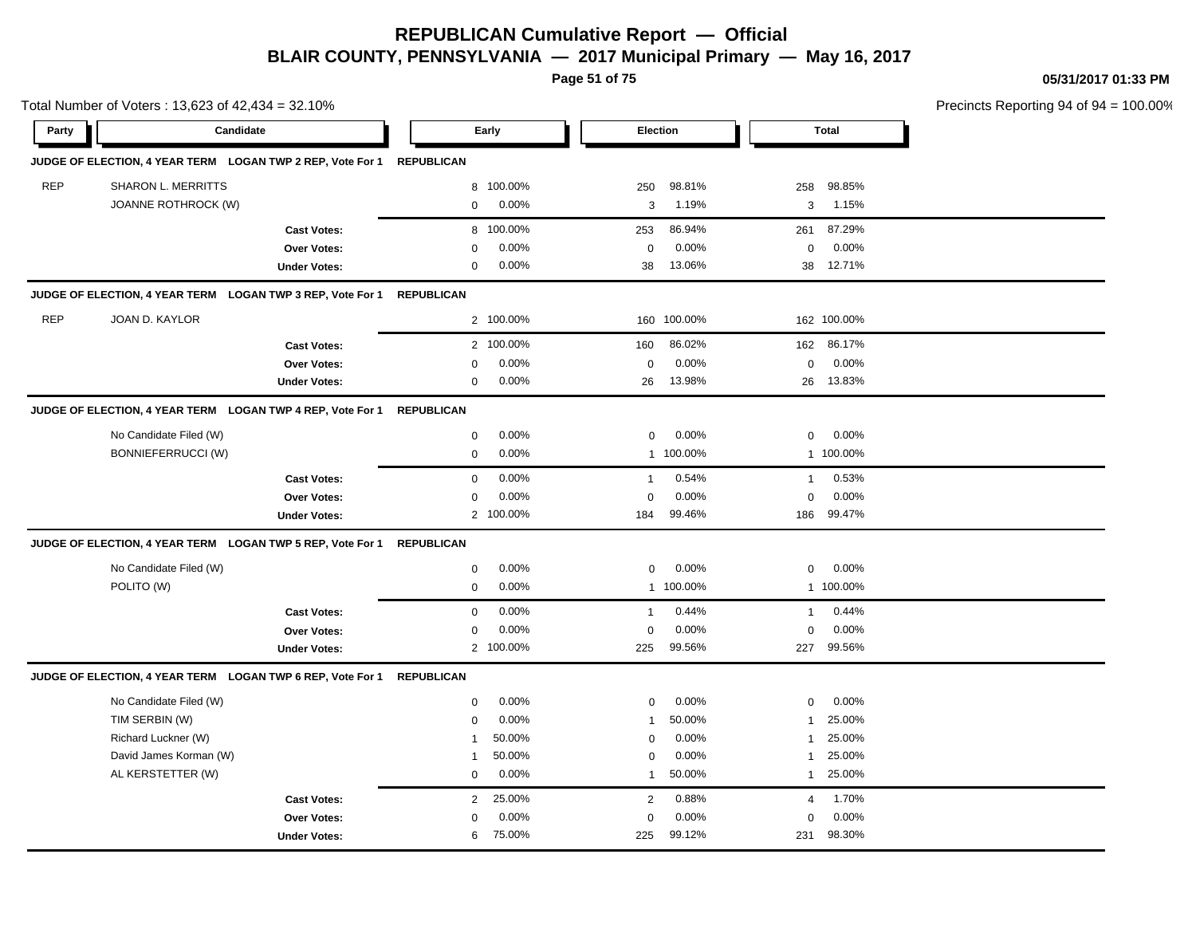**Page 51 of 75**

**05/31/2017 01:33 PM**

|            | Total Number of Voters: 13,623 of 42,434 = 32.10%          |                                                            |                   |           |                |             |                |              | Precincts Reporting 94 of 94 |
|------------|------------------------------------------------------------|------------------------------------------------------------|-------------------|-----------|----------------|-------------|----------------|--------------|------------------------------|
| Party      |                                                            | Candidate                                                  |                   | Early     | Election       |             |                | <b>Total</b> |                              |
|            |                                                            | JUDGE OF ELECTION, 4 YEAR TERM LOGAN TWP 2 REP, Vote For 1 | <b>REPUBLICAN</b> |           |                |             |                |              |                              |
| <b>REP</b> | SHARON L. MERRITTS                                         |                                                            | 8                 | 100.00%   | 250            | 98.81%      | 258            | 98.85%       |                              |
|            | JOANNE ROTHROCK (W)                                        |                                                            | $\mathbf 0$       | 0.00%     | 3              | 1.19%       | 3              | 1.15%        |                              |
|            |                                                            | <b>Cast Votes:</b>                                         | 8                 | 100.00%   | 253            | 86.94%      | 261            | 87.29%       |                              |
|            |                                                            | Over Votes:                                                | 0                 | 0.00%     | 0              | 0.00%       | $\mathbf 0$    | 0.00%        |                              |
|            |                                                            | <b>Under Votes:</b>                                        | 0                 | 0.00%     | 38             | 13.06%      |                | 38 12.71%    |                              |
|            |                                                            | JUDGE OF ELECTION, 4 YEAR TERM LOGAN TWP 3 REP, Vote For 1 | <b>REPUBLICAN</b> |           |                |             |                |              |                              |
| <b>REP</b> | JOAN D. KAYLOR                                             |                                                            |                   | 2 100.00% |                | 160 100.00% |                | 162 100.00%  |                              |
|            |                                                            | <b>Cast Votes:</b>                                         |                   | 2 100.00% | 160            | 86.02%      | 162            | 86.17%       |                              |
|            |                                                            | Over Votes:                                                | $\Omega$          | 0.00%     | 0              | 0.00%       | $\mathbf 0$    | 0.00%        |                              |
|            |                                                            | <b>Under Votes:</b>                                        | $\mathbf 0$       | 0.00%     | 26             | 13.98%      |                | 26 13.83%    |                              |
|            |                                                            | JUDGE OF ELECTION, 4 YEAR TERM LOGAN TWP 4 REP, Vote For 1 | <b>REPUBLICAN</b> |           |                |             |                |              |                              |
|            | No Candidate Filed (W)                                     |                                                            | $\mathbf 0$       | 0.00%     | $\mathbf 0$    | 0.00%       | $\mathbf 0$    | 0.00%        |                              |
|            | <b>BONNIEFERRUCCI (W)</b>                                  |                                                            | $\mathbf 0$       | 0.00%     |                | 1 100.00%   |                | 1 100.00%    |                              |
|            |                                                            | <b>Cast Votes:</b>                                         | $\mathbf 0$       | 0.00%     | $\mathbf{1}$   | 0.54%       | $\mathbf{1}$   | 0.53%        |                              |
|            |                                                            | Over Votes:                                                | $\mathbf 0$       | 0.00%     | 0              | 0.00%       | $\mathbf 0$    | 0.00%        |                              |
|            |                                                            | <b>Under Votes:</b>                                        |                   | 2 100.00% | 184            | 99.46%      | 186            | 99.47%       |                              |
|            | JUDGE OF ELECTION, 4 YEAR TERM LOGAN TWP 5 REP, Vote For 1 |                                                            | <b>REPUBLICAN</b> |           |                |             |                |              |                              |
|            | No Candidate Filed (W)                                     |                                                            | $\mathbf 0$       | 0.00%     | 0              | 0.00%       | 0              | 0.00%        |                              |
|            | POLITO (W)                                                 |                                                            | $\mathbf 0$       | 0.00%     |                | 1 100.00%   |                | 1 100.00%    |                              |
|            |                                                            | <b>Cast Votes:</b>                                         | $\mathbf 0$       | 0.00%     | $\mathbf{1}$   | 0.44%       | $\mathbf{1}$   | 0.44%        |                              |
|            |                                                            | Over Votes:                                                | 0                 | 0.00%     | 0              | 0.00%       | $\mathbf 0$    | 0.00%        |                              |
|            |                                                            | <b>Under Votes:</b>                                        | $\overline{2}$    | 100.00%   | 225            | 99.56%      | 227            | 99.56%       |                              |
|            |                                                            | JUDGE OF ELECTION, 4 YEAR TERM LOGAN TWP 6 REP, Vote For 1 | <b>REPUBLICAN</b> |           |                |             |                |              |                              |
|            | No Candidate Filed (W)                                     |                                                            | $\mathbf 0$       | 0.00%     | 0              | 0.00%       | $\mathbf 0$    | 0.00%        |                              |
|            | TIM SERBIN (W)                                             |                                                            | $\mathbf 0$       | 0.00%     | $\mathbf{1}$   | 50.00%      | 1              | 25.00%       |                              |
|            | Richard Luckner (W)                                        |                                                            |                   | 50.00%    | $\Omega$       | 0.00%       | 1              | 25.00%       |                              |
|            | David James Korman (W)                                     |                                                            | -1                | 50.00%    | $\mathbf 0$    | 0.00%       | 1              | 25.00%       |                              |
|            | AL KERSTETTER (W)                                          |                                                            | 0                 | 0.00%     | 1              | 50.00%      | $\mathbf{1}$   | 25.00%       |                              |
|            |                                                            | <b>Cast Votes:</b>                                         | $\overline{2}$    | 25.00%    | $\overline{c}$ | 0.88%       | $\overline{a}$ | 1.70%        |                              |
|            |                                                            | Over Votes:                                                | $\mathbf 0$       | 0.00%     | 0              | 0.00%       | $\mathbf 0$    | 0.00%        |                              |
|            |                                                            | <b>Under Votes:</b>                                        | 6                 | 75.00%    | 225            | 99.12%      | 231            | 98.30%       |                              |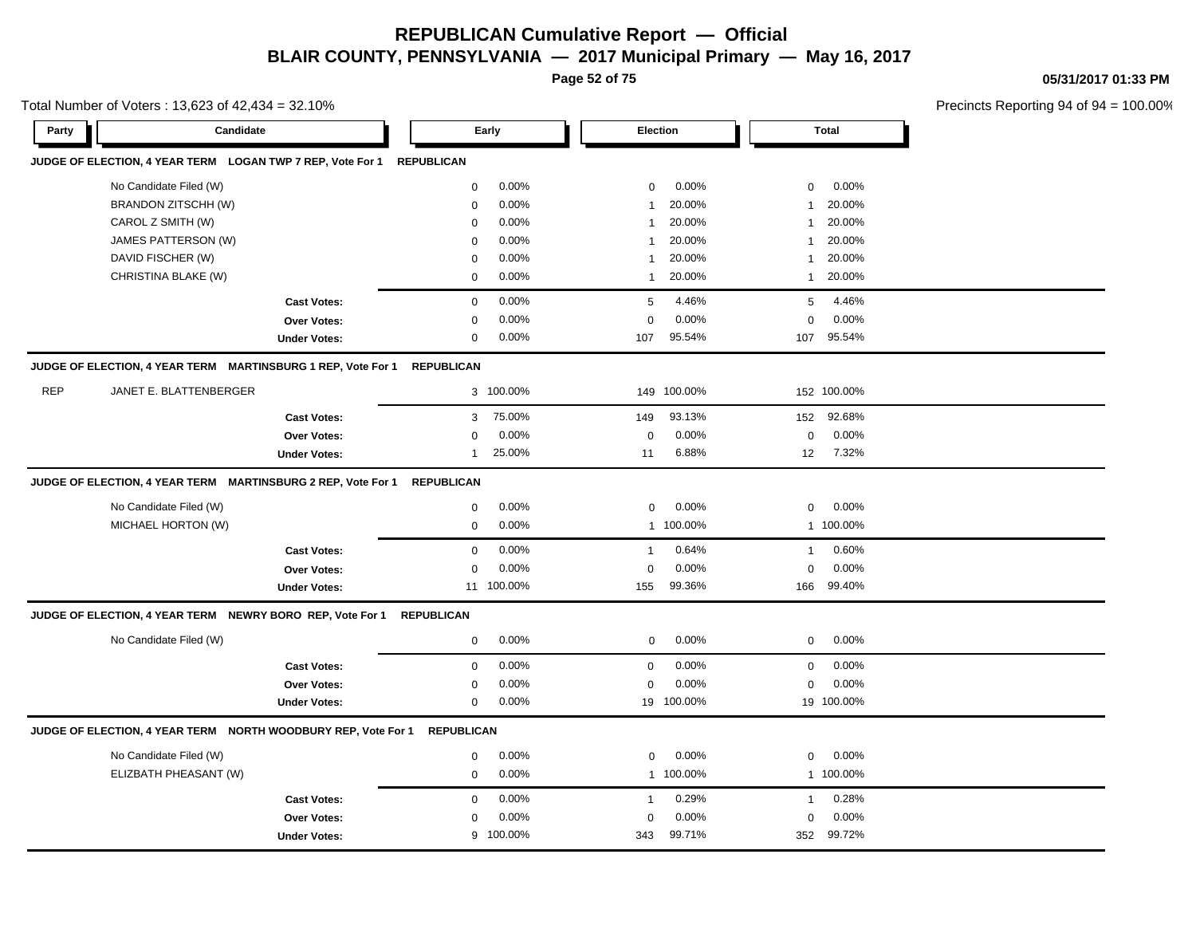**Page 52 of 75**

**05/31/2017 01:33 PM**

|            | Total Number of Voters: 13,623 of 42,434 = 32.10%             |                     |                   |            |                |             |              | Precincts Reporting 94 of 9 |  |
|------------|---------------------------------------------------------------|---------------------|-------------------|------------|----------------|-------------|--------------|-----------------------------|--|
| Party      | Candidate                                                     |                     |                   | Early      |                | Election    |              | <b>Total</b>                |  |
|            | JUDGE OF ELECTION, 4 YEAR TERM LOGAN TWP 7 REP, Vote For 1    |                     | <b>REPUBLICAN</b> |            |                |             |              |                             |  |
|            | No Candidate Filed (W)                                        |                     | $\mathbf 0$       | 0.00%      | 0              | 0.00%       | 0            | 0.00%                       |  |
|            | BRANDON ZITSCHH (W)                                           |                     | $\mathbf 0$       | 0.00%      | $\overline{1}$ | 20.00%      | 1            | 20.00%                      |  |
|            | CAROL Z SMITH (W)                                             |                     | $\mathsf 0$       | 0.00%      | $\mathbf{1}$   | 20.00%      | 1            | 20.00%                      |  |
|            | JAMES PATTERSON (W)                                           |                     | $\mathbf 0$       | 0.00%      | $\mathbf 1$    | 20.00%      | 1            | 20.00%                      |  |
|            | DAVID FISCHER (W)                                             |                     | $\mathbf 0$       | 0.00%      | $\mathbf{1}$   | 20.00%      | 1            | 20.00%                      |  |
|            | CHRISTINA BLAKE (W)                                           |                     | $\mathbf 0$       | 0.00%      | $\mathbf{1}$   | 20.00%      | $\mathbf{1}$ | 20.00%                      |  |
|            |                                                               | <b>Cast Votes:</b>  | $\mathbf 0$       | 0.00%      | 5              | 4.46%       | 5            | 4.46%                       |  |
|            |                                                               | <b>Over Votes:</b>  | 0                 | 0.00%      | $\mathbf 0$    | 0.00%       | $\mathbf 0$  | 0.00%                       |  |
|            |                                                               | <b>Under Votes:</b> | 0                 | 0.00%      | 107            | 95.54%      |              | 107 95.54%                  |  |
|            | JUDGE OF ELECTION, 4 YEAR TERM MARTINSBURG 1 REP, Vote For 1  |                     | <b>REPUBLICAN</b> |            |                |             |              |                             |  |
| <b>REP</b> | JANET E. BLATTENBERGER                                        |                     |                   | 3 100.00%  |                | 149 100.00% |              | 152 100.00%                 |  |
|            |                                                               | <b>Cast Votes:</b>  | 3                 | 75.00%     | 149            | 93.13%      | 152          | 92.68%                      |  |
|            |                                                               | Over Votes:         | $\mathbf 0$       | 0.00%      | $\mathbf 0$    | 0.00%       | $\mathbf 0$  | 0.00%                       |  |
|            |                                                               | <b>Under Votes:</b> | $\mathbf{1}$      | 25.00%     | 11             | 6.88%       | 12           | 7.32%                       |  |
|            | JUDGE OF ELECTION, 4 YEAR TERM MARTINSBURG 2 REP, Vote For 1  |                     | <b>REPUBLICAN</b> |            |                |             |              |                             |  |
|            | No Candidate Filed (W)                                        |                     | $\mathbf 0$       | 0.00%      | $\mathbf 0$    | 0.00%       | 0            | 0.00%                       |  |
|            | MICHAEL HORTON (W)                                            |                     | $\mathbf 0$       | 0.00%      |                | 1 100.00%   |              | 1 100.00%                   |  |
|            |                                                               | <b>Cast Votes:</b>  | $\mathbf 0$       | 0.00%      | $\mathbf{1}$   | 0.64%       | 1            | 0.60%                       |  |
|            |                                                               | <b>Over Votes:</b>  | $\mathbf 0$       | 0.00%      | $\mathbf 0$    | 0.00%       | $\mathbf 0$  | 0.00%                       |  |
|            |                                                               | <b>Under Votes:</b> |                   | 11 100.00% | 155            | 99.36%      |              | 166 99.40%                  |  |
|            | JUDGE OF ELECTION, 4 YEAR TERM NEWRY BORO REP, Vote For 1     |                     | <b>REPUBLICAN</b> |            |                |             |              |                             |  |
|            | No Candidate Filed (W)                                        |                     | $\mathbf 0$       | 0.00%      | $\mathbf 0$    | 0.00%       | 0            | 0.00%                       |  |
|            |                                                               | <b>Cast Votes:</b>  | $\mathbf 0$       | 0.00%      | $\mathbf 0$    | 0.00%       | 0            | 0.00%                       |  |
|            |                                                               | Over Votes:         | $\mathbf 0$       | 0.00%      | $\mathbf 0$    | 0.00%       | $\mathbf 0$  | 0.00%                       |  |
|            |                                                               | <b>Under Votes:</b> | $\mathbf 0$       | 0.00%      |                | 19 100.00%  |              | 19 100.00%                  |  |
|            | JUDGE OF ELECTION, 4 YEAR TERM NORTH WOODBURY REP, Vote For 1 |                     | <b>REPUBLICAN</b> |            |                |             |              |                             |  |
|            | No Candidate Filed (W)                                        |                     | 0                 | 0.00%      | $\mathbf 0$    | $0.00\%$    | $\mathbf 0$  | 0.00%                       |  |
|            | ELIZBATH PHEASANT (W)                                         |                     | $\mathbf 0$       | 0.00%      |                | 1 100.00%   |              | 1 100.00%                   |  |
|            |                                                               | <b>Cast Votes:</b>  | $\mathbf 0$       | 0.00%      | $\mathbf{1}$   | 0.29%       | $\mathbf{1}$ | 0.28%                       |  |
|            |                                                               | <b>Over Votes:</b>  | 0                 | 0.00%      | $\mathbf 0$    | 0.00%       | 0            | 0.00%                       |  |
|            |                                                               | <b>Under Votes:</b> |                   | 9 100.00%  | 343            | 99.71%      | 352          | 99.72%                      |  |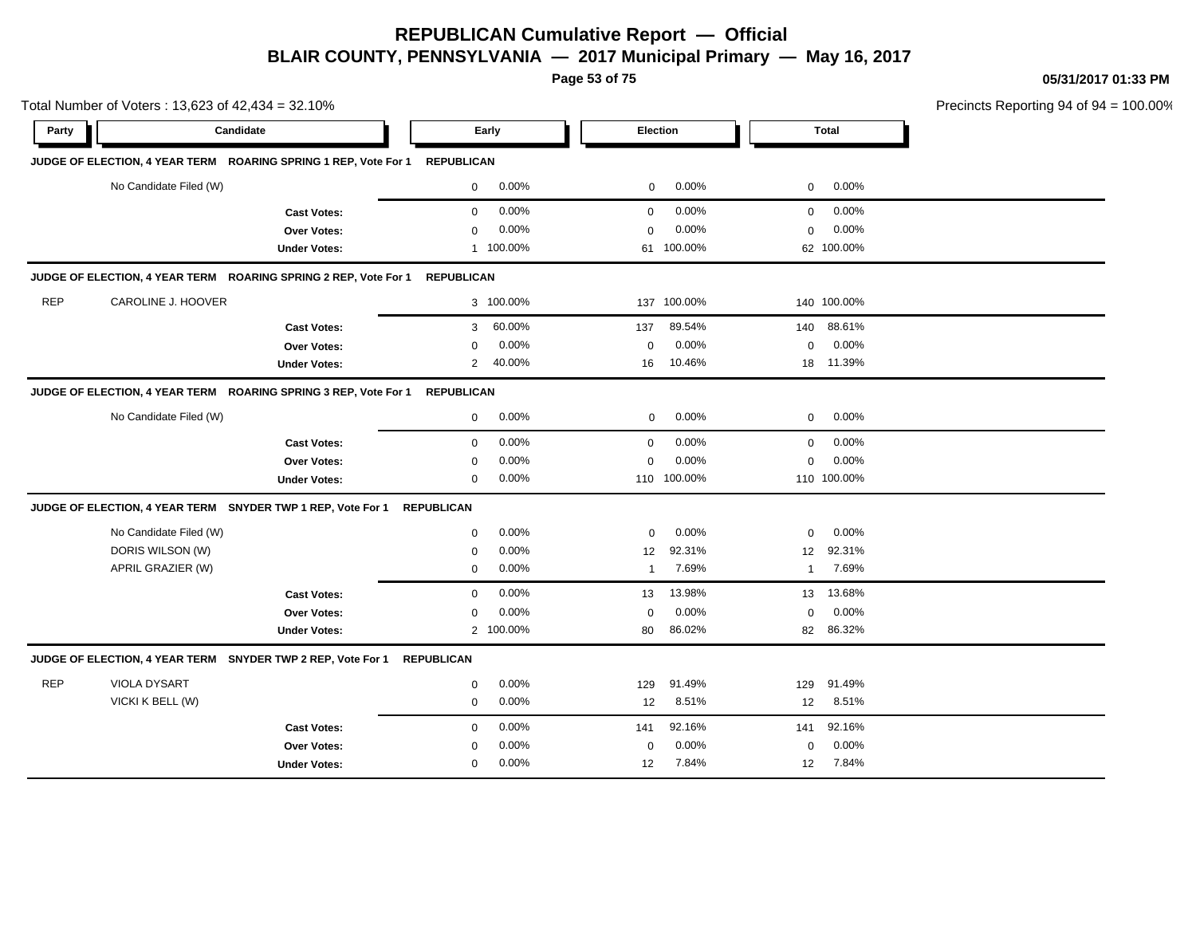**Page 53 of 75**

**05/31/2017 01:33 PM**

|            | Total Number of Voters: 13,623 of 42,434 = 32.10%                          |                     |                   |           |              |             |             |             | Precincts Reporting 94 of 94 = 10 |
|------------|----------------------------------------------------------------------------|---------------------|-------------------|-----------|--------------|-------------|-------------|-------------|-----------------------------------|
| Party      | Candidate                                                                  |                     |                   | Early     |              | Election    |             | Total       |                                   |
|            | JUDGE OF ELECTION, 4 YEAR TERM ROARING SPRING 1 REP, Vote For 1 REPUBLICAN |                     |                   |           |              |             |             |             |                                   |
|            | No Candidate Filed (W)                                                     |                     | $\mathbf 0$       | 0.00%     | $\mathbf 0$  | 0.00%       | $\mathbf 0$ | 0.00%       |                                   |
|            |                                                                            | <b>Cast Votes:</b>  | $\mathbf 0$       | 0.00%     | 0            | 0.00%       | $\mathbf 0$ | 0.00%       |                                   |
|            |                                                                            | Over Votes:         | $\mathbf 0$       | 0.00%     | $\mathbf 0$  | 0.00%       | $\mathbf 0$ | 0.00%       |                                   |
|            |                                                                            | <b>Under Votes:</b> |                   | 1 100.00% |              | 61 100.00%  |             | 62 100.00%  |                                   |
|            | JUDGE OF ELECTION, 4 YEAR TERM ROARING SPRING 2 REP, Vote For 1 REPUBLICAN |                     |                   |           |              |             |             |             |                                   |
| <b>REP</b> | CAROLINE J. HOOVER                                                         |                     |                   | 3 100.00% |              | 137 100.00% |             | 140 100.00% |                                   |
|            |                                                                            | <b>Cast Votes:</b>  | 3                 | 60.00%    | 137          | 89.54%      | 140         | 88.61%      |                                   |
|            |                                                                            | Over Votes:         | $\Omega$          | 0.00%     | $\mathbf 0$  | 0.00%       | $\mathbf 0$ | 0.00%       |                                   |
|            |                                                                            | <b>Under Votes:</b> | 2                 | 40.00%    | 16           | 10.46%      |             | 18 11.39%   |                                   |
|            | JUDGE OF ELECTION, 4 YEAR TERM ROARING SPRING 3 REP, Vote For 1            |                     | <b>REPUBLICAN</b> |           |              |             |             |             |                                   |
|            | No Candidate Filed (W)                                                     |                     | $\mathbf 0$       | 0.00%     | 0            | $0.00\%$    | 0           | 0.00%       |                                   |
|            |                                                                            | <b>Cast Votes:</b>  | $\mathbf 0$       | 0.00%     | $\mathbf 0$  | 0.00%       | $\mathbf 0$ | 0.00%       |                                   |
|            |                                                                            | Over Votes:         | 0                 | 0.00%     | $\mathbf 0$  | 0.00%       | $\mathbf 0$ | 0.00%       |                                   |
|            |                                                                            | <b>Under Votes:</b> | $\mathbf 0$       | 0.00%     |              | 110 100.00% |             | 110 100.00% |                                   |
|            | JUDGE OF ELECTION, 4 YEAR TERM SNYDER TWP 1 REP, Vote For 1                |                     | <b>REPUBLICAN</b> |           |              |             |             |             |                                   |
|            | No Candidate Filed (W)                                                     |                     | $\mathbf 0$       | 0.00%     | $\Omega$     | 0.00%       | $\mathbf 0$ | 0.00%       |                                   |
|            | DORIS WILSON (W)                                                           |                     | 0                 | 0.00%     | 12           | 92.31%      | 12          | 92.31%      |                                   |
|            | APRIL GRAZIER (W)                                                          |                     | $\mathbf 0$       | 0.00%     | $\mathbf{1}$ | 7.69%       | 1           | 7.69%       |                                   |
|            |                                                                            | <b>Cast Votes:</b>  | $\mathbf 0$       | 0.00%     | 13           | 13.98%      | 13          | 13.68%      |                                   |
|            |                                                                            | Over Votes:         | $\mathbf 0$       | 0.00%     | 0            | 0.00%       | $\mathbf 0$ | 0.00%       |                                   |
|            |                                                                            | <b>Under Votes:</b> |                   | 2 100.00% | 80           | 86.02%      | 82          | 86.32%      |                                   |
|            | JUDGE OF ELECTION, 4 YEAR TERM SNYDER TWP 2 REP, Vote For 1                |                     | <b>REPUBLICAN</b> |           |              |             |             |             |                                   |
| <b>REP</b> | VIOLA DYSART                                                               |                     | 0                 | 0.00%     | 129          | 91.49%      | 129         | 91.49%      |                                   |
|            | VICKI K BELL (W)                                                           |                     | 0                 | 0.00%     | 12           | 8.51%       | 12          | 8.51%       |                                   |
|            |                                                                            | <b>Cast Votes:</b>  | 0                 | 0.00%     | 141          | 92.16%      | 141         | 92.16%      |                                   |
|            |                                                                            | Over Votes:         | 0                 | 0.00%     | 0            | 0.00%       | 0           | 0.00%       |                                   |
|            |                                                                            | <b>Under Votes:</b> | 0                 | 0.00%     | 12           | 7.84%       | 12          | 7.84%       |                                   |

00.00%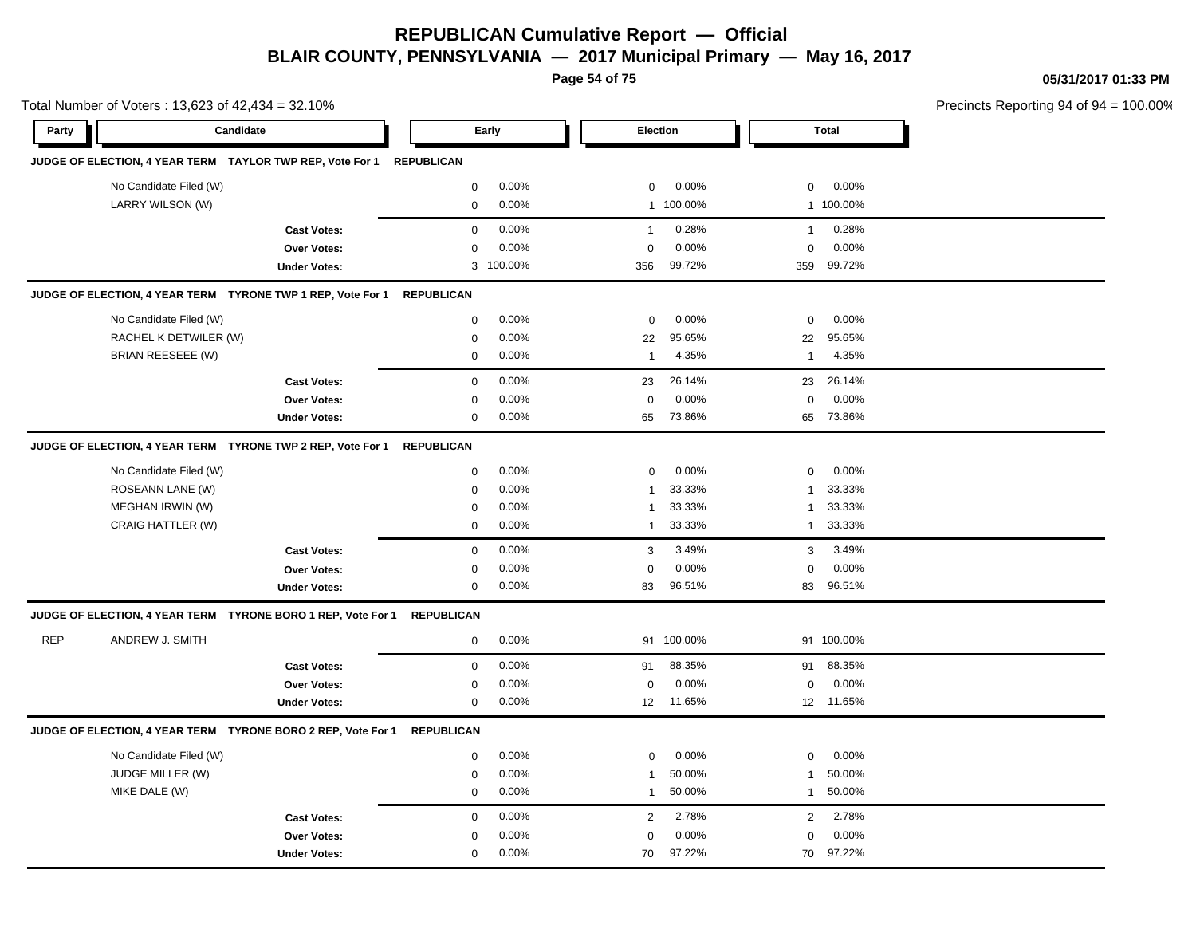**Page 54 of 75**

**05/31/2017 01:33 PM**

|                        |                     |                                                                                                                               |                                                                                                                                                                                                                                                                                                                |                    |        |                                     | Precincts Reporting 94 of 94 |                                                                                                                 |
|------------------------|---------------------|-------------------------------------------------------------------------------------------------------------------------------|----------------------------------------------------------------------------------------------------------------------------------------------------------------------------------------------------------------------------------------------------------------------------------------------------------------|--------------------|--------|-------------------------------------|------------------------------|-----------------------------------------------------------------------------------------------------------------|
|                        |                     |                                                                                                                               |                                                                                                                                                                                                                                                                                                                |                    |        |                                     |                              |                                                                                                                 |
|                        |                     |                                                                                                                               |                                                                                                                                                                                                                                                                                                                |                    |        |                                     |                              |                                                                                                                 |
| No Candidate Filed (W) |                     | 0                                                                                                                             | 0.00%                                                                                                                                                                                                                                                                                                          | 0                  | 0.00%  | 0                                   | 0.00%                        |                                                                                                                 |
| LARRY WILSON (W)       |                     | 0                                                                                                                             | 0.00%                                                                                                                                                                                                                                                                                                          |                    |        |                                     |                              |                                                                                                                 |
|                        | <b>Cast Votes:</b>  | 0                                                                                                                             | 0.00%                                                                                                                                                                                                                                                                                                          | $\mathbf{1}$       | 0.28%  | $\mathbf{1}$                        | 0.28%                        |                                                                                                                 |
|                        | Over Votes:         | $\mathbf 0$                                                                                                                   | 0.00%                                                                                                                                                                                                                                                                                                          | $\mathbf 0$        | 0.00%  | $\mathbf 0$                         | 0.00%                        |                                                                                                                 |
|                        | <b>Under Votes:</b> |                                                                                                                               |                                                                                                                                                                                                                                                                                                                | 356                | 99.72% |                                     |                              |                                                                                                                 |
|                        |                     |                                                                                                                               |                                                                                                                                                                                                                                                                                                                |                    |        |                                     |                              |                                                                                                                 |
| No Candidate Filed (W) |                     | $\mathbf 0$                                                                                                                   | 0.00%                                                                                                                                                                                                                                                                                                          | $\mathbf 0$        | 0.00%  | $\mathbf 0$                         | 0.00%                        |                                                                                                                 |
| RACHEL K DETWILER (W)  |                     | $\mathbf 0$                                                                                                                   | 0.00%                                                                                                                                                                                                                                                                                                          | 22                 | 95.65% | 22                                  | 95.65%                       |                                                                                                                 |
| BRIAN REESEEE (W)      |                     | 0                                                                                                                             | 0.00%                                                                                                                                                                                                                                                                                                          | $\mathbf{1}$       | 4.35%  | $\mathbf{1}$                        | 4.35%                        |                                                                                                                 |
|                        | <b>Cast Votes:</b>  | $\mathbf 0$                                                                                                                   | 0.00%                                                                                                                                                                                                                                                                                                          | 23                 | 26.14% |                                     | 26.14%                       |                                                                                                                 |
|                        | Over Votes:         | 0                                                                                                                             | 0.00%                                                                                                                                                                                                                                                                                                          | $\mathbf 0$        | 0.00%  | $\pmb{0}$                           | 0.00%                        |                                                                                                                 |
|                        | <b>Under Votes:</b> | 0                                                                                                                             | 0.00%                                                                                                                                                                                                                                                                                                          | 65                 | 73.86% |                                     |                              |                                                                                                                 |
|                        |                     |                                                                                                                               |                                                                                                                                                                                                                                                                                                                |                    |        |                                     |                              |                                                                                                                 |
| No Candidate Filed (W) |                     | 0                                                                                                                             | 0.00%                                                                                                                                                                                                                                                                                                          | 0                  | 0.00%  | 0                                   | 0.00%                        |                                                                                                                 |
| ROSEANN LANE (W)       |                     | 0                                                                                                                             | 0.00%                                                                                                                                                                                                                                                                                                          | $\mathbf{1}$       | 33.33% | 1                                   | 33.33%                       |                                                                                                                 |
| MEGHAN IRWIN (W)       |                     | 0                                                                                                                             | 0.00%                                                                                                                                                                                                                                                                                                          | $\mathbf{1}$       | 33.33% | 1                                   | 33.33%                       |                                                                                                                 |
| CRAIG HATTLER (W)      |                     | 0                                                                                                                             | 0.00%                                                                                                                                                                                                                                                                                                          | $\mathbf{1}$       | 33.33% | $\mathbf{1}$                        | 33.33%                       |                                                                                                                 |
|                        | <b>Cast Votes:</b>  | $\mathbf 0$                                                                                                                   | 0.00%                                                                                                                                                                                                                                                                                                          | 3                  | 3.49%  | 3                                   | 3.49%                        |                                                                                                                 |
|                        | Over Votes:         | 0                                                                                                                             | 0.00%                                                                                                                                                                                                                                                                                                          | $\mathbf 0$        | 0.00%  | $\mathbf 0$                         | 0.00%                        |                                                                                                                 |
|                        | <b>Under Votes:</b> | 0                                                                                                                             | 0.00%                                                                                                                                                                                                                                                                                                          | 83                 | 96.51% |                                     |                              |                                                                                                                 |
|                        |                     | <b>REPUBLICAN</b>                                                                                                             |                                                                                                                                                                                                                                                                                                                |                    |        |                                     |                              |                                                                                                                 |
| ANDREW J. SMITH        |                     | $\mathbf 0$                                                                                                                   | 0.00%                                                                                                                                                                                                                                                                                                          |                    |        |                                     |                              |                                                                                                                 |
|                        | <b>Cast Votes:</b>  | 0                                                                                                                             | 0.00%                                                                                                                                                                                                                                                                                                          | 91                 | 88.35% | 91                                  | 88.35%                       |                                                                                                                 |
|                        | Over Votes:         | 0                                                                                                                             | 0.00%                                                                                                                                                                                                                                                                                                          | 0                  | 0.00%  | 0                                   | 0.00%                        |                                                                                                                 |
|                        | <b>Under Votes:</b> | 0                                                                                                                             | 0.00%                                                                                                                                                                                                                                                                                                          | 12 <sup>°</sup>    | 11.65% |                                     |                              |                                                                                                                 |
|                        |                     |                                                                                                                               |                                                                                                                                                                                                                                                                                                                |                    |        |                                     |                              |                                                                                                                 |
| No Candidate Filed (W) |                     | 0                                                                                                                             | 0.00%                                                                                                                                                                                                                                                                                                          | $\mathsf 0$        | 0.00%  | $\mathbf 0$                         | 0.00%                        |                                                                                                                 |
| JUDGE MILLER (W)       |                     | 0                                                                                                                             | 0.00%                                                                                                                                                                                                                                                                                                          | $\mathbf{1}$       | 50.00% | $\mathbf{1}$                        | 50.00%                       |                                                                                                                 |
| MIKE DALE (W)          |                     | 0                                                                                                                             | 0.00%                                                                                                                                                                                                                                                                                                          | $\mathbf{1}$       | 50.00% | $\mathbf{1}$                        | 50.00%                       |                                                                                                                 |
|                        | <b>Cast Votes:</b>  | 0                                                                                                                             | 0.00%                                                                                                                                                                                                                                                                                                          | 2                  | 2.78%  | $\overline{2}$                      | 2.78%                        |                                                                                                                 |
|                        | Over Votes:         | 0                                                                                                                             | 0.00%                                                                                                                                                                                                                                                                                                          | $\mathbf 0$        | 0.00%  | 0                                   | 0.00%                        |                                                                                                                 |
|                        | <b>Under Votes:</b> | 0                                                                                                                             | 0.00%                                                                                                                                                                                                                                                                                                          | 70                 | 97.22% |                                     |                              |                                                                                                                 |
|                        |                     | Total Number of Voters: 13,623 of 42,434 = 32.10%<br>Candidate<br>JUDGE OF ELECTION, 4 YEAR TERM TYRONE TWP 1 REP, Vote For 1 | JUDGE OF ELECTION, 4 YEAR TERM TAYLOR TWP REP, Vote For 1 REPUBLICAN<br><b>REPUBLICAN</b><br>JUDGE OF ELECTION, 4 YEAR TERM TYRONE TWP 2 REP, Vote For 1 REPUBLICAN<br>JUDGE OF ELECTION, 4 YEAR TERM TYRONE BORO 1 REP, Vote For 1<br>JUDGE OF ELECTION, 4 YEAR TERM TYRONE BORO 2 REP, Vote For 1 REPUBLICAN | Early<br>3 100.00% |        | Election<br>1 100.00%<br>91 100.00% |                              | <b>Total</b><br>1 100.00%<br>359 99.72%<br>23<br>65 73.86%<br>83 96.51%<br>91 100.00%<br>12 11.65%<br>70 97.22% |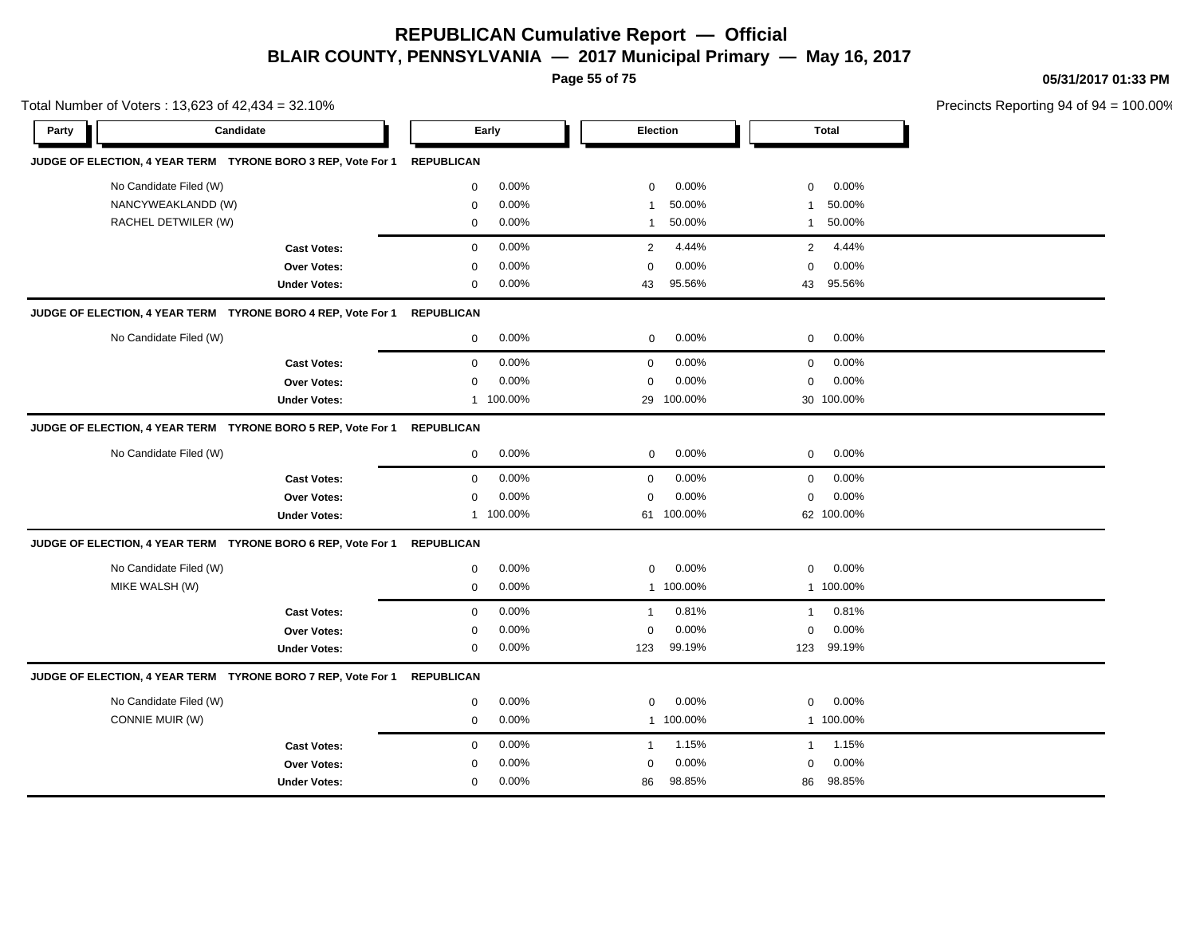**Page 55 of 75**

**05/31/2017 01:33 PM**

| Precincts Reporting 94 of 94 |              |                |            |                 |           | Total Number of Voters: 13,623 of 42,434 = 32.10% |                     |                                                              |
|------------------------------|--------------|----------------|------------|-----------------|-----------|---------------------------------------------------|---------------------|--------------------------------------------------------------|
|                              | <b>Total</b> |                |            | <b>Election</b> | Early     |                                                   | Candidate           | Party                                                        |
|                              |              |                |            |                 |           | <b>REPUBLICAN</b>                                 |                     | JUDGE OF ELECTION, 4 YEAR TERM TYRONE BORO 3 REP, Vote For 1 |
|                              | 0.00%        | $\mathbf 0$    | 0.00%      | 0               | 0.00%     | $\mathbf 0$                                       |                     | No Candidate Filed (W)                                       |
|                              | 50.00%       | $\mathbf{1}$   | 50.00%     | -1              | 0.00%     | $\mathbf 0$                                       |                     | NANCYWEAKLANDD (W)                                           |
|                              | 50.00%       | $\mathbf{1}$   | 50.00%     | $\mathbf{1}$    | 0.00%     | $\mathbf 0$                                       |                     | RACHEL DETWILER (W)                                          |
|                              | 4.44%        | $\overline{2}$ | 4.44%      | 2               | 0.00%     | $\mathbf 0$                                       | <b>Cast Votes:</b>  |                                                              |
|                              | 0.00%        | $\mathbf 0$    | 0.00%      | $\mathbf 0$     | 0.00%     | 0                                                 | Over Votes:         |                                                              |
|                              | 95.56%       | 43             | 95.56%     | 43              | 0.00%     | $\mathbf 0$                                       | <b>Under Votes:</b> |                                                              |
|                              |              |                |            |                 |           | <b>REPUBLICAN</b>                                 |                     | JUDGE OF ELECTION, 4 YEAR TERM TYRONE BORO 4 REP, Vote For 1 |
|                              | 0.00%        | $\mathbf 0$    | 0.00%      | $\mathbf 0$     | 0.00%     | $\mathbf 0$                                       |                     | No Candidate Filed (W)                                       |
|                              | 0.00%        | $\mathbf 0$    | 0.00%      | $\mathbf 0$     | 0.00%     | 0                                                 | <b>Cast Votes:</b>  |                                                              |
|                              | 0.00%        | 0              | 0.00%      | $\mathbf 0$     | 0.00%     | $\mathbf 0$                                       | Over Votes:         |                                                              |
|                              | 30 100.00%   |                | 100.00%    | 29              | 1 100.00% |                                                   | <b>Under Votes:</b> |                                                              |
|                              |              |                |            |                 |           | <b>REPUBLICAN</b>                                 |                     | JUDGE OF ELECTION, 4 YEAR TERM TYRONE BORO 5 REP, Vote For 1 |
|                              | 0.00%        | 0              | 0.00%      | 0               | 0.00%     | 0                                                 |                     | No Candidate Filed (W)                                       |
|                              | 0.00%        | $\mathbf 0$    | 0.00%      | $\mathbf 0$     | 0.00%     | $\mathbf 0$                                       | <b>Cast Votes:</b>  |                                                              |
|                              | 0.00%        | $\mathbf 0$    | 0.00%      | $\mathbf 0$     | 0.00%     | $\mathbf 0$                                       | Over Votes:         |                                                              |
|                              | 62 100.00%   |                | 61 100.00% |                 | 1 100.00% |                                                   | <b>Under Votes:</b> |                                                              |
|                              |              |                |            |                 |           | <b>REPUBLICAN</b>                                 |                     | JUDGE OF ELECTION, 4 YEAR TERM TYRONE BORO 6 REP, Vote For 1 |
|                              | 0.00%        | $\mathbf{0}$   | 0.00%      | $\mathbf{0}$    | 0.00%     | 0                                                 |                     | No Candidate Filed (W)                                       |
|                              | 1 100.00%    |                | 1 100.00%  |                 | 0.00%     | 0                                                 |                     | MIKE WALSH (W)                                               |
|                              | 0.81%        | $\mathbf{1}$   | 0.81%      | $\overline{1}$  | 0.00%     | $\mathbf 0$                                       | <b>Cast Votes:</b>  |                                                              |
|                              | 0.00%        | $\mathbf 0$    | 0.00%      | $\mathbf 0$     | 0.00%     | $\mathbf 0$                                       | Over Votes:         |                                                              |
|                              | 99.19%       | 123            | 99.19%     | 123             | 0.00%     | 0                                                 | <b>Under Votes:</b> |                                                              |
|                              |              |                |            |                 |           | <b>REPUBLICAN</b>                                 |                     | JUDGE OF ELECTION, 4 YEAR TERM TYRONE BORO 7 REP, Vote For 1 |
|                              | 0.00%        | $\mathbf 0$    | 0.00%      | $\mathbf 0$     | 0.00%     | 0                                                 |                     | No Candidate Filed (W)                                       |
|                              | 1 100.00%    |                | 1 100.00%  |                 | 0.00%     | 0                                                 |                     | CONNIE MUIR (W)                                              |
|                              | 1.15%        | $\mathbf{1}$   | 1.15%      | $\mathbf{1}$    | 0.00%     | $\mathbf 0$                                       | <b>Cast Votes:</b>  |                                                              |
|                              | 0.00%        | $\mathbf 0$    | 0.00%      | $\mathbf 0$     | 0.00%     | $\mathbf 0$                                       | Over Votes:         |                                                              |
|                              | 98.85%       | 86             | 98.85%     | 86              | 0.00%     | $\mathbf 0$                                       | <b>Under Votes:</b> |                                                              |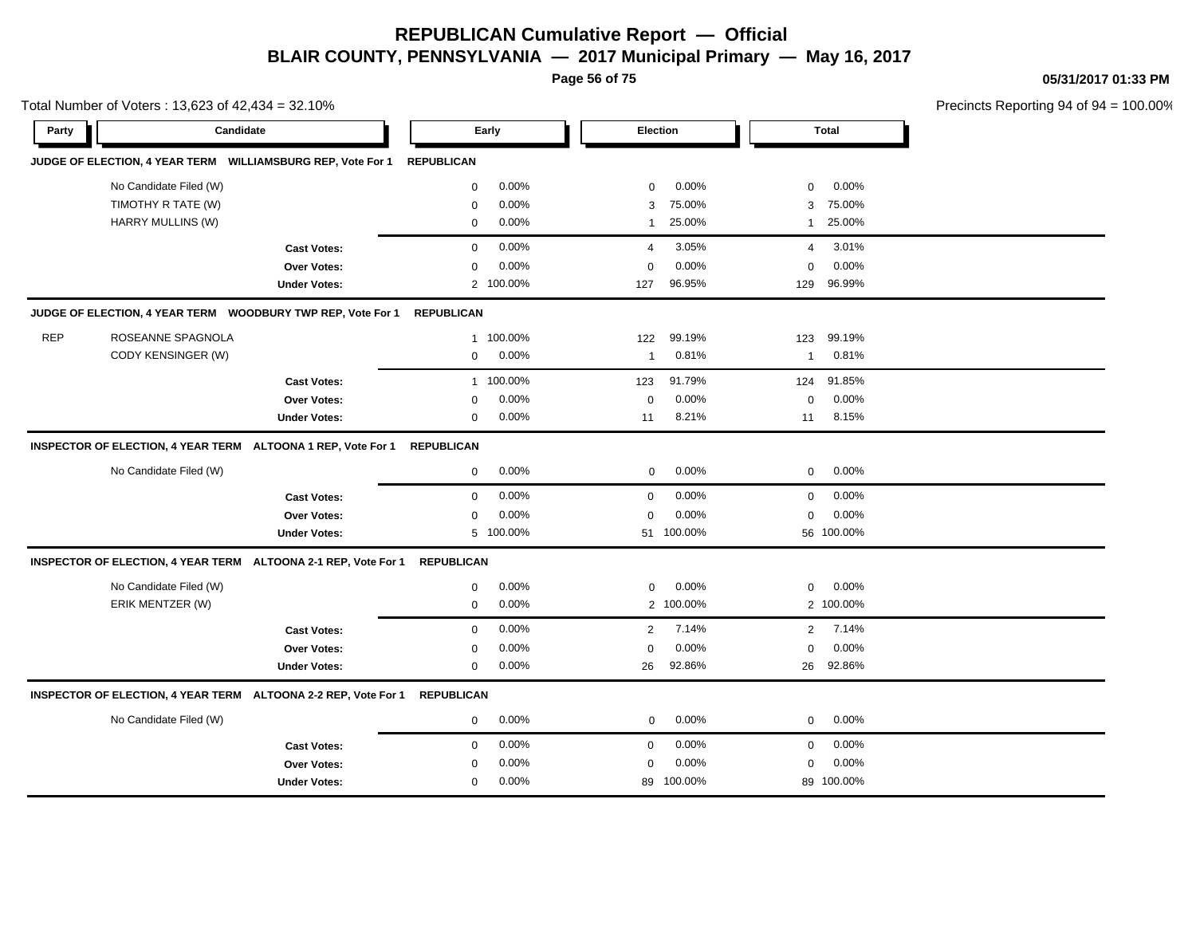**Page 56 of 75**

**05/31/2017 01:33 PM**

|            | Total Number of Voters: 13,623 of 42,434 = 32.10% |                                                                           |                   |           |                |            |                |            | Precincts Reporting 94 of 94 |
|------------|---------------------------------------------------|---------------------------------------------------------------------------|-------------------|-----------|----------------|------------|----------------|------------|------------------------------|
| Party      |                                                   | Candidate                                                                 |                   | Early     | Election       |            |                | Total      |                              |
|            |                                                   | JUDGE OF ELECTION, 4 YEAR TERM WILLIAMSBURG REP, Vote For 1               | <b>REPUBLICAN</b> |           |                |            |                |            |                              |
|            | No Candidate Filed (W)                            |                                                                           | 0                 | 0.00%     | 0              | 0.00%      | 0              | 0.00%      |                              |
|            | TIMOTHY R TATE (W)                                |                                                                           | $\mathbf 0$       | 0.00%     | 3              | 75.00%     | 3              | 75.00%     |                              |
|            | HARRY MULLINS (W)                                 |                                                                           | $\mathbf 0$       | $0.00\%$  | $\mathbf{1}$   | 25.00%     | $\mathbf{1}$   | 25.00%     |                              |
|            |                                                   | <b>Cast Votes:</b>                                                        | $\mathbf 0$       | 0.00%     | $\overline{4}$ | 3.05%      | $\overline{4}$ | 3.01%      |                              |
|            |                                                   | Over Votes:                                                               | $\mathbf 0$       | 0.00%     | 0              | 0.00%      | $\pmb{0}$      | 0.00%      |                              |
|            |                                                   | <b>Under Votes:</b>                                                       |                   | 2 100.00% | 127            | 96.95%     | 129            | 96.99%     |                              |
|            |                                                   | JUDGE OF ELECTION, 4 YEAR TERM WOODBURY TWP REP, Vote For 1               | <b>REPUBLICAN</b> |           |                |            |                |            |                              |
| <b>REP</b> | ROSEANNE SPAGNOLA                                 |                                                                           | 1                 | 100.00%   | 122            | 99.19%     | 123            | 99.19%     |                              |
|            | CODY KENSINGER (W)                                |                                                                           | $\mathbf 0$       | 0.00%     | 1              | 0.81%      | 1              | 0.81%      |                              |
|            |                                                   | <b>Cast Votes:</b>                                                        |                   | 1 100.00% | 123            | 91.79%     | 124            | 91.85%     |                              |
|            |                                                   | Over Votes:                                                               | $\mathbf 0$       | 0.00%     | $\mathsf 0$    | 0.00%      | $\mathbf 0$    | 0.00%      |                              |
|            |                                                   | <b>Under Votes:</b>                                                       | $\mathbf 0$       | 0.00%     | 11             | 8.21%      | 11             | 8.15%      |                              |
|            |                                                   | INSPECTOR OF ELECTION, 4 YEAR TERM ALTOONA 1 REP, Vote For 1              | <b>REPUBLICAN</b> |           |                |            |                |            |                              |
|            | No Candidate Filed (W)                            |                                                                           | 0                 | 0.00%     | $\mathbf 0$    | 0.00%      | $\mathbf 0$    | 0.00%      |                              |
|            |                                                   | <b>Cast Votes:</b>                                                        | $\mathbf 0$       | 0.00%     | $\mathbf 0$    | 0.00%      | $\mathbf 0$    | 0.00%      |                              |
|            |                                                   | <b>Over Votes:</b>                                                        | $\mathbf 0$       | 0.00%     | $\mathbf 0$    | 0.00%      | $\mathbf 0$    | 0.00%      |                              |
|            |                                                   | <b>Under Votes:</b>                                                       |                   | 5 100.00% |                | 51 100.00% |                | 56 100.00% |                              |
|            |                                                   | INSPECTOR OF ELECTION, 4 YEAR TERM ALTOONA 2-1 REP, Vote For 1            | <b>REPUBLICAN</b> |           |                |            |                |            |                              |
|            | No Candidate Filed (W)                            |                                                                           | $\mathbf 0$       | 0.00%     | $\mathbf 0$    | 0.00%      | 0              | 0.00%      |                              |
|            | ERIK MENTZER (W)                                  |                                                                           | $\mathbf 0$       | 0.00%     |                | 2 100.00%  |                | 2 100.00%  |                              |
|            |                                                   | <b>Cast Votes:</b>                                                        | $\mathbf 0$       | 0.00%     | 2              | 7.14%      | 2              | 7.14%      |                              |
|            |                                                   | <b>Over Votes:</b>                                                        | 0                 | $0.00\%$  | $\mathbf 0$    | 0.00%      | $\mathbf 0$    | 0.00%      |                              |
|            |                                                   | <b>Under Votes:</b>                                                       | $\mathbf 0$       | 0.00%     | 26             | 92.86%     | 26             | 92.86%     |                              |
|            |                                                   | INSPECTOR OF ELECTION, 4 YEAR TERM ALTOONA 2-2 REP, Vote For 1 REPUBLICAN |                   |           |                |            |                |            |                              |
|            | No Candidate Filed (W)                            |                                                                           | $\mathbf 0$       | 0.00%     | 0              | 0.00%      | $\mathbf 0$    | 0.00%      |                              |
|            |                                                   | <b>Cast Votes:</b>                                                        | $\mathbf 0$       | 0.00%     | $\mathbf 0$    | 0.00%      | $\mathbf 0$    | 0.00%      |                              |
|            |                                                   | <b>Over Votes:</b>                                                        | $\mathbf 0$       | 0.00%     | 0              | 0.00%      | $\mathbf 0$    | 0.00%      |                              |
|            |                                                   | <b>Under Votes:</b>                                                       | $\mathbf 0$       | 0.00%     |                | 89 100.00% |                | 89 100.00% |                              |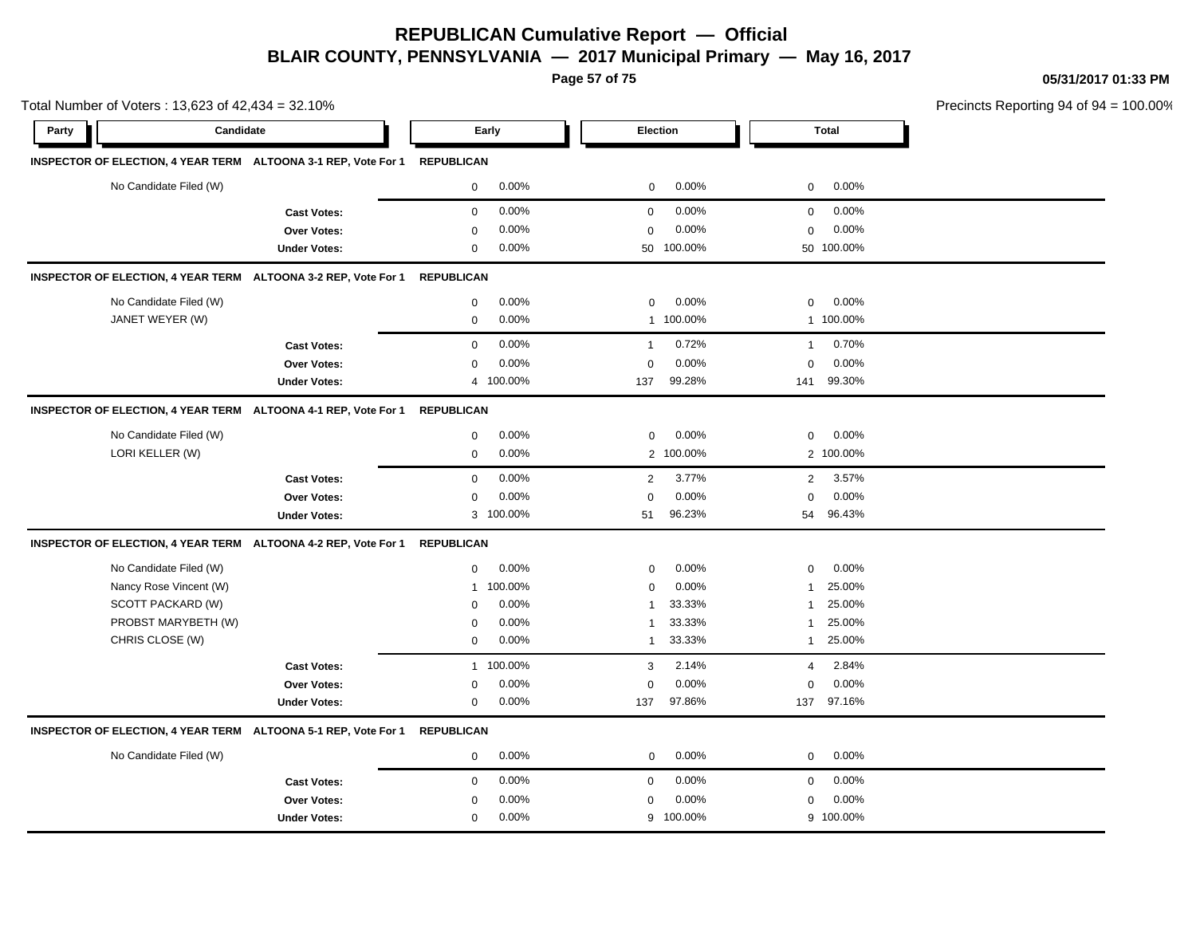**Page 57 of 75**

**05/31/2017 01:33 PM**

| Total Number of Voters: 13,623 of 42,434 = 32.10%                         |                     |                   |           |                |            |              |              | Precincts Reporting 94 of $94 = 100.00\%$ |
|---------------------------------------------------------------------------|---------------------|-------------------|-----------|----------------|------------|--------------|--------------|-------------------------------------------|
| Candidate<br>Party                                                        |                     |                   | Early     | Election       |            |              | <b>Total</b> |                                           |
| INSPECTOR OF ELECTION, 4 YEAR TERM ALTOONA 3-1 REP, Vote For 1 REPUBLICAN |                     |                   |           |                |            |              |              |                                           |
| No Candidate Filed (W)                                                    |                     | 0                 | 0.00%     | $\mathbf 0$    | 0.00%      | 0            | 0.00%        |                                           |
|                                                                           | <b>Cast Votes:</b>  | $\mathbf 0$       | 0.00%     | $\mathbf 0$    | 0.00%      | 0            | 0.00%        |                                           |
|                                                                           | <b>Over Votes:</b>  | $\Omega$          | 0.00%     | $\mathbf 0$    | 0.00%      | $\mathbf 0$  | $0.00\%$     |                                           |
|                                                                           | <b>Under Votes:</b> | 0                 | 0.00%     |                | 50 100.00% |              | 50 100.00%   |                                           |
| INSPECTOR OF ELECTION, 4 YEAR TERM ALTOONA 3-2 REP, Vote For 1            |                     | <b>REPUBLICAN</b> |           |                |            |              |              |                                           |
| No Candidate Filed (W)                                                    |                     | 0                 | 0.00%     | $\mathbf 0$    | 0.00%      | 0            | 0.00%        |                                           |
| JANET WEYER (W)                                                           |                     | $\mathbf{0}$      | 0.00%     |                | 1 100.00%  |              | 1 100.00%    |                                           |
|                                                                           | <b>Cast Votes:</b>  | $\mathbf{0}$      | 0.00%     | $\mathbf{1}$   | 0.72%      | $\mathbf{1}$ | 0.70%        |                                           |
|                                                                           | <b>Over Votes:</b>  | $\Omega$          | 0.00%     | $\mathbf 0$    | 0.00%      | $\mathbf 0$  | 0.00%        |                                           |
|                                                                           | <b>Under Votes:</b> | $\overline{4}$    | 100.00%   | 137            | 99.28%     | 141          | 99.30%       |                                           |
| INSPECTOR OF ELECTION, 4 YEAR TERM ALTOONA 4-1 REP, Vote For 1            |                     | <b>REPUBLICAN</b> |           |                |            |              |              |                                           |
| No Candidate Filed (W)                                                    |                     | 0                 | 0.00%     | $\mathbf{0}$   | 0.00%      | 0            | 0.00%        |                                           |
| LORI KELLER (W)                                                           |                     | $\mathbf 0$       | 0.00%     |                | 2 100.00%  |              | 2 100.00%    |                                           |
|                                                                           | <b>Cast Votes:</b>  | $\mathbf{0}$      | 0.00%     | $\overline{2}$ | 3.77%      | $\mathbf{2}$ | 3.57%        |                                           |
|                                                                           | Over Votes:         | $\Omega$          | 0.00%     | $\mathbf 0$    | 0.00%      | $\mathbf 0$  | $0.00\%$     |                                           |
|                                                                           | <b>Under Votes:</b> |                   | 3 100.00% | 51             | 96.23%     | 54           | 96.43%       |                                           |
| INSPECTOR OF ELECTION, 4 YEAR TERM ALTOONA 4-2 REP, Vote For 1            |                     | <b>REPUBLICAN</b> |           |                |            |              |              |                                           |
| No Candidate Filed (W)                                                    |                     | 0                 | 0.00%     | 0              | 0.00%      | 0            | 0.00%        |                                           |
| Nancy Rose Vincent (W)                                                    |                     | 1                 | 100.00%   | $\Omega$       | 0.00%      | $\mathbf{1}$ | 25.00%       |                                           |
| SCOTT PACKARD (W)                                                         |                     | $\Omega$          | 0.00%     |                | 33.33%     | 1            | 25.00%       |                                           |
| PROBST MARYBETH (W)                                                       |                     | $\Omega$          | 0.00%     |                | 33.33%     | $\mathbf{1}$ | 25.00%       |                                           |
| CHRIS CLOSE (W)                                                           |                     | $\mathbf 0$       | 0.00%     |                | 33.33%     | $\mathbf{1}$ | 25.00%       |                                           |
|                                                                           | <b>Cast Votes:</b>  |                   | 1 100.00% | 3              | 2.14%      | 4            | 2.84%        |                                           |
|                                                                           | <b>Over Votes:</b>  | 0                 | 0.00%     | $\Omega$       | 0.00%      | 0            | 0.00%        |                                           |
|                                                                           | <b>Under Votes:</b> | $\mathbf 0$       | 0.00%     | 137            | 97.86%     | 137          | 97.16%       |                                           |

#### **INSPECTOR OF ELECTION, 4 YEAR TERM ALTOONA 5-1 REP, Vote For 1 REPUBLICAN**

| No Candidate Filed (W) | $0.00\%$ | $0.00\%$     | $0.00\%$      |  |
|------------------------|----------|--------------|---------------|--|
| <b>Cast Votes:</b>     | $0.00\%$ | $0.00\%$     | $0.00\%$      |  |
| Over Votes:            | $0.00\%$ | $0.00\%$     | $0.00\%$<br>0 |  |
| <b>Under Votes:</b>    | $0.00\%$ | 100.00%<br>Q | 9 100.00%     |  |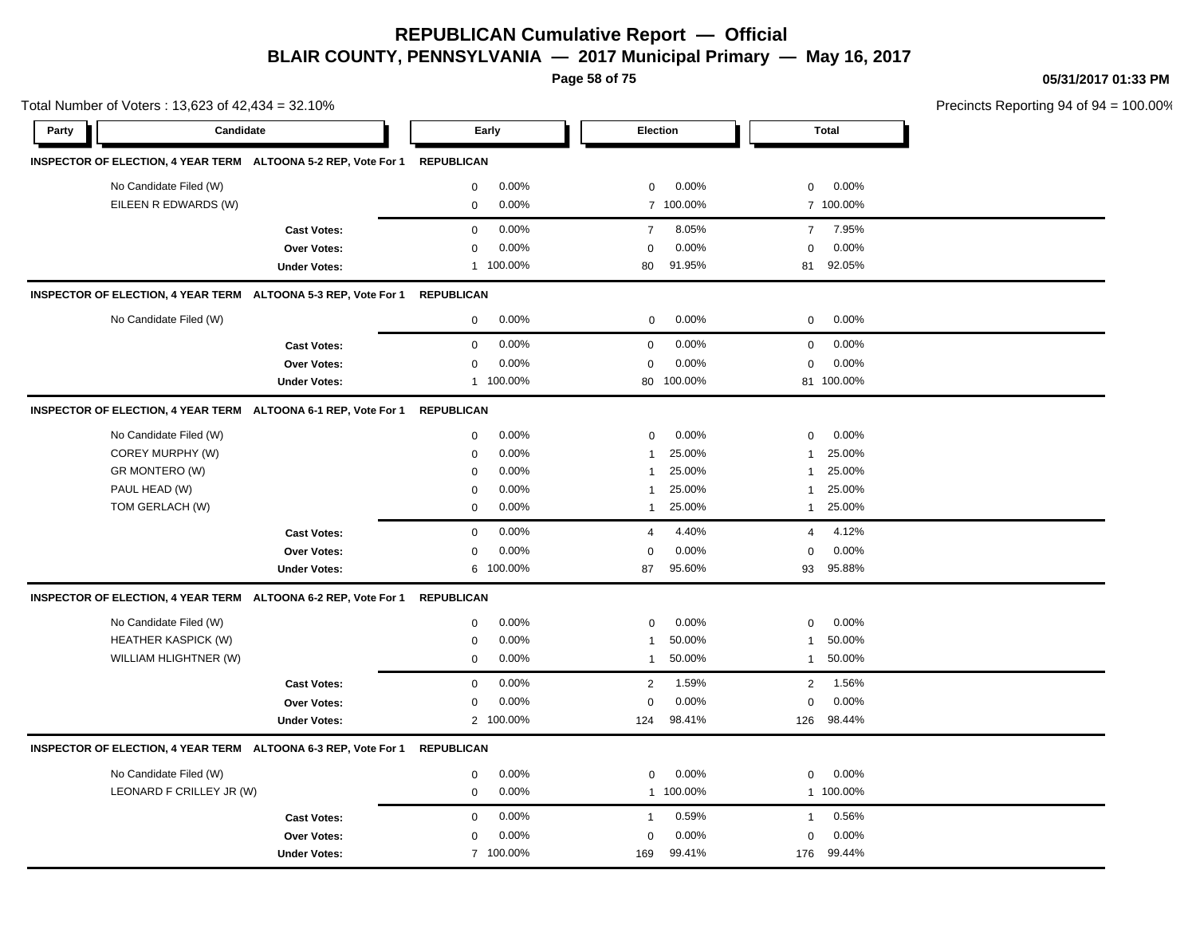**Page 58 of 75**

**05/31/2017 01:33 PM**

|       | Total Number of Voters: 13,623 of 42,434 = 32.10% |                                                                |                   |           |                |           |                |              | Precincts Reporting 94 of 94 |
|-------|---------------------------------------------------|----------------------------------------------------------------|-------------------|-----------|----------------|-----------|----------------|--------------|------------------------------|
| Party | Candidate                                         |                                                                |                   | Early     |                | Election  |                | <b>Total</b> |                              |
|       |                                                   | INSPECTOR OF ELECTION, 4 YEAR TERM ALTOONA 5-2 REP, Vote For 1 | <b>REPUBLICAN</b> |           |                |           |                |              |                              |
|       | No Candidate Filed (W)                            |                                                                | $\mathbf 0$       | 0.00%     | 0              | 0.00%     | $\mathbf 0$    | 0.00%        |                              |
|       | EILEEN R EDWARDS (W)                              |                                                                | $\mathbf 0$       | 0.00%     |                | 7 100.00% |                | 7 100.00%    |                              |
|       |                                                   | <b>Cast Votes:</b>                                             | $\mathbf 0$       | 0.00%     | $\overline{7}$ | 8.05%     | $\overline{7}$ | 7.95%        |                              |
|       |                                                   | Over Votes:                                                    | $\mathbf 0$       | 0.00%     | 0              | 0.00%     | $\Omega$       | 0.00%        |                              |
|       |                                                   | <b>Under Votes:</b>                                            | $\mathbf{1}$      | 100.00%   | 80             | 91.95%    | 81             | 92.05%       |                              |
|       |                                                   | INSPECTOR OF ELECTION, 4 YEAR TERM ALTOONA 5-3 REP, Vote For 1 | <b>REPUBLICAN</b> |           |                |           |                |              |                              |
|       | No Candidate Filed (W)                            |                                                                | $\mathbf 0$       | 0.00%     | $\mathbf 0$    | 0.00%     | $\mathbf 0$    | 0.00%        |                              |
|       |                                                   | <b>Cast Votes:</b>                                             | $\mathbf 0$       | 0.00%     | $\mathbf 0$    | 0.00%     | 0              | 0.00%        |                              |
|       |                                                   | Over Votes:                                                    | 0                 | 0.00%     | 0              | 0.00%     | $\mathbf 0$    | 0.00%        |                              |
|       |                                                   | <b>Under Votes:</b>                                            | $\mathbf{1}$      | 100.00%   | 80             | 100.00%   |                | 81 100.00%   |                              |
|       |                                                   | INSPECTOR OF ELECTION, 4 YEAR TERM ALTOONA 6-1 REP, Vote For 1 | <b>REPUBLICAN</b> |           |                |           |                |              |                              |
|       | No Candidate Filed (W)                            |                                                                | 0                 | 0.00%     | 0              | 0.00%     | $\mathbf 0$    | 0.00%        |                              |
|       | COREY MURPHY (W)                                  |                                                                | $\mathbf 0$       | 0.00%     | -1             | 25.00%    | 1              | 25.00%       |                              |
|       | GR MONTERO (W)                                    |                                                                | $\mathbf 0$       | 0.00%     | $\mathbf{1}$   | 25.00%    | 1              | 25.00%       |                              |
|       | PAUL HEAD (W)                                     |                                                                | $\mathbf 0$       | 0.00%     | $\mathbf{1}$   | 25.00%    | 1              | 25.00%       |                              |
|       | TOM GERLACH (W)                                   |                                                                | $\mathbf 0$       | 0.00%     | 1              | 25.00%    | $\mathbf{1}$   | 25.00%       |                              |
|       |                                                   | <b>Cast Votes:</b>                                             | $\mathbf 0$       | 0.00%     | 4              | 4.40%     | 4              | 4.12%        |                              |
|       |                                                   | Over Votes:                                                    | $\mathbf 0$       | 0.00%     | 0              | 0.00%     | $\mathbf 0$    | 0.00%        |                              |
|       |                                                   | <b>Under Votes:</b>                                            | 6                 | 100.00%   | 87             | 95.60%    | 93             | 95.88%       |                              |
|       |                                                   | INSPECTOR OF ELECTION, 4 YEAR TERM ALTOONA 6-2 REP, Vote For 1 | <b>REPUBLICAN</b> |           |                |           |                |              |                              |
|       | No Candidate Filed (W)                            |                                                                | $\mathbf 0$       | 0.00%     | 0              | 0.00%     | $\mathbf 0$    | 0.00%        |                              |
|       | HEATHER KASPICK (W)                               |                                                                | $\mathbf 0$       | 0.00%     | -1             | 50.00%    | 1              | 50.00%       |                              |
|       | WILLIAM HLIGHTNER (W)                             |                                                                | $\mathbf 0$       | 0.00%     | -1             | 50.00%    | $\mathbf{1}$   | 50.00%       |                              |
|       |                                                   | <b>Cast Votes:</b>                                             | $\mathbf 0$       | 0.00%     | $\overline{c}$ | 1.59%     | $\overline{2}$ | 1.56%        |                              |
|       |                                                   | Over Votes:                                                    | $\mathbf 0$       | 0.00%     | $\mathbf 0$    | 0.00%     | $\mathbf 0$    | 0.00%        |                              |
|       |                                                   | <b>Under Votes:</b>                                            |                   | 2 100.00% | 124            | 98.41%    | 126            | 98.44%       |                              |
|       |                                                   | INSPECTOR OF ELECTION, 4 YEAR TERM ALTOONA 6-3 REP, Vote For 1 | <b>REPUBLICAN</b> |           |                |           |                |              |                              |
|       | No Candidate Filed (W)                            |                                                                | 0                 | 0.00%     | 0              | 0.00%     | 0              | 0.00%        |                              |
|       | LEONARD F CRILLEY JR (W)                          |                                                                | $\mathbf 0$       | 0.00%     |                | 1 100.00% |                | 1 100.00%    |                              |
|       |                                                   | <b>Cast Votes:</b>                                             | $\mathbf 0$       | 0.00%     | $\overline{1}$ | 0.59%     | $\mathbf{1}$   | 0.56%        |                              |
|       |                                                   | Over Votes:                                                    | $\mathbf 0$       | 0.00%     | $\mathbf 0$    | 0.00%     | $\Omega$       | 0.00%        |                              |
|       |                                                   | <b>Under Votes:</b>                                            |                   | 7 100.00% | 169            | 99.41%    | 176            | 99.44%       |                              |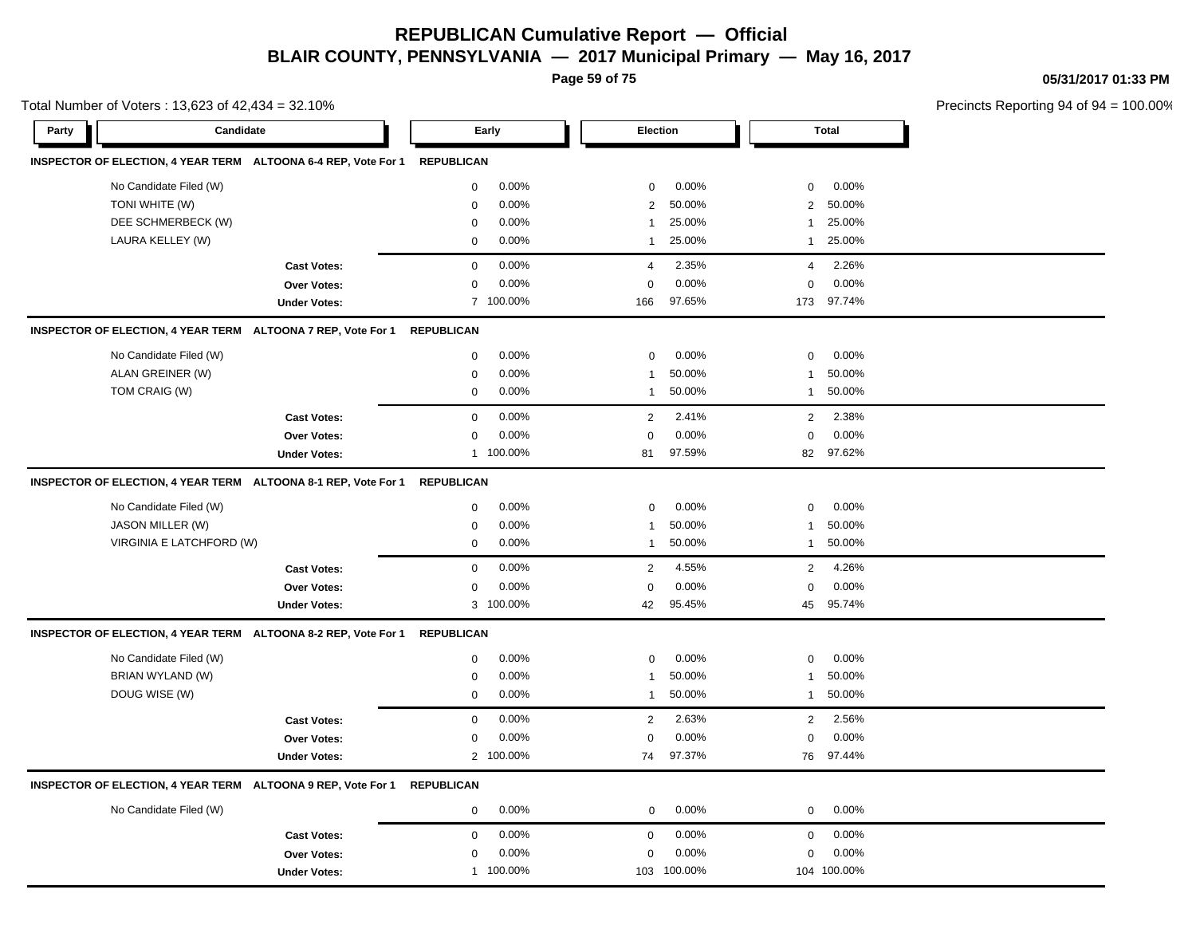**Page 59 of 75**

**05/31/2017 01:33 PM**

|       | Total Number of Voters: 13,623 of 42,434 = 32.10%              |                     |                   |           |                |          |                |              | Precincts Reporting 94 of 94 |
|-------|----------------------------------------------------------------|---------------------|-------------------|-----------|----------------|----------|----------------|--------------|------------------------------|
| Party | Candidate                                                      |                     |                   | Early     |                | Election |                | <b>Total</b> |                              |
|       | INSPECTOR OF ELECTION, 4 YEAR TERM ALTOONA 6-4 REP, Vote For 1 |                     | <b>REPUBLICAN</b> |           |                |          |                |              |                              |
|       | No Candidate Filed (W)                                         |                     | $\mathbf 0$       | 0.00%     | $\mathbf 0$    | 0.00%    | $\mathbf 0$    | 0.00%        |                              |
|       | TONI WHITE (W)                                                 |                     | $\mathbf 0$       | 0.00%     | $\overline{2}$ | 50.00%   | $\overline{2}$ | 50.00%       |                              |
|       | DEE SCHMERBECK (W)                                             |                     | $\mathbf 0$       | 0.00%     | $\mathbf{1}$   | 25.00%   | -1             | 25.00%       |                              |
|       | LAURA KELLEY (W)                                               |                     | $\mathbf 0$       | 0.00%     | $\mathbf{1}$   | 25.00%   | $\mathbf{1}$   | 25.00%       |                              |
|       |                                                                | <b>Cast Votes:</b>  | $\mathbf 0$       | 0.00%     | 4              | 2.35%    | 4              | 2.26%        |                              |
|       |                                                                | Over Votes:         | $\mathbf 0$       | 0.00%     | $\mathbf 0$    | 0.00%    | $\mathbf 0$    | 0.00%        |                              |
|       |                                                                | <b>Under Votes:</b> |                   | 7 100.00% | 166            | 97.65%   | 173            | 97.74%       |                              |
|       | INSPECTOR OF ELECTION, 4 YEAR TERM ALTOONA 7 REP, Vote For 1   |                     | <b>REPUBLICAN</b> |           |                |          |                |              |                              |
|       | No Candidate Filed (W)                                         |                     | $\mathbf 0$       | 0.00%     | $\mathbf 0$    | 0.00%    | 0              | 0.00%        |                              |
|       | ALAN GREINER (W)                                               |                     | $\mathbf 0$       | 0.00%     | -1             | 50.00%   | 1              | 50.00%       |                              |
|       | TOM CRAIG (W)                                                  |                     | 0                 | 0.00%     | $\mathbf{1}$   | 50.00%   | $\mathbf{1}$   | 50.00%       |                              |
|       |                                                                | <b>Cast Votes:</b>  | $\mathbf 0$       | 0.00%     | 2              | 2.41%    | 2              | 2.38%        |                              |
|       |                                                                | Over Votes:         | 0                 | 0.00%     | $\mathbf 0$    | 0.00%    | 0              | 0.00%        |                              |
|       |                                                                | <b>Under Votes:</b> | $\mathbf{1}$      | 100.00%   | 81             | 97.59%   | 82             | 97.62%       |                              |
|       | INSPECTOR OF ELECTION, 4 YEAR TERM ALTOONA 8-1 REP, Vote For 1 |                     | <b>REPUBLICAN</b> |           |                |          |                |              |                              |
|       | No Candidate Filed (W)                                         |                     | $\mathbf 0$       | 0.00%     | $\pmb{0}$      | 0.00%    | $\mathbf 0$    | 0.00%        |                              |
|       | JASON MILLER (W)                                               |                     | $\mathbf 0$       | 0.00%     | $\mathbf{1}$   | 50.00%   | 1              | 50.00%       |                              |
|       | VIRGINIA E LATCHFORD (W)                                       |                     | $\mathbf 0$       | 0.00%     | $\mathbf{1}$   | 50.00%   | $\mathbf{1}$   | 50.00%       |                              |
|       |                                                                | <b>Cast Votes:</b>  | $\mathbf 0$       | 0.00%     | $\overline{2}$ | 4.55%    | $\overline{2}$ | 4.26%        |                              |
|       |                                                                | <b>Over Votes:</b>  | $\mathbf 0$       | 0.00%     | $\mathbf 0$    | 0.00%    | $\mathbf 0$    | 0.00%        |                              |
|       |                                                                | <b>Under Votes:</b> |                   | 3 100.00% | 42             | 95.45%   |                | 45 95.74%    |                              |
|       | INSPECTOR OF ELECTION, 4 YEAR TERM ALTOONA 8-2 REP, Vote For 1 |                     | <b>REPUBLICAN</b> |           |                |          |                |              |                              |
|       | No Candidate Filed (W)                                         |                     | $\mathbf 0$       | 0.00%     | $\mathbf 0$    | 0.00%    | 0              | 0.00%        |                              |
|       | <b>BRIAN WYLAND (W)</b>                                        |                     | $\mathbf 0$       | 0.00%     | $\mathbf{1}$   | 50.00%   | $\mathbf{1}$   | 50.00%       |                              |
|       | DOUG WISE (W)                                                  |                     | $\mathbf 0$       | 0.00%     | $\mathbf{1}$   | 50.00%   | 1              | 50.00%       |                              |
|       |                                                                | <b>Cast Votes:</b>  | $\mathbf 0$       | 0.00%     | $\overline{2}$ | 2.63%    | $\overline{2}$ | 2.56%        |                              |
|       |                                                                | Over Votes:         | $\mathbf 0$       | 0.00%     | $\mathbf 0$    | 0.00%    | $\mathbf 0$    | 0.00%        |                              |
|       |                                                                | <b>Under Votes:</b> |                   | 2 100.00% | 74             | 97.37%   | 76             | 97.44%       |                              |
|       | INSPECTOR OF ELECTION, 4 YEAR TERM ALTOONA 9 REP, Vote For 1   |                     | <b>REPUBLICAN</b> |           |                |          |                |              |                              |
|       | No Candidate Filed (W)                                         |                     | $\mathbf 0$       | 0.00%     | $\mathbf 0$    | 0.00%    | $\mathbf 0$    | 0.00%        |                              |
|       |                                                                | <b>Cast Votes:</b>  | $\mathbf 0$       | 0.00%     | $\mathbf 0$    | 0.00%    | $\mathbf 0$    | 0.00%        |                              |
|       |                                                                | Over Votes:         | $\mathbf 0$       | 0.00%     | $\mathbf 0$    | 0.00%    | $\mathbf 0$    | 0.00%        |                              |
|       |                                                                | <b>Under Votes:</b> |                   | 1 100.00% | 103            | 100.00%  |                | 104 100.00%  |                              |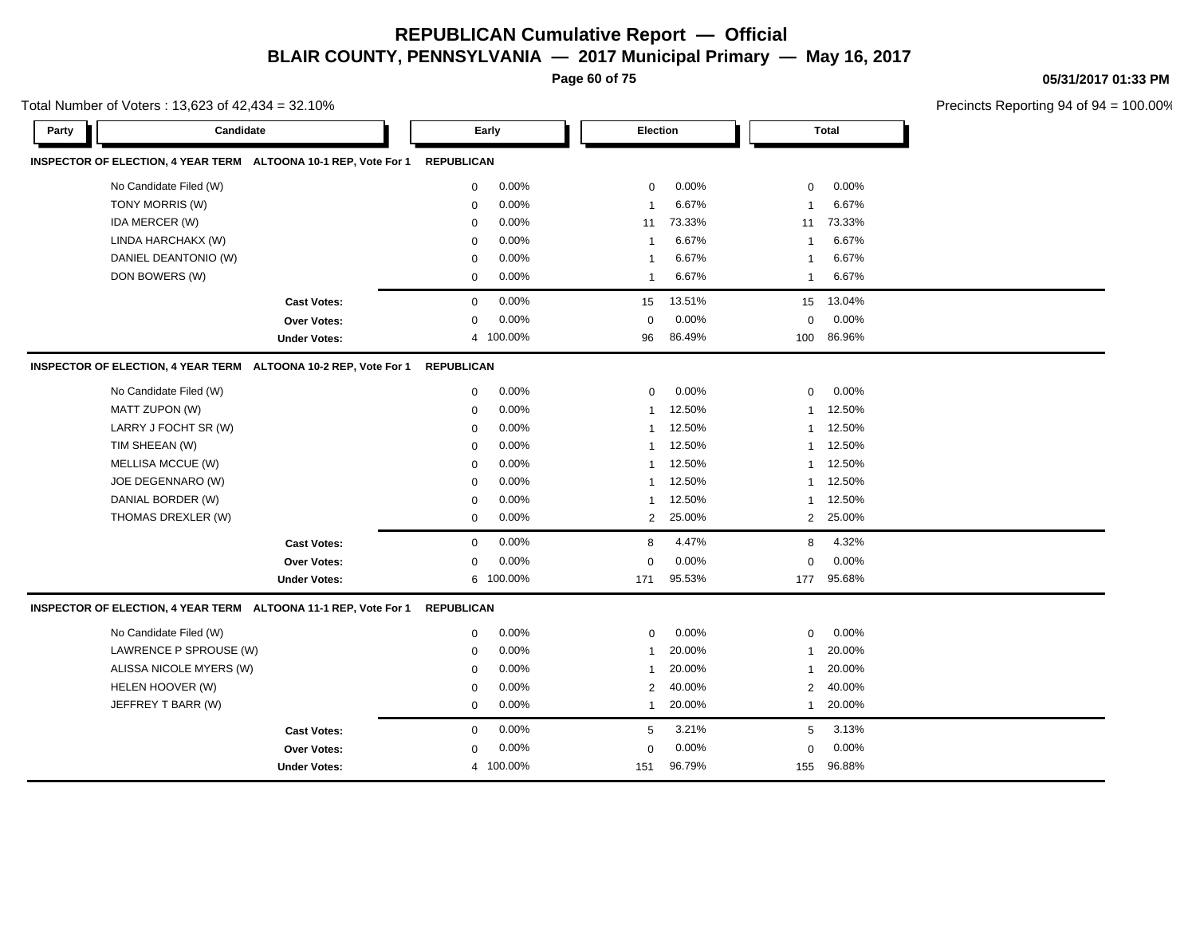**Page 60 of 75**

**05/31/2017 01:33 PM**

| Total Number of Voters: 13,623 of 42,434 = 32.10%               |                         |                          |                          | Precincts Reporting 94 of 94 |
|-----------------------------------------------------------------|-------------------------|--------------------------|--------------------------|------------------------------|
| Candidate<br>Party                                              | Early                   | <b>Election</b>          | Total                    |                              |
| INSPECTOR OF ELECTION, 4 YEAR TERM ALTOONA 10-1 REP, Vote For 1 | <b>REPUBLICAN</b>       |                          |                          |                              |
| No Candidate Filed (W)                                          | 0.00%<br>0              | 0.00%<br>$\mathbf 0$     | 0.00%<br>$\mathbf 0$     |                              |
| TONY MORRIS (W)                                                 | 0.00%<br>$\mathbf 0$    | 6.67%<br>$\mathbf{1}$    | 6.67%<br>1               |                              |
| IDA MERCER (W)                                                  | 0.00%<br>$\mathbf 0$    | 73.33%<br>11             | 73.33%<br>11             |                              |
| LINDA HARCHAKX (W)                                              | 0.00%<br>$\mathbf 0$    | 6.67%<br>-1              | 6.67%<br>1               |                              |
| DANIEL DEANTONIO (W)                                            | 0.00%<br>$\mathbf 0$    | 6.67%<br>$\mathbf{1}$    | 6.67%<br>$\mathbf{1}$    |                              |
| DON BOWERS (W)                                                  | $\mathbf 0$<br>$0.00\%$ | 6.67%<br>-1              | 6.67%<br>1               |                              |
| <b>Cast Votes:</b>                                              | 0.00%<br>$\mathbf 0$    | 13.51%<br>15             | 13.04%<br>15             |                              |
| <b>Over Votes:</b>                                              | 0.00%<br>$\mathsf 0$    | 0.00%<br>$\mathsf 0$     | 0.00%<br>$\mathbf 0$     |                              |
| <b>Under Votes:</b>                                             | 4 100.00%               | 86.49%<br>96             | 86.96%<br>100            |                              |
| INSPECTOR OF ELECTION, 4 YEAR TERM ALTOONA 10-2 REP, Vote For 1 | <b>REPUBLICAN</b>       |                          |                          |                              |
| No Candidate Filed (W)                                          | 0.00%<br>$\mathbf 0$    | 0.00%<br>$\mathbf 0$     | $0.00\%$<br>$\mathbf 0$  |                              |
| MATT ZUPON (W)                                                  | 0.00%<br>$\mathbf 0$    | 12.50%<br>$\mathbf{1}$   | 12.50%<br>$\mathbf{1}$   |                              |
| LARRY J FOCHT SR (W)                                            | 0.00%<br>$\mathbf 0$    | 12.50%<br>1              | 12.50%<br>$\mathbf{1}$   |                              |
| TIM SHEEAN (W)                                                  | 0.00%<br>0              | 12.50%<br>-1             | 12.50%<br>$\mathbf{1}$   |                              |
| MELLISA MCCUE (W)                                               | 0.00%<br>0              | 12.50%<br>$\mathbf{1}$   | 12.50%<br>$\mathbf{1}$   |                              |
| JOE DEGENNARO (W)                                               | 0.00%<br>0              | 12.50%<br>-1             | 12.50%<br>$\mathbf{1}$   |                              |
| DANIAL BORDER (W)                                               | 0.00%<br>0              | 12.50%<br>-1             | 12.50%<br>1              |                              |
| THOMAS DREXLER (W)                                              | 0.00%<br>0              | 25.00%<br>$\overline{2}$ | 25.00%<br>$\overline{2}$ |                              |
| <b>Cast Votes:</b>                                              | 0.00%<br>$\mathbf 0$    | 4.47%<br>8               | 4.32%<br>8               |                              |
| <b>Over Votes:</b>                                              | 0.00%<br>$\mathbf 0$    | 0.00%<br>$\mathbf 0$     | 0.00%<br>$\Omega$        |                              |
| <b>Under Votes:</b>                                             | 6 100.00%               | 95.53%<br>171            | 95.68%<br>177            |                              |
| INSPECTOR OF ELECTION, 4 YEAR TERM ALTOONA 11-1 REP, Vote For 1 | REPUBLICAN              |                          |                          |                              |
| No Candidate Filed (W)                                          | 0.00%<br>0              | 0.00%<br>$\mathbf 0$     | 0.00%<br>$\mathbf 0$     |                              |
| LAWRENCE P SPROUSE (W)                                          | 0.00%<br>$\mathbf 0$    | 20.00%<br>$\mathbf{1}$   | 20.00%<br>$\mathbf{1}$   |                              |
| ALISSA NICOLE MYERS (W)                                         | 0.00%<br>$\mathbf 0$    | 20.00%<br>$\mathbf{1}$   | 20.00%<br>$\mathbf{1}$   |                              |
| HELEN HOOVER (W)                                                | 0.00%<br>$\mathbf 0$    | 40.00%<br>$\overline{2}$ | 40.00%<br>2              |                              |
| JEFFREY T BARR (W)                                              | 0.00%<br>$\mathbf 0$    | 20.00%<br>$\mathbf{1}$   | 20.00%<br>$\mathbf{1}$   |                              |
| <b>Cast Votes:</b>                                              | $0.00\%$<br>0           | 3.21%<br>5               | 3.13%<br>5               |                              |
| <b>Over Votes:</b>                                              | 0.00%<br>0              | 0.00%<br>$\mathbf 0$     | 0.00%<br>$\mathbf 0$     |                              |
| <b>Under Votes:</b>                                             | 4 100.00%               | 96.79%<br>151            | 155 96.88%               |                              |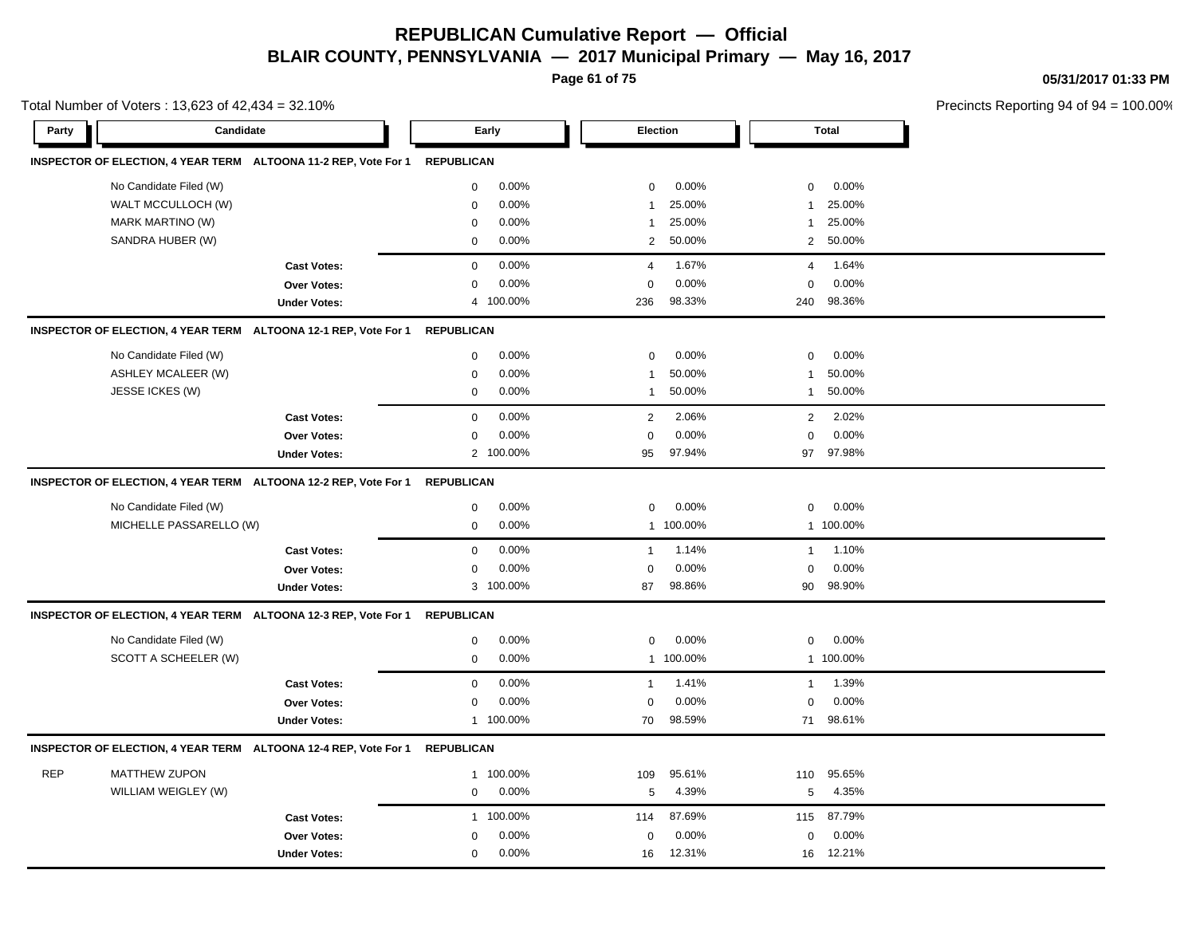**Page 61 of 75**

**05/31/2017 01:33 PM**

|            | Total Number of Voters: 13,623 of 42,434 = 32.10% |                                                                            |                   |           |                |           |                |              | Precincts Reporting 94 of 94 |
|------------|---------------------------------------------------|----------------------------------------------------------------------------|-------------------|-----------|----------------|-----------|----------------|--------------|------------------------------|
| Party      | Candidate                                         |                                                                            |                   | Early     | Election       |           |                | <b>Total</b> |                              |
|            |                                                   | INSPECTOR OF ELECTION, 4 YEAR TERM ALTOONA 11-2 REP, Vote For 1 REPUBLICAN |                   |           |                |           |                |              |                              |
|            | No Candidate Filed (W)                            |                                                                            | $\mathbf 0$       | 0.00%     | $\mathbf 0$    | 0.00%     | 0              | 0.00%        |                              |
|            | WALT MCCULLOCH (W)                                |                                                                            | $\mathbf 0$       | 0.00%     | $\mathbf{1}$   | 25.00%    | $\mathbf 1$    | 25.00%       |                              |
|            | MARK MARTINO (W)                                  |                                                                            | $\mathbf 0$       | 0.00%     | 1              | 25.00%    | 1              | 25.00%       |                              |
|            | SANDRA HUBER (W)                                  |                                                                            | $\mathbf 0$       | 0.00%     | $\overline{2}$ | 50.00%    | $\overline{2}$ | 50.00%       |                              |
|            |                                                   | <b>Cast Votes:</b>                                                         | $\mathbf 0$       | 0.00%     | 4              | 1.67%     | 4              | 1.64%        |                              |
|            |                                                   | Over Votes:                                                                | $\mathbf 0$       | 0.00%     | $\mathbf 0$    | 0.00%     | 0              | 0.00%        |                              |
|            |                                                   | <b>Under Votes:</b>                                                        | $\overline{4}$    | 100.00%   | 236            | 98.33%    | 240            | 98.36%       |                              |
|            |                                                   | INSPECTOR OF ELECTION, 4 YEAR TERM ALTOONA 12-1 REP, Vote For 1            | <b>REPUBLICAN</b> |           |                |           |                |              |                              |
|            | No Candidate Filed (W)                            |                                                                            | $\mathbf 0$       | 0.00%     | $\mathbf 0$    | 0.00%     | 0              | 0.00%        |                              |
|            | <b>ASHLEY MCALEER (W)</b>                         |                                                                            | $\mathbf 0$       | 0.00%     | 1              | 50.00%    | 1              | 50.00%       |                              |
|            | JESSE ICKES (W)                                   |                                                                            | $\mathbf 0$       | 0.00%     | $\mathbf{1}$   | 50.00%    | 1              | 50.00%       |                              |
|            |                                                   | <b>Cast Votes:</b>                                                         | $\mathbf 0$       | 0.00%     | 2              | 2.06%     | $\overline{2}$ | 2.02%        |                              |
|            |                                                   | Over Votes:                                                                | 0                 | 0.00%     | 0              | 0.00%     | 0              | 0.00%        |                              |
|            |                                                   | <b>Under Votes:</b>                                                        |                   | 2 100.00% | 95             | 97.94%    | 97             | 97.98%       |                              |
|            |                                                   | INSPECTOR OF ELECTION, 4 YEAR TERM ALTOONA 12-2 REP, Vote For 1            | <b>REPUBLICAN</b> |           |                |           |                |              |                              |
|            | No Candidate Filed (W)                            |                                                                            | $\mathbf 0$       | 0.00%     | $\mathbf 0$    | 0.00%     | $\mathbf 0$    | 0.00%        |                              |
|            | MICHELLE PASSARELLO (W)                           |                                                                            | $\mathbf 0$       | 0.00%     |                | 1 100.00% |                | 1 100.00%    |                              |
|            |                                                   | <b>Cast Votes:</b>                                                         | $\mathbf 0$       | 0.00%     | $\mathbf{1}$   | 1.14%     | $\mathbf{1}$   | 1.10%        |                              |
|            |                                                   | Over Votes:                                                                | $\mathbf 0$       | 0.00%     | $\Omega$       | 0.00%     | $\mathbf 0$    | 0.00%        |                              |
|            |                                                   | <b>Under Votes:</b>                                                        |                   | 3 100.00% | 87             | 98.86%    | 90             | 98.90%       |                              |
|            |                                                   | INSPECTOR OF ELECTION, 4 YEAR TERM ALTOONA 12-3 REP, Vote For 1            | <b>REPUBLICAN</b> |           |                |           |                |              |                              |
|            | No Candidate Filed (W)                            |                                                                            | 0                 | 0.00%     | $\Omega$       | 0.00%     | 0              | 0.00%        |                              |
|            | SCOTT A SCHEELER (W)                              |                                                                            | $\mathsf 0$       | 0.00%     |                | 1 100.00% |                | 1 100.00%    |                              |
|            |                                                   | <b>Cast Votes:</b>                                                         | $\mathbf 0$       | 0.00%     | $\mathbf{1}$   | 1.41%     | $\overline{1}$ | 1.39%        |                              |
|            |                                                   | Over Votes:                                                                | $\mathbf 0$       | 0.00%     | 0              | 0.00%     | 0              | 0.00%        |                              |
|            |                                                   | <b>Under Votes:</b>                                                        |                   | 1 100.00% | 70             | 98.59%    | 71             | 98.61%       |                              |
|            |                                                   | INSPECTOR OF ELECTION, 4 YEAR TERM ALTOONA 12-4 REP, Vote For 1            | <b>REPUBLICAN</b> |           |                |           |                |              |                              |
| <b>REP</b> | <b>MATTHEW ZUPON</b>                              |                                                                            | 1                 | 100.00%   | 109            | 95.61%    | 110            | 95.65%       |                              |
|            | WILLIAM WEIGLEY (W)                               |                                                                            | $\mathbf 0$       | 0.00%     | 5              | 4.39%     | 5              | 4.35%        |                              |
|            |                                                   | <b>Cast Votes:</b>                                                         | $\mathbf{1}$      | 100.00%   | 114            | 87.69%    | 115            | 87.79%       |                              |
|            |                                                   | Over Votes:                                                                | $\Omega$          | 0.00%     | $\mathbf 0$    | 0.00%     | 0              | 0.00%        |                              |
|            |                                                   | <b>Under Votes:</b>                                                        | $\mathbf 0$       | 0.00%     | 16             | 12.31%    |                | 16 12.21%    |                              |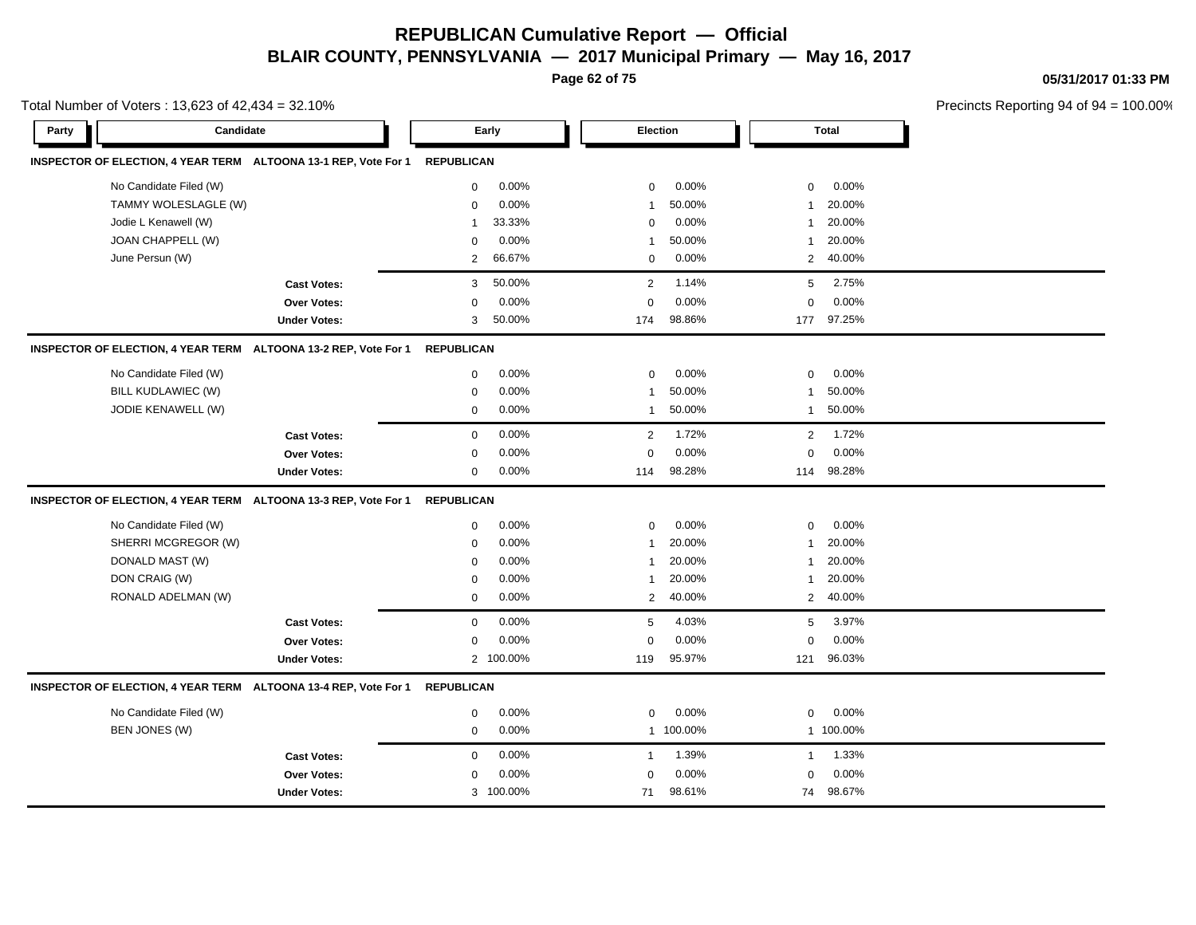**Page 62 of 75**

**05/31/2017 01:33 PM**

|       | Total Number of Voters: 13,623 of 42,434 = 32.10% |                                                                 |                   |           |                |          |                | Precincts Reporting 94 of 94 |  |
|-------|---------------------------------------------------|-----------------------------------------------------------------|-------------------|-----------|----------------|----------|----------------|------------------------------|--|
| Party | Candidate                                         |                                                                 |                   | Early     |                | Election |                | <b>Total</b>                 |  |
|       |                                                   | INSPECTOR OF ELECTION, 4 YEAR TERM ALTOONA 13-1 REP, Vote For 1 | <b>REPUBLICAN</b> |           |                |          |                |                              |  |
|       | No Candidate Filed (W)                            |                                                                 | $\mathbf 0$       | 0.00%     | $\mathbf 0$    | 0.00%    | $\mathbf 0$    | 0.00%                        |  |
|       | TAMMY WOLESLAGLE (W)                              |                                                                 | $\mathbf 0$       | 0.00%     | $\overline{1}$ | 50.00%   | $\mathbf{1}$   | 20.00%                       |  |
|       | Jodie L Kenawell (W)                              |                                                                 | $\mathbf{1}$      | 33.33%    | $\mathbf 0$    | 0.00%    | $\overline{1}$ | 20.00%                       |  |
|       | JOAN CHAPPELL (W)                                 |                                                                 | 0                 | 0.00%     | $\overline{1}$ | 50.00%   | $\overline{1}$ | 20.00%                       |  |
|       | June Persun (W)                                   |                                                                 | $\overline{2}$    | 66.67%    | 0              | 0.00%    | 2              | 40.00%                       |  |
|       |                                                   | <b>Cast Votes:</b>                                              | 3                 | 50.00%    | $\overline{2}$ | 1.14%    | 5              | 2.75%                        |  |
|       |                                                   | <b>Over Votes:</b>                                              | 0                 | 0.00%     | $\Omega$       | 0.00%    | $\mathbf 0$    | 0.00%                        |  |
|       |                                                   | <b>Under Votes:</b>                                             | 3                 | 50.00%    | 174            | 98.86%   |                | 177 97.25%                   |  |
|       |                                                   | INSPECTOR OF ELECTION, 4 YEAR TERM ALTOONA 13-2 REP, Vote For 1 | <b>REPUBLICAN</b> |           |                |          |                |                              |  |
|       | No Candidate Filed (W)                            |                                                                 | 0                 | 0.00%     | 0              | $0.00\%$ | 0              | 0.00%                        |  |
|       | BILL KUDLAWIEC (W)                                |                                                                 | $\mathsf 0$       | 0.00%     | $\overline{1}$ | 50.00%   | $\overline{1}$ | 50.00%                       |  |
|       | JODIE KENAWELL (W)                                |                                                                 | $\mathbf 0$       | 0.00%     | $\overline{1}$ | 50.00%   | $\overline{1}$ | 50.00%                       |  |
|       |                                                   | <b>Cast Votes:</b>                                              | $\mathbf 0$       | 0.00%     | $\overline{2}$ | 1.72%    | 2              | 1.72%                        |  |
|       |                                                   | Over Votes:                                                     | $\mathbf 0$       | 0.00%     | $\mathbf 0$    | 0.00%    | $\mathbf 0$    | 0.00%                        |  |
|       |                                                   | <b>Under Votes:</b>                                             | 0                 | 0.00%     | 114            | 98.28%   |                | 114 98.28%                   |  |
|       |                                                   | INSPECTOR OF ELECTION, 4 YEAR TERM ALTOONA 13-3 REP, Vote For 1 | <b>REPUBLICAN</b> |           |                |          |                |                              |  |
|       | No Candidate Filed (W)                            |                                                                 | 0                 | 0.00%     | $\mathbf 0$    | 0.00%    | 0              | 0.00%                        |  |
|       | SHERRI MCGREGOR (W)                               |                                                                 | $\Omega$          | 0.00%     | $\overline{1}$ | 20.00%   | $\mathbf{1}$   | 20.00%                       |  |
|       | DONALD MAST (W)                                   |                                                                 | $\Omega$          | 0.00%     | $\overline{1}$ | 20.00%   | $\mathbf{1}$   | 20.00%                       |  |
|       | DON CRAIG (W)                                     |                                                                 | $\mathbf 0$       | 0.00%     | $\overline{1}$ | 20.00%   | $\mathbf{1}$   | 20.00%                       |  |
|       | RONALD ADELMAN (W)                                |                                                                 | $\mathbf 0$       | 0.00%     | 2              | 40.00%   | $\overline{2}$ | 40.00%                       |  |
|       |                                                   | <b>Cast Votes:</b>                                              | 0                 | 0.00%     | 5              | 4.03%    | 5              | 3.97%                        |  |
|       |                                                   | <b>Over Votes:</b>                                              | 0                 | 0.00%     | $\mathbf 0$    | 0.00%    | $\mathbf 0$    | 0.00%                        |  |
|       |                                                   | <b>Under Votes:</b>                                             |                   | 2 100.00% | 119            | 95.97%   | 121            | 96.03%                       |  |
|       |                                                   | INSPECTOR OF ELECTION, 4 YEAR TERM ALTOONA 13-4 REP, Vote For 1 | <b>REPUBLICAN</b> |           |                |          |                |                              |  |
|       | No Candidate Filed (W)                            |                                                                 | 0                 | 0.00%     | $\mathbf 0$    | 0.00%    | 0              | 0.00%                        |  |
|       | BEN JONES (W)                                     |                                                                 | $\mathbf 0$       | 0.00%     | $\mathbf{1}$   | 100.00%  |                | 1 100.00%                    |  |
|       |                                                   | <b>Cast Votes:</b>                                              | $\mathbf 0$       | 0.00%     | $\mathbf{1}$   | 1.39%    | $\overline{1}$ | 1.33%                        |  |
|       |                                                   | Over Votes:                                                     | 0                 | 0.00%     | $\mathbf 0$    | 0.00%    | 0              | 0.00%                        |  |
|       |                                                   | <b>Under Votes:</b>                                             |                   | 3 100.00% | 71             | 98.61%   | 74             | 98.67%                       |  |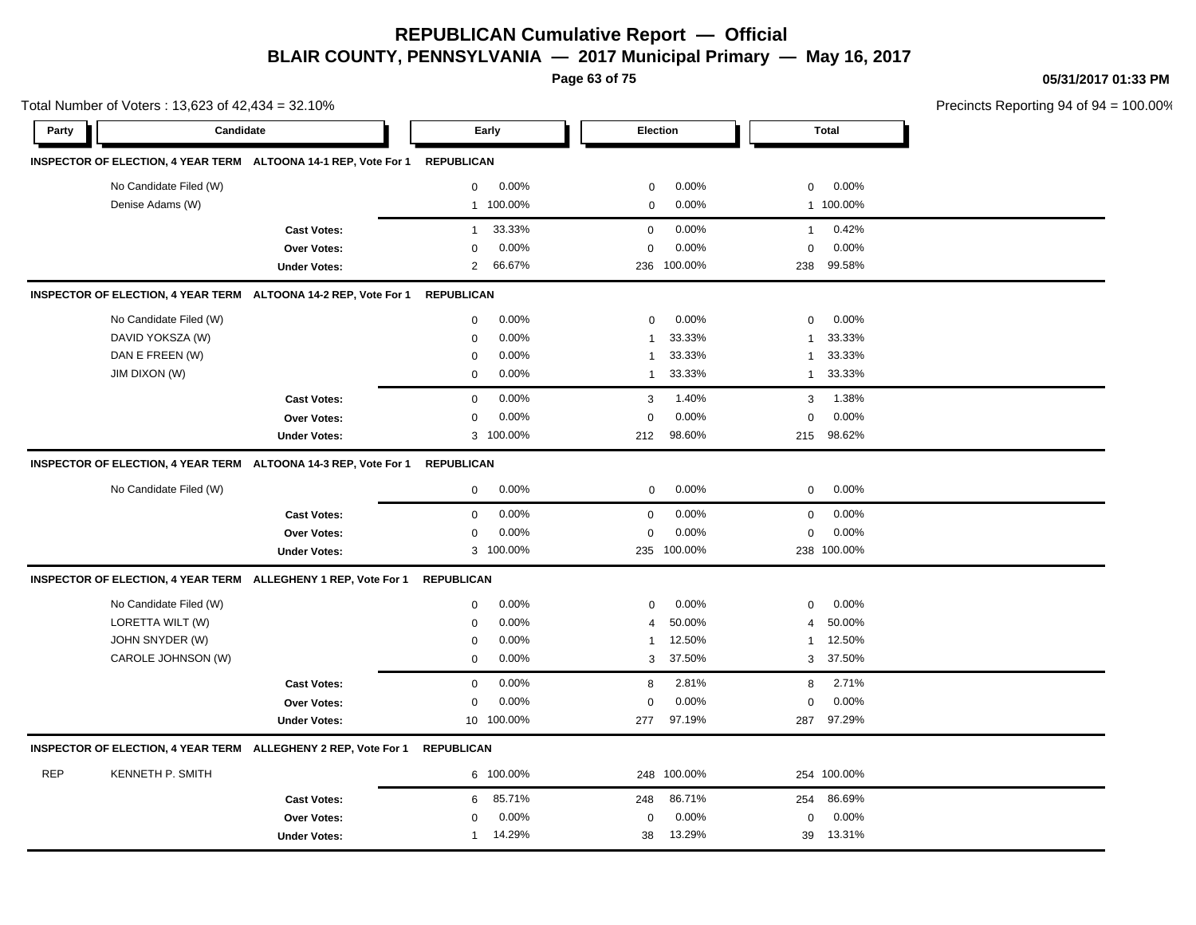**Page 63 of 75**

**05/31/2017 01:33 PM**

|            | Total Number of Voters: 13,623 of 42,434 = 32.10% |                                                                 |                   |            |                |             |                |              | Precincts Reporting 94 of 94 |
|------------|---------------------------------------------------|-----------------------------------------------------------------|-------------------|------------|----------------|-------------|----------------|--------------|------------------------------|
| Party      | Candidate                                         |                                                                 |                   | Early      |                | Election    |                | <b>Total</b> |                              |
|            |                                                   | INSPECTOR OF ELECTION, 4 YEAR TERM ALTOONA 14-1 REP, Vote For 1 | <b>REPUBLICAN</b> |            |                |             |                |              |                              |
|            | No Candidate Filed (W)                            |                                                                 | 0                 | 0.00%      | $\mathbf 0$    | 0.00%       | 0              | 0.00%        |                              |
|            | Denise Adams (W)                                  |                                                                 |                   | 1 100.00%  | $\mathbf 0$    | 0.00%       |                | 1 100.00%    |                              |
|            |                                                   | <b>Cast Votes:</b>                                              | $\mathbf{1}$      | 33.33%     | $\mathbf 0$    | 0.00%       | $\mathbf{1}$   | 0.42%        |                              |
|            |                                                   | <b>Over Votes:</b>                                              | $\mathbf 0$       | 0.00%      | $\mathbf 0$    | 0.00%       | $\mathbf 0$    | 0.00%        |                              |
|            |                                                   | <b>Under Votes:</b>                                             | $\overline{2}$    | 66.67%     |                | 236 100.00% | 238            | 99.58%       |                              |
|            |                                                   | INSPECTOR OF ELECTION, 4 YEAR TERM ALTOONA 14-2 REP, Vote For 1 | <b>REPUBLICAN</b> |            |                |             |                |              |                              |
|            | No Candidate Filed (W)                            |                                                                 | $\mathbf 0$       | 0.00%      | $\mathbf 0$    | 0.00%       | $\mathbf 0$    | 0.00%        |                              |
|            | DAVID YOKSZA (W)                                  |                                                                 | 0                 | 0.00%      | $\overline{1}$ | 33.33%      | $\mathbf{1}$   | 33.33%       |                              |
|            | DAN E FREEN (W)                                   |                                                                 | $\mathbf 0$       | 0.00%      | -1             | 33.33%      | 1              | 33.33%       |                              |
|            | <b>JIM DIXON (W)</b>                              |                                                                 | $\mathbf 0$       | $0.00\%$   | $\mathbf{1}$   | 33.33%      | $\mathbf{1}$   | 33.33%       |                              |
|            |                                                   | <b>Cast Votes:</b>                                              | $\mathbf 0$       | 0.00%      | 3              | 1.40%       | 3              | 1.38%        |                              |
|            |                                                   | Over Votes:                                                     | 0                 | 0.00%      | $\mathbf 0$    | 0.00%       | $\mathbf 0$    | 0.00%        |                              |
|            |                                                   | <b>Under Votes:</b>                                             |                   | 3 100.00%  | 212            | 98.60%      | 215            | 98.62%       |                              |
|            |                                                   | INSPECTOR OF ELECTION, 4 YEAR TERM ALTOONA 14-3 REP, Vote For 1 | <b>REPUBLICAN</b> |            |                |             |                |              |                              |
|            | No Candidate Filed (W)                            |                                                                 | $\mathbf 0$       | 0.00%      | $\pmb{0}$      | 0.00%       | $\mathbf 0$    | 0.00%        |                              |
|            |                                                   | <b>Cast Votes:</b>                                              | $\mathbf 0$       | 0.00%      | $\mathbf 0$    | 0.00%       | $\mathbf 0$    | 0.00%        |                              |
|            |                                                   | Over Votes:                                                     | $\mathbf 0$       | 0.00%      | $\mathbf 0$    | 0.00%       | $\mathbf 0$    | 0.00%        |                              |
|            |                                                   | <b>Under Votes:</b>                                             |                   | 3 100.00%  |                | 235 100.00% |                | 238 100.00%  |                              |
|            |                                                   | INSPECTOR OF ELECTION, 4 YEAR TERM ALLEGHENY 1 REP, Vote For 1  | <b>REPUBLICAN</b> |            |                |             |                |              |                              |
|            | No Candidate Filed (W)                            |                                                                 | 0                 | 0.00%      | $\mathbf 0$    | 0.00%       | 0              | 0.00%        |                              |
|            | LORETTA WILT (W)                                  |                                                                 | $\mathbf 0$       | 0.00%      | $\overline{4}$ | 50.00%      | $\overline{4}$ | 50.00%       |                              |
|            | JOHN SNYDER (W)                                   |                                                                 | 0                 | 0.00%      | $\mathbf{1}$   | 12.50%      | 1              | 12.50%       |                              |
|            | CAROLE JOHNSON (W)                                |                                                                 | $\mathbf 0$       | 0.00%      | 3              | 37.50%      | 3              | 37.50%       |                              |
|            |                                                   | <b>Cast Votes:</b>                                              | $\mathsf 0$       | 0.00%      | 8              | 2.81%       | 8              | 2.71%        |                              |
|            |                                                   | <b>Over Votes:</b>                                              | $\mathbf 0$       | 0.00%      | $\mathbf 0$    | 0.00%       | $\mathbf 0$    | 0.00%        |                              |
|            |                                                   | <b>Under Votes:</b>                                             |                   | 10 100.00% | 277            | 97.19%      | 287            | 97.29%       |                              |
|            |                                                   | INSPECTOR OF ELECTION, 4 YEAR TERM ALLEGHENY 2 REP, Vote For 1  | <b>REPUBLICAN</b> |            |                |             |                |              |                              |
| <b>REP</b> | KENNETH P. SMITH                                  |                                                                 |                   | 6 100.00%  |                | 248 100.00% |                | 254 100.00%  |                              |
|            |                                                   | <b>Cast Votes:</b>                                              | 6                 | 85.71%     | 248            | 86.71%      | 254            | 86.69%       |                              |
|            |                                                   | <b>Over Votes:</b>                                              | $\Omega$          | 0.00%      | 0              | 0.00%       | 0              | 0.00%        |                              |
|            |                                                   | <b>Under Votes:</b>                                             | 1                 | 14.29%     | 38             | 13.29%      | 39             | 13.31%       |                              |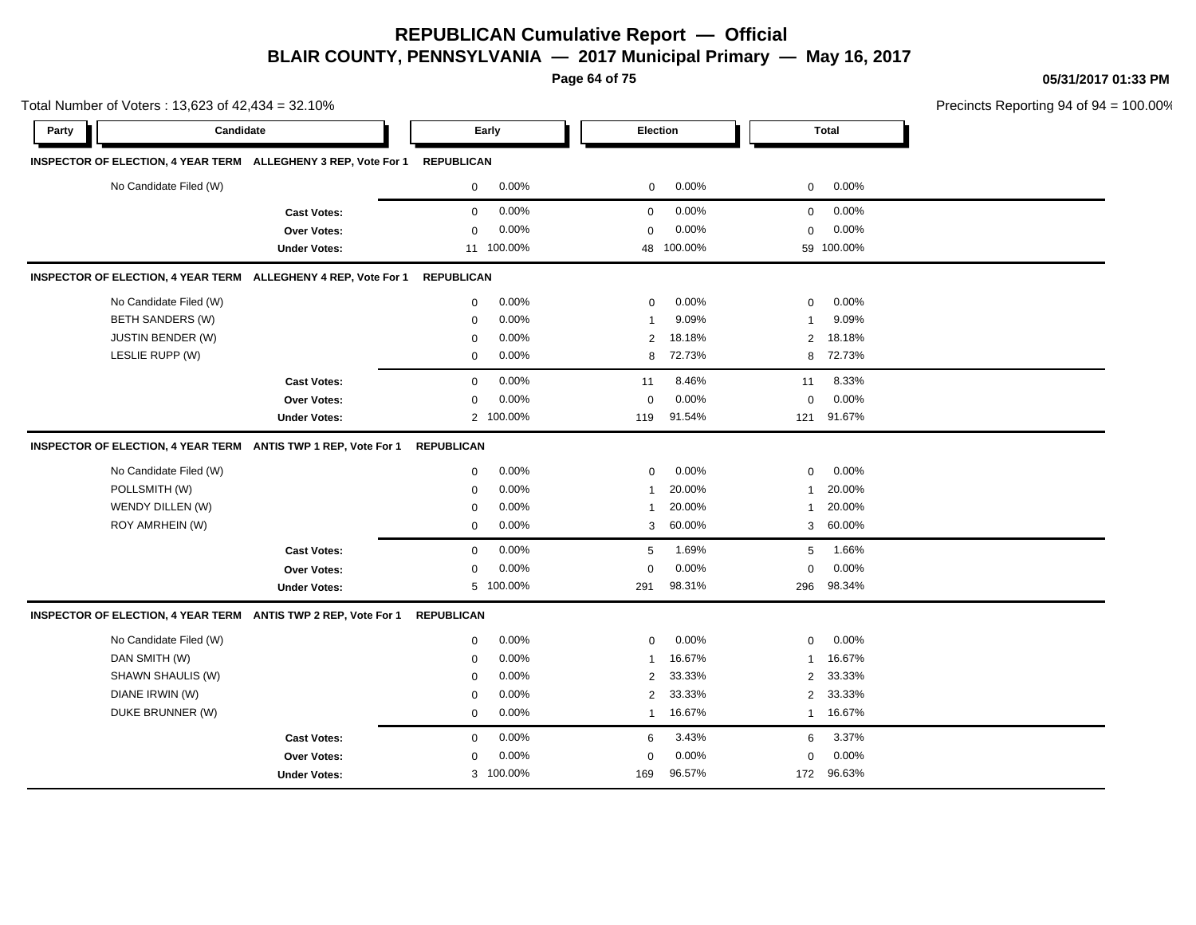**Page 64 of 75**

**05/31/2017 01:33 PM**

|       | Total Number of Voters: 13,623 of 42,434 = 32.10% |                                                                |                   |            |                |            |                |              | Precincts Reporting 94 of 94 = 10 |
|-------|---------------------------------------------------|----------------------------------------------------------------|-------------------|------------|----------------|------------|----------------|--------------|-----------------------------------|
| Party | Candidate                                         |                                                                |                   | Early      |                | Election   |                | <b>Total</b> |                                   |
|       |                                                   | INSPECTOR OF ELECTION, 4 YEAR TERM ALLEGHENY 3 REP, Vote For 1 | <b>REPUBLICAN</b> |            |                |            |                |              |                                   |
|       | No Candidate Filed (W)                            |                                                                | $\mathbf{0}$      | 0.00%      | $\mathbf 0$    | 0.00%      | $\mathbf{0}$   | 0.00%        |                                   |
|       |                                                   | <b>Cast Votes:</b>                                             | 0                 | 0.00%      | 0              | 0.00%      | 0              | 0.00%        |                                   |
|       |                                                   | Over Votes:                                                    | 0                 | 0.00%      | 0              | 0.00%      | 0              | 0.00%        |                                   |
|       |                                                   | <b>Under Votes:</b>                                            |                   | 11 100.00% |                | 48 100.00% |                | 59 100.00%   |                                   |
|       |                                                   | INSPECTOR OF ELECTION, 4 YEAR TERM ALLEGHENY 4 REP, Vote For 1 | <b>REPUBLICAN</b> |            |                |            |                |              |                                   |
|       | No Candidate Filed (W)                            |                                                                | 0                 | 0.00%      | $\mathbf 0$    | 0.00%      | 0              | 0.00%        |                                   |
|       | <b>BETH SANDERS (W)</b>                           |                                                                | $\mathbf 0$       | 0.00%      | -1             | 9.09%      | $\mathbf{1}$   | 9.09%        |                                   |
|       | <b>JUSTIN BENDER (W)</b>                          |                                                                | $\mathbf 0$       | 0.00%      | 2              | 18.18%     | 2              | 18.18%       |                                   |
|       | LESLIE RUPP (W)                                   |                                                                | $\mathbf 0$       | 0.00%      | 8              | 72.73%     | 8              | 72.73%       |                                   |
|       |                                                   | <b>Cast Votes:</b>                                             | $\mathbf 0$       | 0.00%      | 11             | 8.46%      | 11             | 8.33%        |                                   |
|       |                                                   | <b>Over Votes:</b>                                             | $\mathbf 0$       | 0.00%      | $\mathbf 0$    | 0.00%      | $\mathbf 0$    | 0.00%        |                                   |
|       |                                                   | <b>Under Votes:</b>                                            |                   | 2 100.00%  | 119            | 91.54%     | 121            | 91.67%       |                                   |
|       |                                                   | INSPECTOR OF ELECTION, 4 YEAR TERM ANTIS TWP 1 REP, Vote For 1 | <b>REPUBLICAN</b> |            |                |            |                |              |                                   |
|       | No Candidate Filed (W)                            |                                                                | $\mathbf 0$       | 0.00%      | $\mathbf 0$    | 0.00%      | 0              | 0.00%        |                                   |
|       | POLLSMITH (W)                                     |                                                                | $\mathbf 0$       | 0.00%      | $\mathbf 1$    | 20.00%     | $\mathbf{1}$   | 20.00%       |                                   |
|       | WENDY DILLEN (W)                                  |                                                                | $\mathbf 0$       | 0.00%      | 1              | 20.00%     | $\mathbf{1}$   | 20.00%       |                                   |
|       | ROY AMRHEIN (W)                                   |                                                                | $\mathbf 0$       | 0.00%      | 3              | 60.00%     | 3              | 60.00%       |                                   |
|       |                                                   | <b>Cast Votes:</b>                                             | $\mathsf 0$       | 0.00%      | 5              | 1.69%      | 5              | 1.66%        |                                   |
|       |                                                   | Over Votes:                                                    | $\mathbf 0$       | 0.00%      | 0              | 0.00%      | 0              | 0.00%        |                                   |
|       |                                                   | <b>Under Votes:</b>                                            |                   | 5 100.00%  | 291            | 98.31%     | 296            | 98.34%       |                                   |
|       |                                                   | INSPECTOR OF ELECTION, 4 YEAR TERM ANTIS TWP 2 REP, Vote For 1 | <b>REPUBLICAN</b> |            |                |            |                |              |                                   |
|       | No Candidate Filed (W)                            |                                                                | 0                 | 0.00%      | $\mathbf 0$    | 0.00%      | $\mathbf 0$    | 0.00%        |                                   |
|       | DAN SMITH (W)                                     |                                                                | 0                 | 0.00%      | -1             | 16.67%     | 1              | 16.67%       |                                   |
|       | SHAWN SHAULIS (W)                                 |                                                                | 0                 | 0.00%      | $\overline{2}$ | 33.33%     | $\overline{2}$ | 33.33%       |                                   |
|       | DIANE IRWIN (W)                                   |                                                                | 0                 | 0.00%      | $\overline{2}$ | 33.33%     | $\overline{2}$ | 33.33%       |                                   |
|       | DUKE BRUNNER (W)                                  |                                                                | $\mathbf 0$       | 0.00%      | $\mathbf{1}$   | 16.67%     | $\mathbf{1}$   | 16.67%       |                                   |
|       |                                                   | <b>Cast Votes:</b>                                             | $\mathbf 0$       | 0.00%      | 6              | 3.43%      | 6              | 3.37%        |                                   |
|       |                                                   | Over Votes:                                                    | $\mathbf 0$       | 0.00%      | $\mathsf 0$    | 0.00%      | $\mathsf 0$    | 0.00%        |                                   |
|       |                                                   | <b>Under Votes:</b>                                            |                   | 3 100.00%  | 169            | 96.57%     | 172            | 96.63%       |                                   |

00.00%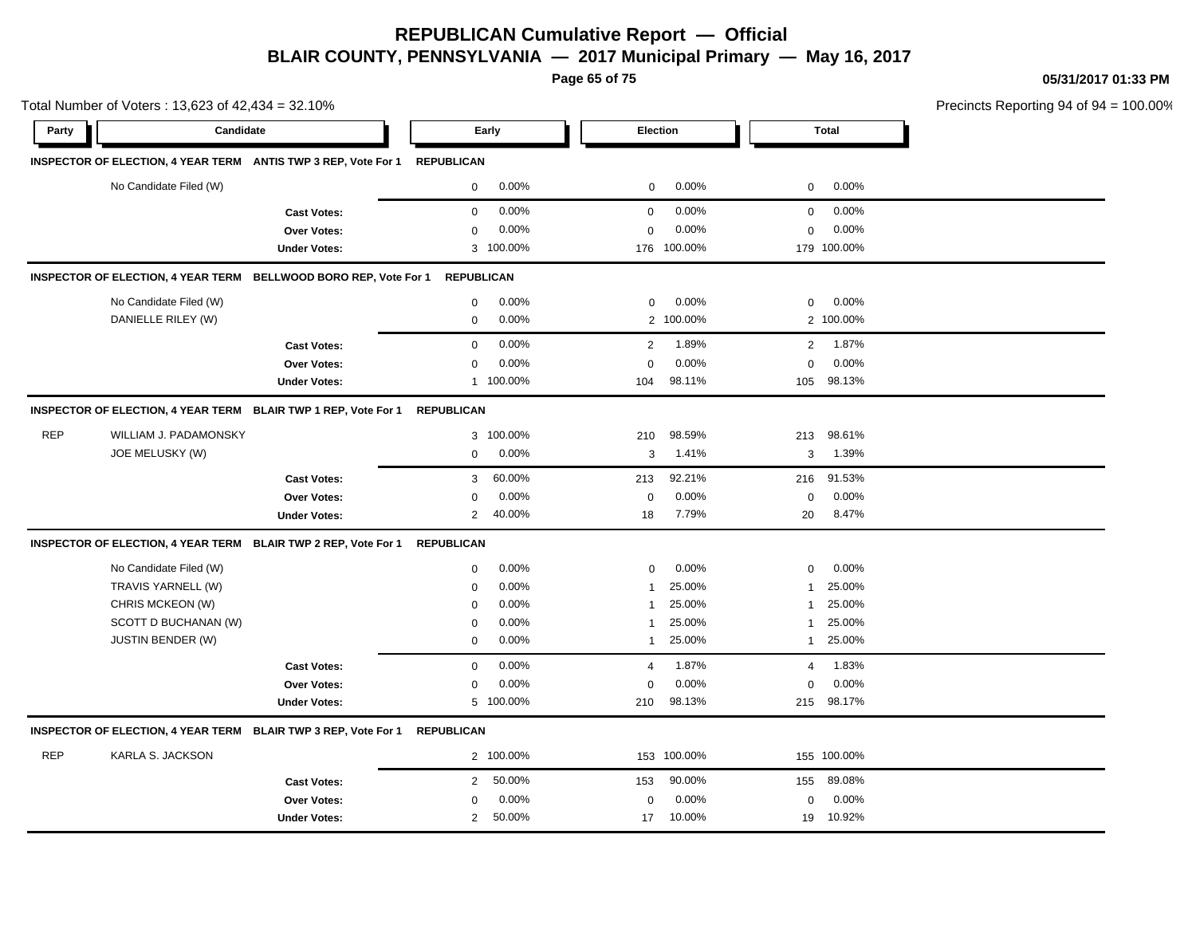**Page 65 of 75**

**05/31/2017 01:33 PM**

|            |                                                                           |                     |              |                   | Page 65 or 75   | 05/31/2017 01:33 PM |                            |                                        |
|------------|---------------------------------------------------------------------------|---------------------|--------------|-------------------|-----------------|---------------------|----------------------------|----------------------------------------|
|            | Total Number of Voters: 13,623 of 42,434 = 32.10%                         |                     |              |                   |                 |                     |                            | Precincts Reporting 94 of 94 = 100.00% |
| Party      | Candidate                                                                 |                     | Early        |                   | <b>Election</b> |                     | <b>Total</b>               |                                        |
|            | INSPECTOR OF ELECTION, 4 YEAR TERM ANTIS TWP 3 REP, Vote For 1 REPUBLICAN |                     |              |                   |                 |                     |                            |                                        |
|            | No Candidate Filed (W)                                                    |                     | $\mathbf 0$  | $0.00\%$          | $\mathbf 0$     | 0.00%               | $0 0.00\%$                 |                                        |
|            |                                                                           | <b>Cast Votes:</b>  | $\mathbf{0}$ | 0.00%             | $\mathbf{0}$    | 0.00%               | $0\quad 0.00\%$            |                                        |
|            |                                                                           | Over Votes:         | $\Omega$     | 0.00%             | $\Omega$        | 0.00%               | $0.00\%$<br>$\overline{0}$ |                                        |
|            |                                                                           | <b>Under Votes:</b> |              | 3 100.00%         |                 | 176 100.00%         | 179 100.00%                |                                        |
|            | INSPECTOR OF ELECTION, 4 YEAR TERM BELLWOOD BORO REP, Vote For 1          |                     |              | <b>REPUBLICAN</b> |                 |                     |                            |                                        |
|            | No Candidate Filed (W)                                                    |                     | $\mathbf{0}$ | $0.00\%$          | $\mathbf 0$     | 0.00%               | $0 0.00\%$                 |                                        |
|            | DANIELLE RILEY (W)                                                        |                     | $\mathbf{0}$ | 0.00%             |                 | 2 100.00%           | 2 100.00%                  |                                        |
|            |                                                                           | <b>Cast Votes:</b>  | $\Omega$     | 0.00%             | $\overline{2}$  | 1.89%               | 2 1.87%                    |                                        |
|            |                                                                           | Over Votes:         | $\Omega$     | 0.00%             | $\Omega$        | 0.00%               | $0.00\%$<br>$\mathbf{0}$   |                                        |
|            |                                                                           | <b>Under Votes:</b> |              | 1 100.00%         | 104             | 98.11%              | 105 98.13%                 |                                        |
|            | INSPECTOR OF ELECTION, 4 YEAR TERM BLAIR TWP 1 REP, Vote For 1 REPUBLICAN |                     |              |                   |                 |                     |                            |                                        |
| <b>REP</b> | WILLIAM J. PADAMONSKY                                                     |                     |              | 3 100.00%         | 210             | 98.59%              | 213 98.61%                 |                                        |
|            | JOE MELUSKY (W)                                                           |                     | 0            | $0.00\%$          | 3               | 1.41%               | 3 1.39%                    |                                        |
|            |                                                                           | <b>Cast Votes:</b>  | 3            | 60.00%            | 213             | 92.21%              | 216 91.53%                 |                                        |
|            |                                                                           | Over Votes:         | $\Omega$     | $0.00\%$          | $\Omega$        | 0.00%               | $0.00\%$<br>$\Omega$       |                                        |
|            |                                                                           | <b>Under Votes:</b> |              | 2 40.00%          | 18              | 7.79%               | 8.47%<br>20                |                                        |
|            | INSPECTOR OF ELECTION, 4 YEAR TERM BLAIR TWP 2 REP, Vote For 1            | <b>REPUBLICAN</b>   |              |                   |                 |                     |                            |                                        |
|            | No Candidate Filed (W)                                                    |                     | $\Omega$     | $0.00\%$          | $\Omega$        | 0.00%               | $0.00\%$<br>$\Omega$       |                                        |
|            | TRAVIS YARNELL (W)                                                        |                     | $\Omega$     | 0.00%             |                 | 25.00%              | 25.00%                     |                                        |

**Cast Votes:** 0 0.00% 4 1.87% 4 1.83%

0.00%

 210 215 98.13% 98.17% 0.00% 0 0.00%

#### **INSPECTOR OF ELECTION, 4 YEAR TERM BLAIR TWP 3 REP, Vote For 1 REPUBLICAN**

**Under Votes:** 

| <b>REP</b> | KARLA S. JACKSON    |            | 2 100.00% |     | 153 100.00% |     | 155 100.00% |  |
|------------|---------------------|------------|-----------|-----|-------------|-----|-------------|--|
|            | <b>Cast Votes:</b>  |            | 2 50.00%  | 153 | 90.00%      | 155 | 89.08%      |  |
|            | <b>Over Votes:</b>  | $^{\circ}$ | $0.00\%$  |     | 0.00%       |     | 0.00%       |  |
|            | <b>Under Votes:</b> |            | 50.00%    | 17  | 10.00%      | 19  | 10.92%      |  |

0.00% 100.00%

CHRIS MCKEON (W) 0 0.00% 1 25.00% 1 25.00% SCOTT D BUCHANAN (W) 0 0.00% 1 25.00% 1 25.00% JUSTIN BENDER (W) 0 0.00% 1 25.00% 1 25.00%

**Over Votes:** 0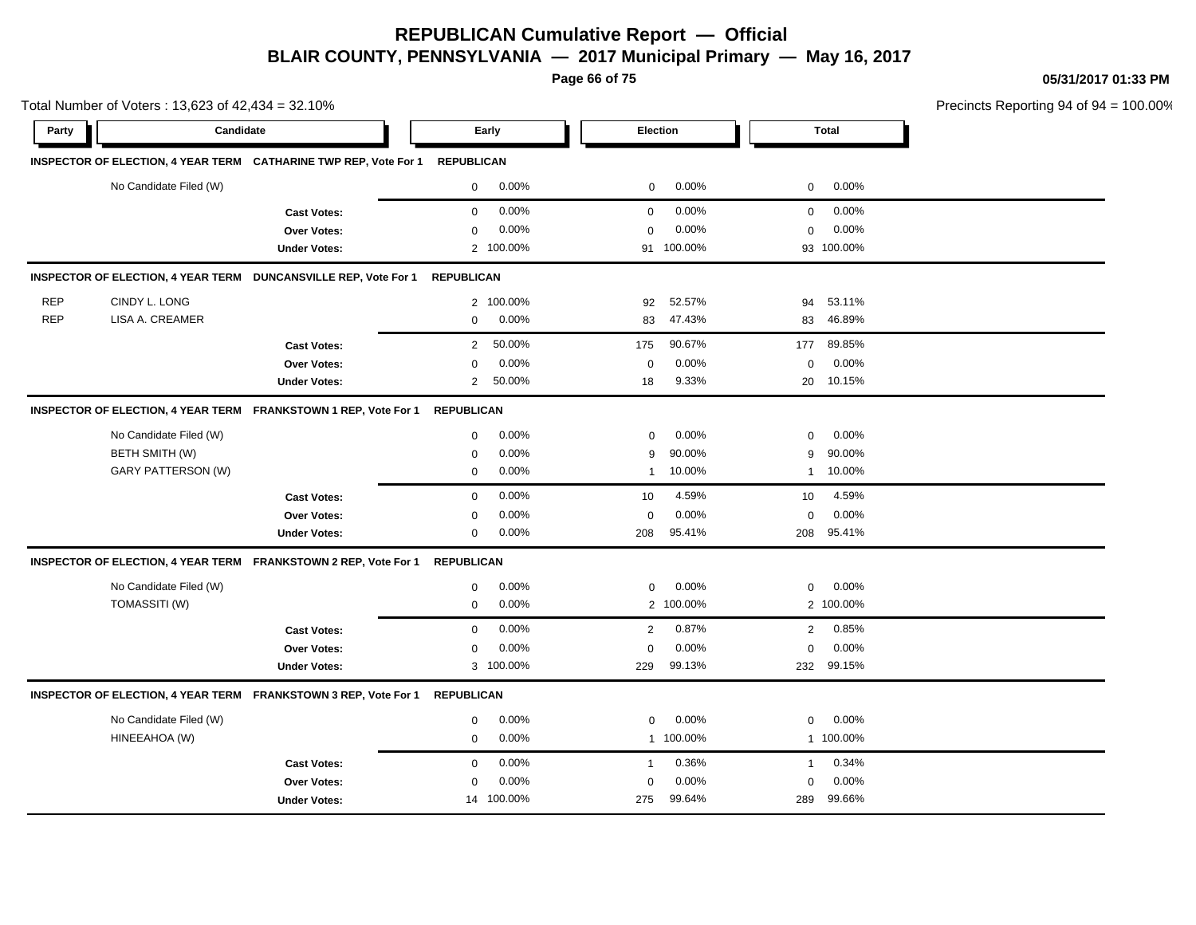**Page 66 of 75**

**05/31/2017 01:33 PM**

|            | Total Number of Voters: 13,623 of 42,434 = 32.10% |                                                                             |                   |            |              |            |              |              | Precincts Reporting 94 of 94 |
|------------|---------------------------------------------------|-----------------------------------------------------------------------------|-------------------|------------|--------------|------------|--------------|--------------|------------------------------|
| Party      | Candidate                                         |                                                                             |                   | Early      | Election     |            |              | <b>Total</b> |                              |
|            |                                                   | INSPECTOR OF ELECTION, 4 YEAR TERM CATHARINE TWP REP, Vote For 1 REPUBLICAN |                   |            |              |            |              |              |                              |
|            | No Candidate Filed (W)                            |                                                                             | $\mathsf{O}$      | $0.00\%$   | $\mathbf 0$  | 0.00%      | $\mathbf 0$  | 0.00%        |                              |
|            |                                                   | <b>Cast Votes:</b>                                                          | $\mathbf 0$       | 0.00%      | 0            | 0.00%      | 0            | 0.00%        |                              |
|            |                                                   | <b>Over Votes:</b>                                                          | $\mathbf 0$       | 0.00%      | $\Omega$     | 0.00%      | $\Omega$     | 0.00%        |                              |
|            |                                                   | <b>Under Votes:</b>                                                         |                   | 2 100.00%  |              | 91 100.00% |              | 93 100.00%   |                              |
|            |                                                   | INSPECTOR OF ELECTION, 4 YEAR TERM DUNCANSVILLE REP, Vote For 1             | <b>REPUBLICAN</b> |            |              |            |              |              |                              |
| <b>REP</b> | CINDY L. LONG                                     |                                                                             |                   | 2 100.00%  | 92           | 52.57%     | 94           | 53.11%       |                              |
| <b>REP</b> | LISA A. CREAMER                                   |                                                                             | $\mathbf 0$       | 0.00%      | 83           | 47.43%     | 83           | 46.89%       |                              |
|            |                                                   | <b>Cast Votes:</b>                                                          | 2                 | 50.00%     | 175          | 90.67%     | 177          | 89.85%       |                              |
|            |                                                   | Over Votes:                                                                 | $\mathbf 0$       | 0.00%      | $\mathbf 0$  | 0.00%      | 0            | 0.00%        |                              |
|            |                                                   | <b>Under Votes:</b>                                                         | 2                 | 50.00%     | 18           | 9.33%      | 20           | 10.15%       |                              |
|            |                                                   | INSPECTOR OF ELECTION, 4 YEAR TERM FRANKSTOWN 1 REP, Vote For 1             | <b>REPUBLICAN</b> |            |              |            |              |              |                              |
|            | No Candidate Filed (W)                            |                                                                             | $\mathbf 0$       | 0.00%      | $\mathbf 0$  | 0.00%      | $\mathbf 0$  | 0.00%        |                              |
|            | BETH SMITH (W)                                    |                                                                             | $\mathbf 0$       | 0.00%      | 9            | 90.00%     | 9            | 90.00%       |                              |
|            | GARY PATTERSON (W)                                |                                                                             | $\mathbf 0$       | $0.00\%$   | $\mathbf{1}$ | 10.00%     |              | 1 10.00%     |                              |
|            |                                                   | <b>Cast Votes:</b>                                                          | $\mathbf 0$       | 0.00%      | 10           | 4.59%      | 10           | 4.59%        |                              |
|            |                                                   | <b>Over Votes:</b>                                                          | $\mathbf 0$       | 0.00%      | $\mathbf 0$  | 0.00%      | $\mathbf 0$  | 0.00%        |                              |
|            |                                                   | <b>Under Votes:</b>                                                         | $\mathbf 0$       | 0.00%      | 208          | 95.41%     | 208          | 95.41%       |                              |
|            |                                                   | INSPECTOR OF ELECTION, 4 YEAR TERM FRANKSTOWN 2 REP, Vote For 1             | <b>REPUBLICAN</b> |            |              |            |              |              |                              |
|            | No Candidate Filed (W)                            |                                                                             | $\mathbf 0$       | 0.00%      | $\mathbf 0$  | 0.00%      | 0            | 0.00%        |                              |
|            | TOMASSITI (W)                                     |                                                                             | $\mathbf 0$       | 0.00%      |              | 2 100.00%  |              | 2 100.00%    |                              |
|            |                                                   | <b>Cast Votes:</b>                                                          | $\mathbf 0$       | 0.00%      | 2            | 0.87%      | $\mathbf{2}$ | 0.85%        |                              |
|            |                                                   | Over Votes:                                                                 | $\mathbf 0$       | 0.00%      | $\mathbf 0$  | 0.00%      | $\Omega$     | 0.00%        |                              |
|            |                                                   | <b>Under Votes:</b>                                                         |                   | 3 100.00%  | 229          | 99.13%     |              | 232 99.15%   |                              |
|            |                                                   | INSPECTOR OF ELECTION, 4 YEAR TERM FRANKSTOWN 3 REP, Vote For 1             | <b>REPUBLICAN</b> |            |              |            |              |              |                              |
|            | No Candidate Filed (W)                            |                                                                             | $\mathbf 0$       | 0.00%      | $\mathbf 0$  | 0.00%      | 0            | 0.00%        |                              |
|            | HINEEAHOA (W)                                     |                                                                             | $\mathbf 0$       | 0.00%      |              | 1 100.00%  |              | 1 100.00%    |                              |
|            |                                                   | <b>Cast Votes:</b>                                                          | $\mathbf 0$       | 0.00%      | $\mathbf{1}$ | 0.36%      | 1            | 0.34%        |                              |
|            |                                                   | Over Votes:                                                                 | 0                 | 0.00%      | $\mathbf 0$  | 0.00%      | 0            | 0.00%        |                              |
|            |                                                   | <b>Under Votes:</b>                                                         |                   | 14 100.00% | 275          | 99.64%     | 289          | 99.66%       |                              |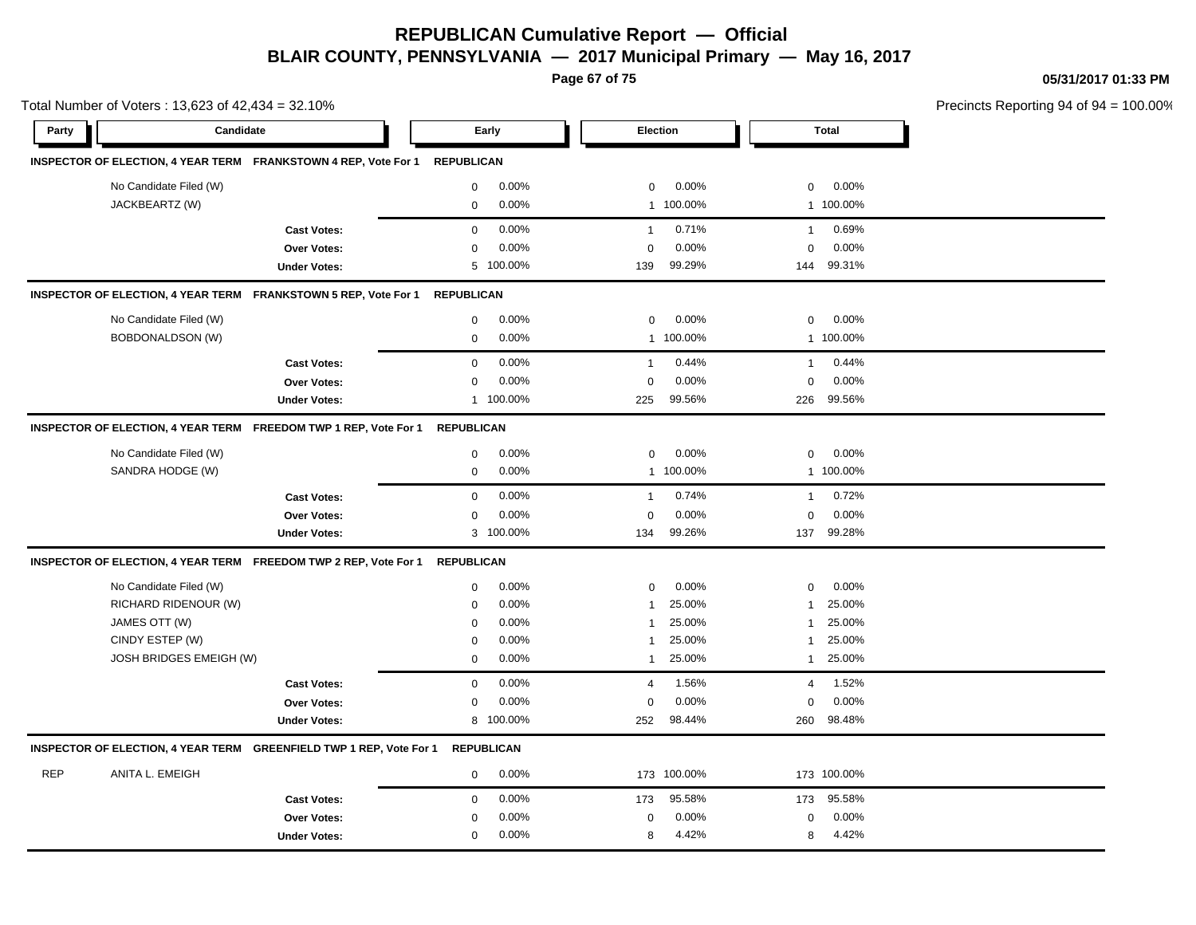**Page 67 of 75**

**05/31/2017 01:33 PM**

|            | Total Number of Voters: 13,623 of 42,434 = 32.10% |                                                                     |                   |                   |                |             |                |              | Precincts Reporting 94 of 94 |
|------------|---------------------------------------------------|---------------------------------------------------------------------|-------------------|-------------------|----------------|-------------|----------------|--------------|------------------------------|
| Party      | Candidate                                         |                                                                     |                   | Early             |                | Election    |                | <b>Total</b> |                              |
|            |                                                   | INSPECTOR OF ELECTION, 4 YEAR TERM FRANKSTOWN 4 REP, Vote For 1     | <b>REPUBLICAN</b> |                   |                |             |                |              |                              |
|            | No Candidate Filed (W)                            |                                                                     | $\mathbf 0$       | 0.00%             | $\mathbf 0$    | 0.00%       | $\mathbf 0$    | 0.00%        |                              |
|            | JACKBEARTZ (W)                                    |                                                                     | $\mathsf 0$       | 0.00%             | $\mathbf{1}$   | 100.00%     |                | 1 100.00%    |                              |
|            |                                                   | <b>Cast Votes:</b>                                                  | $\mathsf 0$       | 0.00%             | $\mathbf{1}$   | 0.71%       | $\mathbf{1}$   | 0.69%        |                              |
|            |                                                   | <b>Over Votes:</b>                                                  | 0                 | 0.00%             | $\mathbf 0$    | 0.00%       | $\mathbf 0$    | 0.00%        |                              |
|            |                                                   | <b>Under Votes:</b>                                                 | 5                 | 100.00%           | 139            | 99.29%      | 144            | 99.31%       |                              |
|            |                                                   | INSPECTOR OF ELECTION, 4 YEAR TERM FRANKSTOWN 5 REP, Vote For 1     | <b>REPUBLICAN</b> |                   |                |             |                |              |                              |
|            | No Candidate Filed (W)                            |                                                                     | $\mathbf 0$       | 0.00%             | $\mathbf 0$    | 0.00%       | $\mathbf 0$    | 0.00%        |                              |
|            | <b>BOBDONALDSON (W)</b>                           |                                                                     | $\mathbf 0$       | 0.00%             | $\mathbf{1}$   | 100.00%     |                | 1 100.00%    |                              |
|            |                                                   | <b>Cast Votes:</b>                                                  | $\mathbf 0$       | 0.00%             | $\mathbf{1}$   | 0.44%       | $\mathbf{1}$   | 0.44%        |                              |
|            |                                                   | Over Votes:                                                         | $\mathbf 0$       | 0.00%             | $\mathbf 0$    | 0.00%       | $\mathbf 0$    | 0.00%        |                              |
|            |                                                   | <b>Under Votes:</b>                                                 | $\mathbf{1}$      | 100.00%           | 225            | 99.56%      | 226            | 99.56%       |                              |
|            |                                                   | INSPECTOR OF ELECTION, 4 YEAR TERM FREEDOM TWP 1 REP, Vote For 1    | <b>REPUBLICAN</b> |                   |                |             |                |              |                              |
|            | No Candidate Filed (W)                            |                                                                     | $\mathsf 0$       | 0.00%             | $\mathbf 0$    | 0.00%       | 0              | 0.00%        |                              |
|            | SANDRA HODGE (W)                                  |                                                                     | $\mathbf 0$       | 0.00%             |                | 1 100.00%   |                | 1 100.00%    |                              |
|            |                                                   | <b>Cast Votes:</b>                                                  | $\mathsf 0$       | 0.00%             | $\mathbf{1}$   | 0.74%       | $\mathbf{1}$   | 0.72%        |                              |
|            |                                                   | Over Votes:                                                         | $\mathbf 0$       | 0.00%             | $\mathbf 0$    | 0.00%       | $\mathbf 0$    | 0.00%        |                              |
|            |                                                   | <b>Under Votes:</b>                                                 |                   | 3 100.00%         | 134            | 99.26%      |                | 137 99.28%   |                              |
|            |                                                   | INSPECTOR OF ELECTION, 4 YEAR TERM FREEDOM TWP 2 REP, Vote For 1    | <b>REPUBLICAN</b> |                   |                |             |                |              |                              |
|            | No Candidate Filed (W)                            |                                                                     | $\mathbf 0$       | 0.00%             | $\mathbf 0$    | 0.00%       | $\mathbf 0$    | 0.00%        |                              |
|            | RICHARD RIDENOUR (W)                              |                                                                     | $\mathbf 0$       | 0.00%             | $\overline{1}$ | 25.00%      | 1              | 25.00%       |                              |
|            | JAMES OTT (W)                                     |                                                                     | $\mathbf 0$       | 0.00%             | $\overline{1}$ | 25.00%      | 1              | 25.00%       |                              |
|            | CINDY ESTEP (W)                                   |                                                                     | $\mathbf 0$       | 0.00%             | $\overline{1}$ | 25.00%      | $\overline{1}$ | 25.00%       |                              |
|            | JOSH BRIDGES EMEIGH (W)                           |                                                                     | $\mathbf 0$       | 0.00%             | $\overline{1}$ | 25.00%      | $\mathbf{1}$   | 25.00%       |                              |
|            |                                                   | <b>Cast Votes:</b>                                                  | $\mathsf 0$       | 0.00%             | $\overline{4}$ | 1.56%       | $\overline{4}$ | 1.52%        |                              |
|            |                                                   | Over Votes:                                                         | $\mathbf 0$       | 0.00%             | 0              | 0.00%       | $\mathbf 0$    | 0.00%        |                              |
|            |                                                   | <b>Under Votes:</b>                                                 | 8                 | 100.00%           | 252            | 98.44%      | 260            | 98.48%       |                              |
|            |                                                   | INSPECTOR OF ELECTION, 4 YEAR TERM GREENFIELD TWP 1 REP, Vote For 1 |                   | <b>REPUBLICAN</b> |                |             |                |              |                              |
| <b>REP</b> | ANITA L. EMEIGH                                   |                                                                     | 0                 | $0.00\%$          |                | 173 100.00% |                | 173 100.00%  |                              |
|            |                                                   | <b>Cast Votes:</b>                                                  | $\mathbf 0$       | 0.00%             | 173            | 95.58%      | 173            | 95.58%       |                              |
|            |                                                   | Over Votes:                                                         | $\mathbf 0$       | 0.00%             | $\mathbf 0$    | 0.00%       | $\mathbf 0$    | 0.00%        |                              |
|            |                                                   | <b>Under Votes:</b>                                                 | $\mathbf 0$       | $0.00\%$          | 8              | 4.42%       | 8              | 4.42%        |                              |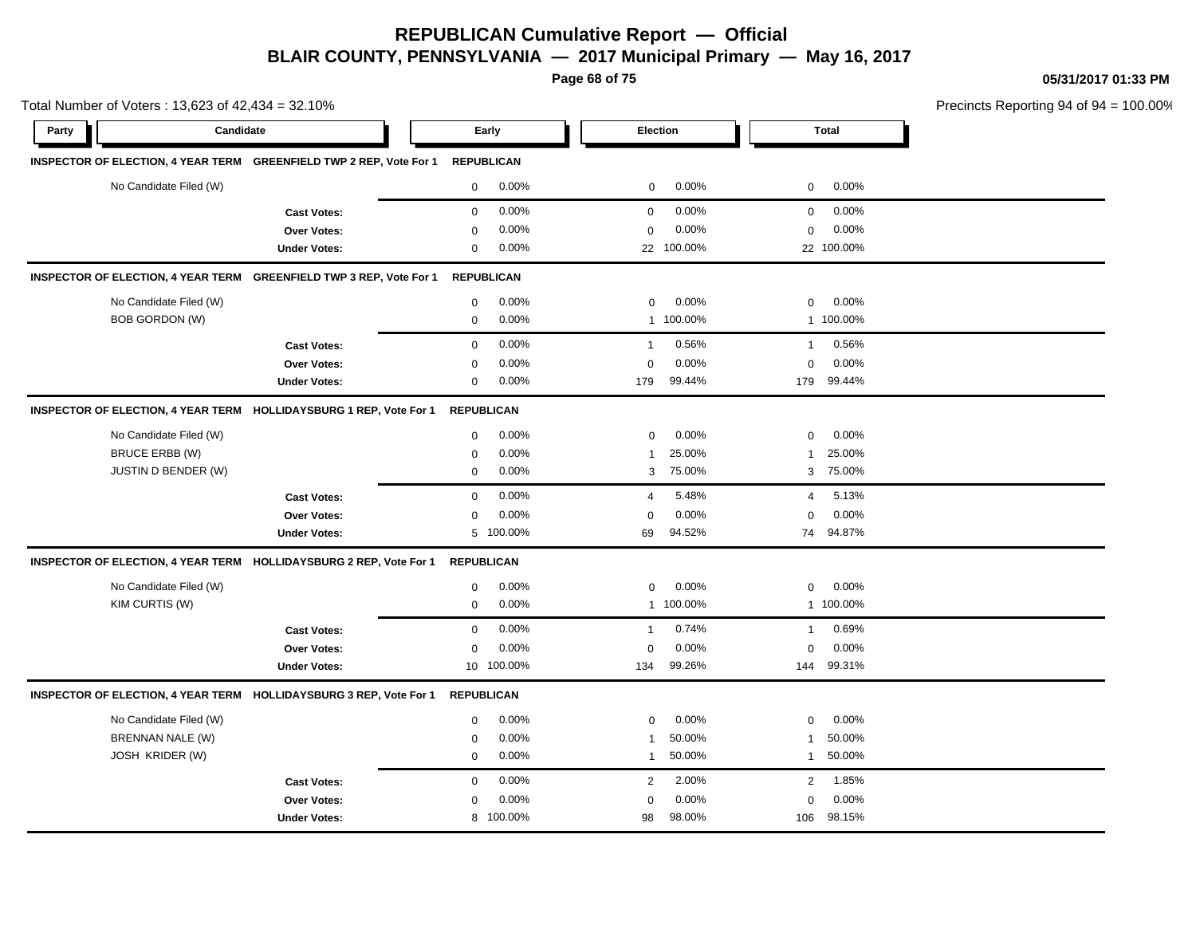**Page 68 of 75**

**05/31/2017 01:33 PM**

|       | Total Number of Voters: 13,623 of 42,434 = 32.10% |                                                                     |                   |                   |                |            |                | Precincts Reporting 94 of 9 |  |
|-------|---------------------------------------------------|---------------------------------------------------------------------|-------------------|-------------------|----------------|------------|----------------|-----------------------------|--|
| Party | Candidate                                         |                                                                     |                   | Early             |                | Election   |                | <b>Total</b>                |  |
|       |                                                   | INSPECTOR OF ELECTION, 4 YEAR TERM GREENFIELD TWP 2 REP, Vote For 1 |                   | <b>REPUBLICAN</b> |                |            |                |                             |  |
|       | No Candidate Filed (W)                            |                                                                     | $\mathbf 0$       | 0.00%             | $\mathbf 0$    | 0.00%      | $\mathbf 0$    | 0.00%                       |  |
|       |                                                   | <b>Cast Votes:</b>                                                  | $\mathbf 0$       | 0.00%             | $\mathbf 0$    | 0.00%      | $\mathbf 0$    | 0.00%                       |  |
|       |                                                   | <b>Over Votes:</b>                                                  | 0                 | 0.00%             | $\mathbf 0$    | 0.00%      | 0              | $0.00\%$                    |  |
|       |                                                   | <b>Under Votes:</b>                                                 | 0                 | 0.00%             |                | 22 100.00% |                | 22 100.00%                  |  |
|       |                                                   | INSPECTOR OF ELECTION, 4 YEAR TERM GREENFIELD TWP 3 REP, Vote For 1 |                   | <b>REPUBLICAN</b> |                |            |                |                             |  |
|       | No Candidate Filed (W)                            |                                                                     | $\mathbf 0$       | 0.00%             | $\mathbf 0$    | 0.00%      | $\mathbf 0$    | 0.00%                       |  |
|       | <b>BOB GORDON (W)</b>                             |                                                                     | 0                 | 0.00%             | 1              | 100.00%    |                | 1 100.00%                   |  |
|       |                                                   | <b>Cast Votes:</b>                                                  | $\mathbf 0$       | 0.00%             | $\mathbf{1}$   | 0.56%      | $\overline{1}$ | 0.56%                       |  |
|       |                                                   | Over Votes:                                                         | $\mathbf 0$       | 0.00%             | $\mathbf 0$    | 0.00%      | $\mathbf 0$    | 0.00%                       |  |
|       |                                                   | <b>Under Votes:</b>                                                 | 0                 | 0.00%             | 179            | 99.44%     | 179            | 99.44%                      |  |
|       |                                                   | INSPECTOR OF ELECTION, 4 YEAR TERM HOLLIDAYSBURG 1 REP, Vote For 1  | <b>REPUBLICAN</b> |                   |                |            |                |                             |  |
|       | No Candidate Filed (W)                            |                                                                     | 0                 | 0.00%             | $\mathbf 0$    | 0.00%      | $\mathbf 0$    | 0.00%                       |  |
|       | <b>BRUCE ERBB (W)</b>                             |                                                                     | $\mathbf 0$       | 0.00%             | $\overline{1}$ | 25.00%     | $\mathbf{1}$   | 25.00%                      |  |
|       | <b>JUSTIN D BENDER (W)</b>                        |                                                                     | $\mathbf 0$       | 0.00%             | 3              | 75.00%     | 3              | 75.00%                      |  |
|       |                                                   | <b>Cast Votes:</b>                                                  | $\mathbf 0$       | 0.00%             | $\overline{4}$ | 5.48%      | $\overline{4}$ | 5.13%                       |  |
|       |                                                   | Over Votes:                                                         | 0                 | 0.00%             | $\mathbf 0$    | 0.00%      | $\mathbf 0$    | 0.00%                       |  |
|       |                                                   | <b>Under Votes:</b>                                                 |                   | 5 100.00%         | 69             | 94.52%     | 74             | 94.87%                      |  |
|       |                                                   | INSPECTOR OF ELECTION, 4 YEAR TERM HOLLIDAYSBURG 2 REP, Vote For 1  | <b>REPUBLICAN</b> |                   |                |            |                |                             |  |
|       | No Candidate Filed (W)                            |                                                                     | 0                 | 0.00%             | $\Omega$       | 0.00%      | $\mathbf 0$    | 0.00%                       |  |
|       | KIM CURTIS (W)                                    |                                                                     | 0                 | 0.00%             |                | 1 100.00%  |                | 1 100.00%                   |  |
|       |                                                   | <b>Cast Votes:</b>                                                  | 0                 | 0.00%             | $\mathbf{1}$   | 0.74%      | $\overline{1}$ | 0.69%                       |  |
|       |                                                   | Over Votes:                                                         | $\mathbf 0$       | 0.00%             | $\mathbf 0$    | 0.00%      | 0              | 0.00%                       |  |
|       |                                                   | <b>Under Votes:</b>                                                 |                   | 10 100.00%        | 134            | 99.26%     |                | 144 99.31%                  |  |
|       |                                                   | INSPECTOR OF ELECTION, 4 YEAR TERM HOLLIDAYSBURG 3 REP, Vote For 1  | <b>REPUBLICAN</b> |                   |                |            |                |                             |  |
|       | No Candidate Filed (W)                            |                                                                     | 0                 | 0.00%             | 0              | 0.00%      | 0              | 0.00%                       |  |
|       | BRENNAN NALE (W)                                  |                                                                     | $\mathbf 0$       | 0.00%             | $\overline{1}$ | 50.00%     | $\overline{1}$ | 50.00%                      |  |
|       | <b>JOSH KRIDER (W)</b>                            |                                                                     | $\mathbf 0$       | 0.00%             | $\overline{1}$ | 50.00%     | $\mathbf{1}$   | 50.00%                      |  |
|       |                                                   | <b>Cast Votes:</b>                                                  | $\mathbf 0$       | 0.00%             | $\overline{2}$ | 2.00%      | 2              | 1.85%                       |  |
|       |                                                   | Over Votes:                                                         | $\Omega$          | 0.00%             | $\mathbf 0$    | 0.00%      | $\Omega$       | 0.00%                       |  |
|       |                                                   | <b>Under Votes:</b>                                                 | 8                 | 100.00%           | 98             | 98.00%     | 106            | 98.15%                      |  |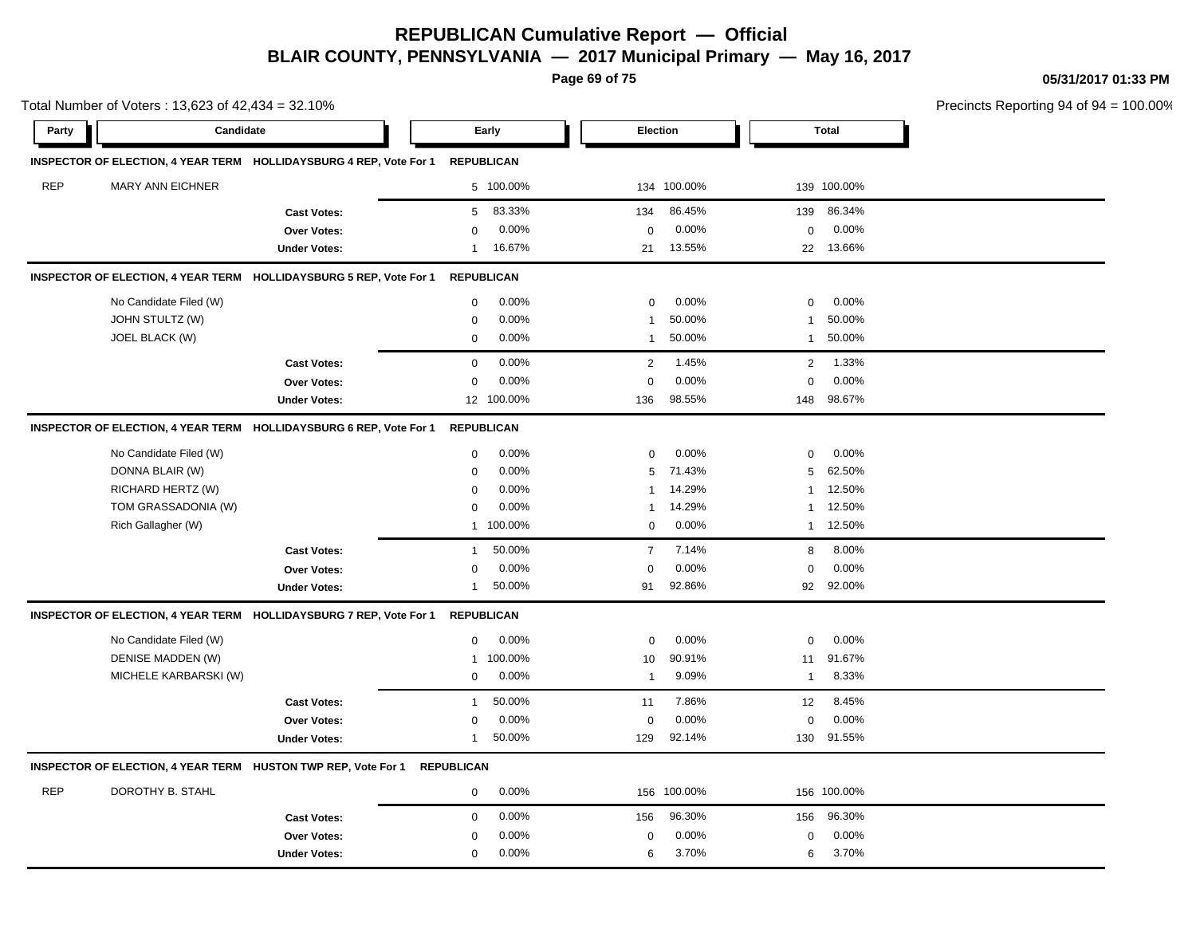**Page 69 of 75**

**05/31/2017 01:33 PM**

Total Number of Voters : 13,623 of 42,434 = 32.10% Precincts Reporting 94 of 94 = 100.00% **Party Candidate Early Election Total INSPECTOR OF ELECTION, 4 YEAR TERM HOLLIDAYSBURG 4 REP, Vote For 1 REPUBLICAN** REP MARY ANN EICHNER 5 100.00% 134 100.00% 139 100.00% **Cast Votes:** 5 83.33% 134 86.45% 139 86.34% **Over Votes:** 0 Under Votes: 1 16.67% 0.00% 0 21 13.55% 21 22 13.55% 13.66% 0.00% 0 0.00% **INSPECTOR OF ELECTION, 4 YEAR TERM HOLLIDAYSBURG 5 REP, Vote For 1 REPUBLICAN** No Candidate Filed (W)  $0.00\%$  0.00% 0 0.00% 0 0.00% 0 0.00% JOHN STULTZ (W) 0 0.00% 1 50.00% 1 50.00% JOEL BLACK (W) 0 0.00% 1 50.00% 1 50.00% **Cast Votes:** 0 0.00% 2 1.45% 2 1.33% **Over Votes:** 0 0.00% **Under Votes:** 12 100.00% 0.00% 0 136 98.55% 148 0.00% 0 0.00% 98.55% 98.67% **INSPECTOR OF ELECTION, 4 YEAR TERM HOLLIDAYSBURG 6 REP, Vote For 1 REPUBLICAN** No Candidate Filed (W) 0 0.00% 0 0.00% 0 0.00% DONNA BLAIR (W) 0 0.00% 5 71.43% 5 62.50% RICHARD HERTZ (W) 0 0.00% 1 14.29% 1 12.50% TOM GRASSADONIA (W)  $0.00\%$  1 14.29% 1 12.50% Rich Gallagher (W) 1 100.00% 0 0.00% 1 12.50% **Cast Votes:** 1 50.00% 1 7 7.14% 8 8.00% **Over Votes:** 0 0.00% Under Votes: 1 50.00% 0.00% 0 91 92.86% 91 92 92.86% 92.00%  $0.00\%$  0.00% 0.00% **INSPECTOR OF ELECTION, 4 YEAR TERM HOLLIDAYSBURG 7 REP, Vote For 1 REPUBLICAN** No Candidate Filed (W)  $0.00\%$  0.00% 0 0.00% 0 0.00% 0 0.00% DENISE MADDEN (W) 1 100.00% 10 90.91% 11 91.67% MICHELE KARBARSKI (W) 0 0.00% 1 9.09% 1 8.33% **Cast Votes:** 1 50.00% 11 7.86% 12 8.45% **Over Votes:** 0 0.00% Under Votes: 1 50.00% 0.00% 0 129 92.14% 129 130 92.14% 91.55% 0.00% 0 0.00% **INSPECTOR OF ELECTION, 4 YEAR TERM HUSTON TWP REP, Vote For 1 REPUBLICAN**

| <b>REP</b> | DOROTHY B. STAHL    | $0.00\%$ |     | 156 100.00% |     | 156 100.00% |  |
|------------|---------------------|----------|-----|-------------|-----|-------------|--|
|            | <b>Cast Votes:</b>  | $0.00\%$ | 156 | 96.30%      | 156 | 96.30%      |  |
|            | <b>Over Votes:</b>  | $0.00\%$ |     | 0.00%       |     | $0.00\%$    |  |
|            | <b>Under Votes:</b> | $0.00\%$ |     | 3.70%       |     | 3.70%       |  |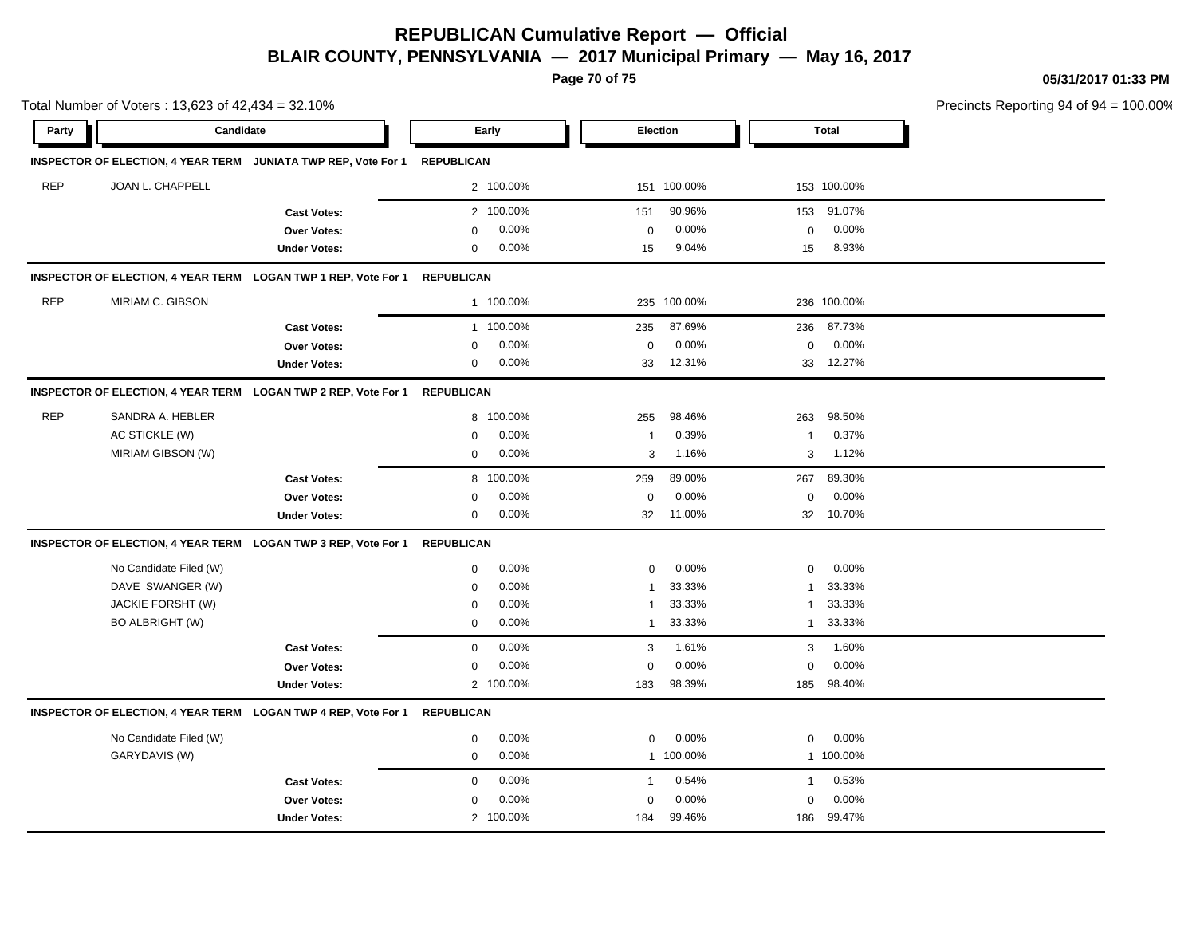**Page 70 of 75**

**05/31/2017 01:33 PM**

|                    | Total Number of Voters: 13,623 of 42,434 = 32.10% |                                                                |                   |           |                |             |              | Precincts Reporting 94 of 94 |  |
|--------------------|---------------------------------------------------|----------------------------------------------------------------|-------------------|-----------|----------------|-------------|--------------|------------------------------|--|
| Candidate<br>Party |                                                   |                                                                | Early             |           |                | Election    |              | <b>Total</b>                 |  |
|                    |                                                   | INSPECTOR OF ELECTION, 4 YEAR TERM JUNIATA TWP REP, Vote For 1 | <b>REPUBLICAN</b> |           |                |             |              |                              |  |
| <b>REP</b>         | JOAN L. CHAPPELL                                  |                                                                |                   | 2 100.00% |                | 151 100.00% |              | 153 100.00%                  |  |
|                    |                                                   | <b>Cast Votes:</b>                                             |                   | 2 100.00% | 151            | 90.96%      | 153          | 91.07%                       |  |
|                    |                                                   | <b>Over Votes:</b>                                             | $\mathbf 0$       | 0.00%     | $\mathbf 0$    | 0.00%       | 0            | 0.00%                        |  |
|                    |                                                   | <b>Under Votes:</b>                                            | $\mathbf 0$       | 0.00%     | 15             | 9.04%       | 15           | 8.93%                        |  |
|                    |                                                   | INSPECTOR OF ELECTION, 4 YEAR TERM LOGAN TWP 1 REP, Vote For 1 | <b>REPUBLICAN</b> |           |                |             |              |                              |  |
| <b>REP</b>         | MIRIAM C. GIBSON                                  |                                                                |                   | 1 100.00% |                | 235 100.00% |              | 236 100.00%                  |  |
|                    |                                                   | <b>Cast Votes:</b>                                             |                   | 1 100.00% | 235            | 87.69%      | 236          | 87.73%                       |  |
|                    |                                                   | <b>Over Votes:</b>                                             | 0                 | 0.00%     | $\mathbf 0$    | 0.00%       | $\mathbf 0$  | 0.00%                        |  |
|                    |                                                   | <b>Under Votes:</b>                                            | 0                 | 0.00%     | 33             | 12.31%      |              | 33 12.27%                    |  |
|                    |                                                   | INSPECTOR OF ELECTION, 4 YEAR TERM LOGAN TWP 2 REP, Vote For 1 | <b>REPUBLICAN</b> |           |                |             |              |                              |  |
| <b>REP</b>         | SANDRA A. HEBLER                                  |                                                                | 8                 | 100.00%   | 255            | 98.46%      | 263          | 98.50%                       |  |
|                    | AC STICKLE (W)                                    |                                                                | 0                 | 0.00%     | -1             | 0.39%       | 1            | 0.37%                        |  |
|                    | MIRIAM GIBSON (W)                                 |                                                                | $\mathbf 0$       | 0.00%     | 3              | 1.16%       | 3            | 1.12%                        |  |
|                    |                                                   | <b>Cast Votes:</b>                                             | 8                 | 100.00%   | 259            | 89.00%      | 267          | 89.30%                       |  |
|                    |                                                   | <b>Over Votes:</b>                                             | $\Omega$          | 0.00%     | $\mathbf 0$    | 0.00%       | $\mathbf 0$  | 0.00%                        |  |
|                    |                                                   | <b>Under Votes:</b>                                            | 0                 | 0.00%     | 32             | 11.00%      | 32           | 10.70%                       |  |
|                    |                                                   | INSPECTOR OF ELECTION, 4 YEAR TERM LOGAN TWP 3 REP, Vote For 1 | <b>REPUBLICAN</b> |           |                |             |              |                              |  |
|                    | No Candidate Filed (W)                            |                                                                | 0                 | 0.00%     | $\mathbf 0$    | 0.00%       | $\mathbf 0$  | 0.00%                        |  |
|                    | DAVE SWANGER (W)                                  |                                                                | $\mathbf 0$       | 0.00%     | $\overline{1}$ | 33.33%      | 1            | 33.33%                       |  |
|                    | JACKIE FORSHT (W)                                 |                                                                | $\mathbf 0$       | 0.00%     | $\mathbf{1}$   | 33.33%      | 1            | 33.33%                       |  |
|                    | <b>BO ALBRIGHT (W)</b>                            |                                                                | $\mathbf 0$       | 0.00%     | $\mathbf{1}$   | 33.33%      |              | 1 33.33%                     |  |
|                    |                                                   | <b>Cast Votes:</b>                                             | $\mathbf 0$       | 0.00%     | 3              | 1.61%       | 3            | 1.60%                        |  |
|                    |                                                   | Over Votes:                                                    | 0                 | 0.00%     | $\mathbf 0$    | 0.00%       | $\mathbf 0$  | 0.00%                        |  |
|                    |                                                   | <b>Under Votes:</b>                                            |                   | 2 100.00% | 183            | 98.39%      | 185          | 98.40%                       |  |
|                    |                                                   | INSPECTOR OF ELECTION, 4 YEAR TERM LOGAN TWP 4 REP, Vote For 1 | <b>REPUBLICAN</b> |           |                |             |              |                              |  |
|                    | No Candidate Filed (W)                            |                                                                | 0                 | 0.00%     | $\mathbf 0$    | 0.00%       | $\mathbf 0$  | 0.00%                        |  |
|                    | GARYDAVIS (W)                                     |                                                                | $\mathbf{0}$      | 0.00%     |                | 1 100.00%   |              | 1 100.00%                    |  |
|                    |                                                   | <b>Cast Votes:</b>                                             | $\mathbf 0$       | 0.00%     | $\mathbf{1}$   | 0.54%       | $\mathbf{1}$ | 0.53%                        |  |
|                    |                                                   | Over Votes:                                                    | $\mathbf 0$       | 0.00%     | $\mathbf 0$    | 0.00%       | $\mathbf 0$  | 0.00%                        |  |
|                    |                                                   | <b>Under Votes:</b>                                            |                   | 2 100.00% | 184            | 99.46%      | 186          | 99.47%                       |  |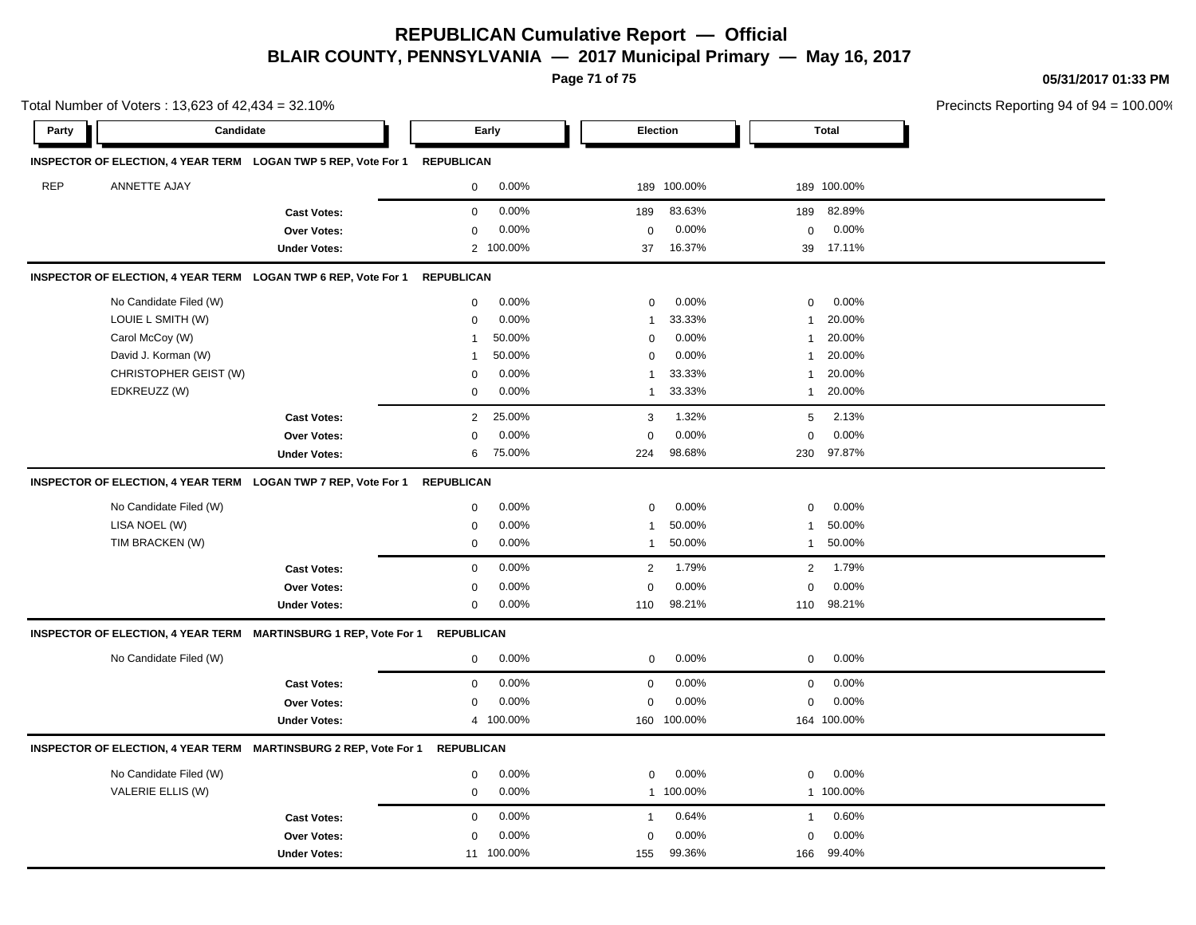**Page 71 of 75**

**05/31/2017 01:33 PM**

|            | Total Number of Voters: 13,623 of 42,434 = 32.10%                           | Precincts Reporting 94 of 94 = 100.00% |                          |                          |                         |  |
|------------|-----------------------------------------------------------------------------|----------------------------------------|--------------------------|--------------------------|-------------------------|--|
| Party      | Candidate                                                                   |                                        | Early                    | Election                 | <b>Total</b>            |  |
|            | INSPECTOR OF ELECTION, 4 YEAR TERM LOGAN TWP 5 REP, Vote For 1 REPUBLICAN   |                                        |                          |                          |                         |  |
| <b>REP</b> | ANNETTE AJAY                                                                |                                        | 0.00%<br>$\mathbf 0$     | 189 100.00%              | 189 100.00%             |  |
|            |                                                                             | <b>Cast Votes:</b>                     | 0.00%<br>0               | 189<br>83.63%            | 189<br>82.89%           |  |
|            |                                                                             | <b>Over Votes:</b>                     | 0.00%<br>0               | 0.00%<br>$\mathbf 0$     | 0.00%<br>$\mathbf 0$    |  |
|            |                                                                             | <b>Under Votes:</b>                    | 2 100.00%                | 16.37%<br>37             | 39 17.11%               |  |
|            | INSPECTOR OF ELECTION, 4 YEAR TERM LOGAN TWP 6 REP, Vote For 1              |                                        | <b>REPUBLICAN</b>        |                          |                         |  |
|            | No Candidate Filed (W)                                                      |                                        | 0.00%<br>0               | 0.00%<br>$\mathbf 0$     | 0.00%<br>0              |  |
|            | LOUIE L SMITH (W)                                                           |                                        | 0.00%<br>$\mathbf{0}$    | 33.33%<br>-1             | 20.00%<br>$\mathbf{1}$  |  |
|            | Carol McCoy (W)                                                             |                                        | 50.00%<br>$\overline{1}$ | 0.00%<br>$\mathbf 0$     | 20.00%<br>$\mathbf{1}$  |  |
|            | David J. Korman (W)                                                         |                                        | 50.00%<br>-1             | 0.00%<br>$\Omega$        | 20.00%<br>$\mathbf{1}$  |  |
|            | CHRISTOPHER GEIST (W)                                                       |                                        | 0.00%<br>0               | 33.33%<br>-1             | 20.00%<br>$\mathbf{1}$  |  |
|            | EDKREUZZ (W)                                                                |                                        | 0.00%<br>0               | 33.33%<br>$\overline{1}$ | 20.00%<br>$\mathbf{1}$  |  |
|            |                                                                             | <b>Cast Votes:</b>                     | 25.00%<br>$\overline{2}$ | 1.32%<br>3               | 2.13%<br>5              |  |
|            |                                                                             | Over Votes:                            | 0.00%<br>0               | 0.00%<br>0               | 0.00%<br>0              |  |
|            |                                                                             | <b>Under Votes:</b>                    | 75.00%<br>6              | 98.68%<br>224            | 97.87%<br>230           |  |
|            | INSPECTOR OF ELECTION, 4 YEAR TERM LOGAN TWP 7 REP, Vote For 1 REPUBLICAN   |                                        |                          |                          |                         |  |
|            | No Candidate Filed (W)                                                      |                                        | 0.00%<br>$\mathbf 0$     | 0.00%<br>$\mathbf 0$     | 0.00%<br>$\mathbf 0$    |  |
|            | LISA NOEL (W)                                                               |                                        | 0.00%<br>0               | 50.00%<br>-1             | 50.00%<br>$\mathbf{1}$  |  |
|            | TIM BRACKEN (W)                                                             |                                        | 0.00%<br>$\mathbf 0$     | 50.00%<br>$\overline{1}$ | 50.00%<br>$\mathbf{1}$  |  |
|            |                                                                             | <b>Cast Votes:</b>                     | 0.00%<br>$\Omega$        | 1.79%<br>$\overline{2}$  | 1.79%<br>$\overline{2}$ |  |
|            |                                                                             | Over Votes:                            | 0.00%<br>0               | 0.00%<br>$\mathbf 0$     | 0.00%<br>$\mathbf 0$    |  |
|            |                                                                             | <b>Under Votes:</b>                    | 0.00%<br>$\mathbf 0$     | 98.21%<br>110            | 98.21%<br>110           |  |
|            | INSPECTOR OF ELECTION, 4 YEAR TERM MARTINSBURG 1 REP, Vote For 1            |                                        | <b>REPUBLICAN</b>        |                          |                         |  |
|            | No Candidate Filed (W)                                                      |                                        | 0.00%<br>$\mathsf{O}$    | 0.00%<br>$\mathbf 0$     | 0.00%<br>$\mathbf 0$    |  |
|            |                                                                             | <b>Cast Votes:</b>                     | 0.00%<br>0               | 0.00%<br>$\mathbf 0$     | 0.00%<br>$\mathbf 0$    |  |
|            |                                                                             | Over Votes:                            | 0.00%<br>0               | 0.00%<br>$\mathbf 0$     | 0.00%<br>0              |  |
|            |                                                                             | <b>Under Votes:</b>                    | 4 100.00%                | 160 100.00%              | 164 100.00%             |  |
|            | INSPECTOR OF ELECTION, 4 YEAR TERM MARTINSBURG 2 REP, Vote For 1 REPUBLICAN |                                        |                          |                          |                         |  |
|            | No Candidate Filed (W)                                                      |                                        | 0.00%<br>0               | 0.00%<br>0               | $\mathbf 0$<br>$0.00\%$ |  |
|            | VALERIE ELLIS (W)                                                           |                                        | 0.00%<br>$\mathbf 0$     | 1 100.00%                | 1 100.00%               |  |
|            |                                                                             | <b>Cast Votes:</b>                     | 0.00%<br>0               | 0.64%<br>$\mathbf{1}$    | 0.60%<br>$\mathbf{1}$   |  |
|            |                                                                             | Over Votes:                            | 0.00%<br>0               | 0.00%<br>$\mathbf 0$     | 0.00%<br>$\mathbf 0$    |  |
|            |                                                                             | <b>Under Votes:</b>                    | 11 100.00%               | 99.36%<br>155            | 99.40%<br>166           |  |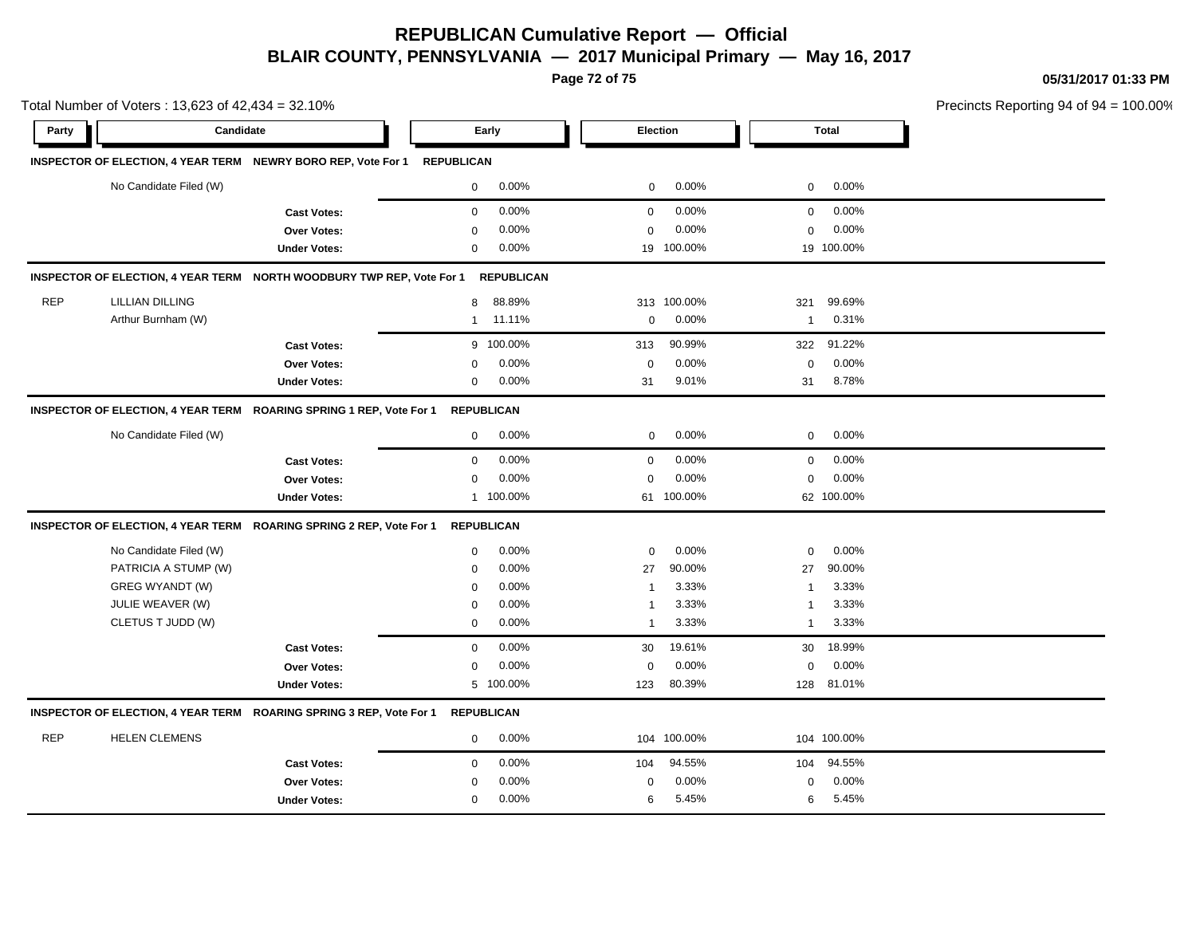**Page 72 of 75**

**05/31/2017 01:33 PM**

| Total Number of Voters: 13,623 of 42,434 = 32.10% |                        |                                                                                |                   |                   |                         | Precincts Reporting 94 of 94 |                         |              |  |
|---------------------------------------------------|------------------------|--------------------------------------------------------------------------------|-------------------|-------------------|-------------------------|------------------------------|-------------------------|--------------|--|
| Party                                             | Candidate              |                                                                                | Early             |                   | Election                |                              |                         | <b>Total</b> |  |
|                                                   |                        | INSPECTOR OF ELECTION, 4 YEAR TERM NEWRY BORO REP, Vote For 1 REPUBLICAN       |                   |                   |                         |                              |                         |              |  |
|                                                   | No Candidate Filed (W) |                                                                                | $\mathbf 0$       | 0.00%             | $\mathbf 0$             | 0.00%                        | $\mathbf 0$             | 0.00%        |  |
|                                                   |                        | <b>Cast Votes:</b>                                                             | $\mathbf 0$       | 0.00%             | $\mathbf 0$             | 0.00%                        | $\mathbf 0$             | 0.00%        |  |
|                                                   |                        | <b>Over Votes:</b>                                                             | 0                 | 0.00%             | $\Omega$                | 0.00%                        | $\mathbf 0$             | 0.00%        |  |
|                                                   |                        | <b>Under Votes:</b>                                                            | 0                 | 0.00%             | 19                      | 100.00%                      |                         | 19 100.00%   |  |
|                                                   |                        | INSPECTOR OF ELECTION, 4 YEAR TERM NORTH WOODBURY TWP REP, Vote For 1          |                   | <b>REPUBLICAN</b> |                         |                              |                         |              |  |
| <b>REP</b>                                        | LILLIAN DILLING        |                                                                                | 8                 | 88.89%            |                         | 313 100.00%                  | 321                     | 99.69%       |  |
|                                                   | Arthur Burnham (W)     |                                                                                | $\mathbf{1}$      | 11.11%            | $\mathbf 0$             | 0.00%                        | $\overline{1}$          | 0.31%        |  |
|                                                   |                        | <b>Cast Votes:</b>                                                             |                   | 9 100.00%         | 313                     | 90.99%                       | 322                     | 91.22%       |  |
|                                                   |                        | Over Votes:                                                                    | 0                 | 0.00%             | $\mathbf 0$             | 0.00%                        | $\mathbf 0$             | 0.00%        |  |
|                                                   |                        | <b>Under Votes:</b>                                                            | 0                 | 0.00%             | 31                      | 9.01%                        | 31                      | 8.78%        |  |
|                                                   |                        | INSPECTOR OF ELECTION, 4 YEAR TERM ROARING SPRING 1 REP, Vote For 1            | REPUBLICAN        |                   |                         |                              |                         |              |  |
|                                                   | No Candidate Filed (W) |                                                                                | $\mathbf 0$       | 0.00%             | $\mathbf 0$             | 0.00%                        | $\mathbf 0$             | 0.00%        |  |
|                                                   |                        | <b>Cast Votes:</b>                                                             | $\mathbf 0$       | 0.00%             | $\mathbf 0$             | 0.00%                        | $\mathbf 0$             | 0.00%        |  |
|                                                   |                        | <b>Over Votes:</b>                                                             | $\mathbf 0$       | 0.00%             | $\mathbf 0$             | 0.00%                        | $\mathbf 0$             | 0.00%        |  |
|                                                   |                        | <b>Under Votes:</b>                                                            |                   | 1 100.00%         |                         | 61 100.00%                   |                         | 62 100.00%   |  |
|                                                   |                        | INSPECTOR OF ELECTION, 4 YEAR TERM ROARING SPRING 2 REP, Vote For 1            | <b>REPUBLICAN</b> |                   |                         |                              |                         |              |  |
|                                                   | No Candidate Filed (W) |                                                                                | $\mathbf 0$       | 0.00%             | $\mathbf 0$             | 0.00%                        | $\mathbf 0$             | 0.00%        |  |
|                                                   | PATRICIA A STUMP (W)   |                                                                                | $\mathbf 0$       | 0.00%             | 27                      | 90.00%                       | 27                      | 90.00%       |  |
|                                                   | GREG WYANDT (W)        |                                                                                | $\Omega$          | 0.00%             | $\overline{1}$          | 3.33%                        | $\overline{\mathbf{1}}$ | 3.33%        |  |
|                                                   | JULIE WEAVER (W)       |                                                                                | $\mathbf 0$       | 0.00%             | $\overline{\mathbf{1}}$ | 3.33%                        | $\overline{\mathbf{1}}$ | 3.33%        |  |
|                                                   | CLETUS T JUDD (W)      |                                                                                | $\mathbf 0$       | 0.00%             | $\overline{1}$          | 3.33%                        | $\overline{1}$          | 3.33%        |  |
|                                                   |                        | <b>Cast Votes:</b>                                                             | $\mathbf 0$       | 0.00%             | 30                      | 19.61%                       | 30                      | 18.99%       |  |
|                                                   |                        | Over Votes:                                                                    | $\Omega$          | 0.00%             | $\Omega$                | 0.00%                        | $\mathbf 0$             | 0.00%        |  |
|                                                   |                        | <b>Under Votes:</b>                                                            |                   | 5 100.00%         | 123                     | 80.39%                       | 128                     | 81.01%       |  |
|                                                   |                        | INSPECTOR OF ELECTION, 4 YEAR TERM ROARING SPRING 3 REP, Vote For 1 REPUBLICAN |                   |                   |                         |                              |                         |              |  |
| <b>REP</b>                                        | <b>HELEN CLEMENS</b>   |                                                                                | $\mathbf 0$       | 0.00%             |                         | 104 100.00%                  |                         | 104 100.00%  |  |
|                                                   |                        | <b>Cast Votes:</b>                                                             | $\mathbf 0$       | 0.00%             | 104                     | 94.55%                       | 104                     | 94.55%       |  |
|                                                   |                        | <b>Over Votes:</b>                                                             | 0                 | 0.00%             | 0                       | 0.00%                        | $\mathbf 0$             | 0.00%        |  |
|                                                   |                        | <b>Under Votes:</b>                                                            | $\mathbf 0$       | 0.00%             | 6                       | 5.45%                        | 6                       | 5.45%        |  |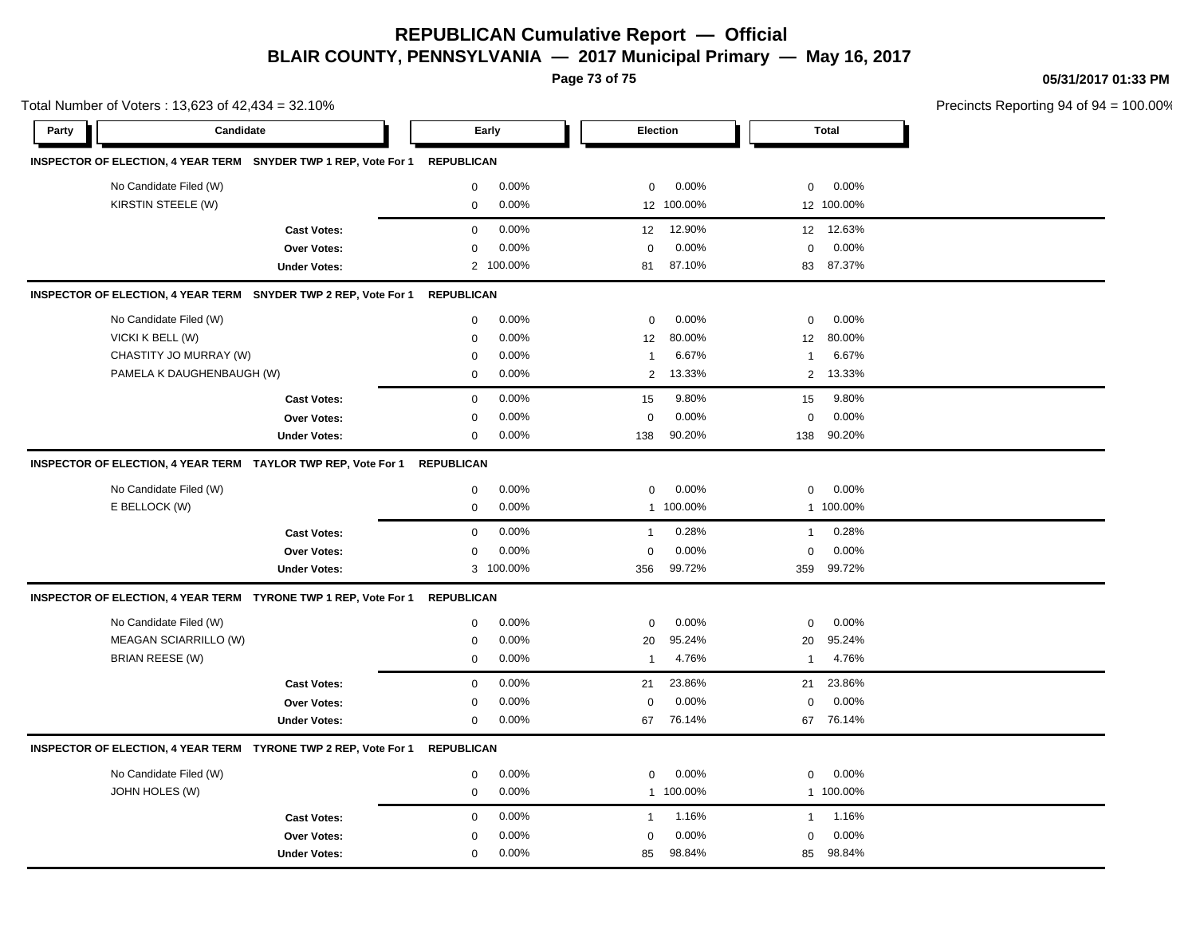## **REPUBLICAN Cumulative Report — Official BLAIR COUNTY, PENNSYLVANIA — 2017 Municipal Primary — May 16, 2017**

**Page 73 of 75**

**05/31/2017 01:33 PM**

Precincts Reporting 94 of 94 = 100.00%

| Total Number of Voters: 13,623 of 42,434 = 32.10% |                           |                                                                 |                   |           |              |            |                |            | Precincts Reporting 94 of 94 |
|---------------------------------------------------|---------------------------|-----------------------------------------------------------------|-------------------|-----------|--------------|------------|----------------|------------|------------------------------|
| Party                                             | Candidate                 |                                                                 | Early             |           |              | Election   |                | Total      |                              |
|                                                   |                           | INSPECTOR OF ELECTION, 4 YEAR TERM SNYDER TWP 1 REP, Vote For 1 | <b>REPUBLICAN</b> |           |              |            |                |            |                              |
|                                                   | No Candidate Filed (W)    |                                                                 | $\mathbf 0$       | 0.00%     | $\mathbf 0$  | 0.00%      | $\mathbf 0$    | 0.00%      |                              |
|                                                   | KIRSTIN STEELE (W)        |                                                                 | $\mathsf 0$       | 0.00%     |              | 12 100.00% |                | 12 100.00% |                              |
|                                                   |                           | <b>Cast Votes:</b>                                              | $\mathbf 0$       | 0.00%     | 12           | 12.90%     |                | 12 12.63%  |                              |
|                                                   |                           | <b>Over Votes:</b>                                              | $\Omega$          | 0.00%     | $\Omega$     | 0.00%      | $\mathbf 0$    | 0.00%      |                              |
|                                                   |                           | <b>Under Votes:</b>                                             |                   | 2 100.00% | 81           | 87.10%     | 83             | 87.37%     |                              |
|                                                   |                           | INSPECTOR OF ELECTION, 4 YEAR TERM SNYDER TWP 2 REP, Vote For 1 | <b>REPUBLICAN</b> |           |              |            |                |            |                              |
|                                                   | No Candidate Filed (W)    |                                                                 | $\mathbf 0$       | 0.00%     | $\mathbf 0$  | 0.00%      | $\mathbf 0$    | 0.00%      |                              |
|                                                   | VICKI K BELL (W)          |                                                                 | $\mathbf 0$       | 0.00%     | 12           | 80.00%     | 12             | 80.00%     |                              |
|                                                   | CHASTITY JO MURRAY (W)    |                                                                 | 0                 | 0.00%     | $\mathbf{1}$ | 6.67%      | $\mathbf{1}$   | 6.67%      |                              |
|                                                   | PAMELA K DAUGHENBAUGH (W) |                                                                 | $\mathbf 0$       | 0.00%     | 2            | 13.33%     | $\overline{2}$ | 13.33%     |                              |
|                                                   |                           | <b>Cast Votes:</b>                                              | $\mathbf 0$       | 0.00%     | 15           | 9.80%      | 15             | 9.80%      |                              |
|                                                   |                           | Over Votes:                                                     | $\mathbf 0$       | 0.00%     | $\mathbf 0$  | 0.00%      | $\mathbf 0$    | 0.00%      |                              |
|                                                   |                           | <b>Under Votes:</b>                                             | 0                 | 0.00%     | 138          | 90.20%     | 138            | 90.20%     |                              |
|                                                   |                           | INSPECTOR OF ELECTION, 4 YEAR TERM TAYLOR TWP REP, Vote For 1   | <b>REPUBLICAN</b> |           |              |            |                |            |                              |
|                                                   | No Candidate Filed (W)    |                                                                 | $\mathbf 0$       | $0.00\%$  | $\mathbf 0$  | 0.00%      | $\mathbf 0$    | 0.00%      |                              |
|                                                   | E BELLOCK (W)             |                                                                 | $\mathbf 0$       | 0.00%     |              | 1 100.00%  |                | 1 100.00%  |                              |
|                                                   |                           | <b>Cast Votes:</b>                                              | $\mathbf 0$       | 0.00%     | $\mathbf{1}$ | 0.28%      | $\mathbf{1}$   | 0.28%      |                              |
|                                                   |                           | Over Votes:                                                     | $\mathbf 0$       | 0.00%     | $\mathbf 0$  | 0.00%      | $\mathbf 0$    | 0.00%      |                              |
|                                                   |                           | <b>Under Votes:</b>                                             |                   | 3 100.00% | 356          | 99.72%     | 359            | 99.72%     |                              |
|                                                   |                           | INSPECTOR OF ELECTION, 4 YEAR TERM TYRONE TWP 1 REP, Vote For 1 | <b>REPUBLICAN</b> |           |              |            |                |            |                              |
|                                                   | No Candidate Filed (W)    |                                                                 | $\mathbf 0$       | 0.00%     | $\mathbf 0$  | 0.00%      | 0              | 0.00%      |                              |
|                                                   | MEAGAN SCIARRILLO (W)     |                                                                 | $\mathbf 0$       | 0.00%     | 20           | 95.24%     | 20             | 95.24%     |                              |
|                                                   | BRIAN REESE (W)           |                                                                 | $\mathbf 0$       | 0.00%     | $\mathbf{1}$ | 4.76%      | $\mathbf{1}$   | 4.76%      |                              |
|                                                   |                           | <b>Cast Votes:</b>                                              | $\mathbf 0$       | 0.00%     | 21           | 23.86%     | 21             | 23.86%     |                              |
|                                                   |                           | Over Votes:                                                     | 0                 | 0.00%     | $\mathbf 0$  | 0.00%      | $\mathbf 0$    | 0.00%      |                              |
|                                                   |                           | <b>Under Votes:</b>                                             | $\mathbf 0$       | 0.00%     | 67           | 76.14%     | 67             | 76.14%     |                              |
|                                                   |                           | INSPECTOR OF ELECTION, 4 YEAR TERM TYRONE TWP 2 REP, Vote For 1 | <b>REPUBLICAN</b> |           |              |            |                |            |                              |
|                                                   | No Candidate Filed (W)    |                                                                 | 0                 | 0.00%     | 0            | 0.00%      | 0              | 0.00%      |                              |
|                                                   | JOHN HOLES (W)            |                                                                 | $\mathbf 0$       | 0.00%     | $\mathbf{1}$ | 100.00%    |                | 1 100.00%  |                              |
|                                                   |                           | <b>Cast Votes:</b>                                              | $\mathbf 0$       | 0.00%     | $\mathbf{1}$ | 1.16%      | $\mathbf{1}$   | 1.16%      |                              |
|                                                   |                           | Over Votes:                                                     | $\mathbf 0$       | 0.00%     | $\mathbf 0$  | 0.00%      | $\mathbf 0$    | 0.00%      |                              |
|                                                   |                           | <b>Under Votes:</b>                                             | $\mathbf 0$       | 0.00%     | 85           | 98.84%     | 85             | 98.84%     |                              |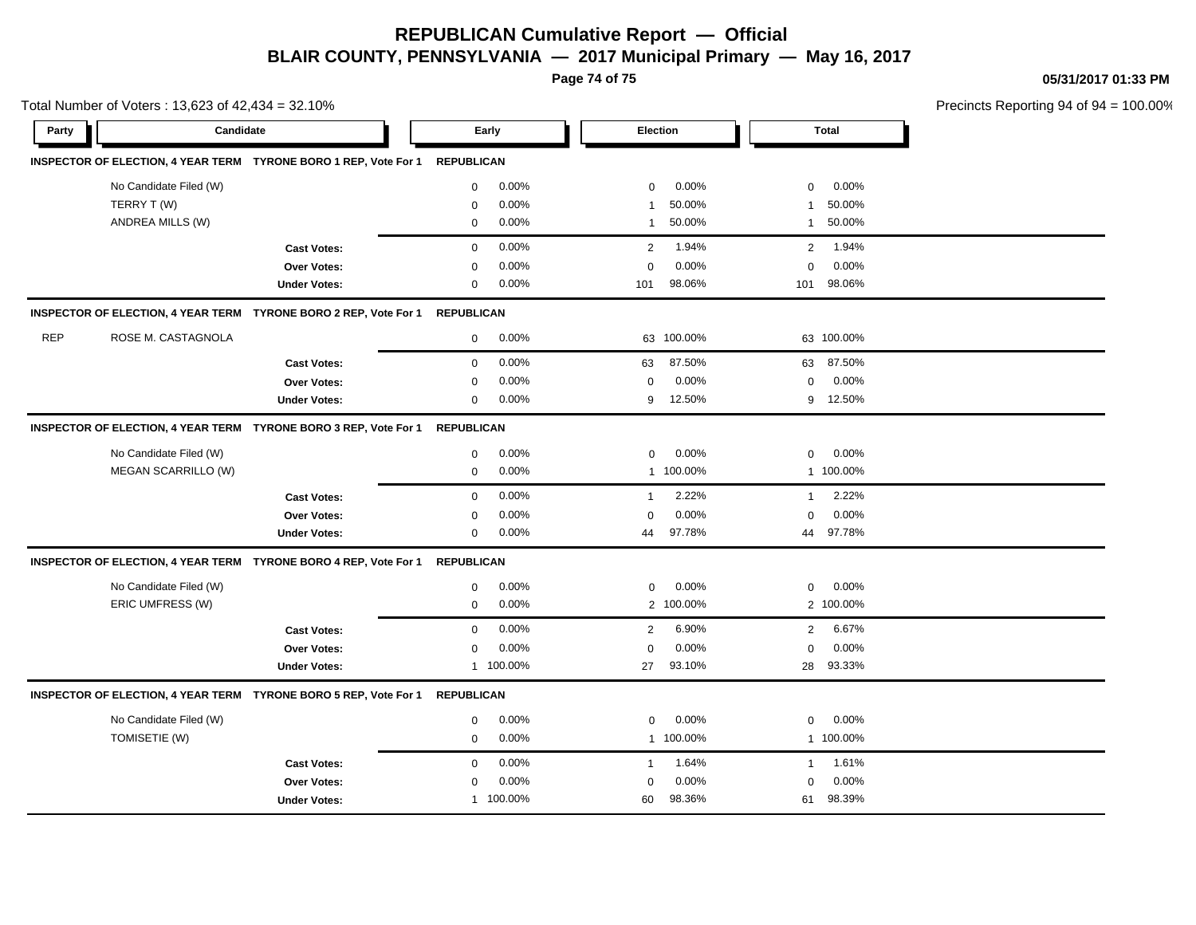## **REPUBLICAN Cumulative Report — Official BLAIR COUNTY, PENNSYLVANIA — 2017 Municipal Primary — May 16, 2017**

**Page 74 of 75**

**05/31/2017 01:33 PM**

|            | Total Number of Voters: 13,623 of 42,434 = 32.10% |                                                                  |                   |           |                |            |                |              | Precincts Reporting 94 of 94 = 100.00% |
|------------|---------------------------------------------------|------------------------------------------------------------------|-------------------|-----------|----------------|------------|----------------|--------------|----------------------------------------|
| Party      | Candidate                                         |                                                                  | Early             |           | Election       |            |                | <b>Total</b> |                                        |
|            |                                                   | INSPECTOR OF ELECTION, 4 YEAR TERM TYRONE BORO 1 REP, Vote For 1 | <b>REPUBLICAN</b> |           |                |            |                |              |                                        |
|            | No Candidate Filed (W)                            |                                                                  | 0                 | 0.00%     | $\mathbf 0$    | 0.00%      | 0              | 0.00%        |                                        |
|            | TERRY T (W)                                       |                                                                  | 0                 | 0.00%     | -1             | 50.00%     | $\mathbf{1}$   | 50.00%       |                                        |
|            | ANDREA MILLS (W)                                  |                                                                  | $\mathbf 0$       | 0.00%     | $\mathbf{1}$   | 50.00%     | $\mathbf{1}$   | 50.00%       |                                        |
|            |                                                   | <b>Cast Votes:</b>                                               | $\mathbf 0$       | 0.00%     | 2              | 1.94%      | $\overline{2}$ | 1.94%        |                                        |
|            |                                                   | <b>Over Votes:</b>                                               | 0                 | 0.00%     | $\mathbf 0$    | 0.00%      | 0              | 0.00%        |                                        |
|            |                                                   | <b>Under Votes:</b>                                              | $\mathbf 0$       | 0.00%     | 101            | 98.06%     | 101            | 98.06%       |                                        |
|            |                                                   | INSPECTOR OF ELECTION, 4 YEAR TERM TYRONE BORO 2 REP, Vote For 1 | <b>REPUBLICAN</b> |           |                |            |                |              |                                        |
| <b>REP</b> | ROSE M. CASTAGNOLA                                |                                                                  | 0                 | 0.00%     |                | 63 100.00% |                | 63 100.00%   |                                        |
|            |                                                   | <b>Cast Votes:</b>                                               | 0                 | 0.00%     | 63             | 87.50%     |                | 63 87.50%    |                                        |
|            |                                                   | Over Votes:                                                      | 0                 | 0.00%     | $\mathbf 0$    | 0.00%      | 0              | 0.00%        |                                        |
|            |                                                   | <b>Under Votes:</b>                                              | $\mathbf 0$       | 0.00%     | 9              | 12.50%     | 9              | 12.50%       |                                        |
|            |                                                   | INSPECTOR OF ELECTION, 4 YEAR TERM TYRONE BORO 3 REP, Vote For 1 | REPUBLICAN        |           |                |            |                |              |                                        |
|            | No Candidate Filed (W)                            |                                                                  | 0                 | 0.00%     | $\mathbf 0$    | 0.00%      | 0              | 0.00%        |                                        |
|            | MEGAN SCARRILLO (W)                               |                                                                  | 0                 | 0.00%     |                | 1 100.00%  |                | 1 100.00%    |                                        |
|            |                                                   | <b>Cast Votes:</b>                                               | $\mathbf 0$       | 0.00%     | $\overline{1}$ | 2.22%      | $\mathbf{1}$   | 2.22%        |                                        |
|            |                                                   | Over Votes:                                                      | 0                 | 0.00%     | $\Omega$       | 0.00%      | 0              | $0.00\%$     |                                        |
|            |                                                   | <b>Under Votes:</b>                                              | 0                 | 0.00%     | 44             | 97.78%     | 44             | 97.78%       |                                        |
|            |                                                   | INSPECTOR OF ELECTION, 4 YEAR TERM TYRONE BORO 4 REP, Vote For 1 | <b>REPUBLICAN</b> |           |                |            |                |              |                                        |
|            | No Candidate Filed (W)                            |                                                                  | 0                 | 0.00%     | 0              | 0.00%      | 0              | 0.00%        |                                        |
|            | ERIC UMFRESS (W)                                  |                                                                  | 0                 | 0.00%     |                | 2 100.00%  |                | 2 100.00%    |                                        |
|            |                                                   | <b>Cast Votes:</b>                                               | 0                 | 0.00%     | $\overline{2}$ | 6.90%      | $\overline{2}$ | 6.67%        |                                        |
|            |                                                   | Over Votes:                                                      | 0                 | 0.00%     | $\mathbf 0$    | 0.00%      | 0              | $0.00\%$     |                                        |
|            |                                                   | <b>Under Votes:</b>                                              |                   | 1 100.00% | 27             | 93.10%     | 28             | 93.33%       |                                        |
|            |                                                   | INSPECTOR OF ELECTION, 4 YEAR TERM TYRONE BORO 5 REP, Vote For 1 | <b>REPUBLICAN</b> |           |                |            |                |              |                                        |
|            | No Candidate Filed (W)                            |                                                                  | 0                 | 0.00%     | 0              | 0.00%      | 0              | 0.00%        |                                        |
|            | TOMISETIE (W)                                     |                                                                  | 0                 | 0.00%     |                | 1 100.00%  |                | 1 100.00%    |                                        |
|            |                                                   | <b>Cast Votes:</b>                                               | $\mathbf 0$       | 0.00%     | $\overline{1}$ | 1.64%      | $\mathbf{1}$   | 1.61%        |                                        |
|            |                                                   | <b>Over Votes:</b>                                               | 0                 | 0.00%     | $\Omega$       | 0.00%      | 0              | 0.00%        |                                        |
|            |                                                   | <b>Under Votes:</b>                                              |                   | 1 100.00% | 60             | 98.36%     | 61             | 98.39%       |                                        |